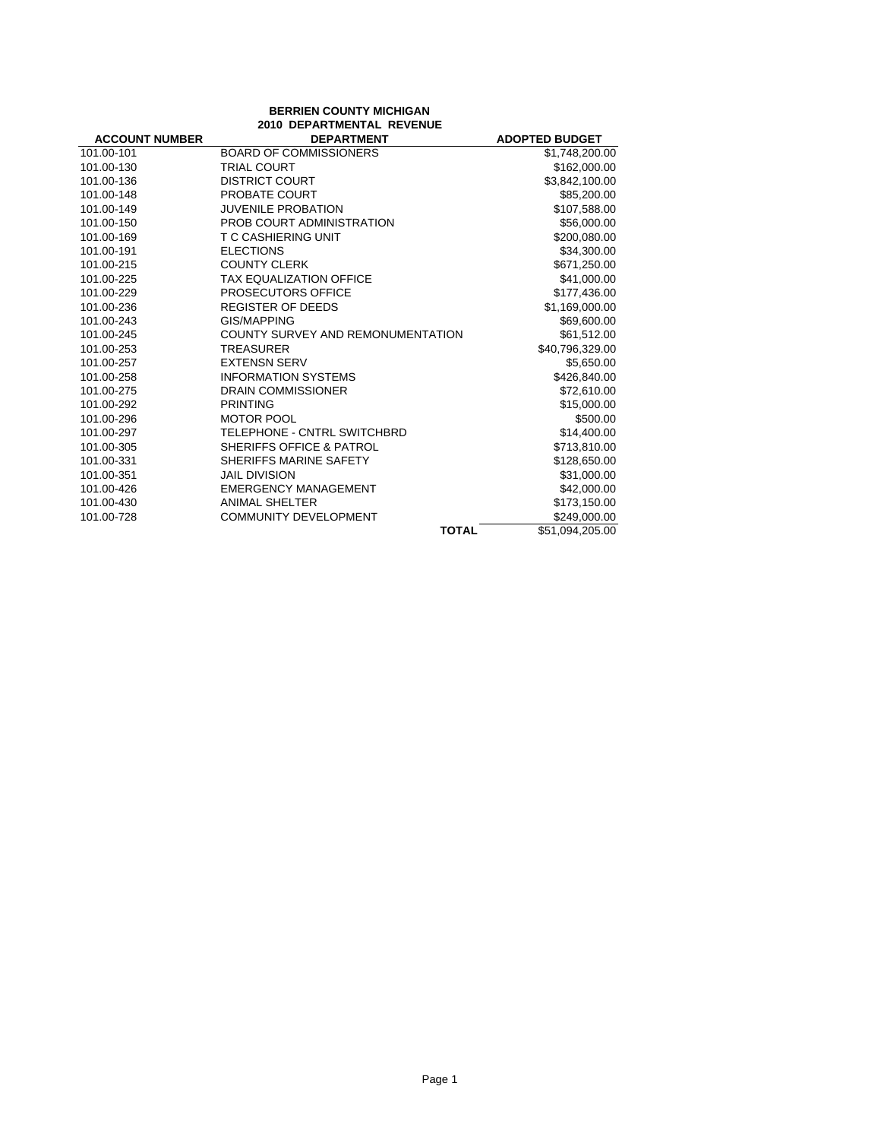| <b>BERRIEN COUNTY MICHIGAN</b><br><b>2010 DEPARTMENTAL REVENUE</b> |                                     |                       |
|--------------------------------------------------------------------|-------------------------------------|-----------------------|
| <b>ACCOUNT NUMBER</b>                                              | <b>DEPARTMENT</b>                   | <b>ADOPTED BUDGET</b> |
| 101.00-101                                                         | <b>BOARD OF COMMISSIONERS</b>       | \$1,748,200.00        |
| 101.00-130                                                         | <b>TRIAL COURT</b>                  | \$162,000.00          |
| 101.00-136                                                         | <b>DISTRICT COURT</b>               | \$3,842,100.00        |
| 101.00-148                                                         | PROBATE COURT                       | \$85,200.00           |
| 101.00-149                                                         | <b>JUVENILE PROBATION</b>           | \$107,588.00          |
| 101.00-150                                                         | PROB COURT ADMINISTRATION           | \$56,000.00           |
| 101.00-169                                                         | T C CASHIERING UNIT                 | \$200,080.00          |
| 101.00-191                                                         | <b>ELECTIONS</b>                    | \$34,300.00           |
| 101.00-215                                                         | <b>COUNTY CLERK</b>                 | \$671,250.00          |
| 101.00-225                                                         | <b>TAX EQUALIZATION OFFICE</b>      | \$41,000.00           |
| 101.00-229                                                         | PROSECUTORS OFFICE                  | \$177,436.00          |
| 101.00-236                                                         | REGISTER OF DEEDS                   | \$1,169,000.00        |
| 101.00-243                                                         | GIS/MAPPING                         | \$69,600.00           |
| 101.00-245                                                         | COUNTY SURVEY AND REMONUMENTATION   | \$61,512.00           |
| 101.00-253                                                         | <b>TREASURER</b>                    | \$40,796,329.00       |
| 101.00-257                                                         | <b>EXTENSN SERV</b>                 | \$5,650.00            |
| 101.00-258                                                         | <b>INFORMATION SYSTEMS</b>          | \$426,840.00          |
| 101.00-275                                                         | <b>DRAIN COMMISSIONER</b>           | \$72,610.00           |
| 101.00-292                                                         | <b>PRINTING</b>                     | \$15,000.00           |
| 101.00-296                                                         | <b>MOTOR POOL</b>                   | \$500.00              |
| 101.00-297                                                         | TELEPHONE - CNTRL SWITCHBRD         | \$14,400.00           |
| 101.00-305                                                         | <b>SHERIFFS OFFICE &amp; PATROL</b> | \$713,810.00          |
| 101.00-331                                                         | SHERIFFS MARINE SAFETY              | \$128,650.00          |
| 101.00-351                                                         | <b>JAIL DIVISION</b>                | \$31,000.00           |
| 101.00-426                                                         | <b>EMERGENCY MANAGEMENT</b>         | \$42,000.00           |
| 101.00-430                                                         | <b>ANIMAL SHELTER</b>               | \$173,150.00          |
| 101.00-728                                                         | <b>COMMUNITY DEVELOPMENT</b>        | \$249,000.00          |
|                                                                    | <b>TOTAL</b>                        | \$51.094.205.00       |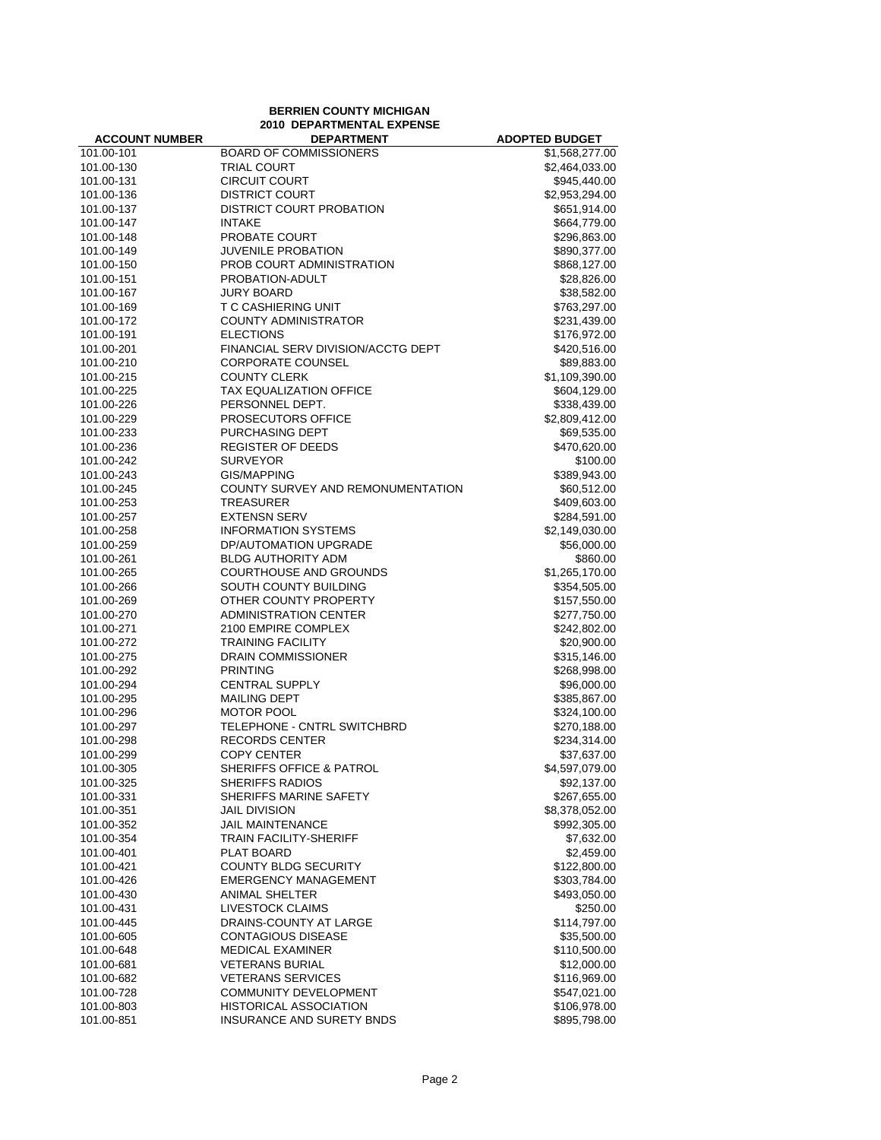|                          | <b>BERRIEN COUNTY MICHIGAN</b>                     |                              |
|--------------------------|----------------------------------------------------|------------------------------|
|                          | <b>2010 DEPARTMENTAL EXPENSE</b>                   |                              |
| <b>ACCOUNT NUMBER</b>    | <b>DEPARTMENT</b>                                  | <b>ADOPTED BUDGET</b>        |
| 101.00-101               | <b>BOARD OF COMMISSIONERS</b>                      | \$1,568,277.00               |
| 101.00-130               | <b>TRIAL COURT</b>                                 | \$2,464,033.00               |
| 101.00-131               | <b>CIRCUIT COURT</b>                               | \$945,440.00                 |
| 101.00-136               | <b>DISTRICT COURT</b>                              | \$2,953,294.00               |
| 101.00-137               | DISTRICT COURT PROBATION                           | \$651,914.00                 |
| 101.00-147               | <b>INTAKE</b>                                      | \$664,779.00                 |
| 101.00-148               | PROBATE COURT                                      | \$296,863.00                 |
| 101.00-149               | <b>JUVENILE PROBATION</b>                          | \$890,377.00                 |
| 101.00-150               | PROB COURT ADMINISTRATION                          | \$868,127.00                 |
| 101.00-151               | PROBATION-ADULT                                    | \$28,826.00                  |
| 101.00-167               | <b>JURY BOARD</b>                                  | \$38,582.00                  |
| 101.00-169               | T C CASHIERING UNIT                                | \$763,297.00                 |
| 101.00-172               | <b>COUNTY ADMINISTRATOR</b>                        | \$231,439.00                 |
| 101.00-191               | <b>ELECTIONS</b>                                   | \$176,972.00                 |
| 101.00-201               | FINANCIAL SERV DIVISION/ACCTG DEPT                 | \$420,516.00                 |
| 101.00-210               | <b>CORPORATE COUNSEL</b>                           | \$89,883.00                  |
| 101.00-215               | <b>COUNTY CLERK</b>                                | \$1,109,390.00               |
| 101.00-225               | <b>TAX EQUALIZATION OFFICE</b>                     | \$604,129.00                 |
| 101.00-226               | PERSONNEL DEPT.                                    | \$338,439.00                 |
| 101.00-229               | <b>PROSECUTORS OFFICE</b>                          | \$2,809,412.00               |
| 101.00-233               | PURCHASING DEPT                                    | \$69,535.00                  |
| 101.00-236               | <b>REGISTER OF DEEDS</b>                           | \$470,620.00                 |
| 101.00-242               | <b>SURVEYOR</b>                                    | \$100.00                     |
| 101.00-243               | <b>GIS/MAPPING</b>                                 | \$389,943.00                 |
| 101.00-245               | COUNTY SURVEY AND REMONUMENTATION                  | \$60,512.00                  |
| 101.00-253               | <b>TREASURER</b>                                   | \$409,603.00                 |
| 101.00-257               | <b>EXTENSN SERV</b>                                | \$284,591.00                 |
| 101.00-258               | <b>INFORMATION SYSTEMS</b>                         | \$2,149,030.00               |
| 101.00-259               | DP/AUTOMATION UPGRADE                              | \$56,000.00                  |
| 101.00-261               | <b>BLDG AUTHORITY ADM</b>                          | \$860.00                     |
| 101.00-265               | <b>COURTHOUSE AND GROUNDS</b>                      | \$1,265,170.00               |
| 101.00-266               | SOUTH COUNTY BUILDING                              | \$354,505.00                 |
| 101.00-269               | OTHER COUNTY PROPERTY                              | \$157,550.00                 |
| 101.00-270               | <b>ADMINISTRATION CENTER</b>                       | \$277,750.00                 |
| 101.00-271               | 2100 EMPIRE COMPLEX                                | \$242,802.00                 |
| 101.00-272               | <b>TRAINING FACILITY</b>                           | \$20,900.00                  |
| 101.00-275               | DRAIN COMMISSIONER                                 | \$315,146.00                 |
| 101.00-292               | <b>PRINTING</b>                                    | \$268,998.00                 |
| 101.00-294               | <b>CENTRAL SUPPLY</b>                              | \$96,000.00                  |
| 101.00-295               | <b>MAILING DEPT</b>                                | \$385,867.00                 |
| 101.00-296               | <b>MOTOR POOL</b>                                  | \$324,100.00                 |
| 101.00-297               | TELEPHONE - CNTRL SWITCHBRD                        | \$270,188.00                 |
| 101.00-298               | <b>RECORDS CENTER</b>                              | \$234,314.00                 |
| 101.00-299               | <b>COPY CENTER</b>                                 | \$37,637.00                  |
| 101.00-305               | SHERIFFS OFFICE & PATROL                           | \$4,597,079.00               |
| 101.00-325               | <b>SHERIFFS RADIOS</b>                             | \$92,137.00                  |
| 101.00-331               | SHERIFFS MARINE SAFETY                             | \$267,655.00                 |
| 101.00-351               | JAIL DIVISION                                      | \$8,378,052.00               |
| 101.00-352               | <b>JAIL MAINTENANCE</b>                            | \$992,305.00                 |
| 101.00-354               | <b>TRAIN FACILITY-SHERIFF</b>                      | \$7,632.00                   |
| 101.00-401               | PLAT BOARD                                         | \$2,459.00                   |
| 101.00-421               | <b>COUNTY BLDG SECURITY</b>                        | \$122,800.00                 |
| 101.00-426               | <b>EMERGENCY MANAGEMENT</b>                        | \$303,784.00                 |
| 101.00-430               | <b>ANIMAL SHELTER</b>                              | \$493,050.00                 |
| 101.00-431               | LIVESTOCK CLAIMS                                   | \$250.00                     |
| 101.00-445               | DRAINS-COUNTY AT LARGE                             | \$114,797.00                 |
| 101.00-605               | <b>CONTAGIOUS DISEASE</b>                          | \$35,500.00                  |
| 101.00-648               | <b>MEDICAL EXAMINER</b>                            | \$110,500.00                 |
| 101.00-681               | <b>VETERANS BURIAL</b><br><b>VETERANS SERVICES</b> | \$12,000.00                  |
| 101.00-682<br>101.00-728 | <b>COMMUNITY DEVELOPMENT</b>                       | \$116,969.00<br>\$547,021.00 |
| 101.00-803               | <b>HISTORICAL ASSOCIATION</b>                      | \$106,978.00                 |
| 101.00-851               | INSURANCE AND SURETY BNDS                          | \$895,798.00                 |
|                          |                                                    |                              |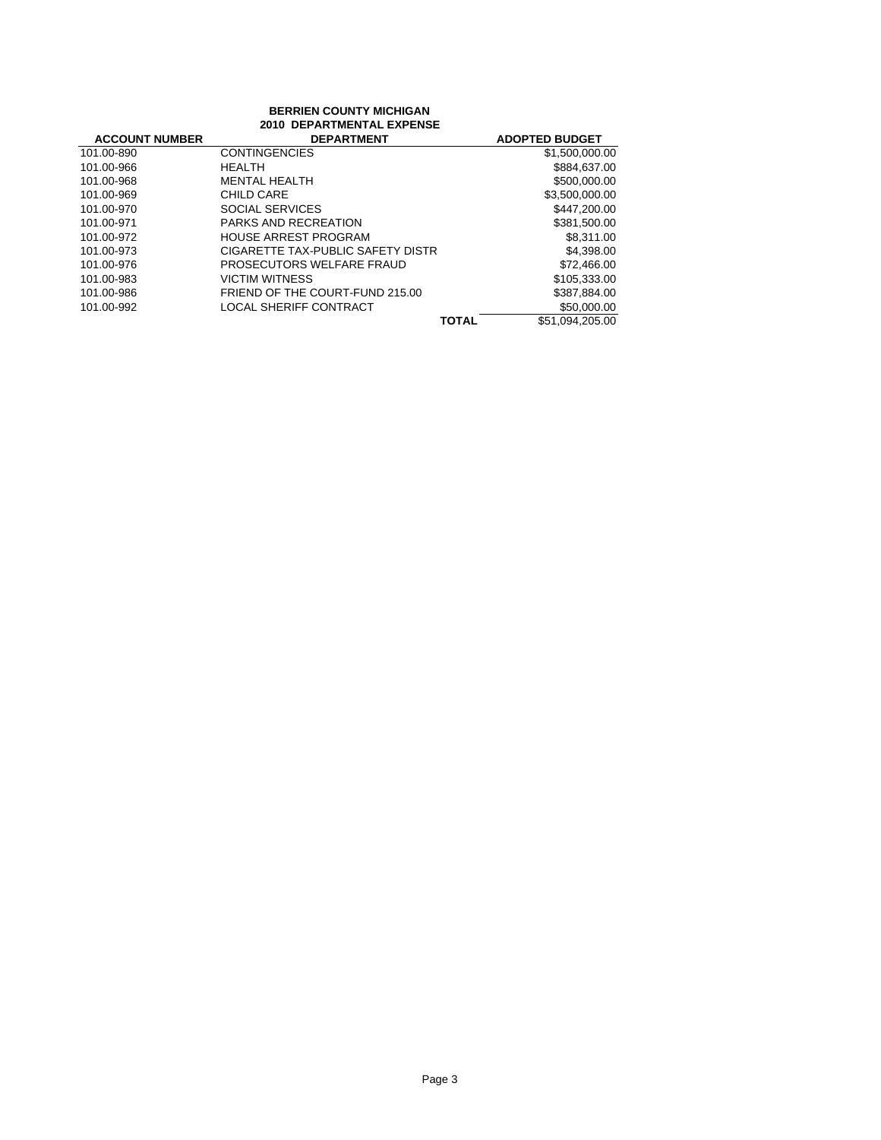| <b>BERRIEN COUNTY MICHIGAN</b><br>2010 DEPARTMENTAL EXPENSE |                                   |                          |
|-------------------------------------------------------------|-----------------------------------|--------------------------|
| <b>ACCOUNT NUMBER</b>                                       | <b>DEPARTMENT</b>                 | <b>ADOPTED BUDGET</b>    |
| 101.00-890                                                  | <b>CONTINGENCIES</b>              | \$1,500,000.00           |
| 101.00-966                                                  | <b>HEALTH</b>                     | \$884,637.00             |
| 101.00-968                                                  | <b>MENTAL HEALTH</b>              | \$500,000.00             |
| 101.00-969                                                  | CHILD CARE                        | \$3,500,000.00           |
| 101.00-970                                                  | SOCIAL SERVICES                   | \$447.200.00             |
| 101.00-971                                                  | <b>PARKS AND RECREATION</b>       | \$381,500.00             |
| 101.00-972                                                  | <b>HOUSE ARREST PROGRAM</b>       | \$8.311.00               |
| 101.00-973                                                  | CIGARETTE TAX-PUBLIC SAFETY DISTR | \$4,398.00               |
| 101.00-976                                                  | PROSECUTORS WELFARE FRAUD         | \$72,466.00              |
| 101.00-983                                                  | <b>VICTIM WITNESS</b>             | \$105.333.00             |
| 101.00-986                                                  | FRIEND OF THE COURT-FUND 215.00   | \$387,884.00             |
| 101.00-992                                                  | <b>LOCAL SHERIFF CONTRACT</b>     | \$50,000.00              |
|                                                             |                                   | \$51.094.205.00<br>TOTAL |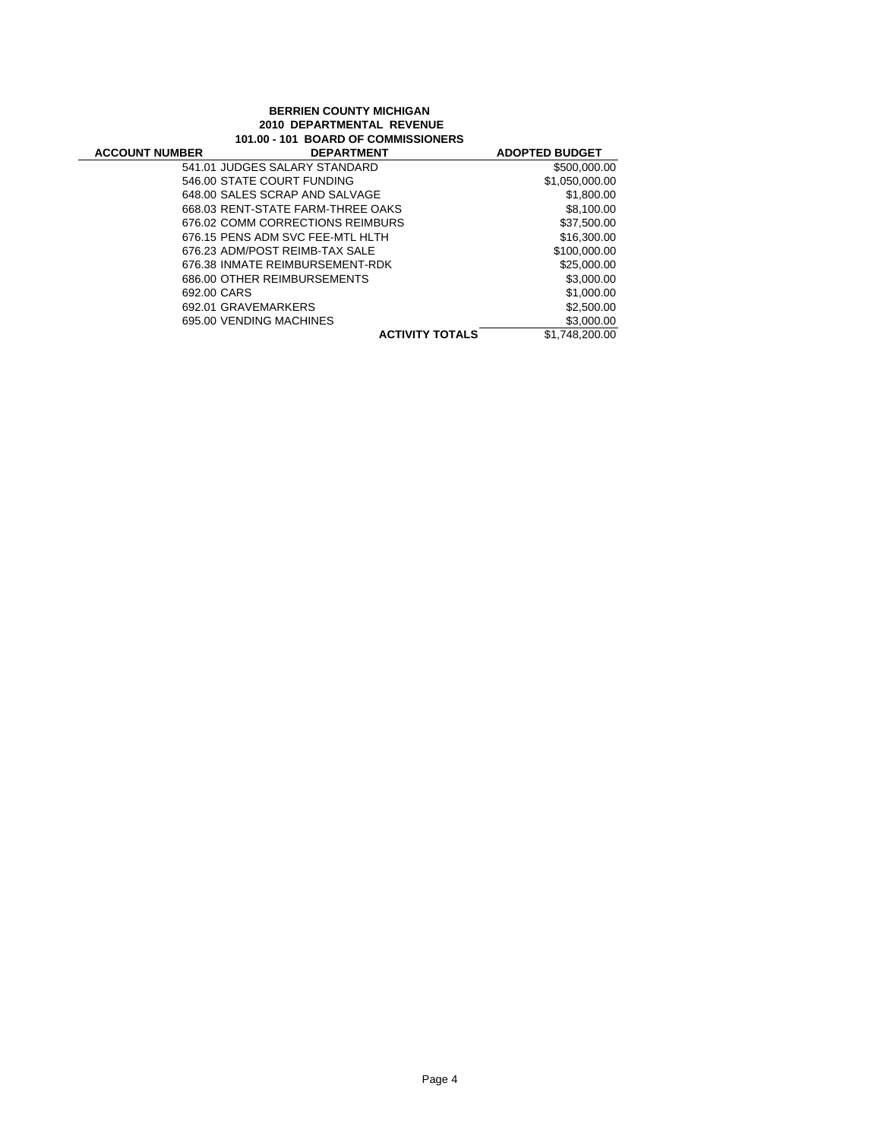#### **BERRIEN COUNTY MICHIGAN 2010 DEPARTMENTAL REVENUE 101.00 - 101 BOARD OF COMMISSIONERS**

| <b>ACCOUNT NUMBER</b> | <b>DEPARTMENT</b>                 | <b>ADOPTED BUDGET</b> |
|-----------------------|-----------------------------------|-----------------------|
|                       | 541.01 JUDGES SALARY STANDARD     | \$500,000.00          |
|                       | 546.00 STATE COURT FUNDING        | \$1,050,000.00        |
|                       | 648.00 SALES SCRAP AND SALVAGE    | \$1,800.00            |
|                       | 668.03 RENT-STATE FARM-THREE OAKS | \$8,100,00            |
|                       | 676.02 COMM CORRECTIONS REIMBURS  | \$37,500.00           |
|                       | 676.15 PENS ADM SVC FEE-MTL HLTH  | \$16,300,00           |
|                       | 676.23 ADM/POST REIMB-TAX SALE    | \$100,000,00          |
|                       | 676.38 INMATE REIMBURSEMENT-RDK   | \$25,000.00           |
|                       | 686.00 OTHER REIMBURSEMENTS       | \$3,000.00            |
| 692.00 CARS           |                                   | \$1,000.00            |
|                       | 692.01 GRAVEMARKERS               | \$2,500.00            |
|                       | 695.00 VENDING MACHINES           | \$3,000.00            |
|                       | <b>ACTIVITY TOTALS</b>            | \$1.748.200.00        |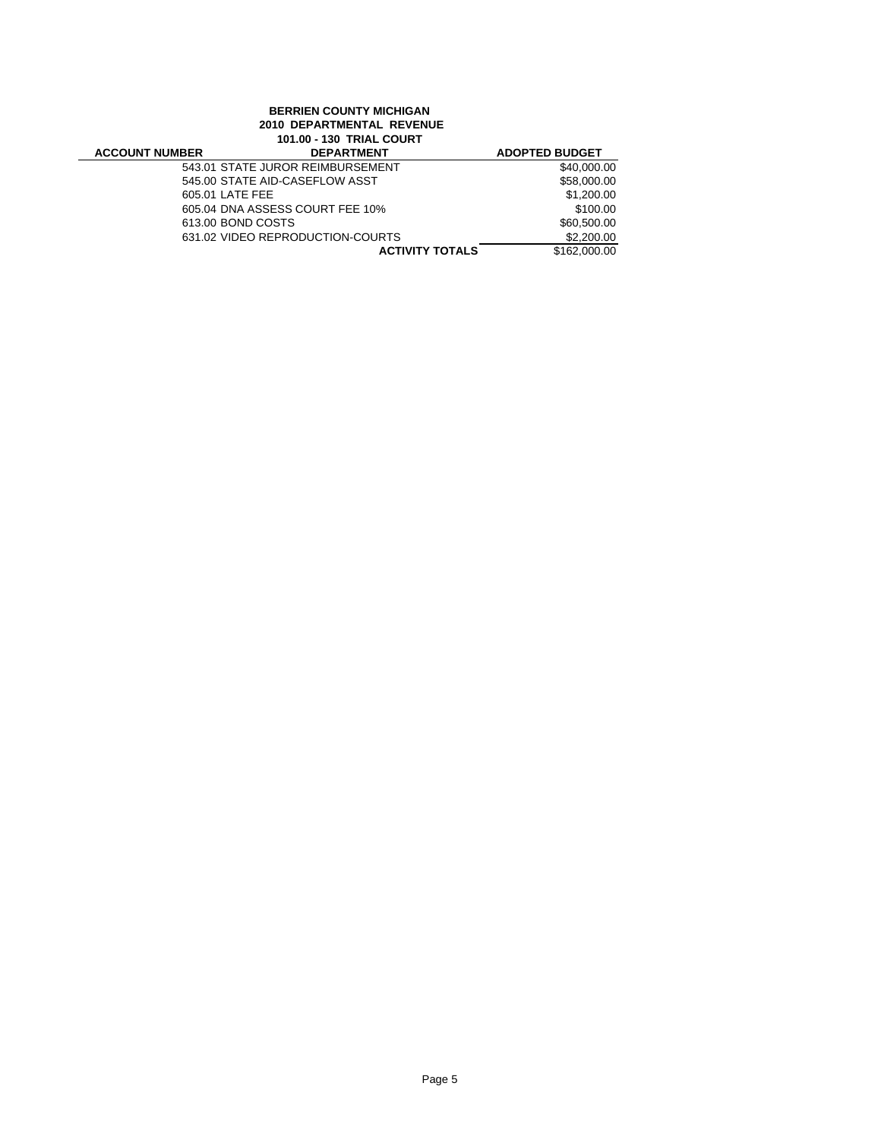|                       | <b>BERRIEN COUNTY MICHIGAN</b><br>2010 DEPARTMENTAL REVENUE<br><b>101.00 - 130 TRIAL COURT</b> |                       |
|-----------------------|------------------------------------------------------------------------------------------------|-----------------------|
| <b>ACCOUNT NUMBER</b> | <b>DEPARTMENT</b>                                                                              | <b>ADOPTED BUDGET</b> |
|                       | 543.01 STATE JUROR REIMBURSEMENT                                                               | \$40,000.00           |
|                       | 545.00 STATE AID-CASEFLOW ASST                                                                 | \$58,000.00           |
|                       | 605.01 LATE FEE                                                                                | \$1,200.00            |
|                       | 605.04 DNA ASSESS COURT FEE 10%                                                                | \$100.00              |
|                       | 613.00 BOND COSTS                                                                              | \$60,500.00           |
|                       | 631.02 VIDEO REPRODUCTION-COURTS                                                               | \$2,200.00            |
|                       | <b>ACTIVITY TOTALS</b>                                                                         | \$162,000.00          |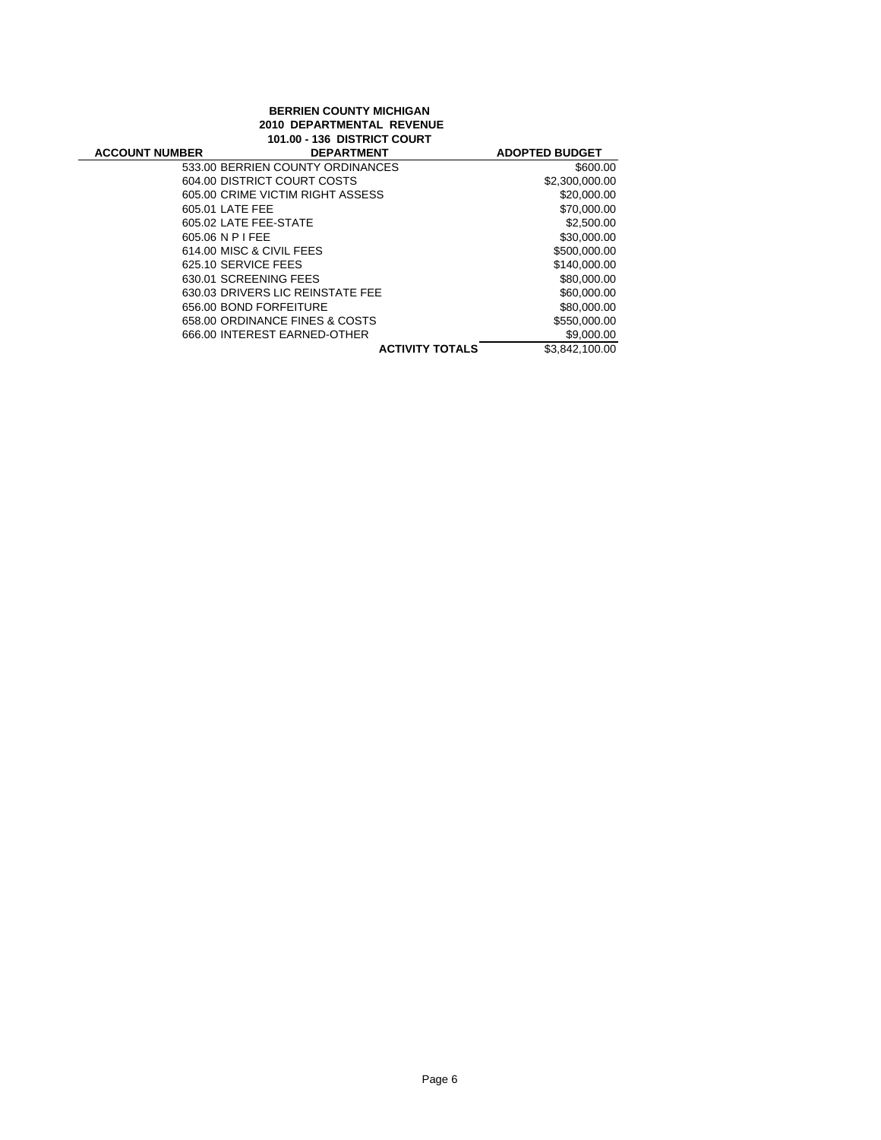### **BERRIEN COUNTY MICHIGAN 2010 DEPARTMENTAL REVENUE 101.00 - 136 DISTRICT COURT**

| <b>ACCOUNT NUMBER</b> | <b>DEPARTMENT</b>                | <b>ADOPTED BUDGET</b> |
|-----------------------|----------------------------------|-----------------------|
|                       | 533.00 BERRIEN COUNTY ORDINANCES | \$600.00              |
|                       | 604.00 DISTRICT COURT COSTS      | \$2,300,000.00        |
|                       | 605.00 CRIME VICTIM RIGHT ASSESS | \$20,000,00           |
|                       | 605.01 LATE FEE                  | \$70,000,00           |
|                       | 605.02 LATE FEE-STATE            | \$2,500.00            |
|                       | 605.06 N P I FEE                 | \$30,000.00           |
|                       | 614.00 MISC & CIVIL FEES         | \$500,000.00          |
|                       | 625.10 SERVICE FEES              | \$140,000,00          |
|                       | 630.01 SCREENING FEES            | \$80,000,00           |
|                       | 630.03 DRIVERS LIC REINSTATE FEE | \$60,000.00           |
|                       | 656.00 BOND FORFEITURE           | \$80,000,00           |
|                       | 658.00 ORDINANCE FINES & COSTS   | \$550,000.00          |
|                       | 666.00 INTEREST EARNED-OTHER     | \$9,000.00            |
|                       | <b>ACTIVITY TOTALS</b>           | \$3.842.100.00        |
|                       |                                  |                       |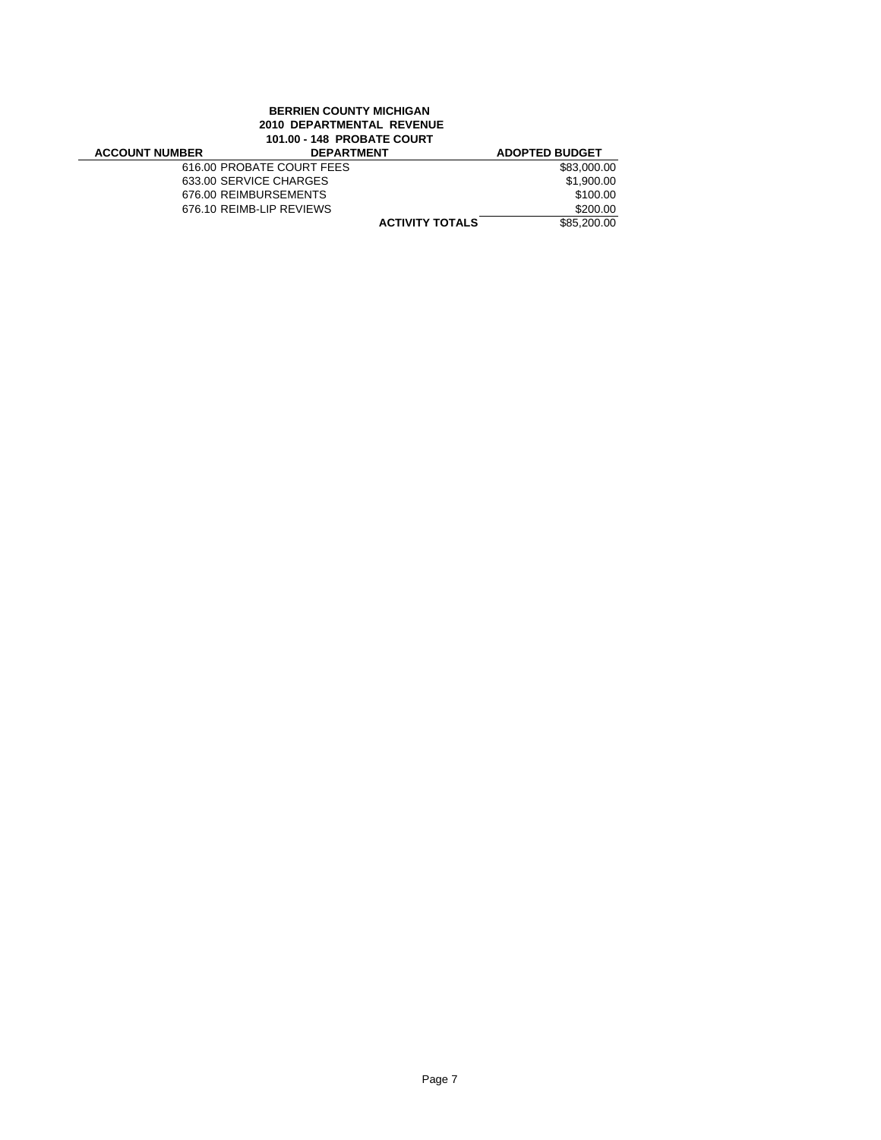# **BERRIEN COUNTY MICHIGAN 2010 DEPARTMENTAL REVENUE 101.00 - 148 PROBATE COURT**

| <b>ACCOUNT NUMBER</b> | <b>DEPARTMENT</b>         | <b>ADOPTED BUDGET</b> |
|-----------------------|---------------------------|-----------------------|
|                       | 616.00 PROBATE COURT FEES | \$83,000.00           |
|                       | 633.00 SERVICE CHARGES    | \$1.900.00            |
|                       | 676.00 REIMBURSEMENTS     | \$100.00              |
|                       | 676.10 REIMB-LIP REVIEWS  | \$200.00              |
|                       | <b>ACTIVITY TOTALS</b>    | \$85,200,00           |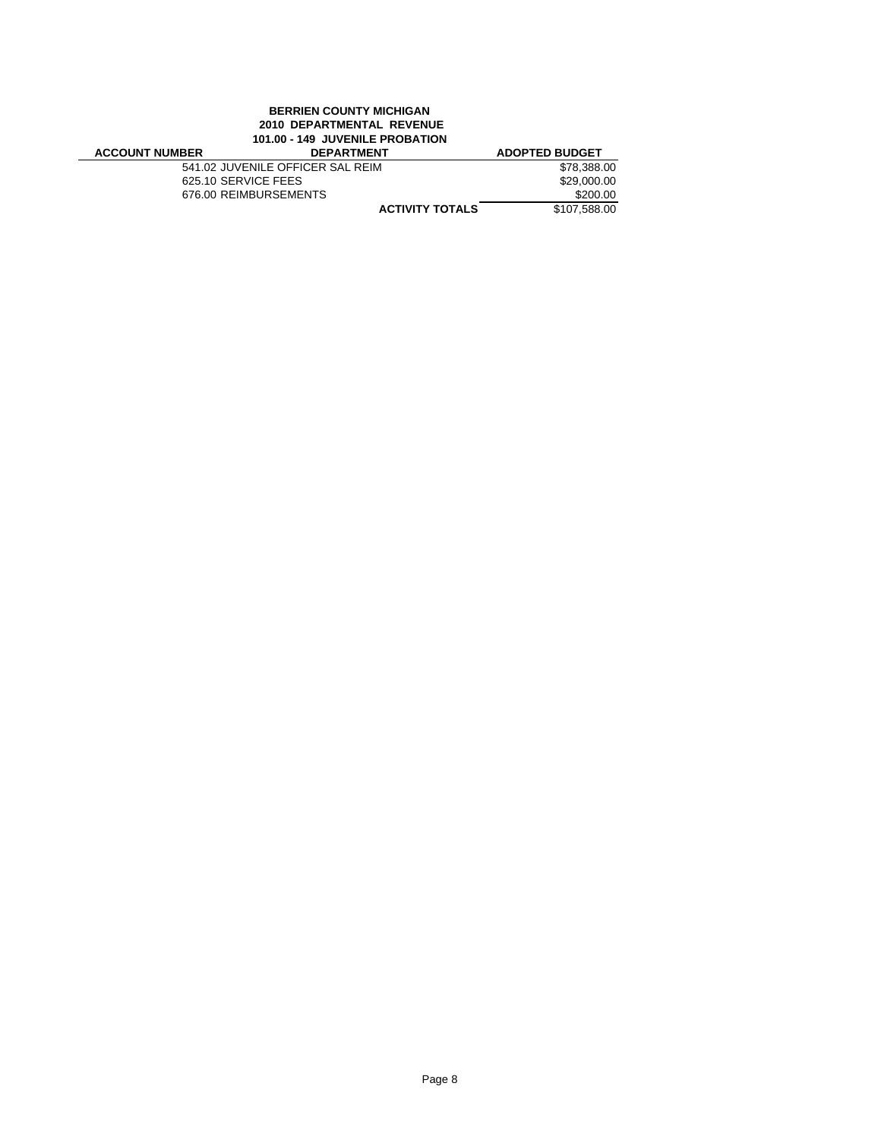### **BERRIEN COUNTY MICHIGAN 2010 DEPARTMENTAL REVENUE 101.00 - 149 JUVENILE PROBATION**

| <b>ACCOUNT NUMBER</b> | <b>DEPARTMENT</b>                | <b>ADOPTED BUDGET</b> |
|-----------------------|----------------------------------|-----------------------|
|                       | 541.02 JUVENILE OFFICER SAL REIM | \$78.388.00           |
|                       | 625.10 SERVICE FEES              | \$29.000.00           |
|                       | 676.00 REIMBURSEMENTS            | \$200.00              |
|                       | <b>ACTIVITY TOTALS</b>           | \$107.588.00          |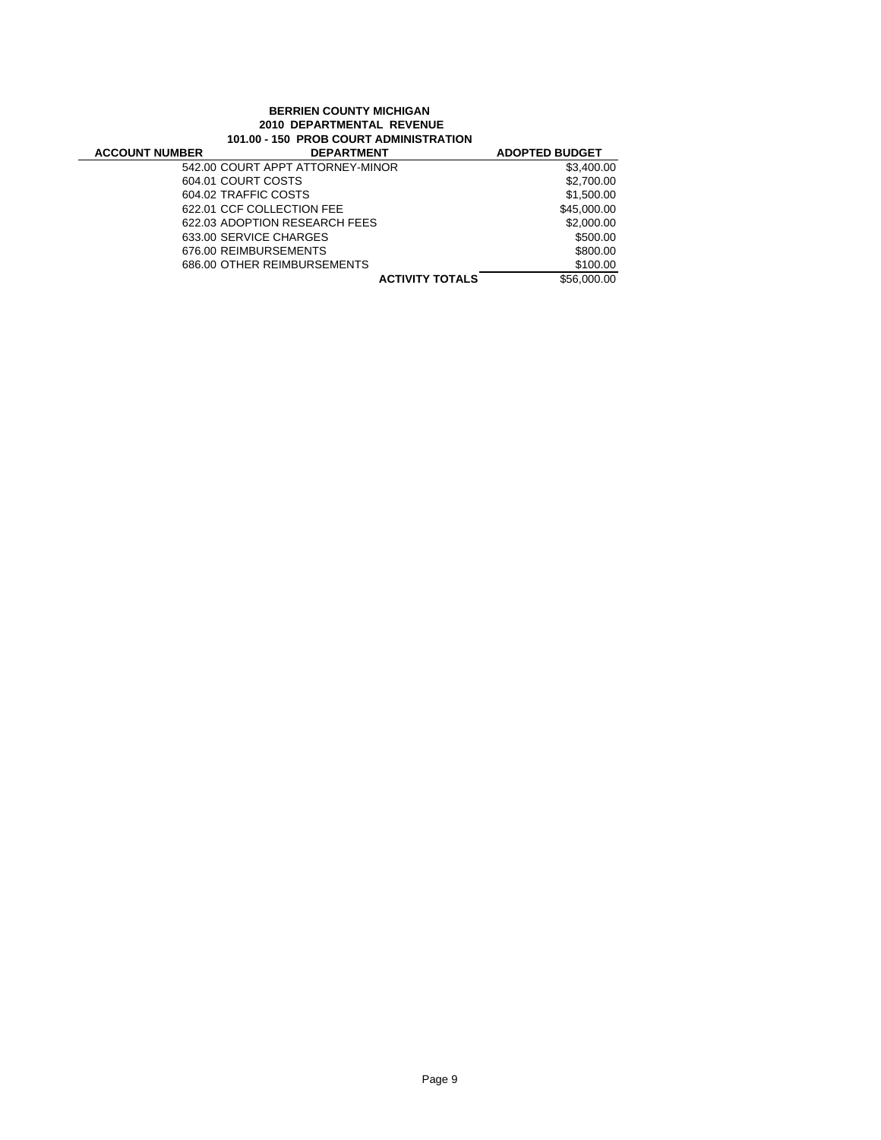#### **BERRIEN COUNTY MICHIGAN 2010 DEPARTMENTAL REVENUE 101.00 - 150 PROB COURT ADMINISTRATION**

| <b>ACCOUNT NUMBER</b>  | <b>DEPARTMENT</b>                | <b>ADOPTED BUDGET</b> |
|------------------------|----------------------------------|-----------------------|
|                        | 542.00 COURT APPT ATTORNEY-MINOR | \$3,400.00            |
| 604.01 COURT COSTS     |                                  | \$2,700.00            |
| 604.02 TRAFFIC COSTS   |                                  | \$1.500.00            |
|                        | 622.01 CCF COLLECTION FEE        | \$45,000.00           |
|                        | 622.03 ADOPTION RESEARCH FEES    | \$2,000.00            |
| 633.00 SERVICE CHARGES |                                  | \$500.00              |
| 676.00 REIMBURSEMENTS  |                                  | \$800.00              |
|                        | 686.00 OTHER REIMBURSEMENTS      | \$100.00              |
|                        | <b>ACTIVITY TOTALS</b>           | \$56,000.00           |
|                        |                                  |                       |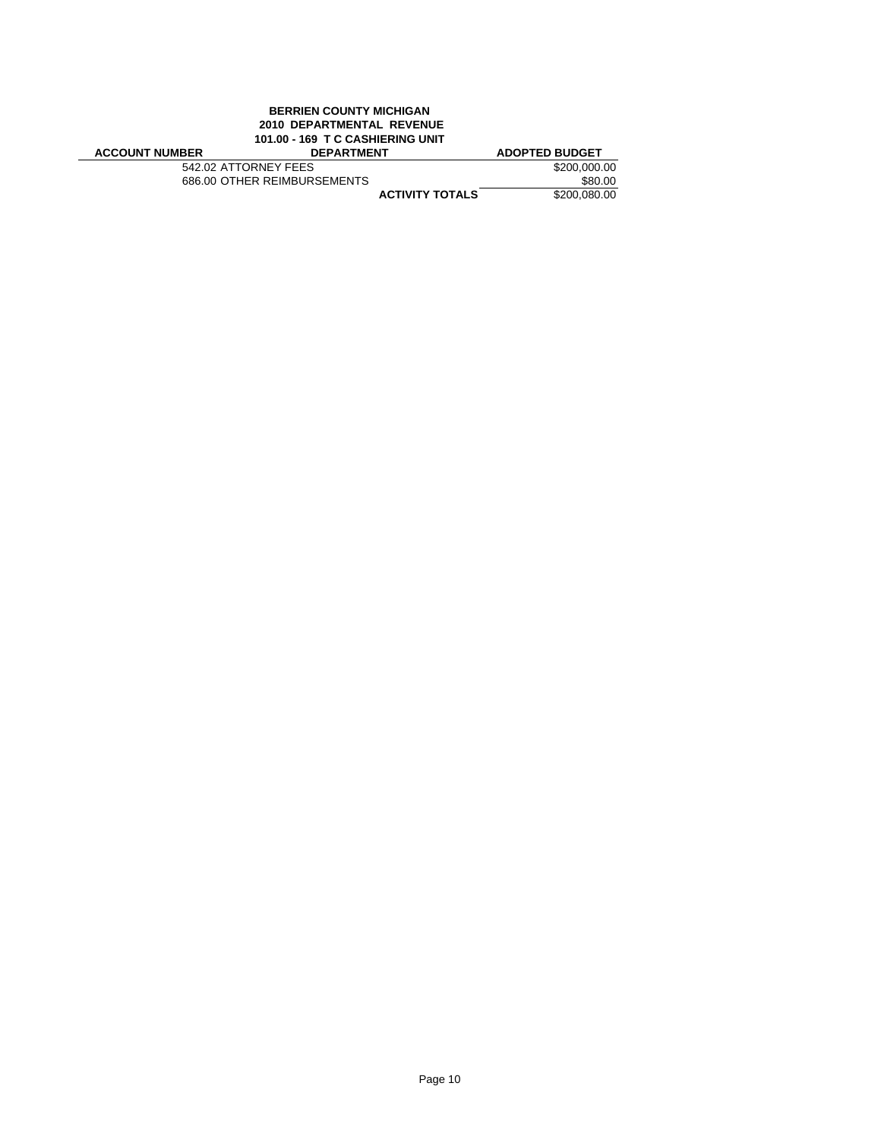# **BERRIEN COUNTY MICHIGAN 2010 DEPARTMENTAL REVENUE 101.00 - 169 T C CASHIERING UNIT**

| <b>ACCOUNT NUMBER</b> | <b>DEPARTMENT</b>           | <b>ADOPTED BUDGET</b> |
|-----------------------|-----------------------------|-----------------------|
| 542.02 ATTORNEY FEES  |                             | \$200,000.00          |
|                       | 686.00 OTHER REIMBURSEMENTS | \$80.00               |
|                       | <b>ACTIVITY TOTALS</b>      | \$200,080.00          |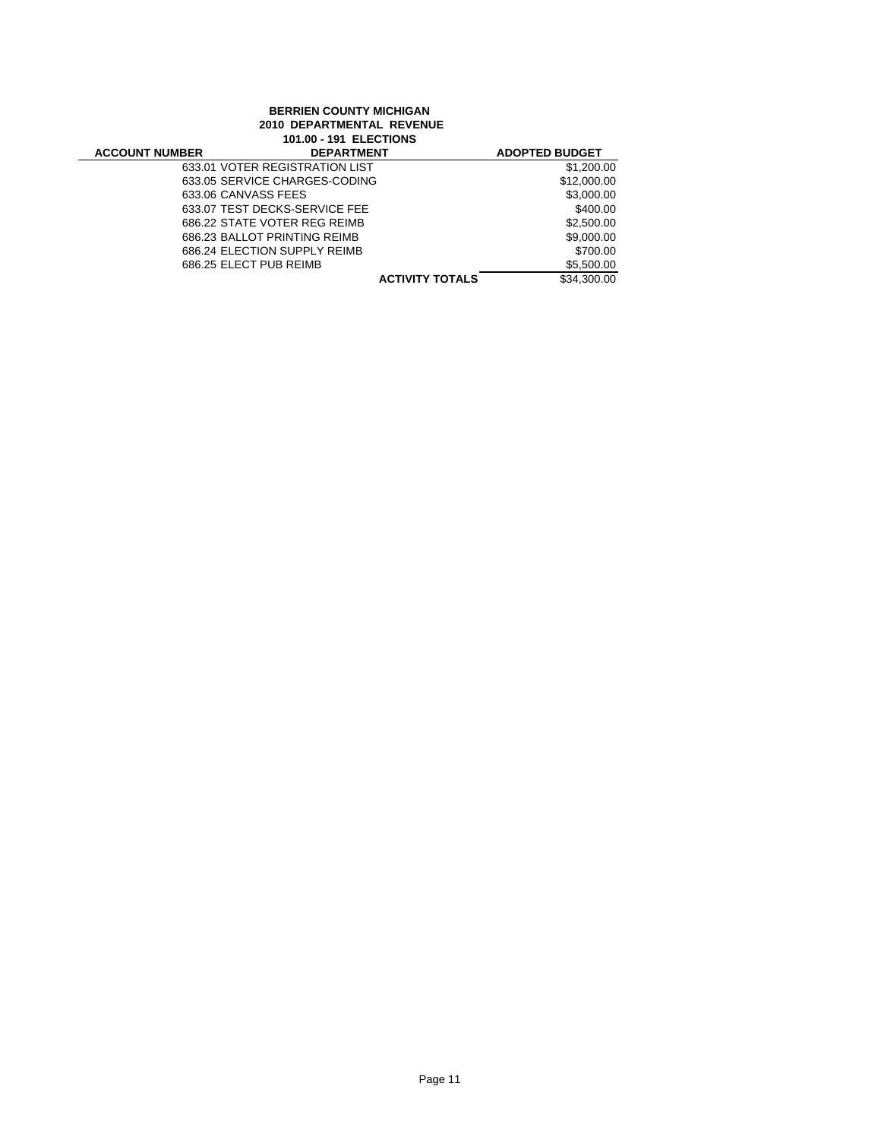# **BERRIEN COUNTY MICHIGAN 2010 DEPARTMENTAL REVENUE 101.00 - 191 ELECTIONS ACCOUNT NUMBER DEPARTMENT ADOPTED BUDGET**<br>633.01 VOTER REGISTRATION LIST \$1,200.00 633.01 VOTER REGISTRATION LIST \$1,200.00<br>633.05 SERVICE CHARGES-CODING \$12,000.00 633.05 SERVICE CHARGES-CODING<br>633.06 CANVASS FEES \$3.000.00 633.06 CANVASS FEES \$3,000.00<br>633.07 TEST DECKS-SERVICE FEE \$400.00 633.07 TEST DECKS-SERVICE FEE<br>686.22 STATE VOTER REG REIMB \$2,500.00 686.22 STATE VOTER REG REIMB \$2,500.00<br>686.23 BALLOT PRINTING REIMB \$9,000.00 686.23 BALLOT PRINTING REIMB 686.24 ELECTION SUPPLY REIMB \$700.00<br>686.25 ELECT PUB REIMB \$5,500.00

686.25 ELECT PUB REIMB **ACTIVITY TOTALS 55,500.00 686.25** ELECT PUB REIMB

**ACTIVITY TOTALS**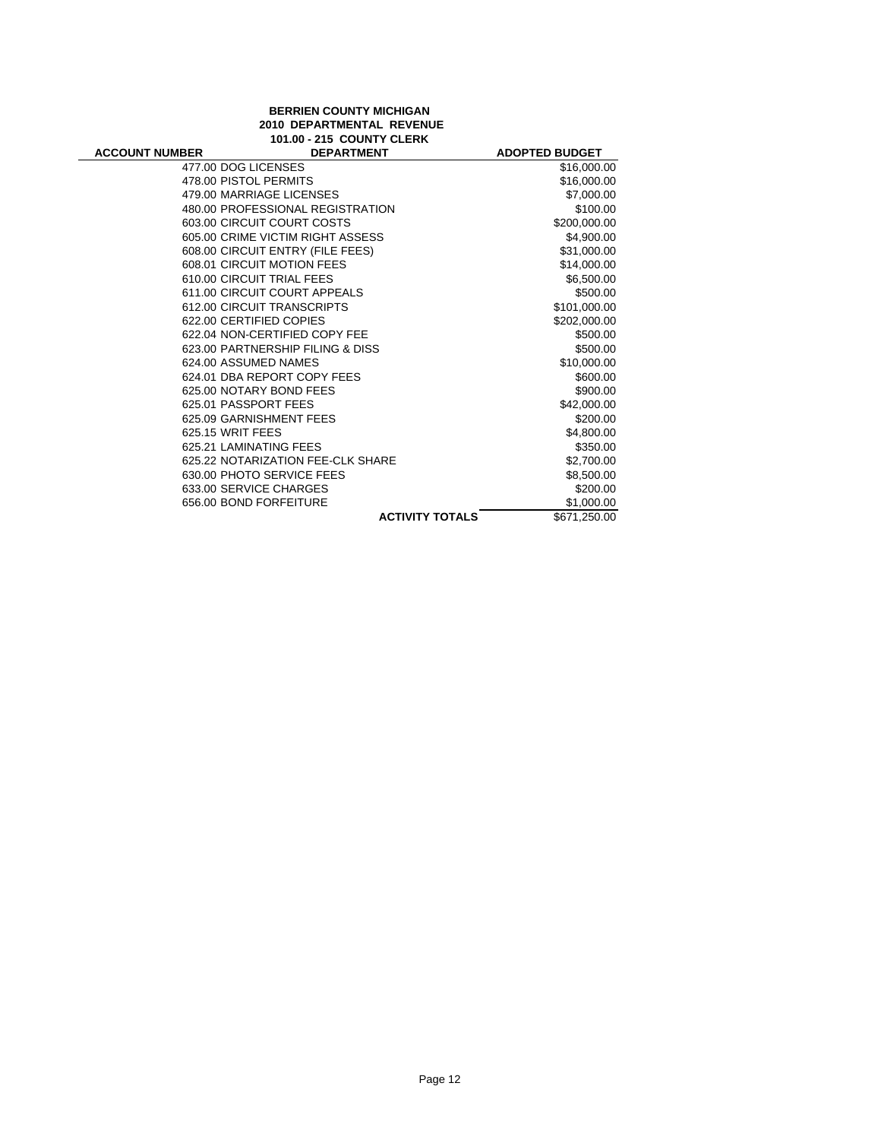## **BERRIEN COUNTY MICHIGAN 2010 DEPARTMENTAL REVENUE 101.00 - 215 COUNTY CLERK**

| <b>ACCOUNT NUMBER</b> | <b>DEPARTMENT</b>                 | <b>ADOPTED BUDGET</b> |
|-----------------------|-----------------------------------|-----------------------|
| 477.00 DOG LICENSES   |                                   | \$16,000.00           |
| 478.00 PISTOL PERMITS |                                   | \$16,000.00           |
|                       | 479.00 MARRIAGE LICENSES          | \$7,000.00            |
|                       | 480.00 PROFESSIONAL REGISTRATION  | \$100.00              |
|                       | 603.00 CIRCUIT COURT COSTS        | \$200,000.00          |
|                       | 605.00 CRIME VICTIM RIGHT ASSESS  | \$4,900.00            |
|                       | 608.00 CIRCUIT ENTRY (FILE FEES)  | \$31,000.00           |
|                       | 608.01 CIRCUIT MOTION FEES        | \$14,000.00           |
|                       | 610.00 CIRCUIT TRIAL FEES         | \$6,500.00            |
|                       | 611.00 CIRCUIT COURT APPEALS      | \$500.00              |
|                       | 612.00 CIRCUIT TRANSCRIPTS        | \$101,000.00          |
|                       | 622.00 CERTIFIED COPIES           | \$202,000.00          |
|                       | 622.04 NON-CERTIFIED COPY FEE     | \$500.00              |
|                       | 623.00 PARTNERSHIP FILING & DISS  | \$500.00              |
|                       | 624.00 ASSUMED NAMES              | \$10,000.00           |
|                       | 624.01 DBA REPORT COPY FEES       | \$600.00              |
|                       | 625.00 NOTARY BOND FEES           | \$900.00              |
| 625.01 PASSPORT FEES  |                                   | \$42,000.00           |
|                       | 625.09 GARNISHMENT FEES           | \$200.00              |
| 625.15 WRIT FEES      |                                   | \$4,800.00            |
|                       | 625.21 LAMINATING FEES            | \$350.00              |
|                       | 625.22 NOTARIZATION FEE-CLK SHARE | \$2,700.00            |
|                       | 630.00 PHOTO SERVICE FEES         | \$8,500.00            |
|                       | 633.00 SERVICE CHARGES            | \$200.00              |
|                       | 656.00 BOND FORFEITURE            | \$1,000.00            |
|                       | <b>ACTIVITY TOTALS</b>            | \$671,250.00          |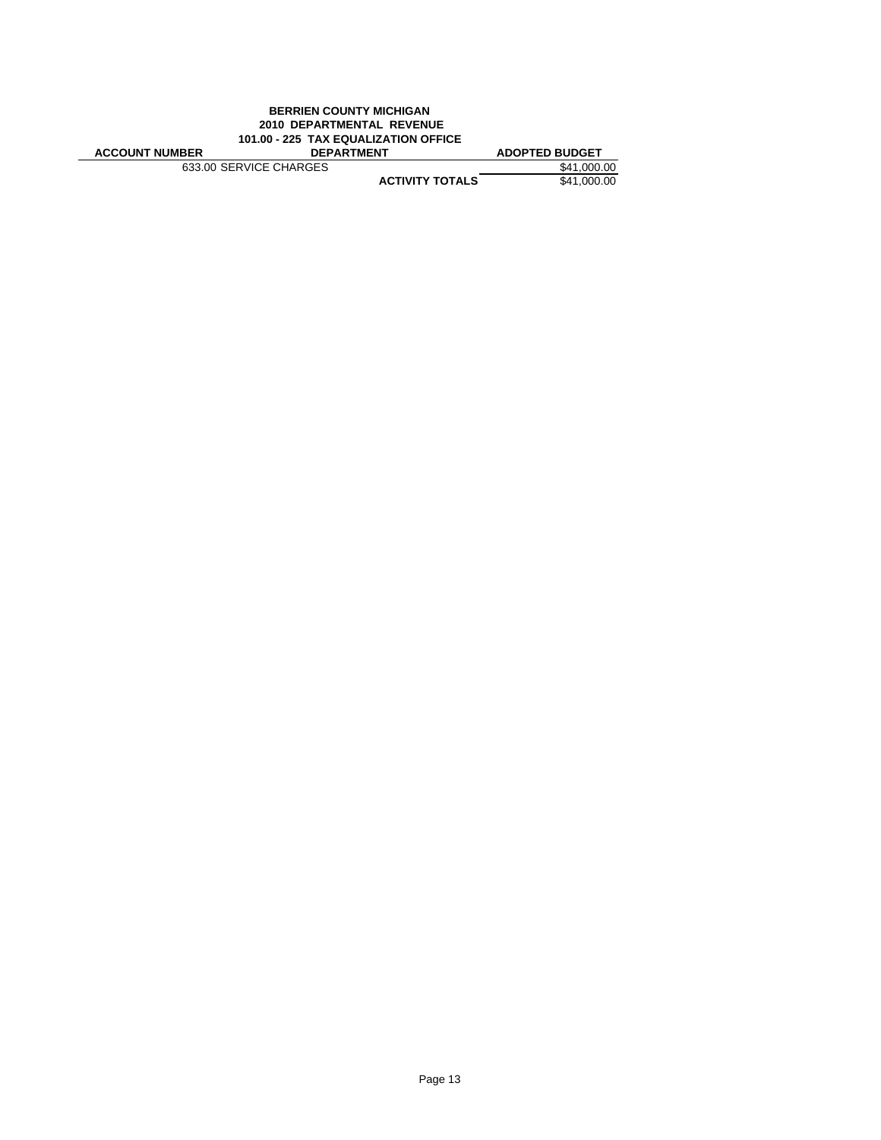| <b>BERRIEN COUNTY MICHIGAN</b><br><b>2010 DEPARTMENTAL REVENUE</b><br>101.00 - 225 TAX EQUALIZATION OFFICE |                        |                       |  |
|------------------------------------------------------------------------------------------------------------|------------------------|-----------------------|--|
|                                                                                                            |                        |                       |  |
| <b>ACCOUNT NUMBER</b>                                                                                      | <b>DEPARTMENT</b>      | <b>ADOPTED BUDGET</b> |  |
| 633.00 SERVICE CHARGES                                                                                     |                        | \$41,000.00           |  |
|                                                                                                            | <b>ACTIVITY TOTALS</b> | \$41,000.00           |  |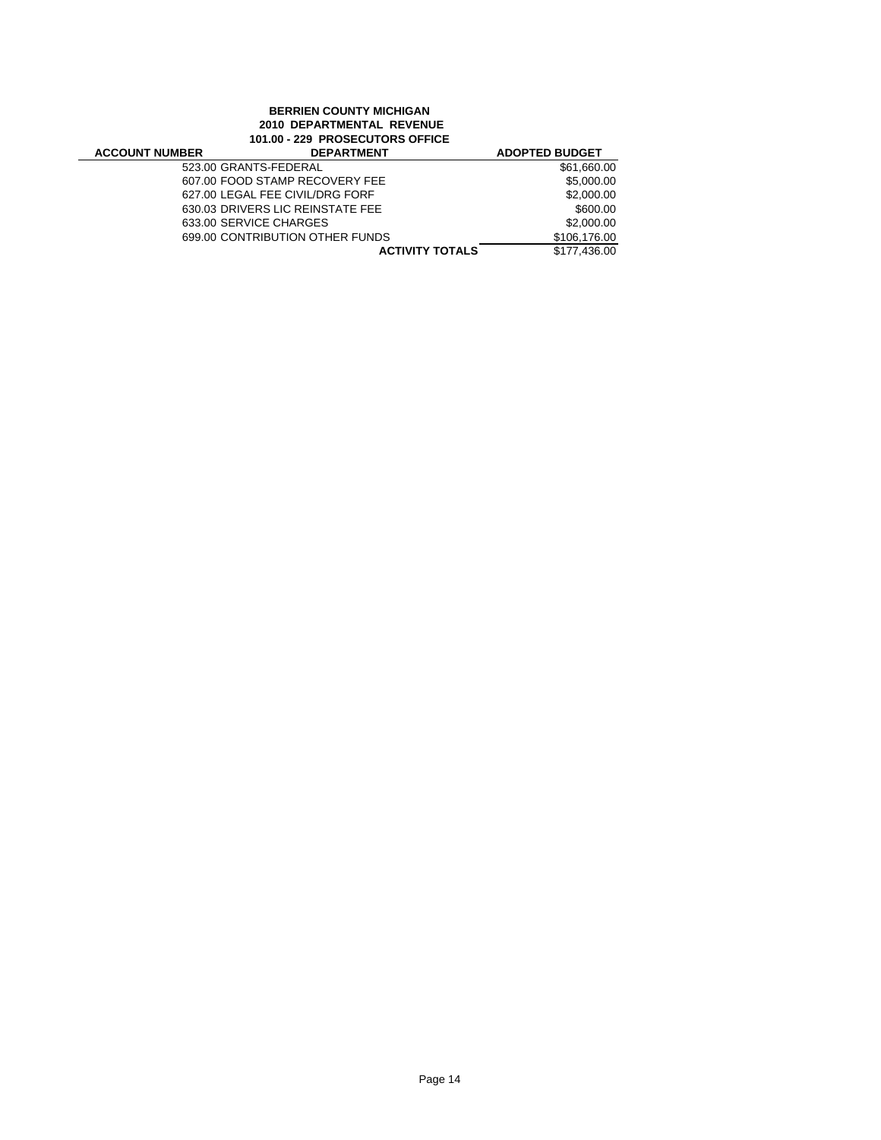# **BERRIEN COUNTY MICHIGAN 2010 DEPARTMENTAL REVENUE 101.00 - 229 PROSECUTORS OFFICE**

| <b>ACCOUNT NUMBER</b> | <b>DEPARTMENT</b>                | <b>ADOPTED BUDGET</b> |
|-----------------------|----------------------------------|-----------------------|
|                       | 523.00 GRANTS-FEDERAL            | \$61,660.00           |
|                       | 607.00 FOOD STAMP RECOVERY FEE   | \$5,000.00            |
|                       | 627.00 LEGAL FEE CIVIL/DRG FORF  | \$2,000.00            |
|                       | 630.03 DRIVERS LIC REINSTATE FEE | \$600.00              |
|                       | 633.00 SERVICE CHARGES           | \$2,000.00            |
|                       | 699.00 CONTRIBUTION OTHER FUNDS  | \$106,176,00          |
|                       | <b>ACTIVITY TOTALS</b>           | \$177.436.00          |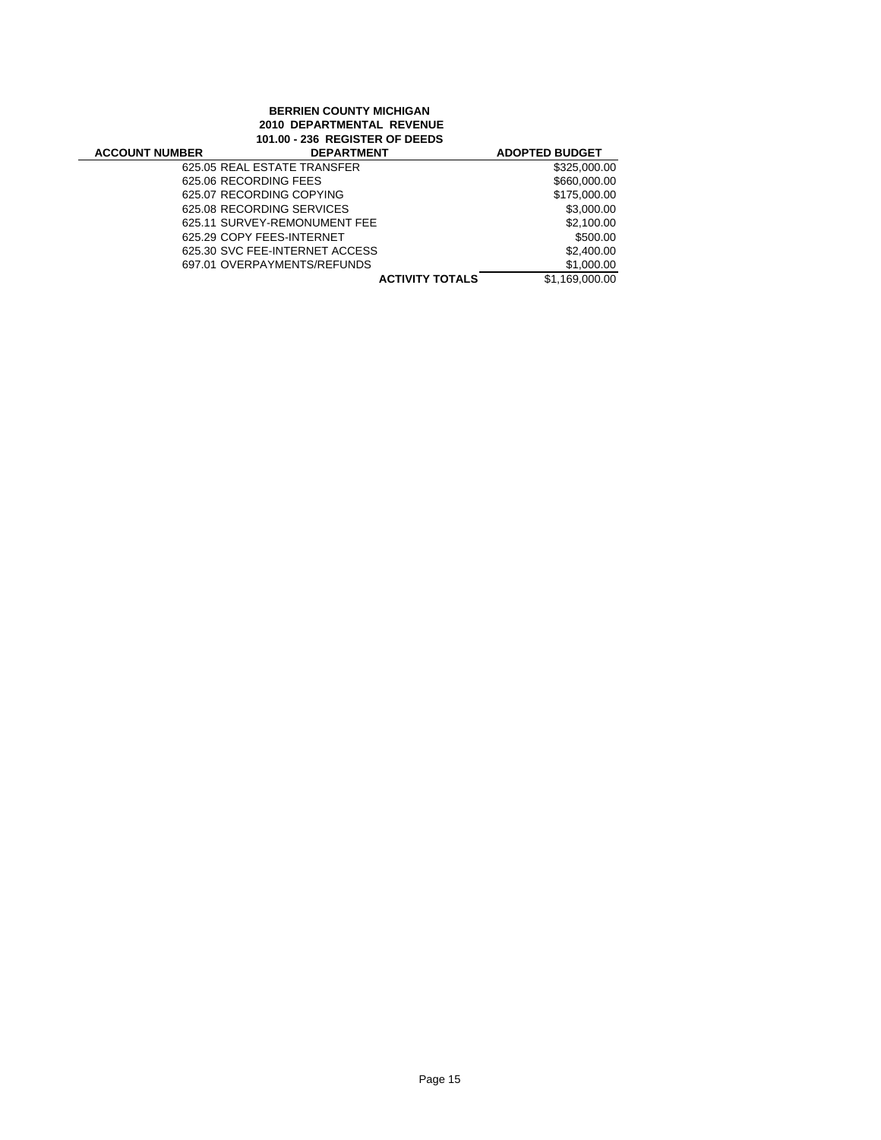#### **BERRIEN COUNTY MICHIGAN 2010 DEPARTMENTAL REVENUE 101.00 - 236 REGISTER OF DEEDS**

| <b>ACCOUNT NUMBER</b> | <b>DEPARTMENT</b>              | <b>ADOPTED BUDGET</b> |
|-----------------------|--------------------------------|-----------------------|
|                       | 625.05 REAL ESTATE TRANSFER    | \$325,000.00          |
|                       | 625.06 RECORDING FEES          | \$660,000.00          |
|                       | 625.07 RECORDING COPYING       | \$175,000.00          |
|                       | 625.08 RECORDING SERVICES      | \$3,000.00            |
|                       | 625.11 SURVEY-REMONUMENT FEE   | \$2,100.00            |
|                       | 625.29 COPY FEES-INTERNET      | \$500.00              |
|                       | 625.30 SVC FEE-INTERNET ACCESS | \$2,400.00            |
|                       | 697.01 OVERPAYMENTS/REFUNDS    | \$1,000.00            |
|                       | <b>ACTIVITY TOTALS</b>         | \$1,169,000.00        |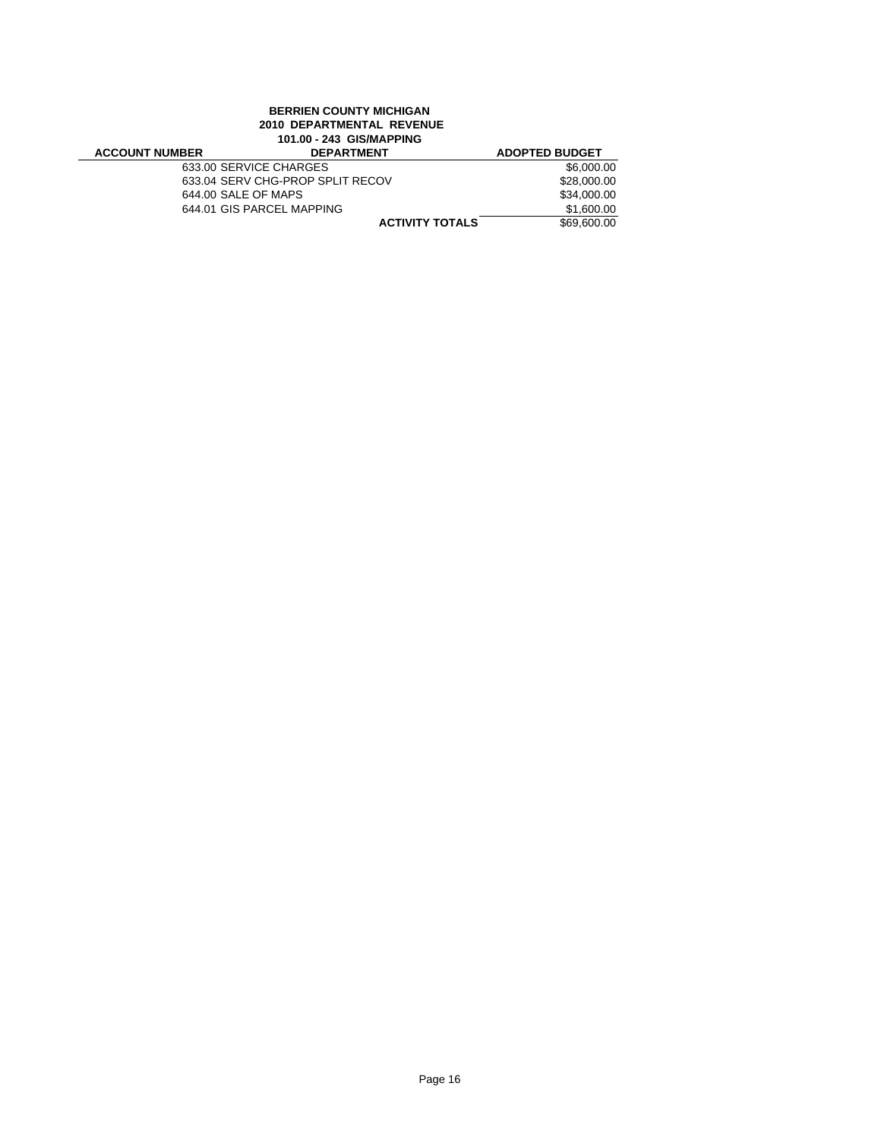### **BERRIEN COUNTY MICHIGAN 2010 DEPARTMENTAL REVENUE 101.00 - 243 GIS/MAPPING**

| <b>ACCOUNT NUMBER</b> | <b>DEPARTMENT</b>                | <b>ADOPTED BUDGET</b> |
|-----------------------|----------------------------------|-----------------------|
|                       | 633.00 SERVICE CHARGES           | \$6,000.00            |
|                       | 633.04 SERV CHG-PROP SPLIT RECOV | \$28,000.00           |
|                       | 644.00 SALE OF MAPS              | \$34,000.00           |
|                       | 644.01 GIS PARCEL MAPPING        | \$1,600.00            |
|                       | <b>ACTIVITY TOTALS</b>           | \$69,600.00           |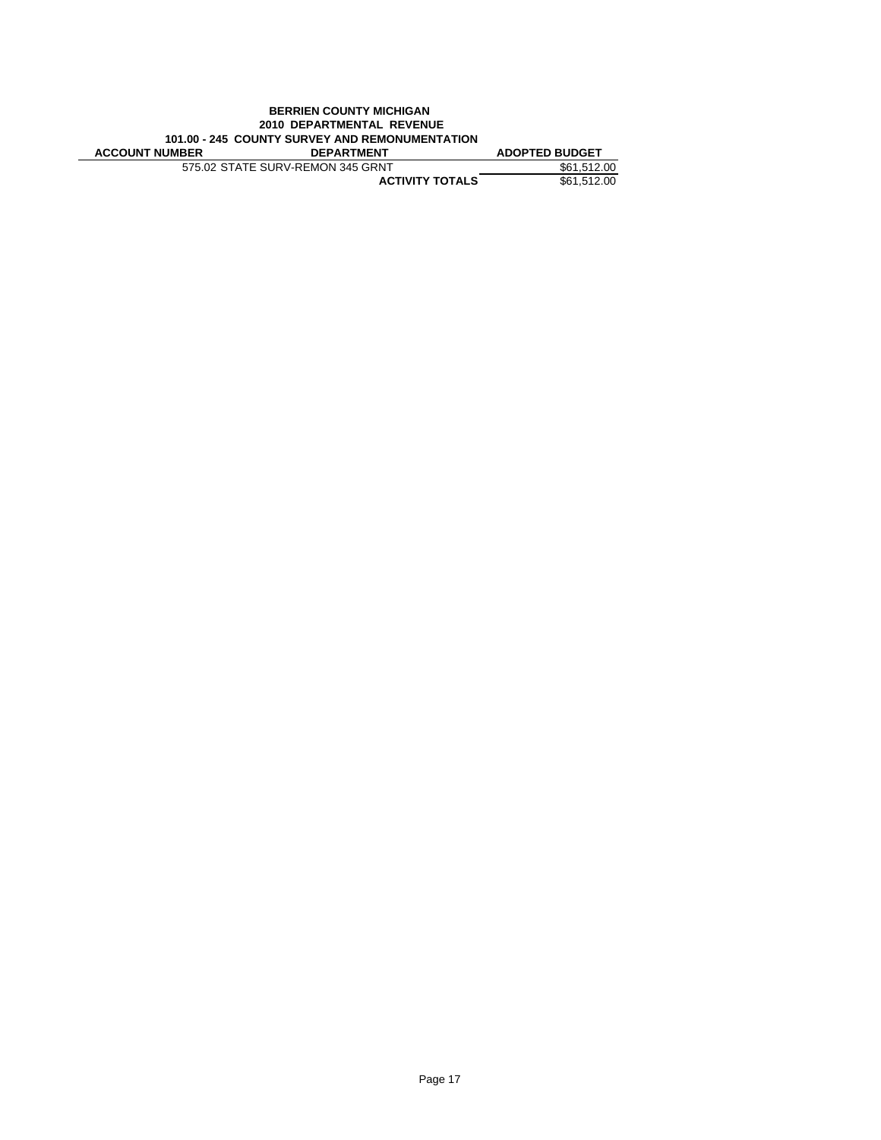|                                                | <b>BERRIEN COUNTY MICHIGAN</b>   |                       |  |  |
|------------------------------------------------|----------------------------------|-----------------------|--|--|
| <b>2010 DEPARTMENTAL REVENUE</b>               |                                  |                       |  |  |
| 101.00 - 245 COUNTY SURVEY AND REMONUMENTATION |                                  |                       |  |  |
| <b>ACCOUNT NUMBER</b>                          | <b>DEPARTMENT</b>                | <b>ADOPTED BUDGET</b> |  |  |
|                                                | 575.02 STATE SURV-REMON 345 GRNT | \$61.512.00           |  |  |
|                                                | <b>ACTIVITY TOTALS</b>           | \$61.512.00           |  |  |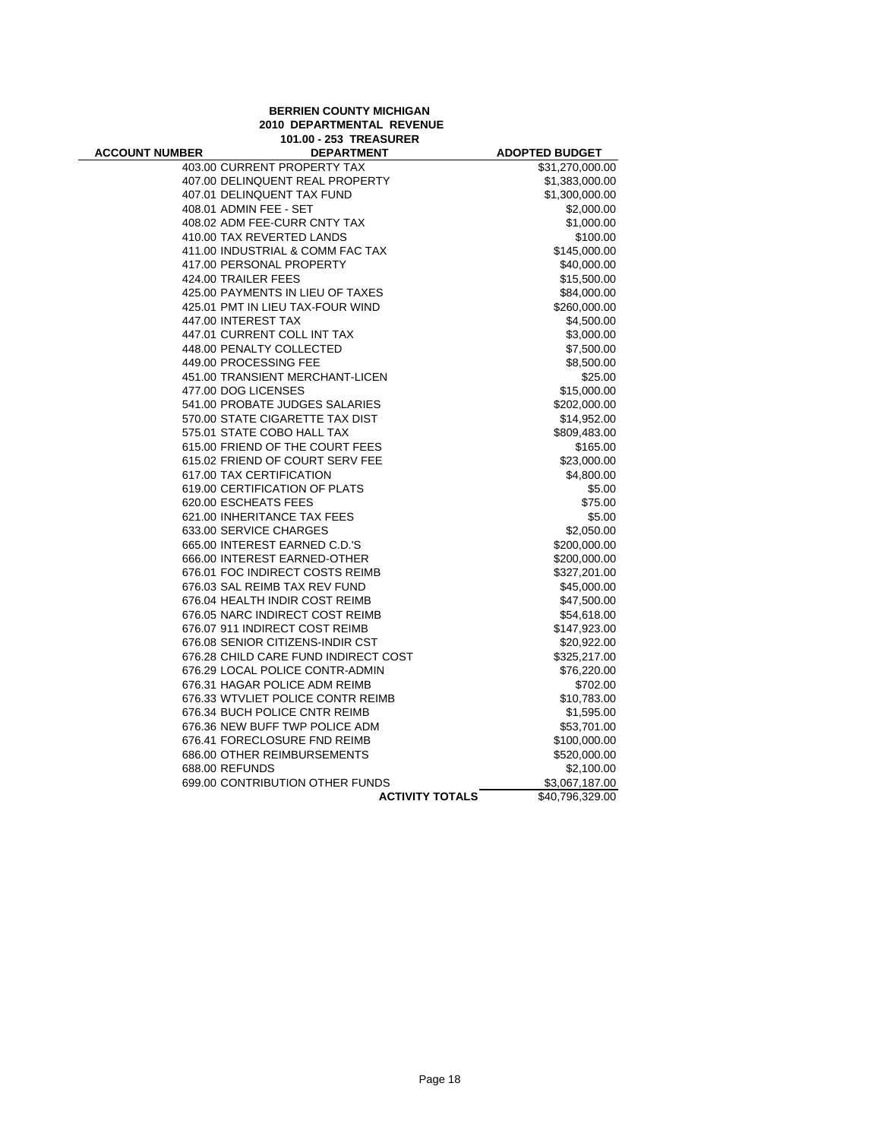# **BERRIEN COUNTY MICHIGAN 2010 DEPARTMENTAL REVENUE 101.00 - 253 TREASURER**

| <b>ACCOUNT NUMBER</b> | <b>DEPARTMENT</b>                    | <b>ADOPTED BUDGET</b> |
|-----------------------|--------------------------------------|-----------------------|
|                       | 403.00 CURRENT PROPERTY TAX          | \$31,270,000.00       |
|                       | 407.00 DELINQUENT REAL PROPERTY      | \$1,383,000.00        |
|                       | 407.01 DELINQUENT TAX FUND           | \$1,300,000.00        |
|                       | 408.01 ADMIN FEE - SET               | \$2,000.00            |
|                       | 408.02 ADM FEE-CURR CNTY TAX         | \$1,000.00            |
|                       | 410.00 TAX REVERTED LANDS            | \$100.00              |
|                       | 411.00 INDUSTRIAL & COMM FAC TAX     | \$145,000.00          |
|                       | 417.00 PERSONAL PROPERTY             | \$40,000.00           |
|                       | 424.00 TRAILER FEES                  | \$15,500.00           |
|                       | 425.00 PAYMENTS IN LIEU OF TAXES     | \$84,000.00           |
|                       | 425.01 PMT IN LIEU TAX-FOUR WIND     | \$260,000.00          |
|                       | 447.00 INTEREST TAX                  | \$4,500.00            |
|                       | 447.01 CURRENT COLL INT TAX          | \$3,000.00            |
|                       | 448.00 PENALTY COLLECTED             | \$7,500.00            |
|                       | 449.00 PROCESSING FEE                | \$8,500.00            |
|                       | 451.00 TRANSIENT MERCHANT-LICEN      | \$25.00               |
|                       | 477.00 DOG LICENSES                  | \$15,000.00           |
|                       | 541.00 PROBATE JUDGES SALARIES       | \$202,000.00          |
|                       | 570.00 STATE CIGARETTE TAX DIST      | \$14,952.00           |
|                       | 575.01 STATE COBO HALL TAX           | \$809,483.00          |
|                       | 615.00 FRIEND OF THE COURT FEES      | \$165.00              |
|                       | 615.02 FRIEND OF COURT SERV FEE      | \$23,000.00           |
|                       | 617.00 TAX CERTIFICATION             | \$4,800.00            |
|                       | 619.00 CERTIFICATION OF PLATS        | \$5.00                |
|                       | 620.00 ESCHEATS FEES                 | \$75.00               |
|                       | 621.00 INHERITANCE TAX FEES          | \$5.00                |
|                       | 633.00 SERVICE CHARGES               | \$2,050.00            |
|                       | 665.00 INTEREST EARNED C.D.'S        | \$200,000.00          |
|                       | 666.00 INTEREST EARNED-OTHER         | \$200,000.00          |
|                       | 676.01 FOC INDIRECT COSTS REIMB      | \$327,201.00          |
|                       | 676.03 SAL REIMB TAX REV FUND        | \$45,000.00           |
|                       | 676.04 HEALTH INDIR COST REIMB       | \$47,500.00           |
|                       | 676.05 NARC INDIRECT COST REIMB      | \$54,618.00           |
|                       | 676.07 911 INDIRECT COST REIMB       | \$147,923.00          |
|                       | 676.08 SENIOR CITIZENS-INDIR CST     | \$20,922.00           |
|                       | 676.28 CHILD CARE FUND INDIRECT COST | \$325,217.00          |
|                       | 676.29 LOCAL POLICE CONTR-ADMIN      | \$76,220.00           |
|                       | 676.31 HAGAR POLICE ADM REIMB        | \$702.00              |
|                       | 676.33 WTVLIET POLICE CONTR REIMB    | \$10,783.00           |
|                       | 676.34 BUCH POLICE CNTR REIMB        | \$1,595.00            |
|                       | 676.36 NEW BUFF TWP POLICE ADM       | \$53,701.00           |
|                       | 676.41 FORECLOSURE FND REIMB         | \$100,000.00          |
|                       | 686.00 OTHER REIMBURSEMENTS          | \$520,000.00          |
|                       | 688.00 REFUNDS                       | \$2,100.00            |
|                       | 699.00 CONTRIBUTION OTHER FUNDS      | \$3,067,187.00        |
|                       | <b>ACTIVITY TOTALS</b>               | \$40,796,329.00       |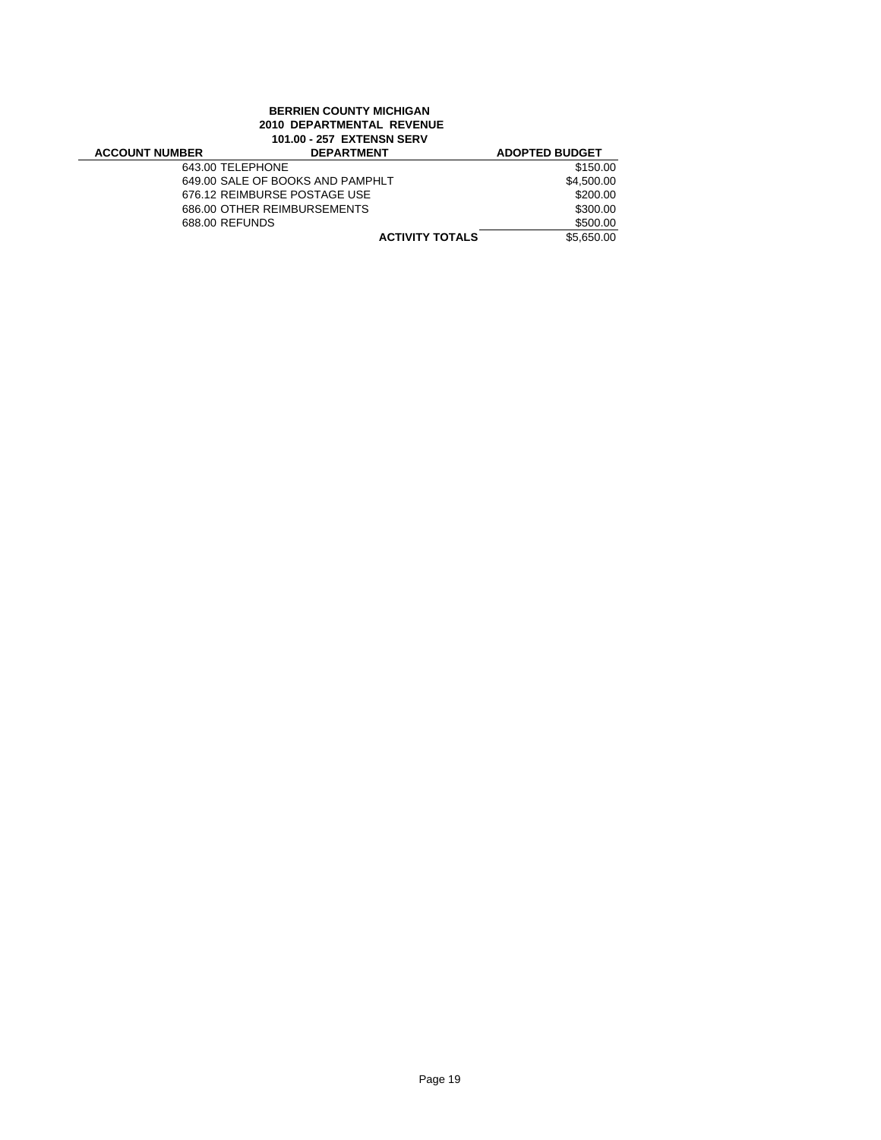## **BERRIEN COUNTY MICHIGAN 2010 DEPARTMENTAL REVENUE 101.00 - 257 EXTENSN SERV**

| <b>ACCOUNT NUMBER</b> | <b>DEPARTMENT</b>                | <b>ADOPTED BUDGET</b> |
|-----------------------|----------------------------------|-----------------------|
| 643.00 TELEPHONE      |                                  | \$150.00              |
|                       | 649.00 SALE OF BOOKS AND PAMPHLT | \$4,500.00            |
|                       | 676.12 REIMBURSE POSTAGE USE     | \$200.00              |
|                       | 686.00 OTHER REIMBURSEMENTS      | \$300.00              |
| 688.00 REFUNDS        |                                  | \$500.00              |
|                       | <b>ACTIVITY TOTALS</b>           | \$5,650,00            |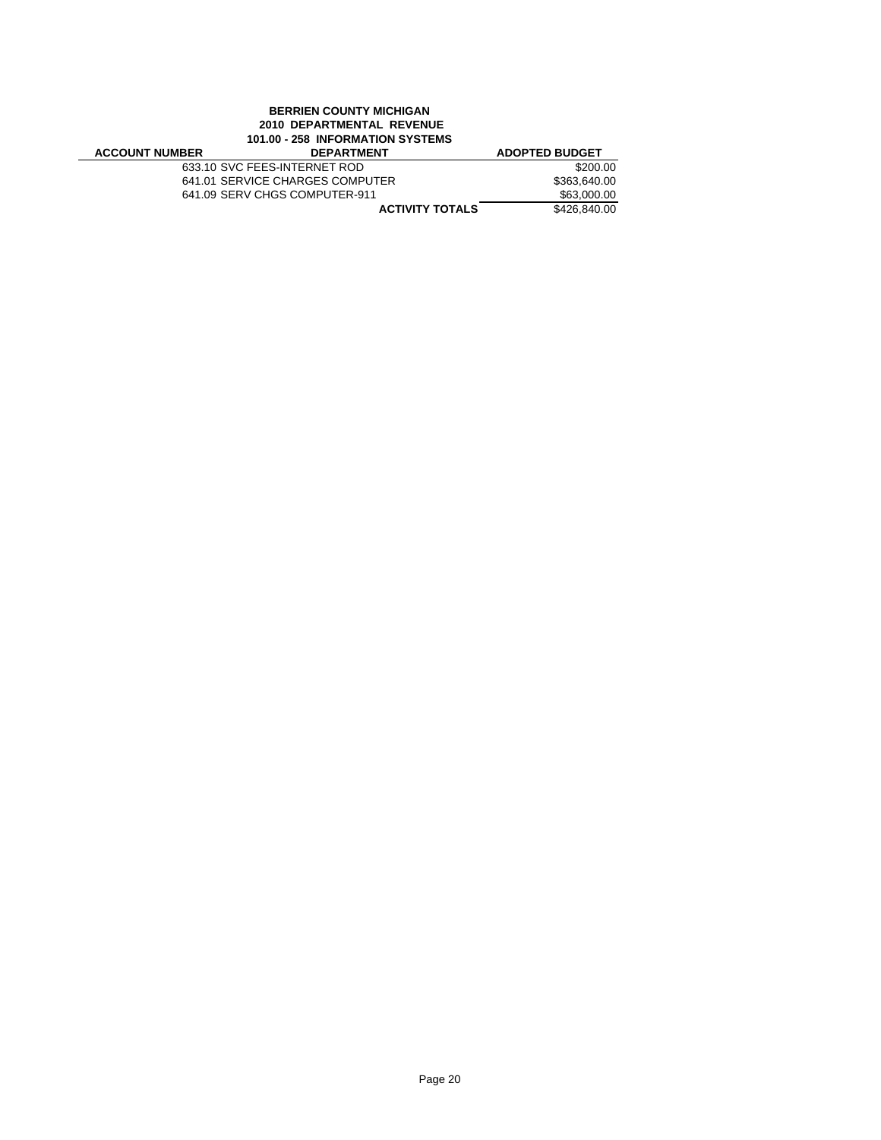## **BERRIEN COUNTY MICHIGAN 2010 DEPARTMENTAL REVENUE 101.00 - 258 INFORMATION SYSTEMS**

| <b>ACCOUNT NUMBER</b> | <b>DEPARTMENT</b>               | <b>ADOPTED BUDGET</b> |  |
|-----------------------|---------------------------------|-----------------------|--|
|                       | 633.10 SVC FEES-INTERNET ROD    | \$200.00              |  |
|                       | 641.01 SERVICE CHARGES COMPUTER | \$363,640.00          |  |
|                       | 641.09 SERV CHGS COMPUTER-911   | \$63,000,00           |  |
|                       | <b>ACTIVITY TOTALS</b>          | \$426,840,00          |  |
|                       |                                 |                       |  |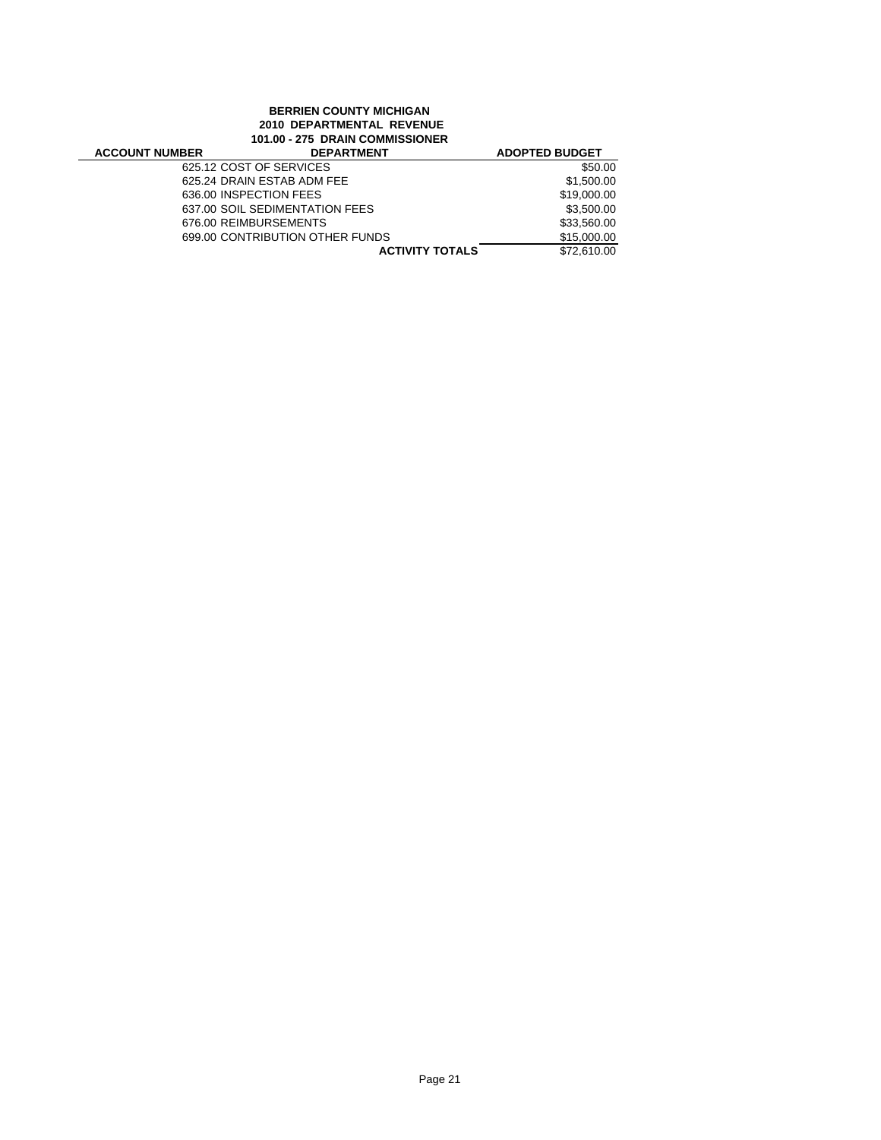## **BERRIEN COUNTY MICHIGAN 2010 DEPARTMENTAL REVENUE 101.00 - 275 DRAIN COMMISSIONER**

| <b>ACCOUNT NUMBER</b> | <b>DEPARTMENT</b>               | <b>ADOPTED BUDGET</b> |
|-----------------------|---------------------------------|-----------------------|
|                       | 625.12 COST OF SERVICES         | \$50.00               |
|                       | 625.24 DRAIN ESTAB ADM FEE      | \$1,500.00            |
|                       | 636.00 INSPECTION FEES          | \$19,000.00           |
|                       | 637.00 SOIL SEDIMENTATION FEES  | \$3,500.00            |
|                       | 676.00 REIMBURSEMENTS           | \$33,560.00           |
|                       | 699.00 CONTRIBUTION OTHER FUNDS | \$15,000.00           |
|                       | <b>ACTIVITY TOTALS</b>          | \$72,610.00           |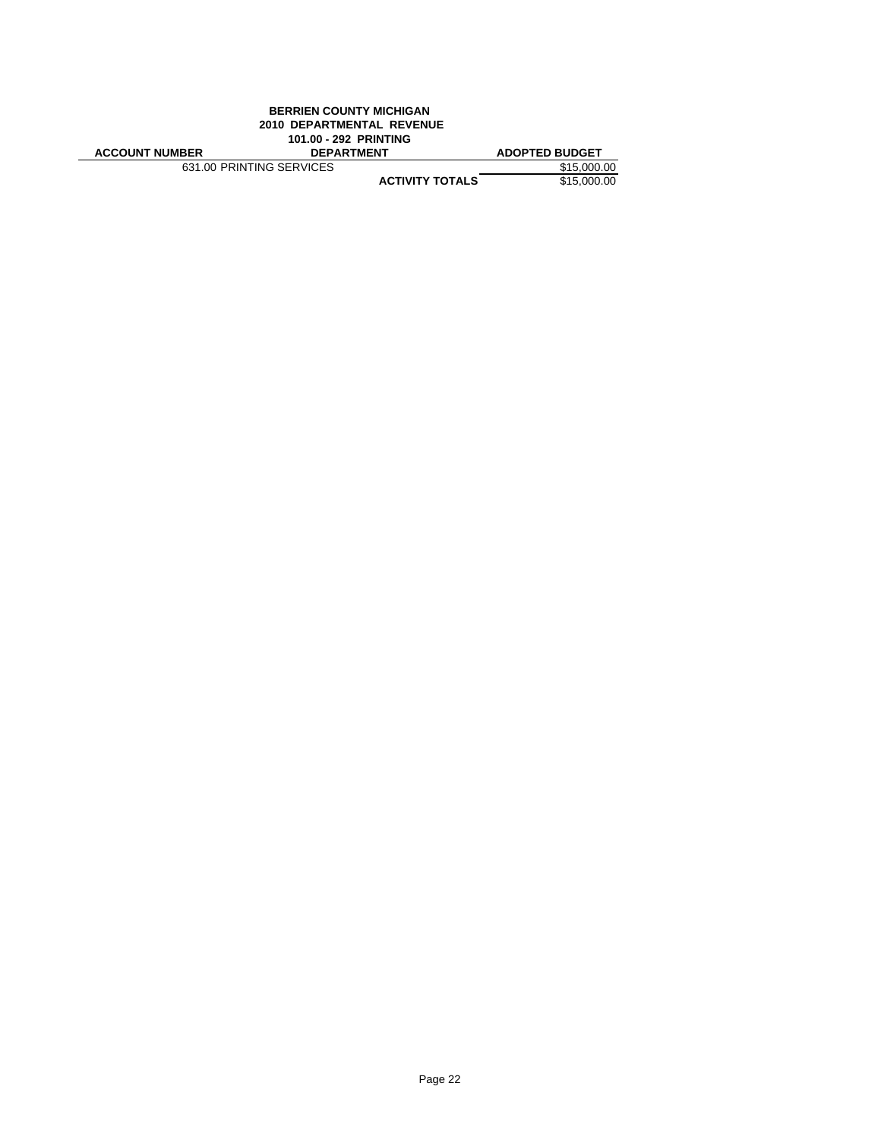| <b>BERRIEN COUNTY MICHIGAN</b>   |                        |                       |  |  |
|----------------------------------|------------------------|-----------------------|--|--|
| <b>2010 DEPARTMENTAL REVENUE</b> |                        |                       |  |  |
| 101.00 - 292 PRINTING            |                        |                       |  |  |
| <b>ACCOUNT NUMBER</b>            | <b>DEPARTMENT</b>      | <b>ADOPTED BUDGET</b> |  |  |
| 631.00 PRINTING SERVICES         | \$15,000.00            |                       |  |  |
|                                  | <b>ACTIVITY TOTALS</b> | \$15,000.00           |  |  |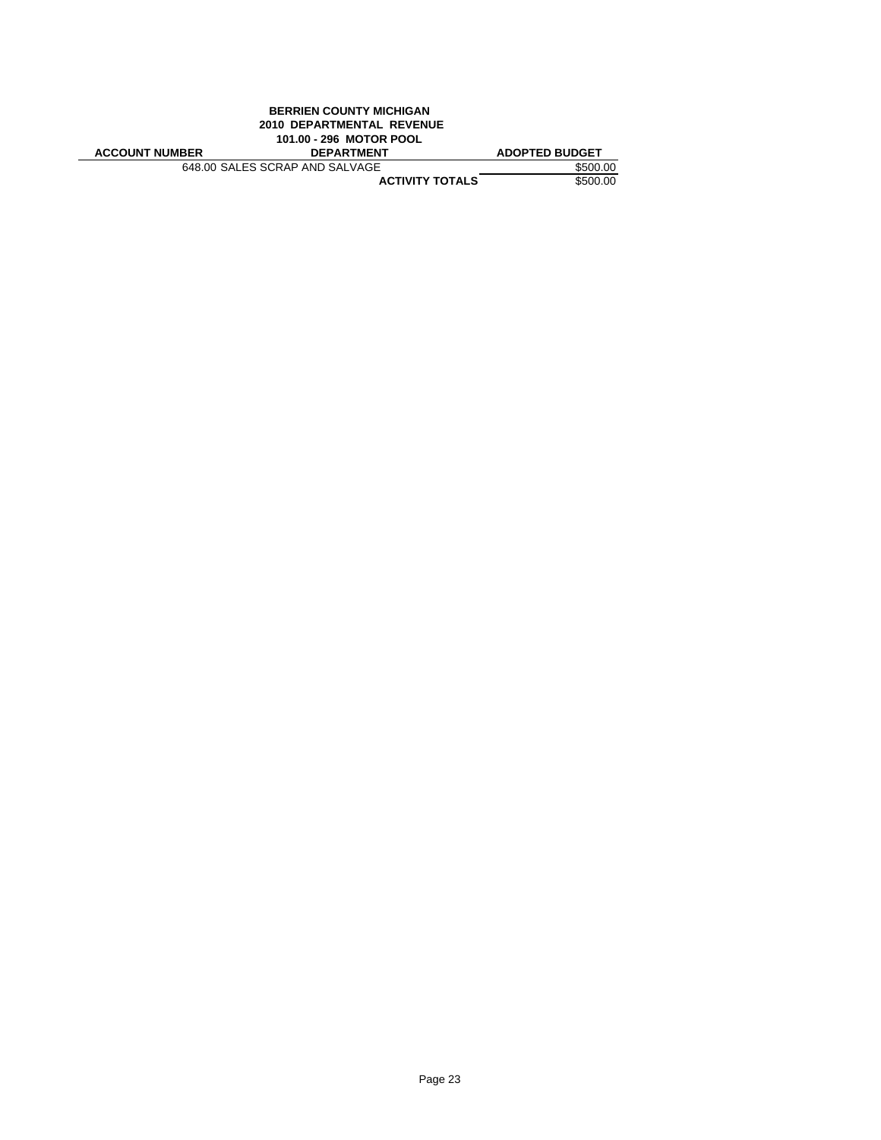| <b>BERRIEN COUNTY MICHIGAN</b> |                   |                       |  |
|--------------------------------|-------------------|-----------------------|--|
| 2010 DEPARTMENTAL REVENUE      |                   |                       |  |
| 101.00 - 296 MOTOR POOL        |                   |                       |  |
| <b>ACCOUNT NUMBER</b>          | <b>DEPARTMENT</b> | <b>ADOPTED BUDGET</b> |  |
| 648.00 SALES SCRAP AND SALVAGE | \$500.00          |                       |  |
|                                |                   |                       |  |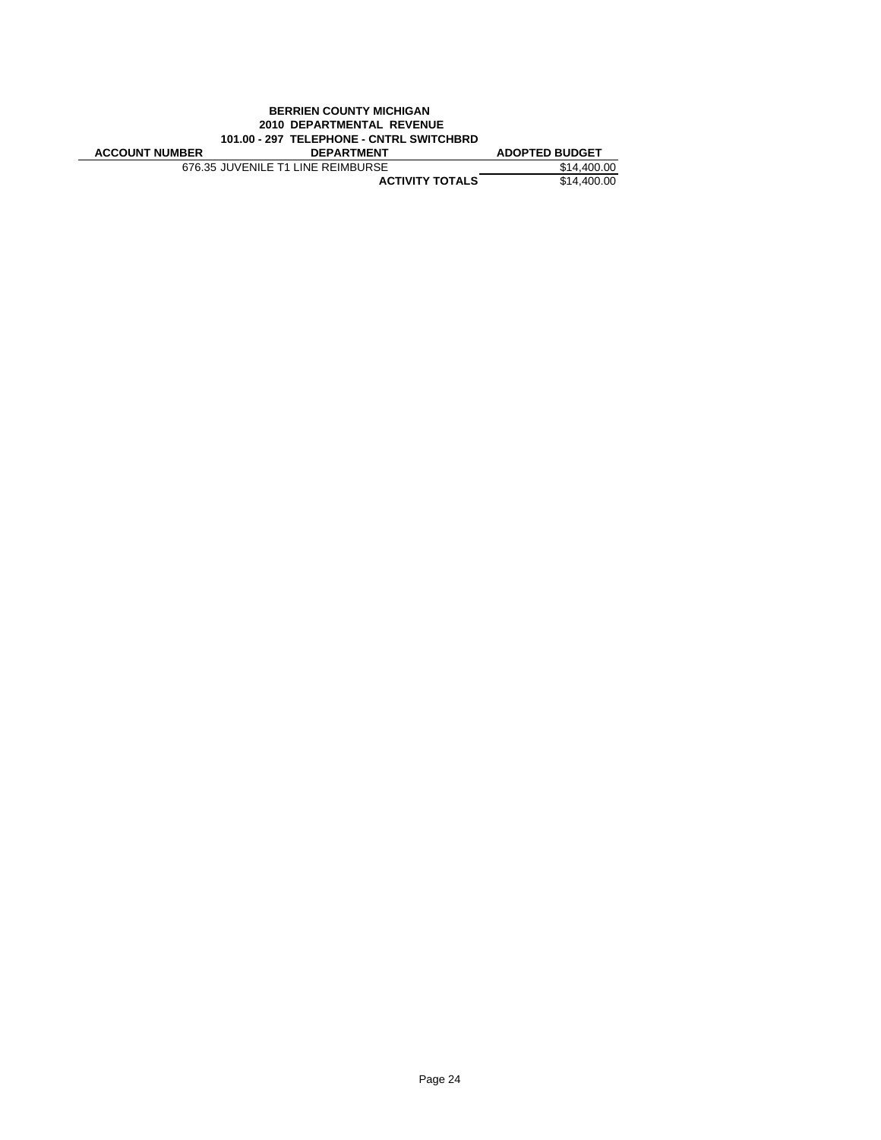| <b>BERRIEN COUNTY MICHIGAN</b>           |                                   |                       |  |
|------------------------------------------|-----------------------------------|-----------------------|--|
| <b>2010 DEPARTMENTAL REVENUE</b>         |                                   |                       |  |
| 101.00 - 297 TELEPHONE - CNTRL SWITCHBRD |                                   |                       |  |
|                                          |                                   |                       |  |
| <b>ACCOUNT NUMBER</b>                    | <b>DEPARTMENT</b>                 | <b>ADOPTED BUDGET</b> |  |
|                                          | 676.35 JUVENILE T1 LINE REIMBURSE | \$14,400.00           |  |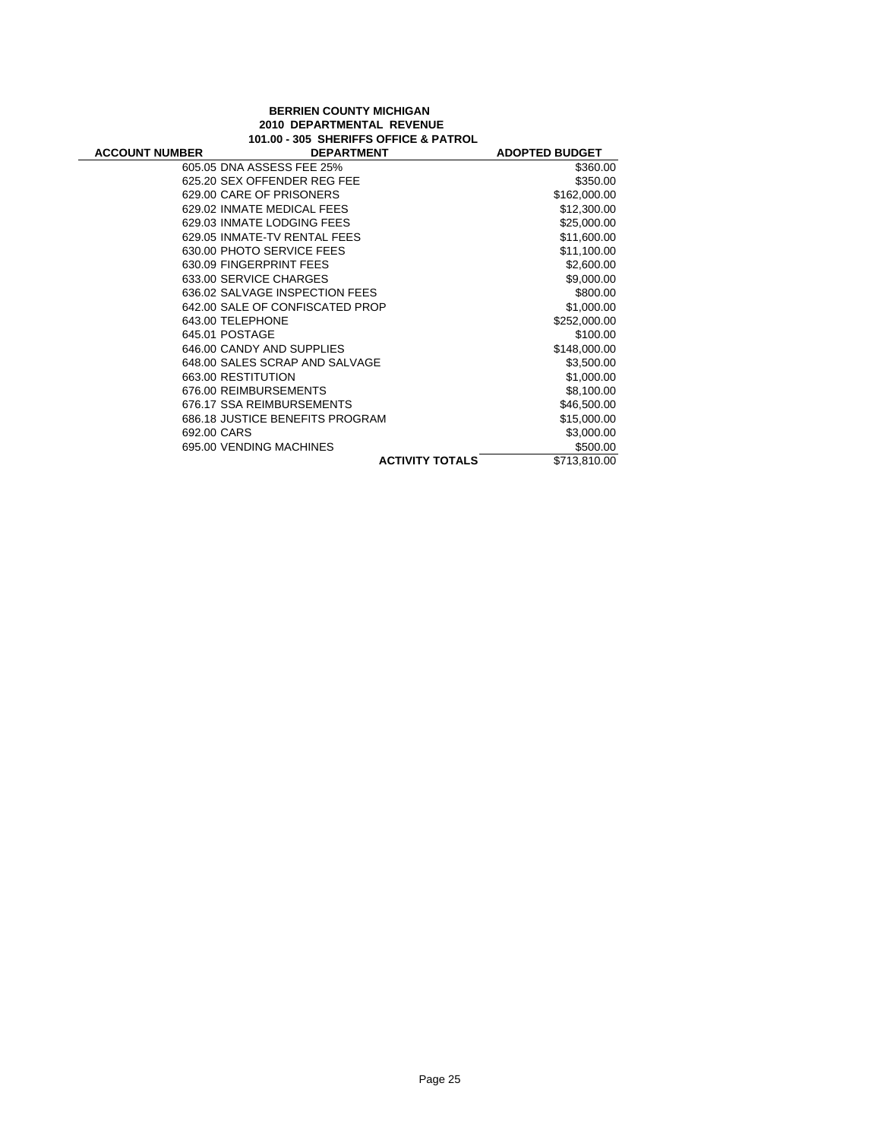#### **BERRIEN COUNTY MICHIGAN 2010 DEPARTMENTAL REVENUE 101.00 - 305 SHERIFFS OFFICE & PATROL**

÷

| <b>ACCOUNT NUMBER</b> | <b>DEPARTMENT</b>               |                        | <b>ADOPTED BUDGET</b> |
|-----------------------|---------------------------------|------------------------|-----------------------|
|                       | 605.05 DNA ASSESS FEE 25%       |                        | \$360.00              |
|                       | 625.20 SEX OFFENDER REG FEE     |                        | \$350.00              |
|                       | 629.00 CARE OF PRISONERS        |                        | \$162,000.00          |
|                       | 629.02 INMATE MEDICAL FEES      |                        | \$12,300.00           |
|                       | 629.03 INMATE LODGING FEES      |                        | \$25,000.00           |
|                       | 629.05 INMATE-TV RENTAL FEES    |                        | \$11,600.00           |
|                       | 630.00 PHOTO SERVICE FEES       |                        | \$11,100.00           |
|                       | 630.09 FINGERPRINT FEES         |                        | \$2,600.00            |
|                       | 633.00 SERVICE CHARGES          |                        | \$9,000.00            |
|                       | 636.02 SALVAGE INSPECTION FEES  |                        | \$800.00              |
|                       | 642.00 SALE OF CONFISCATED PROP |                        | \$1,000.00            |
|                       | 643.00 TELEPHONE                |                        | \$252,000.00          |
|                       | 645.01 POSTAGE                  |                        | \$100.00              |
|                       | 646.00 CANDY AND SUPPLIES       |                        | \$148,000.00          |
|                       | 648.00 SALES SCRAP AND SALVAGE  |                        | \$3,500.00            |
|                       | 663.00 RESTITUTION              |                        | \$1,000.00            |
|                       | 676.00 REIMBURSEMENTS           |                        | \$8,100.00            |
|                       | 676.17 SSA REIMBURSEMENTS       |                        | \$46,500.00           |
|                       | 686.18 JUSTICE BENEFITS PROGRAM |                        | \$15,000.00           |
| 692.00 CARS           |                                 |                        | \$3,000.00            |
|                       | 695.00 VENDING MACHINES         |                        | \$500.00              |
|                       |                                 | <b>ACTIVITY TOTALS</b> | \$713,810.00          |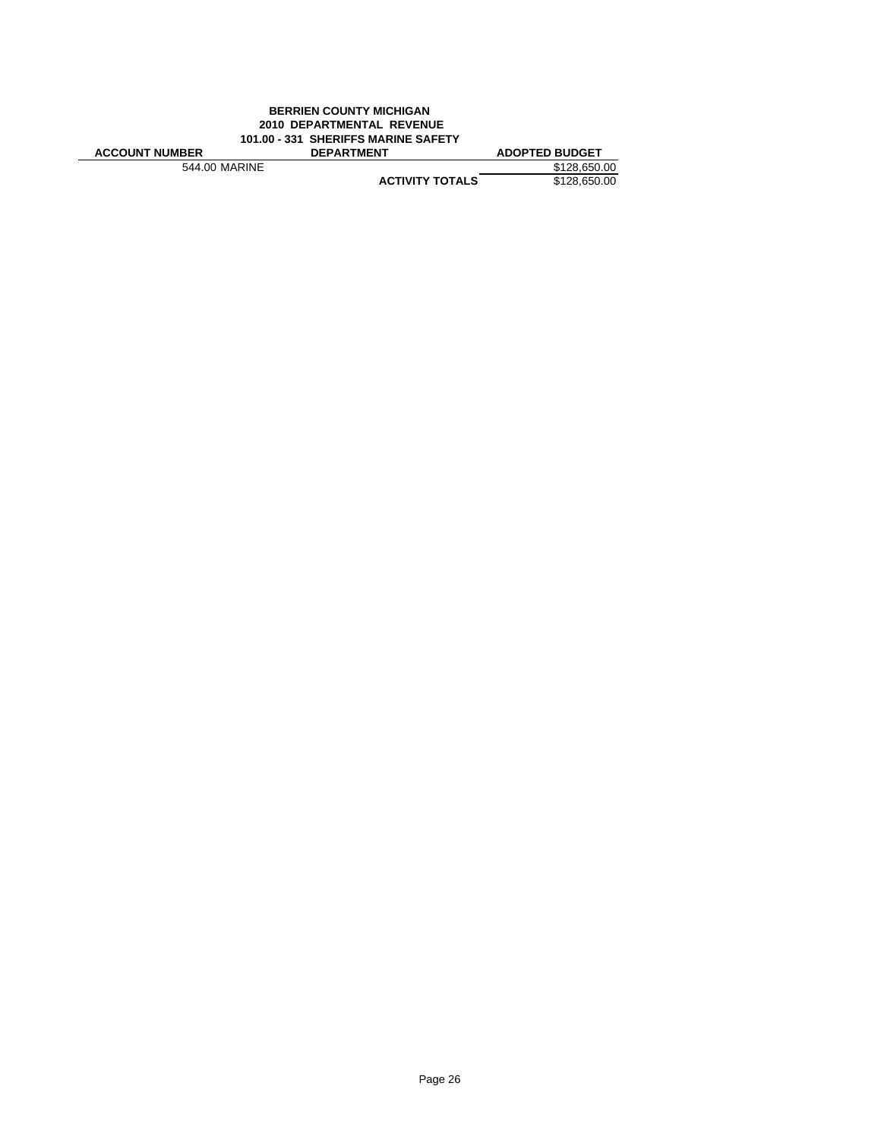#### **BERRIEN COUNTY MICHIGAN 2010 DEPARTMENTAL REVENUE 101.00 - 331 SHERIFFS MARINE SAFETY ACCOUNT NUMBER DEPARTMENT ADOPTED BUDGET**<br>544.00 MARINE \$128,650.00 544.00 MARINE **\$128,650.00**<br> **ACTIVITY TOTALS** \$128,650.00 **ACTIVITY TOTALS**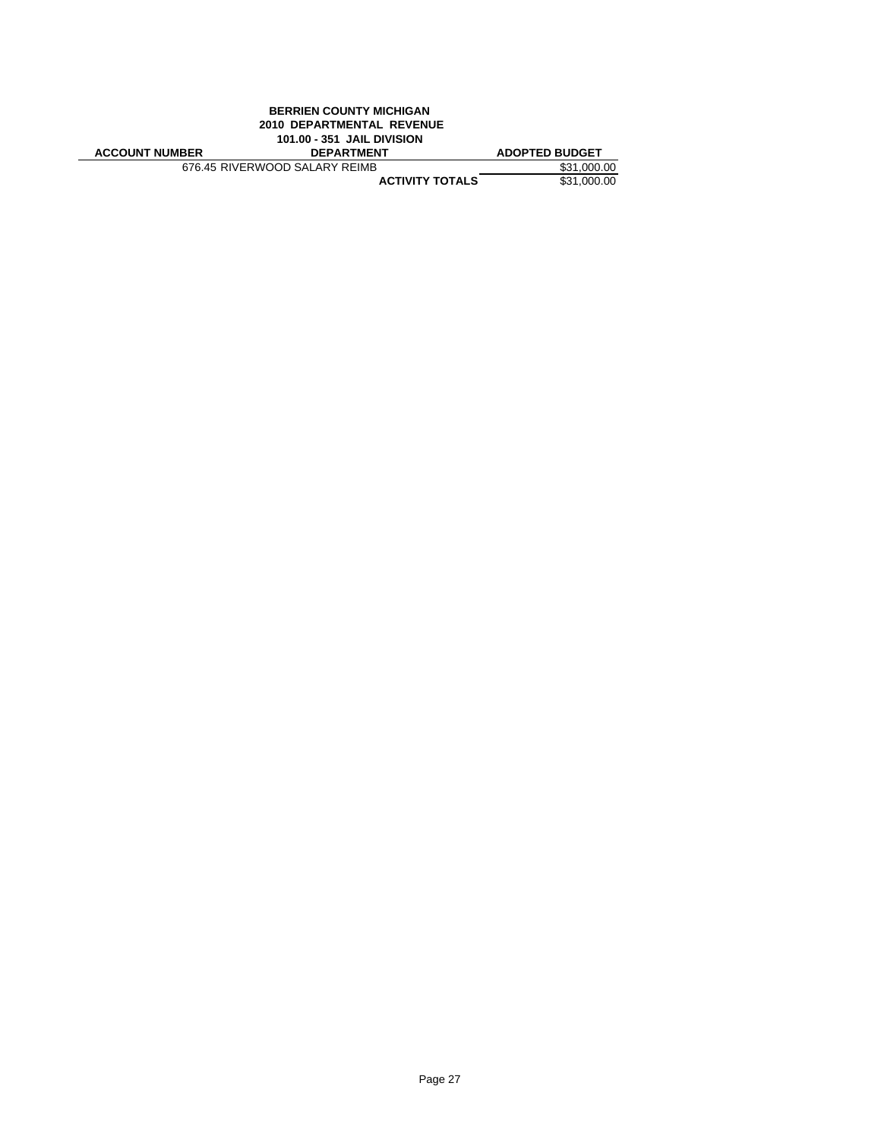| <b>BERRIEN COUNTY MICHIGAN</b> |                                   |                       |  |
|--------------------------------|-----------------------------------|-----------------------|--|
|                                | 2010 DEPARTMENTAL REVENUE         |                       |  |
|                                | <b>101.00 - 351 JAIL DIVISION</b> |                       |  |
|                                |                                   |                       |  |
| <b>ACCOUNT NUMBER</b>          | <b>DEPARTMENT</b>                 | <b>ADOPTED BUDGET</b> |  |
|                                | 676.45 RIVERWOOD SALARY REIMB     | \$31,000.00           |  |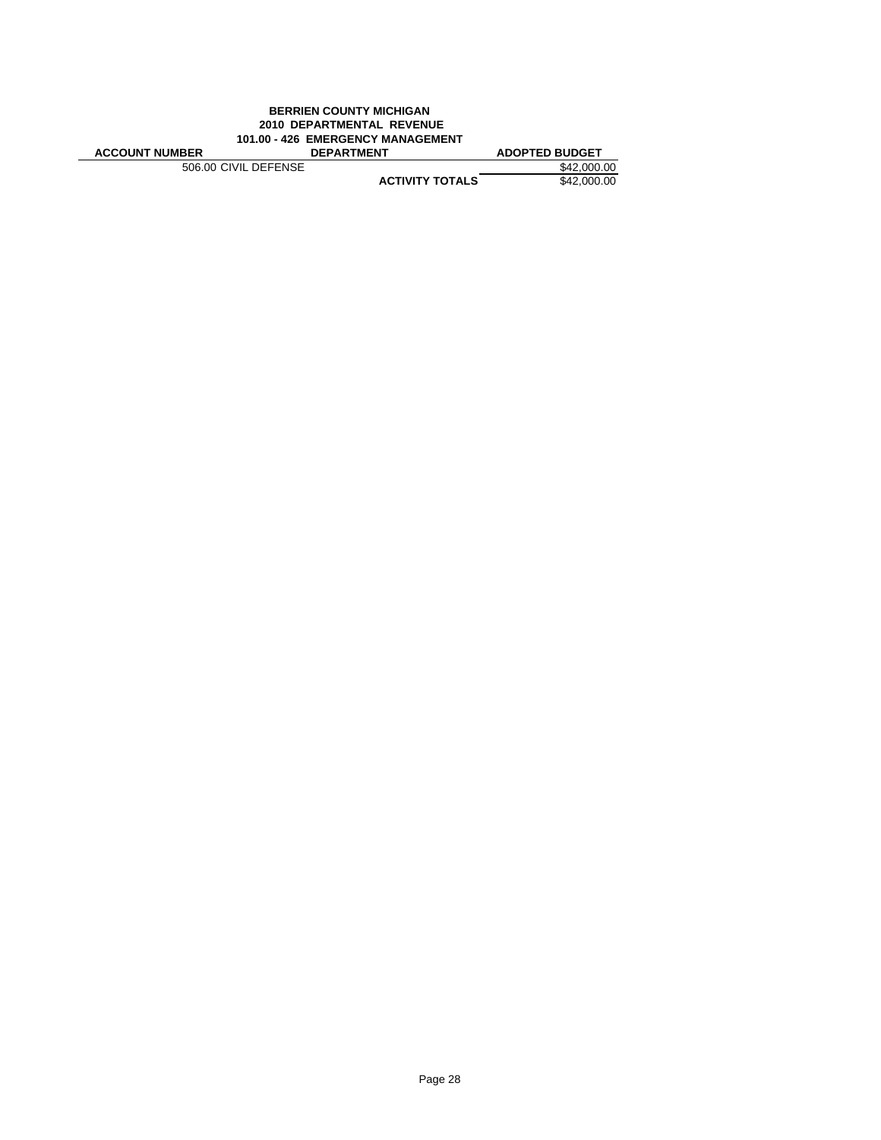| <b>BERRIEN COUNTY MICHIGAN</b>    |                                  |                       |
|-----------------------------------|----------------------------------|-----------------------|
|                                   | <b>2010 DEPARTMENTAL REVENUE</b> |                       |
| 101.00 - 426 EMERGENCY MANAGEMENT |                                  |                       |
| <b>ACCOUNT NUMBER</b>             | <b>DEPARTMENT</b>                | <b>ADOPTED BUDGET</b> |
| 506.00 CIVIL DEFENSE              |                                  | \$42,000.00           |
|                                   | <b>ACTIVITY TOTALS</b>           | \$42,000.00           |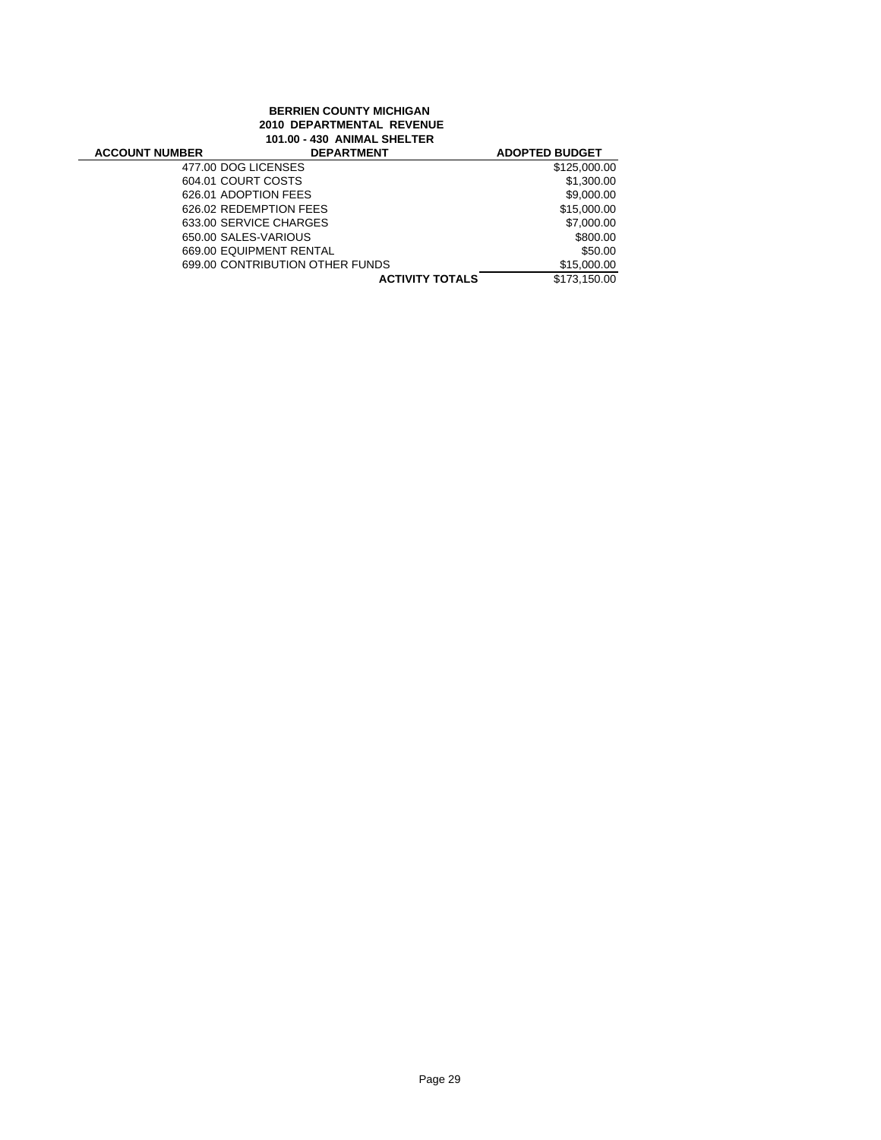# **BERRIEN COUNTY MICHIGAN 2010 DEPARTMENTAL REVENUE 101.00 - 430 ANIMAL SHELTER**

| <b>ACCOUNT NUMBER</b> | <b>DEPARTMENT</b>               | <b>ADOPTED BUDGET</b> |
|-----------------------|---------------------------------|-----------------------|
| 477.00 DOG LICENSES   |                                 | \$125,000.00          |
| 604.01 COURT COSTS    |                                 | \$1,300.00            |
| 626.01 ADOPTION FEES  |                                 | \$9,000.00            |
|                       | 626.02 REDEMPTION FEES          | \$15,000.00           |
|                       | 633.00 SERVICE CHARGES          | \$7,000.00            |
| 650.00 SALES-VARIOUS  |                                 | \$800.00              |
|                       | 669.00 EQUIPMENT RENTAL         | \$50.00               |
|                       | 699.00 CONTRIBUTION OTHER FUNDS | \$15,000.00           |
|                       | <b>ACTIVITY TOTALS</b>          | \$173.150.00          |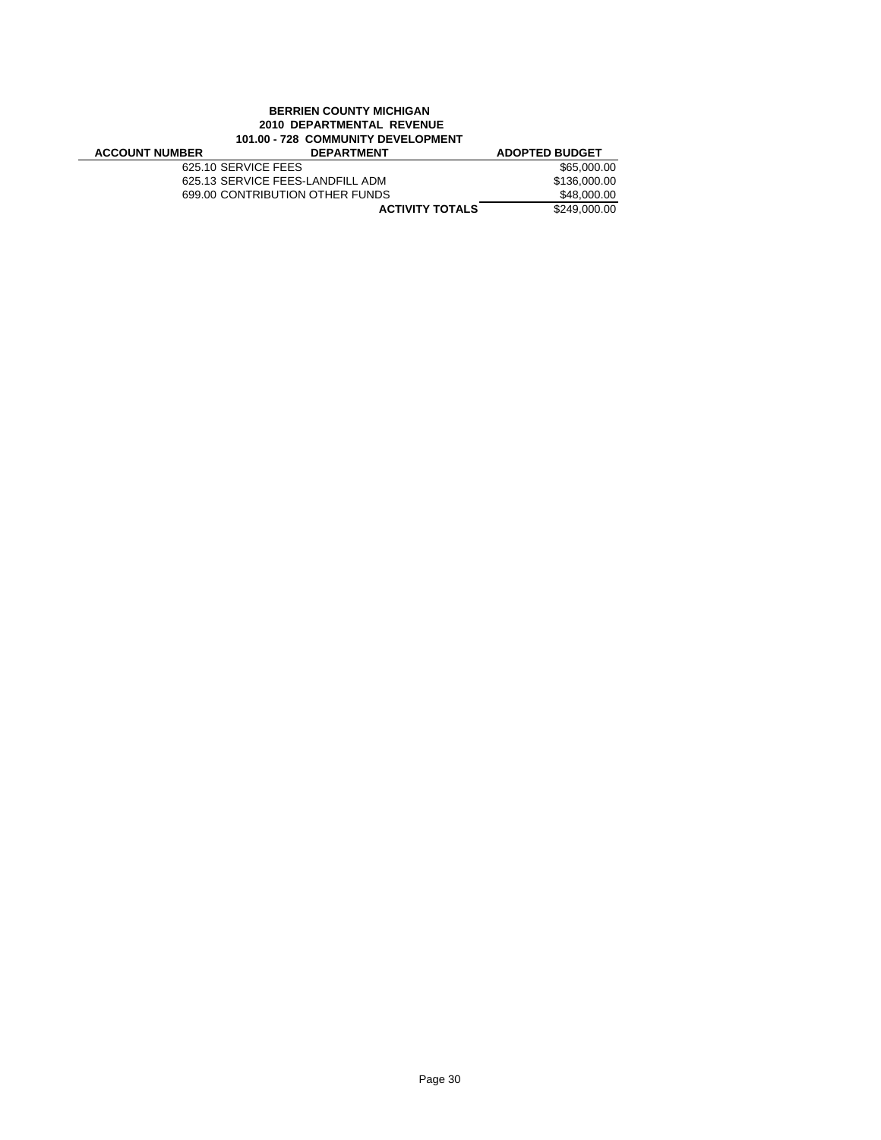# **BERRIEN COUNTY MICHIGAN 2010 DEPARTMENTAL REVENUE 101.00 - 728 COMMUNITY DEVELOPMENT**

| <b>ACCOUNT NUMBER</b> | <b>DEPARTMENT</b>                | <b>ADOPTED BUDGET</b> |
|-----------------------|----------------------------------|-----------------------|
|                       | 625.10 SERVICE FEES              | \$65,000.00           |
|                       | 625.13 SERVICE FEES-LANDFILL ADM | \$136,000.00          |
|                       | 699.00 CONTRIBUTION OTHER FUNDS  | \$48,000.00           |
|                       | <b>ACTIVITY TOTALS</b>           | \$249,000.00          |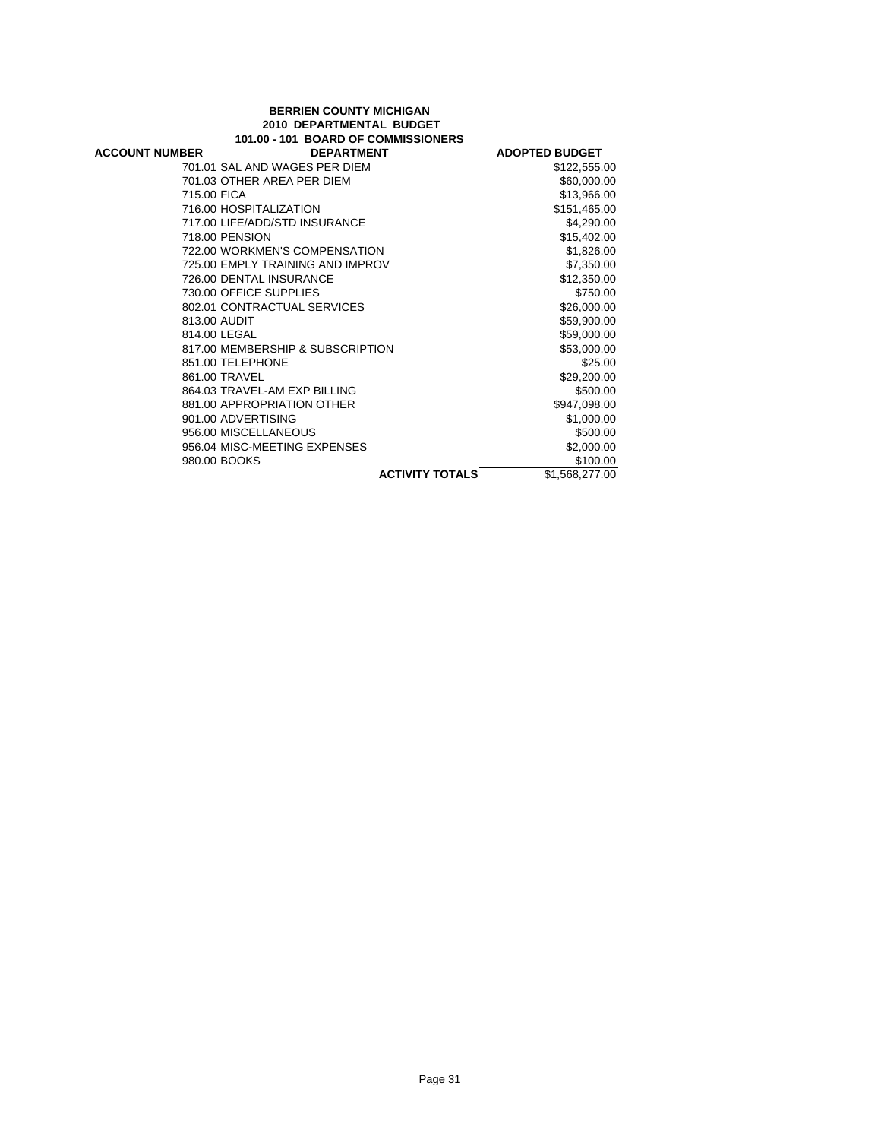#### **BERRIEN COUNTY MICHIGAN 2010 DEPARTMENTAL BUDGET 101.00 - 101 BOARD OF COMMISSIONERS**

÷

| <b>ACCOUNT NUMBER</b> | <b>DEPARTMENT</b>                | <b>ADOPTED BUDGET</b> |
|-----------------------|----------------------------------|-----------------------|
|                       | 701.01 SAL AND WAGES PER DIEM    | \$122,555.00          |
|                       | 701.03 OTHER AREA PER DIEM       | \$60,000.00           |
| 715.00 FICA           |                                  | \$13,966.00           |
|                       | 716.00 HOSPITALIZATION           | \$151,465.00          |
|                       | 717.00 LIFE/ADD/STD INSURANCE    | \$4,290.00            |
|                       | 718.00 PENSION                   | \$15,402.00           |
|                       | 722.00 WORKMEN'S COMPENSATION    | \$1,826.00            |
|                       | 725.00 EMPLY TRAINING AND IMPROV | \$7,350.00            |
|                       | 726.00 DENTAL INSURANCE          | \$12,350.00           |
|                       | 730.00 OFFICE SUPPLIES           | \$750.00              |
|                       | 802.01 CONTRACTUAL SERVICES      | \$26,000.00           |
|                       | 813.00 AUDIT                     | \$59,900.00           |
|                       | 814.00 LEGAL                     | \$59,000.00           |
|                       | 817.00 MEMBERSHIP & SUBSCRIPTION | \$53,000.00           |
|                       | 851.00 TELEPHONE                 | \$25.00               |
|                       | 861.00 TRAVEL                    | \$29,200.00           |
|                       | 864.03 TRAVEL-AM EXP BILLING     | \$500.00              |
|                       | 881.00 APPROPRIATION OTHER       | \$947,098.00          |
|                       | 901.00 ADVERTISING               | \$1,000.00            |
|                       | 956.00 MISCELLANEOUS             | \$500.00              |
|                       | 956.04 MISC-MEETING EXPENSES     | \$2,000.00            |
|                       | 980.00 BOOKS                     | \$100.00              |
|                       | <b>ACTIVITY TOTALS</b>           | \$1,568,277.00        |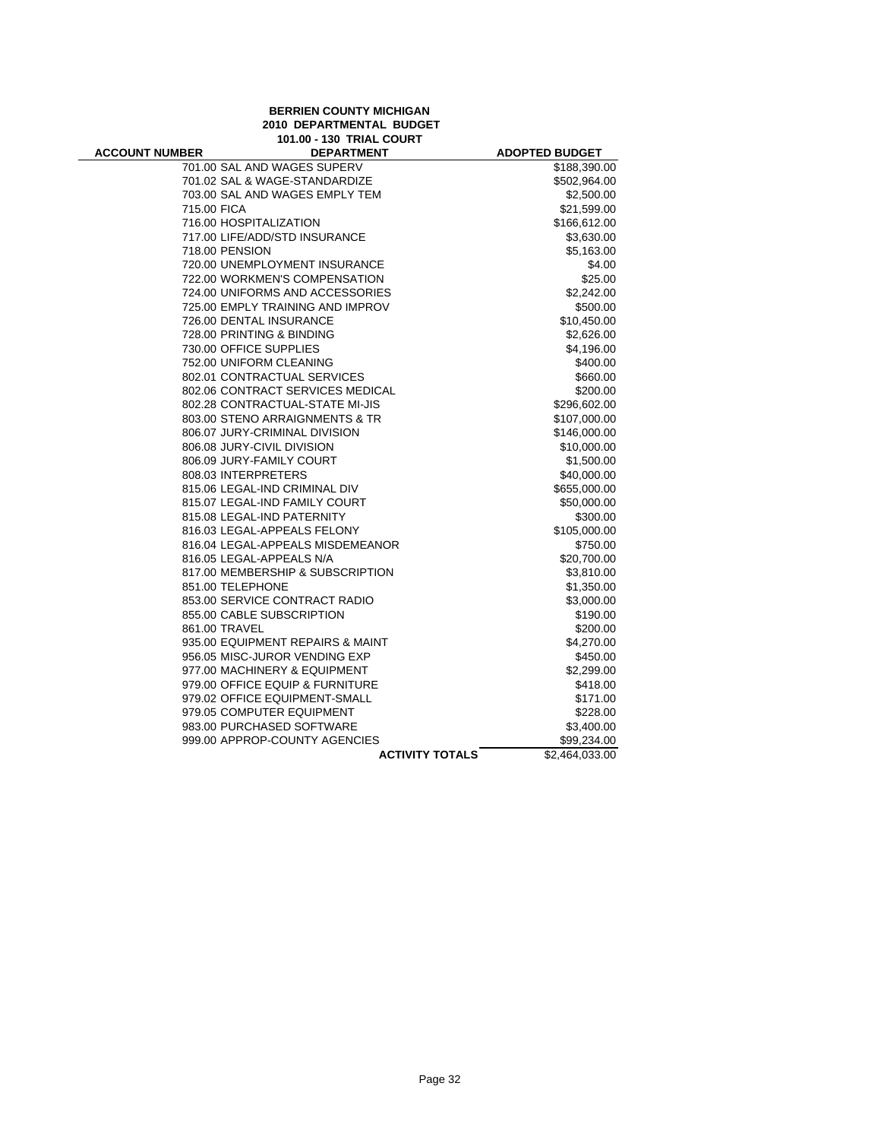# **BERRIEN COUNTY MICHIGAN 2010 DEPARTMENTAL BUDGET 101.00 - 130 TRIAL COURT**

÷

| <b>ACCOUNT NUMBER</b> | <b>DEPARTMENT</b>                | <b>ADOPTED BUDGET</b>      |
|-----------------------|----------------------------------|----------------------------|
|                       | 701.00 SAL AND WAGES SUPERV      | \$188,390.00               |
|                       | 701.02 SAL & WAGE-STANDARDIZE    | \$502,964.00               |
|                       | 703.00 SAL AND WAGES EMPLY TEM   | \$2,500.00                 |
| 715.00 FICA           |                                  | \$21,599.00                |
|                       | 716.00 HOSPITALIZATION           | \$166,612.00               |
|                       | 717.00 LIFE/ADD/STD INSURANCE    | \$3,630.00                 |
|                       | 718.00 PENSION                   | \$5,163.00                 |
|                       | 720.00 UNEMPLOYMENT INSURANCE    | \$4.00                     |
|                       | 722.00 WORKMEN'S COMPENSATION    | \$25.00                    |
|                       | 724.00 UNIFORMS AND ACCESSORIES  | \$2,242.00                 |
|                       | 725.00 EMPLY TRAINING AND IMPROV | \$500.00                   |
|                       | 726.00 DENTAL INSURANCE          | \$10,450.00                |
|                       | 728.00 PRINTING & BINDING        | \$2,626.00                 |
|                       | 730.00 OFFICE SUPPLIES           | \$4,196.00                 |
|                       | 752.00 UNIFORM CLEANING          | \$400.00                   |
|                       | 802.01 CONTRACTUAL SERVICES      | \$660.00                   |
|                       | 802.06 CONTRACT SERVICES MEDICAL | \$200.00                   |
|                       | 802.28 CONTRACTUAL-STATE MI-JIS  | \$296,602.00               |
|                       | 803.00 STENO ARRAIGNMENTS & TR   | \$107,000.00               |
|                       | 806.07 JURY-CRIMINAL DIVISION    | \$146,000.00               |
|                       | 806.08 JURY-CIVIL DIVISION       | \$10,000.00                |
|                       | 806.09 JURY-FAMILY COURT         | \$1,500.00                 |
|                       | 808.03 INTERPRETERS              | \$40,000.00                |
|                       | 815.06 LEGAL-IND CRIMINAL DIV    | \$655,000.00               |
|                       | 815.07 LEGAL-IND FAMILY COURT    | \$50,000.00                |
|                       | 815.08 LEGAL-IND PATERNITY       | \$300.00                   |
|                       | 816.03 LEGAL-APPEALS FELONY      | \$105,000.00               |
|                       | 816.04 LEGAL-APPEALS MISDEMEANOR | \$750.00                   |
|                       | 816.05 LEGAL-APPEALS N/A         | \$20,700.00                |
|                       | 817.00 MEMBERSHIP & SUBSCRIPTION | \$3,810.00                 |
|                       | 851.00 TELEPHONE                 | \$1,350.00                 |
|                       | 853.00 SERVICE CONTRACT RADIO    | \$3,000.00                 |
|                       | 855.00 CABLE SUBSCRIPTION        | \$190.00                   |
|                       | 861.00 TRAVEL                    | \$200.00                   |
|                       | 935.00 EQUIPMENT REPAIRS & MAINT | \$4,270.00                 |
|                       | 956.05 MISC-JUROR VENDING EXP    | \$450.00                   |
|                       | 977.00 MACHINERY & EQUIPMENT     | \$2,299.00                 |
|                       | 979.00 OFFICE EQUIP & FURNITURE  | \$418.00                   |
|                       | 979.02 OFFICE EQUIPMENT-SMALL    | \$171.00                   |
|                       | 979.05 COMPUTER EQUIPMENT        | \$228.00                   |
|                       | 983.00 PURCHASED SOFTWARE        | \$3,400.00                 |
|                       | 999.00 APPROP-COUNTY AGENCIES    | \$99,234.00                |
|                       | <b>ACTIVITY TOTALS</b>           | $\overline{$2,464,033.00}$ |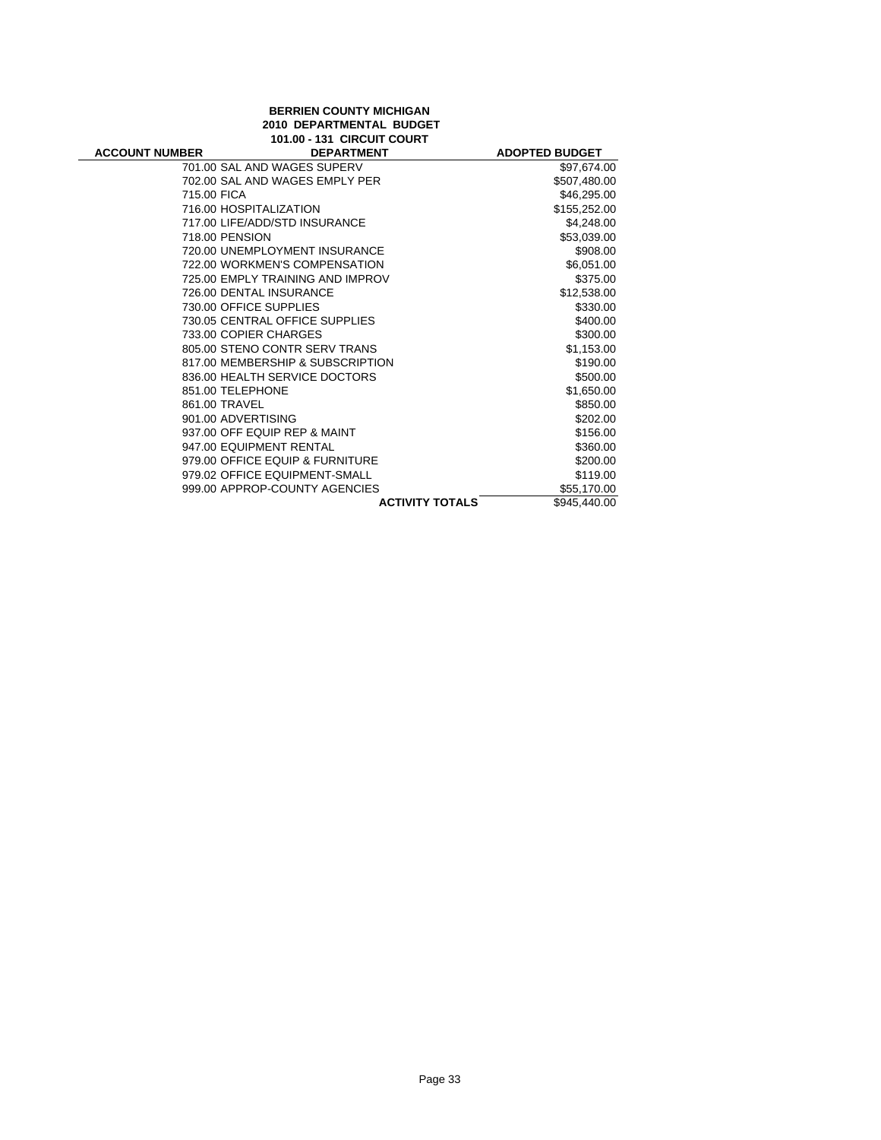# **BERRIEN COUNTY MICHIGAN 2010 DEPARTMENTAL BUDGET 101.00 - 131 CIRCUIT COURT**

| <b>ACCOUNT NUMBER</b> | <b>DEPARTMENT</b>                | <b>ADOPTED BUDGET</b> |
|-----------------------|----------------------------------|-----------------------|
|                       | 701.00 SAL AND WAGES SUPERV      | \$97,674.00           |
|                       | 702.00 SAL AND WAGES EMPLY PER   | \$507,480.00          |
| 715.00 FICA           |                                  | \$46,295.00           |
|                       | 716.00 HOSPITALIZATION           | \$155,252.00          |
|                       | 717.00 LIFE/ADD/STD INSURANCE    | \$4,248.00            |
|                       | 718.00 PENSION                   | \$53,039.00           |
|                       | 720.00 UNEMPLOYMENT INSURANCE    | \$908.00              |
|                       | 722.00 WORKMEN'S COMPENSATION    | \$6,051.00            |
|                       | 725.00 EMPLY TRAINING AND IMPROV | \$375.00              |
|                       | 726.00 DENTAL INSURANCE          | \$12,538.00           |
|                       | 730.00 OFFICE SUPPLIES           | \$330.00              |
|                       | 730.05 CENTRAL OFFICE SUPPLIES   | \$400.00              |
|                       | 733.00 COPIER CHARGES            | \$300.00              |
|                       | 805.00 STENO CONTR SERV TRANS    | \$1,153.00            |
|                       | 817.00 MEMBERSHIP & SUBSCRIPTION | \$190.00              |
|                       | 836.00 HEALTH SERVICE DOCTORS    | \$500.00              |
|                       | 851.00 TELEPHONE                 | \$1,650.00            |
|                       | 861.00 TRAVEL                    | \$850.00              |
|                       | 901.00 ADVERTISING               | \$202.00              |
|                       | 937.00 OFF EQUIP REP & MAINT     | \$156.00              |
|                       | 947.00 EQUIPMENT RENTAL          | \$360.00              |
|                       | 979.00 OFFICE EQUIP & FURNITURE  | \$200.00              |
|                       | 979.02 OFFICE EQUIPMENT-SMALL    | \$119.00              |
|                       | 999.00 APPROP-COUNTY AGENCIES    | \$55,170.00           |
|                       | <b>ACTIVITY TOTALS</b>           | \$945,440.00          |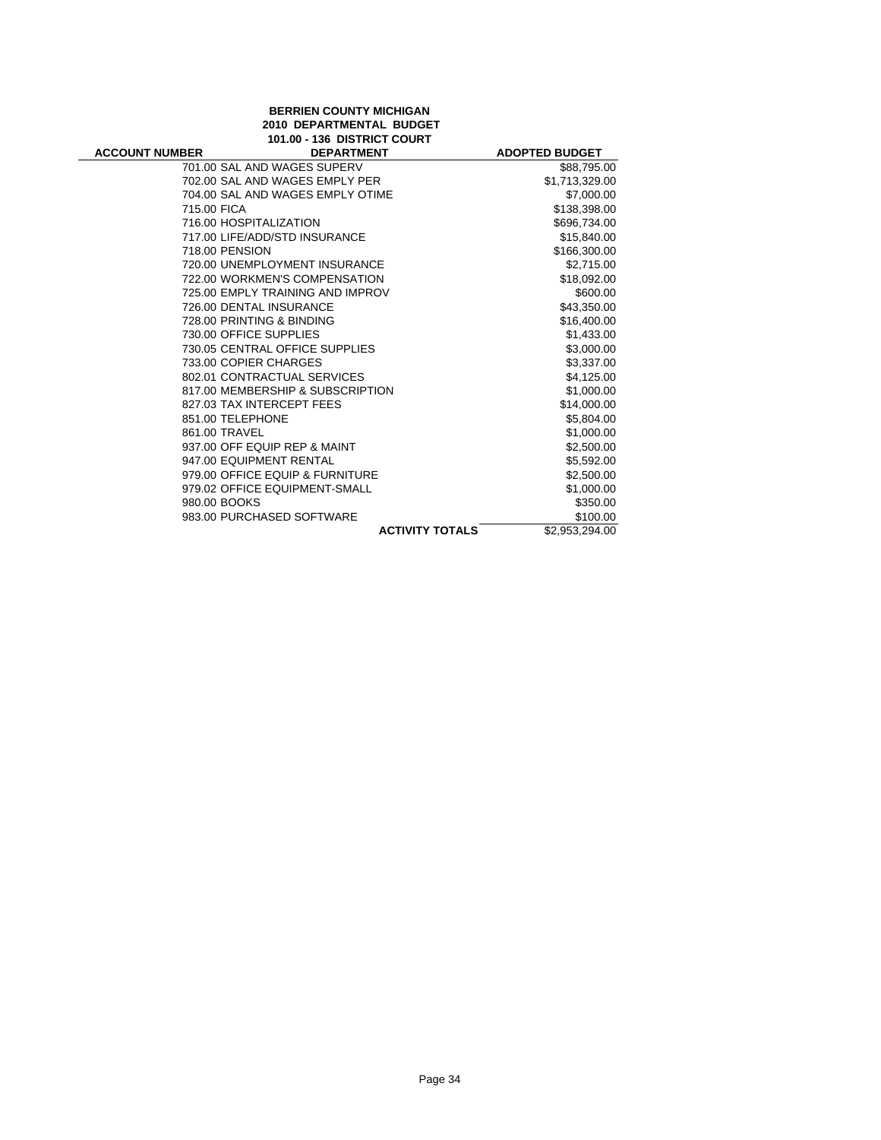| <b>BERRIEN COUNTY MICHIGAN</b>  |
|---------------------------------|
| <b>2010 DEPARTMENTAL BUDGET</b> |
| 101.00 - 136 DISTRICT COURT     |

| <b>ACCOUNT NUMBER</b> | <b>101.00 - 130 DISTRICT COURT</b><br><b>DEPARTMENT</b> | <b>ADOPTED BUDGET</b> |
|-----------------------|---------------------------------------------------------|-----------------------|
|                       | 701.00 SAL AND WAGES SUPERV                             | \$88,795.00           |
|                       | 702.00 SAL AND WAGES EMPLY PER                          | \$1,713,329.00        |
|                       | 704.00 SAL AND WAGES EMPLY OTIME                        | \$7,000.00            |
| 715.00 FICA           |                                                         | \$138,398.00          |
|                       | 716.00 HOSPITALIZATION                                  | \$696,734.00          |
|                       | 717.00 LIFE/ADD/STD INSURANCE                           | \$15.840.00           |
|                       | 718.00 PENSION                                          | \$166,300.00          |
|                       | 720.00 UNEMPLOYMENT INSURANCE                           | \$2,715.00            |
|                       | 722.00 WORKMEN'S COMPENSATION                           | \$18,092.00           |
|                       | 725.00 EMPLY TRAINING AND IMPROV                        | \$600.00              |
|                       | 726.00 DENTAL INSURANCE                                 | \$43,350.00           |
|                       | 728.00 PRINTING & BINDING                               | \$16,400.00           |
|                       | 730.00 OFFICE SUPPLIES                                  | \$1,433.00            |
|                       | 730.05 CENTRAL OFFICE SUPPLIES                          | \$3,000.00            |
|                       | 733.00 COPIER CHARGES                                   | \$3,337.00            |
|                       | 802.01 CONTRACTUAL SERVICES                             | \$4,125.00            |
|                       | 817.00 MEMBERSHIP & SUBSCRIPTION                        | \$1,000.00            |
|                       | 827.03 TAX INTERCEPT FEES                               | \$14,000.00           |
|                       | 851.00 TELEPHONE                                        | \$5,804.00            |
|                       | 861.00 TRAVEL                                           | \$1,000.00            |
|                       | 937.00 OFF EQUIP REP & MAINT                            | \$2,500.00            |
|                       | 947.00 EQUIPMENT RENTAL                                 | \$5,592.00            |
|                       | 979.00 OFFICE EQUIP & FURNITURE                         | \$2,500.00            |
|                       | 979.02 OFFICE EQUIPMENT-SMALL                           | \$1,000.00            |
|                       | 980.00 BOOKS                                            | \$350.00              |
|                       | 983.00 PURCHASED SOFTWARE                               | \$100.00              |
|                       | <b>ACTIVITY TOTALS</b>                                  | \$2,953,294.00        |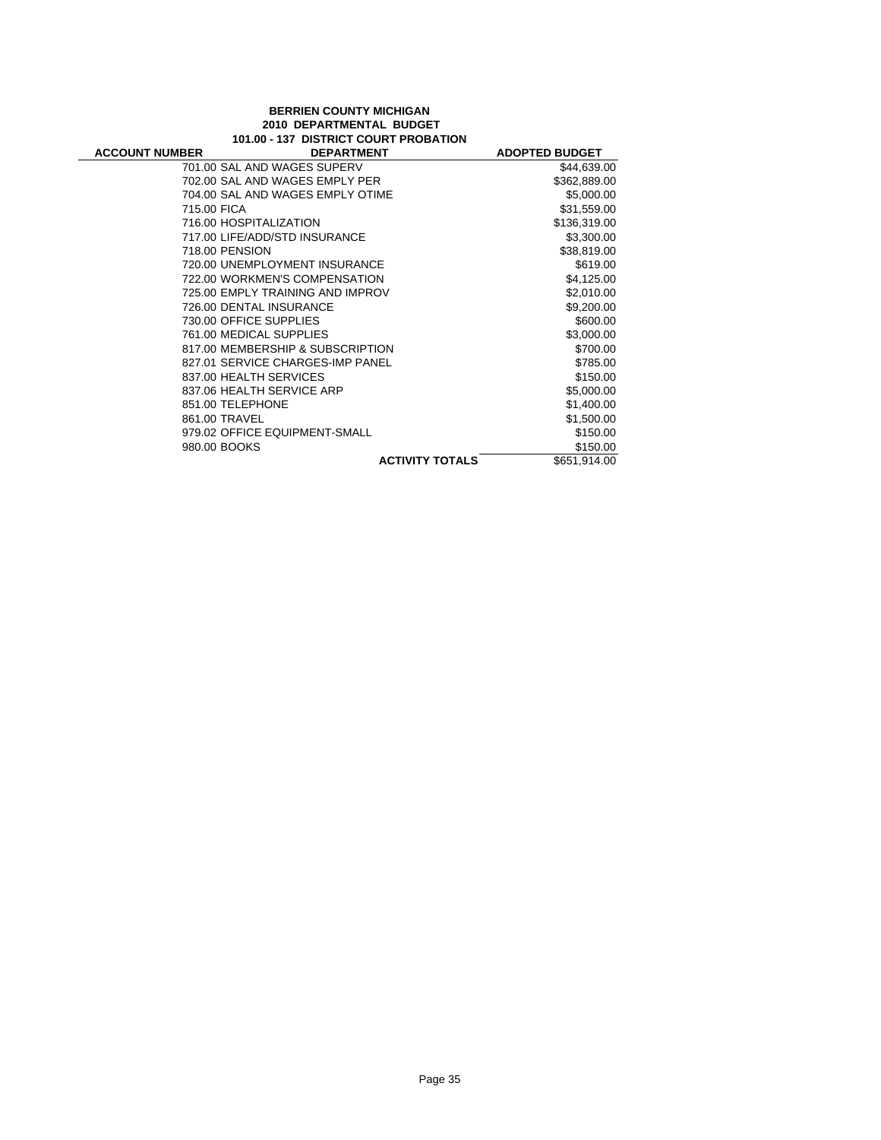#### **BERRIEN COUNTY MICHIGAN 2010 DEPARTMENTAL BUDGET 101.00 - 137 DISTRICT COURT PROBATION**

| <b>ACCOUNT NUMBER</b> | <b>DEPARTMENT</b>                | <b>ADOPTED BUDGET</b> |
|-----------------------|----------------------------------|-----------------------|
|                       | 701.00 SAL AND WAGES SUPERV      | \$44,639.00           |
|                       | 702.00 SAL AND WAGES EMPLY PER   | \$362,889.00          |
|                       | 704.00 SAL AND WAGES EMPLY OTIME | \$5,000.00            |
| 715.00 FICA           |                                  | \$31,559.00           |
|                       | 716.00 HOSPITALIZATION           | \$136,319.00          |
|                       | 717.00 LIFE/ADD/STD INSURANCE    | \$3,300.00            |
| 718.00 PENSION        |                                  | \$38,819.00           |
|                       | 720.00 UNEMPLOYMENT INSURANCE    | \$619.00              |
|                       | 722.00 WORKMEN'S COMPENSATION    | \$4,125.00            |
|                       | 725.00 EMPLY TRAINING AND IMPROV | \$2,010.00            |
|                       | 726.00 DENTAL INSURANCE          | \$9,200.00            |
|                       | 730.00 OFFICE SUPPLIES           | \$600.00              |
|                       | 761.00 MEDICAL SUPPLIES          | \$3,000.00            |
|                       | 817.00 MEMBERSHIP & SUBSCRIPTION | \$700.00              |
|                       | 827.01 SERVICE CHARGES-IMP PANEL | \$785.00              |
|                       | 837.00 HEALTH SERVICES           | \$150.00              |
|                       | 837.06 HEALTH SERVICE ARP        | \$5,000.00            |
|                       | 851.00 TELEPHONE                 | \$1,400.00            |
| 861.00 TRAVEL         |                                  | \$1,500.00            |
|                       | 979.02 OFFICE EQUIPMENT-SMALL    | \$150.00              |
| 980.00 BOOKS          |                                  | \$150.00              |
|                       | <b>ACTIVITY TOTALS</b>           | \$651,914.00          |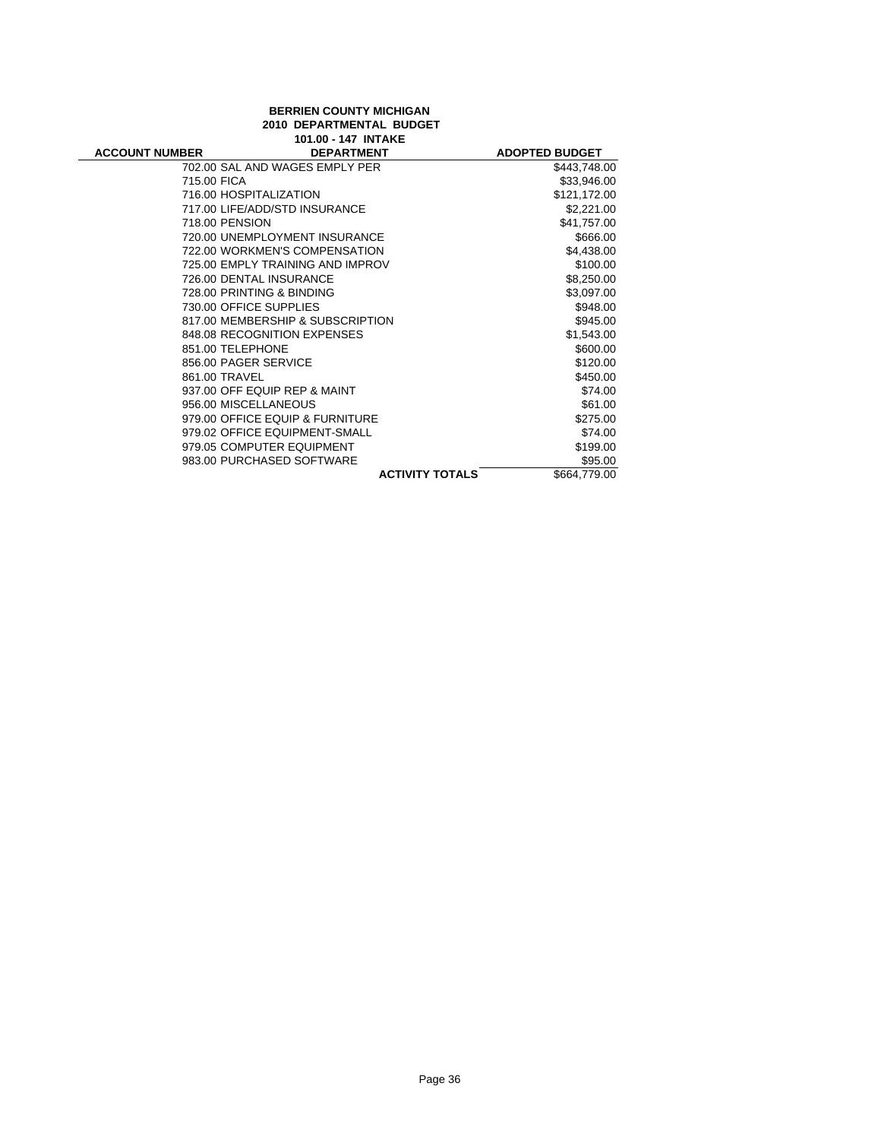| <b>BERRIEN COUNTY MICHIGAN</b> |
|--------------------------------|
| 2010 DEPARTMENTAL BUDGET       |
| 101.00 - 147 INTAKE            |

 $\overline{\phantom{0}}$ 

|                       | שמחמות ודו־טטויטו                |                       |
|-----------------------|----------------------------------|-----------------------|
| <b>ACCOUNT NUMBER</b> | <b>DEPARTMENT</b>                | <b>ADOPTED BUDGET</b> |
|                       | 702.00 SAL AND WAGES EMPLY PER   | \$443,748.00          |
| 715.00 FICA           |                                  | \$33,946.00           |
|                       | 716.00 HOSPITALIZATION           | \$121,172.00          |
|                       | 717.00 LIFE/ADD/STD INSURANCE    | \$2,221.00            |
|                       | 718.00 PENSION                   | \$41,757.00           |
|                       | 720.00 UNEMPLOYMENT INSURANCE    | \$666.00              |
|                       | 722.00 WORKMEN'S COMPENSATION    | \$4,438.00            |
|                       | 725.00 EMPLY TRAINING AND IMPROV | \$100.00              |
|                       | 726.00 DENTAL INSURANCE          | \$8,250.00            |
|                       | 728.00 PRINTING & BINDING        | \$3,097.00            |
|                       | 730.00 OFFICE SUPPLIES           | \$948.00              |
|                       | 817.00 MEMBERSHIP & SUBSCRIPTION | \$945.00              |
|                       | 848.08 RECOGNITION EXPENSES      | \$1,543.00            |
|                       | 851.00 TELEPHONE                 | \$600.00              |
|                       | 856.00 PAGER SERVICE             | \$120.00              |
|                       | 861.00 TRAVEL                    | \$450.00              |
|                       | 937.00 OFF EQUIP REP & MAINT     | \$74.00               |
|                       | 956.00 MISCELLANEOUS             | \$61.00               |
|                       | 979.00 OFFICE EQUIP & FURNITURE  | \$275.00              |
|                       | 979.02 OFFICE EQUIPMENT-SMALL    | \$74.00               |
|                       | 979.05 COMPUTER EQUIPMENT        | \$199.00              |
|                       | 983.00 PURCHASED SOFTWARE        | \$95.00               |
|                       | <b>ACTIVITY TOTALS</b>           | \$664,779.00          |
|                       |                                  |                       |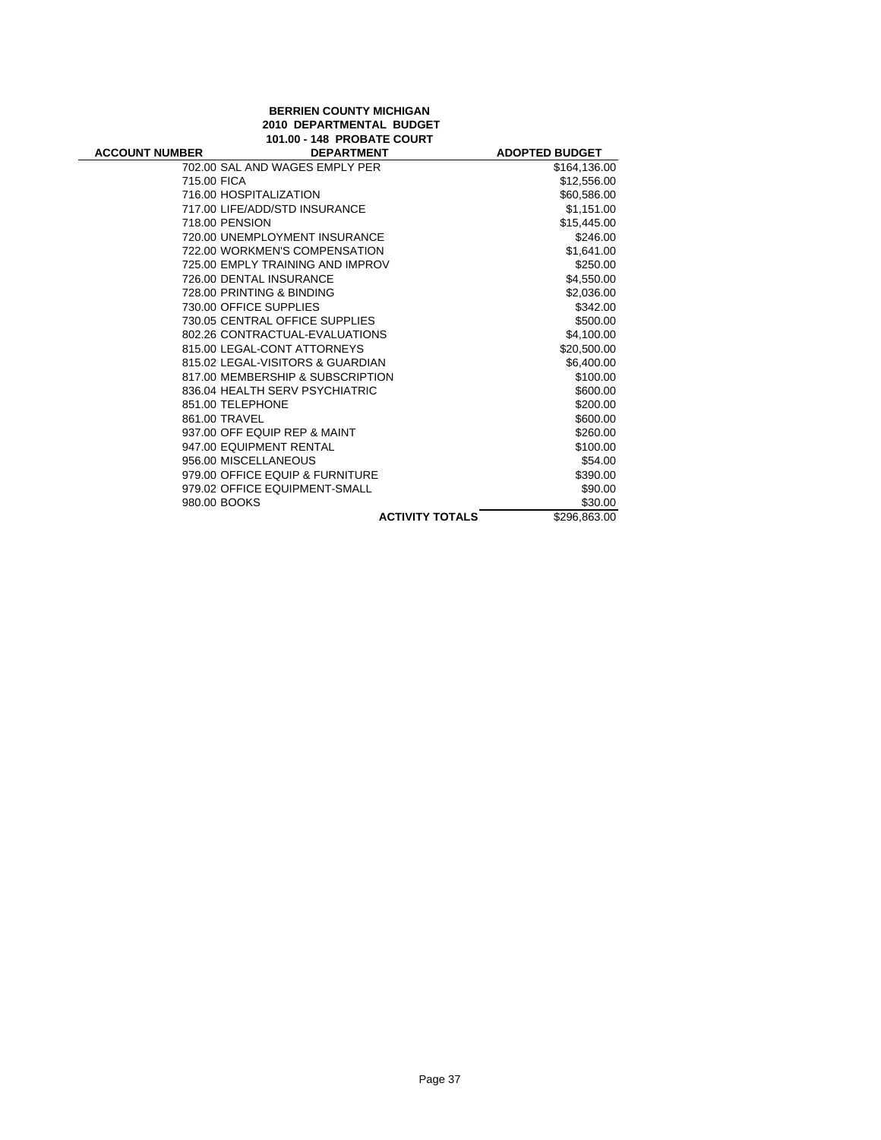| <b>BERRIEN COUNTY MICHIGAN</b> |
|--------------------------------|
| 2010 DEPARTMENTAL BUDGET       |
| 101.00 - 148 PROBATE COURT     |

| <b>ACCOUNT NUMBER</b> | ורשטווי שדו<br><b>DEPARTMENT</b> | <b>ADOPTED BUDGET</b>                  |  |
|-----------------------|----------------------------------|----------------------------------------|--|
|                       | 702.00 SAL AND WAGES EMPLY PER   | \$164,136.00                           |  |
| 715.00 FICA           |                                  | \$12,556.00                            |  |
|                       | 716.00 HOSPITALIZATION           | \$60,586.00                            |  |
|                       | 717.00 LIFE/ADD/STD INSURANCE    | \$1,151.00                             |  |
|                       | 718.00 PENSION                   | \$15,445.00                            |  |
|                       | 720.00 UNEMPLOYMENT INSURANCE    | \$246.00                               |  |
|                       | 722.00 WORKMEN'S COMPENSATION    | \$1,641.00                             |  |
|                       | 725.00 EMPLY TRAINING AND IMPROV | \$250.00                               |  |
|                       | 726.00 DENTAL INSURANCE          | \$4,550.00                             |  |
|                       | 728.00 PRINTING & BINDING        | \$2,036.00                             |  |
|                       | 730.00 OFFICE SUPPLIES           | \$342.00                               |  |
|                       | 730.05 CENTRAL OFFICE SUPPLIES   | \$500.00                               |  |
|                       | 802.26 CONTRACTUAL-EVALUATIONS   | \$4,100.00                             |  |
|                       | 815.00 LEGAL-CONT ATTORNEYS      | \$20,500.00                            |  |
|                       | 815.02 LEGAL-VISITORS & GUARDIAN | \$6,400.00                             |  |
|                       | 817.00 MEMBERSHIP & SUBSCRIPTION | \$100.00                               |  |
|                       | 836.04 HEALTH SERV PSYCHIATRIC   | \$600.00                               |  |
|                       | 851.00 TELEPHONE                 | \$200.00                               |  |
|                       | 861.00 TRAVEL                    | \$600.00                               |  |
|                       | 937.00 OFF EQUIP REP & MAINT     | \$260.00                               |  |
|                       | 947.00 EQUIPMENT RENTAL          | \$100.00                               |  |
|                       | 956.00 MISCELLANEOUS             | \$54.00                                |  |
|                       | 979.00 OFFICE EQUIP & FURNITURE  | \$390.00                               |  |
|                       | 979.02 OFFICE EQUIPMENT-SMALL    | \$90.00                                |  |
| 980.00 BOOKS          |                                  | \$30.00                                |  |
|                       |                                  | \$296,863.00<br><b>ACTIVITY TOTALS</b> |  |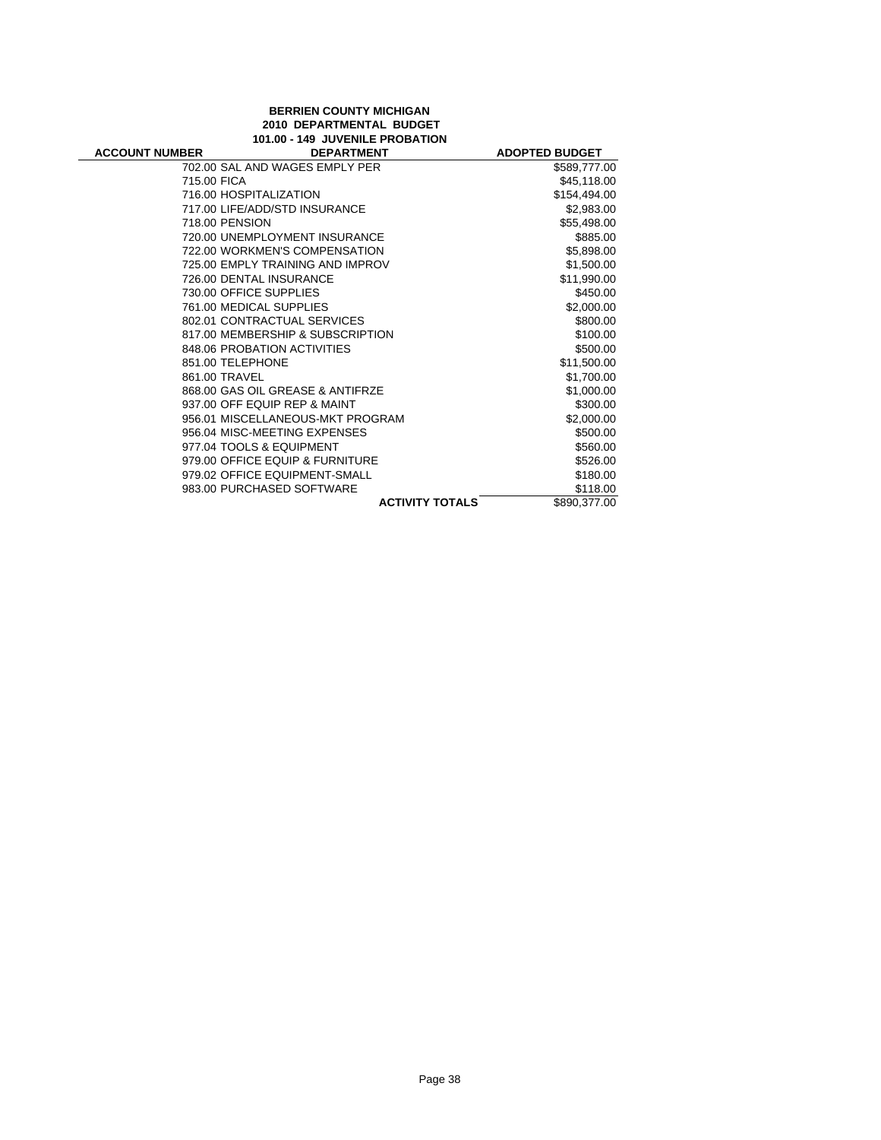## **BERRIEN COUNTY MICHIGAN 2010 DEPARTMENTAL BUDGET 101.00 - 149 JUVENILE PROBATION**

| <b>ACCOUNT NUMBER</b> | <b>DEPARTMENT</b>                |                        | <b>ADOPTED BUDGET</b> |
|-----------------------|----------------------------------|------------------------|-----------------------|
|                       | 702.00 SAL AND WAGES EMPLY PER   |                        | \$589,777.00          |
| 715.00 FICA           |                                  |                        | \$45,118.00           |
|                       | 716.00 HOSPITALIZATION           |                        | \$154,494.00          |
|                       | 717.00 LIFE/ADD/STD INSURANCE    |                        | \$2,983.00            |
|                       | 718.00 PENSION                   |                        | \$55,498.00           |
|                       | 720.00 UNEMPLOYMENT INSURANCE    |                        | \$885.00              |
|                       | 722.00 WORKMEN'S COMPENSATION    |                        | \$5,898.00            |
|                       | 725.00 EMPLY TRAINING AND IMPROV |                        | \$1,500.00            |
|                       | 726.00 DENTAL INSURANCE          |                        | \$11,990.00           |
|                       | 730.00 OFFICE SUPPLIES           |                        | \$450.00              |
|                       | 761.00 MEDICAL SUPPLIES          |                        | \$2,000.00            |
|                       | 802.01 CONTRACTUAL SERVICES      |                        | \$800.00              |
|                       | 817.00 MEMBERSHIP & SUBSCRIPTION |                        | \$100.00              |
|                       | 848.06 PROBATION ACTIVITIES      |                        | \$500.00              |
|                       | 851.00 TELEPHONE                 |                        | \$11,500.00           |
| 861.00 TRAVEL         |                                  |                        | \$1,700.00            |
|                       | 868.00 GAS OIL GREASE & ANTIFRZE |                        | \$1,000.00            |
|                       | 937.00 OFF EQUIP REP & MAINT     |                        | \$300.00              |
|                       | 956.01 MISCELLANEOUS-MKT PROGRAM |                        | \$2,000.00            |
|                       | 956.04 MISC-MEETING EXPENSES     |                        | \$500.00              |
|                       | 977.04 TOOLS & EQUIPMENT         |                        | \$560.00              |
|                       | 979.00 OFFICE EQUIP & FURNITURE  |                        | \$526.00              |
|                       | 979.02 OFFICE EQUIPMENT-SMALL    |                        | \$180.00              |
|                       | 983.00 PURCHASED SOFTWARE        |                        | \$118.00              |
|                       |                                  | <b>ACTIVITY TOTALS</b> | \$890,377.00          |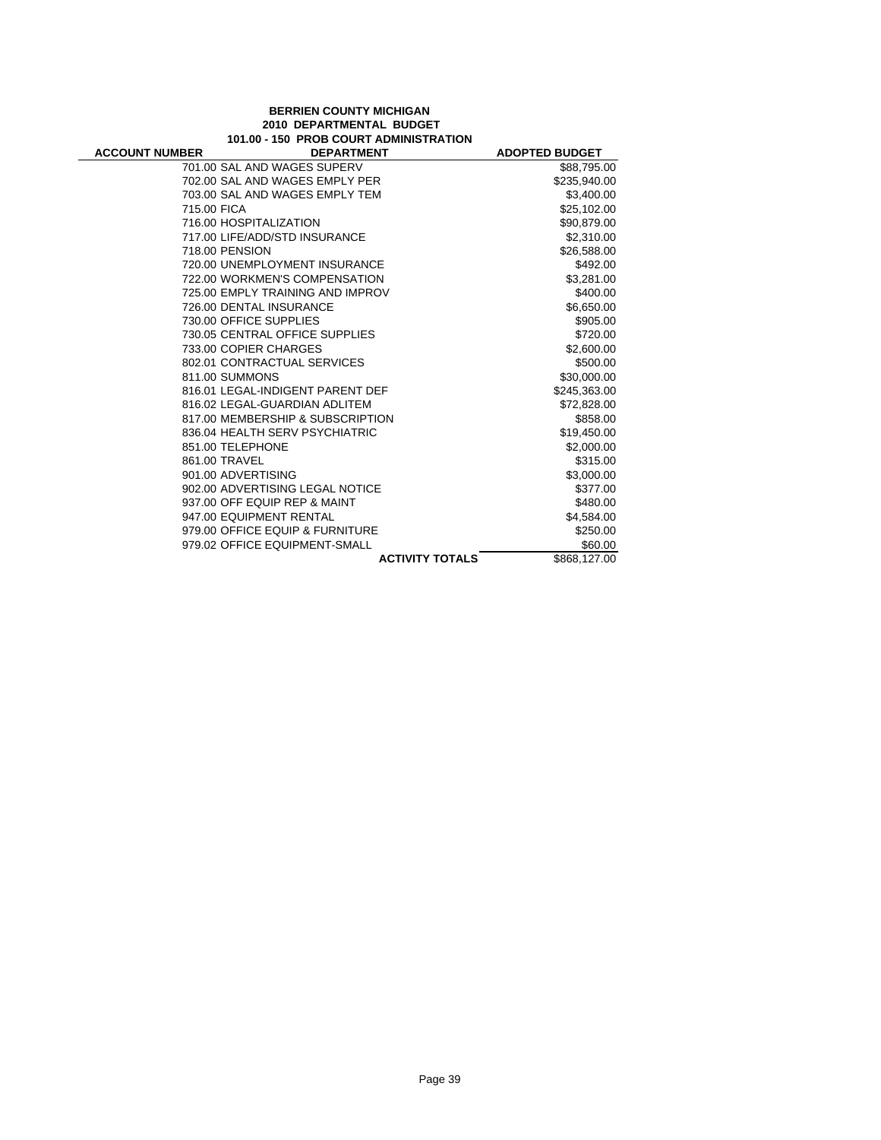## **BERRIEN COUNTY MICHIGAN 2010 DEPARTMENTAL BUDGET 101.00 - 150 PROB COURT ADMINISTRATION**

| <b>ACCOUNT NUMBER</b> | <b>DEPARTMENT</b>                | <b>ADOPTED BUDGET</b> |
|-----------------------|----------------------------------|-----------------------|
|                       | 701.00 SAL AND WAGES SUPERV      | \$88,795.00           |
|                       | 702.00 SAL AND WAGES EMPLY PER   | \$235,940.00          |
|                       | 703.00 SAL AND WAGES EMPLY TEM   | \$3,400.00            |
| 715.00 FICA           |                                  | \$25,102.00           |
|                       | 716.00 HOSPITALIZATION           | \$90,879.00           |
|                       | 717.00 LIFE/ADD/STD INSURANCE    | \$2,310.00            |
|                       | 718.00 PENSION                   | \$26,588.00           |
|                       | 720.00 UNEMPLOYMENT INSURANCE    | \$492.00              |
|                       | 722.00 WORKMEN'S COMPENSATION    | \$3,281.00            |
|                       | 725.00 EMPLY TRAINING AND IMPROV | \$400.00              |
|                       | 726.00 DENTAL INSURANCE          | \$6,650.00            |
|                       | 730.00 OFFICE SUPPLIES           | \$905.00              |
|                       | 730.05 CENTRAL OFFICE SUPPLIES   | \$720.00              |
|                       | 733.00 COPIER CHARGES            | \$2,600.00            |
|                       | 802.01 CONTRACTUAL SERVICES      | \$500.00              |
|                       | 811.00 SUMMONS                   | \$30,000.00           |
|                       | 816.01 LEGAL-INDIGENT PARENT DEF | \$245,363.00          |
|                       | 816.02 LEGAL-GUARDIAN ADLITEM    | \$72,828.00           |
|                       | 817.00 MEMBERSHIP & SUBSCRIPTION | \$858.00              |
|                       | 836.04 HEALTH SERV PSYCHIATRIC   | \$19,450.00           |
|                       | 851.00 TELEPHONE                 | \$2,000.00            |
|                       | 861.00 TRAVEL                    | \$315.00              |
|                       | 901.00 ADVERTISING               | \$3,000.00            |
|                       | 902.00 ADVERTISING LEGAL NOTICE  | \$377.00              |
|                       | 937.00 OFF EQUIP REP & MAINT     | \$480.00              |
|                       | 947.00 EQUIPMENT RENTAL          | \$4,584.00            |
|                       | 979.00 OFFICE EQUIP & FURNITURE  | \$250.00              |
|                       | 979.02 OFFICE EQUIPMENT-SMALL    | \$60.00               |
|                       | <b>ACTIVITY TOTALS</b>           | \$868,127.00          |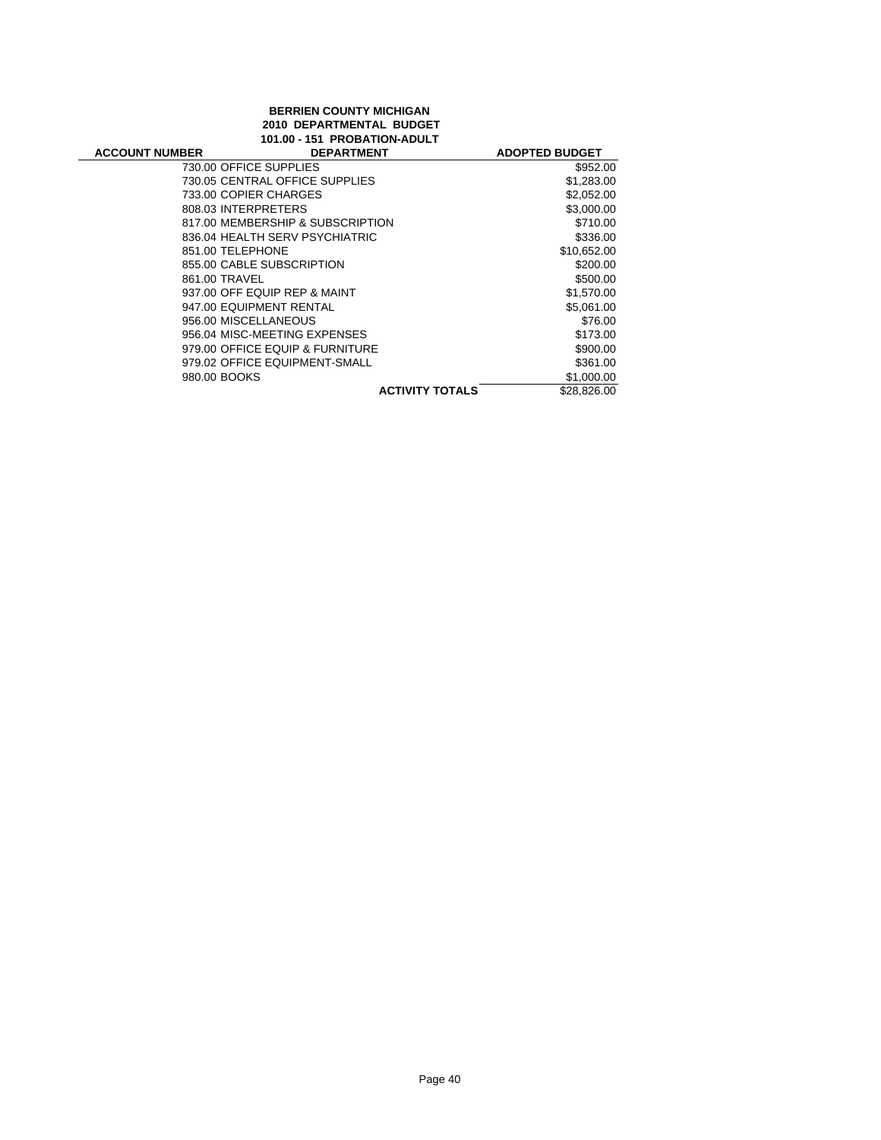## **BERRIEN COUNTY MICHIGAN 2010 DEPARTMENTAL BUDGET 101.00 - 151 PROBATION-ADULT**

| <b>ACCOUNT NUMBER</b>  | <b>DEPARTMENT</b>                | <b>ADOPTED BUDGET</b> |
|------------------------|----------------------------------|-----------------------|
| 730.00 OFFICE SUPPLIES |                                  | \$952.00              |
|                        | 730.05 CENTRAL OFFICE SUPPLIES   | \$1,283.00            |
|                        | 733.00 COPIER CHARGES            | \$2,052.00            |
| 808.03 INTERPRETERS    |                                  | \$3,000.00            |
|                        | 817.00 MEMBERSHIP & SUBSCRIPTION | \$710.00              |
|                        | 836.04 HEALTH SERV PSYCHIATRIC   | \$336.00              |
| 851.00 TELEPHONE       |                                  | \$10,652.00           |
|                        | 855.00 CABLE SUBSCRIPTION        | \$200.00              |
| 861.00 TRAVEL          |                                  | \$500.00              |
|                        | 937.00 OFF EQUIP REP & MAINT     | \$1,570.00            |
|                        | 947.00 EQUIPMENT RENTAL          | \$5,061.00            |
| 956.00 MISCELLANEOUS   |                                  | \$76.00               |
|                        | 956.04 MISC-MEETING EXPENSES     | \$173.00              |
|                        | 979.00 OFFICE EQUIP & FURNITURE  | \$900.00              |
|                        | 979.02 OFFICE EQUIPMENT-SMALL    | \$361.00              |
| 980.00 BOOKS           |                                  | \$1,000.00            |
|                        | <b>ACTIVITY TOTALS</b>           | \$28,826.00           |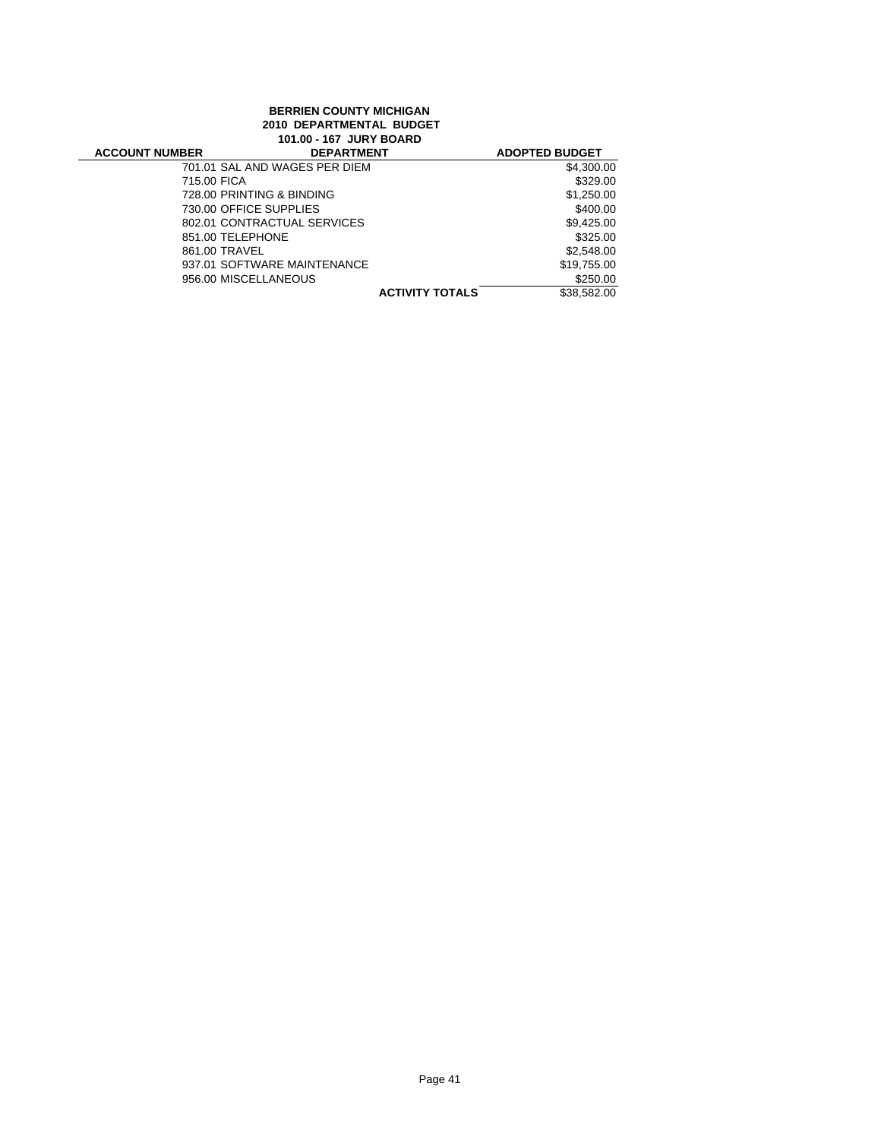## **BERRIEN COUNTY MICHIGAN 2010 DEPARTMENTAL BUDGET 101.00 - 167 JURY BOARD**

| <b>ACCOUNT NUMBER</b> | <b>DEPARTMENT</b>             |                        | <b>ADOPTED BUDGET</b> |
|-----------------------|-------------------------------|------------------------|-----------------------|
|                       | 701.01 SAL AND WAGES PER DIEM |                        | \$4,300.00            |
| 715.00 FICA           |                               |                        | \$329.00              |
|                       | 728.00 PRINTING & BINDING     |                        | \$1,250.00            |
|                       | 730.00 OFFICE SUPPLIES        |                        | \$400.00              |
|                       | 802.01 CONTRACTUAL SERVICES   |                        | \$9,425.00            |
|                       | 851.00 TELEPHONE              |                        | \$325.00              |
| 861.00 TRAVEL         |                               |                        | \$2,548.00            |
|                       | 937.01 SOFTWARE MAINTENANCE   |                        | \$19.755.00           |
|                       | 956.00 MISCELLANEOUS          |                        | \$250.00              |
|                       |                               | <b>ACTIVITY TOTALS</b> | \$38.582.00           |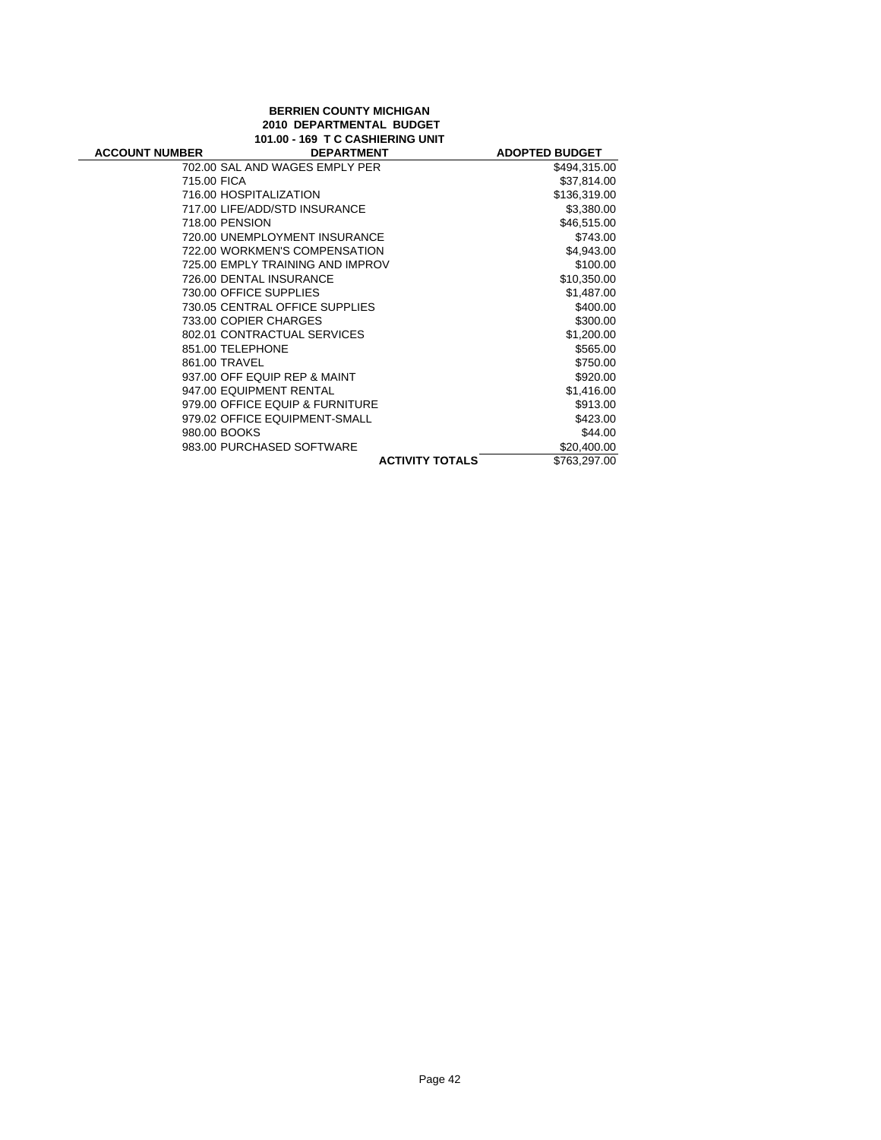## **BERRIEN COUNTY MICHIGAN 2010 DEPARTMENTAL BUDGET 101.00 - 169 T C CASHIERING UNIT**

| <b>ACCOUNT NUMBER</b> | <b>DEPARTMENT</b>                | <b>ADOPTED BUDGET</b> |
|-----------------------|----------------------------------|-----------------------|
|                       | 702.00 SAL AND WAGES EMPLY PER   | \$494,315.00          |
| 715.00 FICA           |                                  | \$37,814.00           |
|                       | 716.00 HOSPITALIZATION           | \$136,319.00          |
|                       | 717.00 LIFE/ADD/STD INSURANCE    | \$3,380.00            |
| 718.00 PENSION        |                                  | \$46,515.00           |
|                       | 720.00 UNEMPLOYMENT INSURANCE    | \$743.00              |
|                       | 722.00 WORKMEN'S COMPENSATION    | \$4,943.00            |
|                       | 725.00 EMPLY TRAINING AND IMPROV | \$100.00              |
|                       | 726.00 DENTAL INSURANCE          | \$10,350.00           |
|                       | 730.00 OFFICE SUPPLIES           | \$1,487.00            |
|                       | 730.05 CENTRAL OFFICE SUPPLIES   | \$400.00              |
|                       | 733.00 COPIER CHARGES            | \$300.00              |
|                       | 802.01 CONTRACTUAL SERVICES      | \$1,200.00            |
| 851.00 TELEPHONE      |                                  | \$565.00              |
| 861.00 TRAVEL         |                                  | \$750.00              |
|                       | 937.00 OFF EQUIP REP & MAINT     | \$920.00              |
|                       | 947.00 EQUIPMENT RENTAL          | \$1,416.00            |
|                       | 979.00 OFFICE EQUIP & FURNITURE  | \$913.00              |
|                       | 979.02 OFFICE EQUIPMENT-SMALL    | \$423.00              |
| 980.00 BOOKS          |                                  | \$44.00               |
|                       | 983.00 PURCHASED SOFTWARE        | \$20,400.00           |
|                       | <b>ACTIVITY TOTALS</b>           | \$763,297.00          |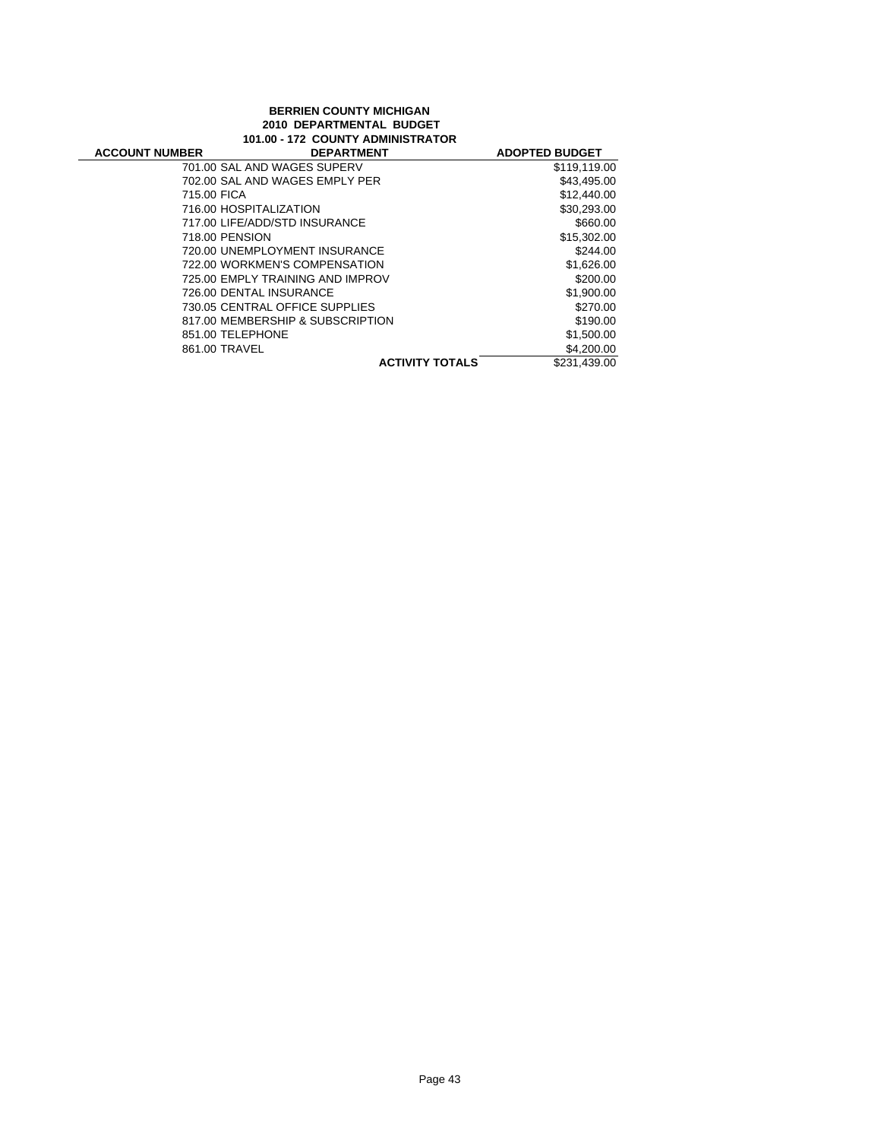### **BERRIEN COUNTY MICHIGAN 2010 DEPARTMENTAL BUDGET 101.00 - 172 COUNTY ADMINISTRATOR**

| <b>ACCOUNT NUMBER</b> | <b>DEPARTMENT</b>                | <b>ADOPTED BUDGET</b> |
|-----------------------|----------------------------------|-----------------------|
|                       | 701.00 SAL AND WAGES SUPERV      | \$119,119.00          |
|                       | 702.00 SAL AND WAGES EMPLY PER   | \$43,495.00           |
| 715.00 FICA           |                                  | \$12,440.00           |
|                       | 716.00 HOSPITALIZATION           | \$30.293.00           |
|                       | 717.00 LIFE/ADD/STD INSURANCE    | \$660.00              |
|                       | 718.00 PENSION                   | \$15,302.00           |
|                       | 720.00 UNEMPLOYMENT INSURANCE    | \$244.00              |
|                       | 722.00 WORKMEN'S COMPENSATION    | \$1,626.00            |
|                       | 725.00 EMPLY TRAINING AND IMPROV | \$200.00              |
|                       | 726.00 DENTAL INSURANCE          | \$1,900.00            |
|                       | 730.05 CENTRAL OFFICE SUPPLIES   | \$270.00              |
|                       | 817.00 MEMBERSHIP & SUBSCRIPTION | \$190.00              |
|                       | 851.00 TELEPHONE                 | \$1,500.00            |
|                       | 861.00 TRAVEL                    | \$4,200.00            |
|                       | <b>ACTIVITY TOTALS</b>           | \$231,439.00          |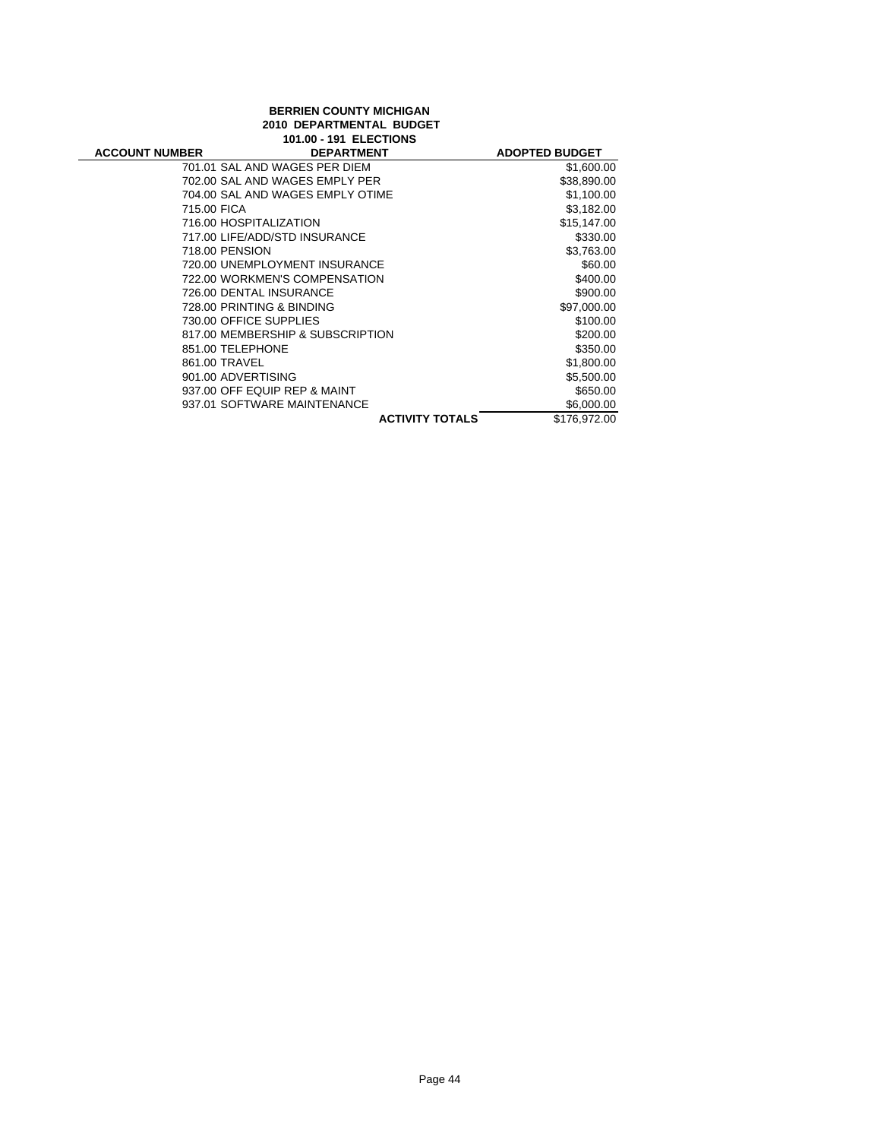# **BERRIEN COUNTY MICHIGAN 2010 DEPARTMENTAL BUDGET 101.00 - 191 ELECTIONS**

| <b>DEPARTMENT</b>                | <b>ADOPTED BUDGET</b>                          |
|----------------------------------|------------------------------------------------|
| 701.01 SAL AND WAGES PER DIEM    | \$1,600.00                                     |
| 702.00 SAL AND WAGES EMPLY PER   | \$38,890.00                                    |
| 704.00 SAL AND WAGES EMPLY OTIME | \$1,100.00                                     |
| 715.00 FICA                      | \$3,182.00                                     |
| 716.00 HOSPITALIZATION           | \$15,147.00                                    |
| 717.00 LIFE/ADD/STD INSURANCE    | \$330.00                                       |
| 718.00 PENSION                   | \$3,763.00                                     |
| 720.00 UNEMPLOYMENT INSURANCE    | \$60.00                                        |
| 722.00 WORKMEN'S COMPENSATION    | \$400.00                                       |
| 726.00 DENTAL INSURANCE          | \$900.00                                       |
| 728.00 PRINTING & BINDING        | \$97,000.00                                    |
| 730.00 OFFICE SUPPLIES           | \$100.00                                       |
| 817.00 MEMBERSHIP & SUBSCRIPTION | \$200.00                                       |
| 851.00 TELEPHONE                 | \$350.00                                       |
| 861.00 TRAVEL                    | \$1,800.00                                     |
| 901.00 ADVERTISING               | \$5,500.00                                     |
| 937.00 OFF EQUIP REP & MAINT     | \$650.00                                       |
| 937.01 SOFTWARE MAINTENANCE      | \$6,000.00                                     |
|                                  | \$176,972.00                                   |
|                                  | 101.00 - 131 LLLUINJ<br><b>ACTIVITY TOTALS</b> |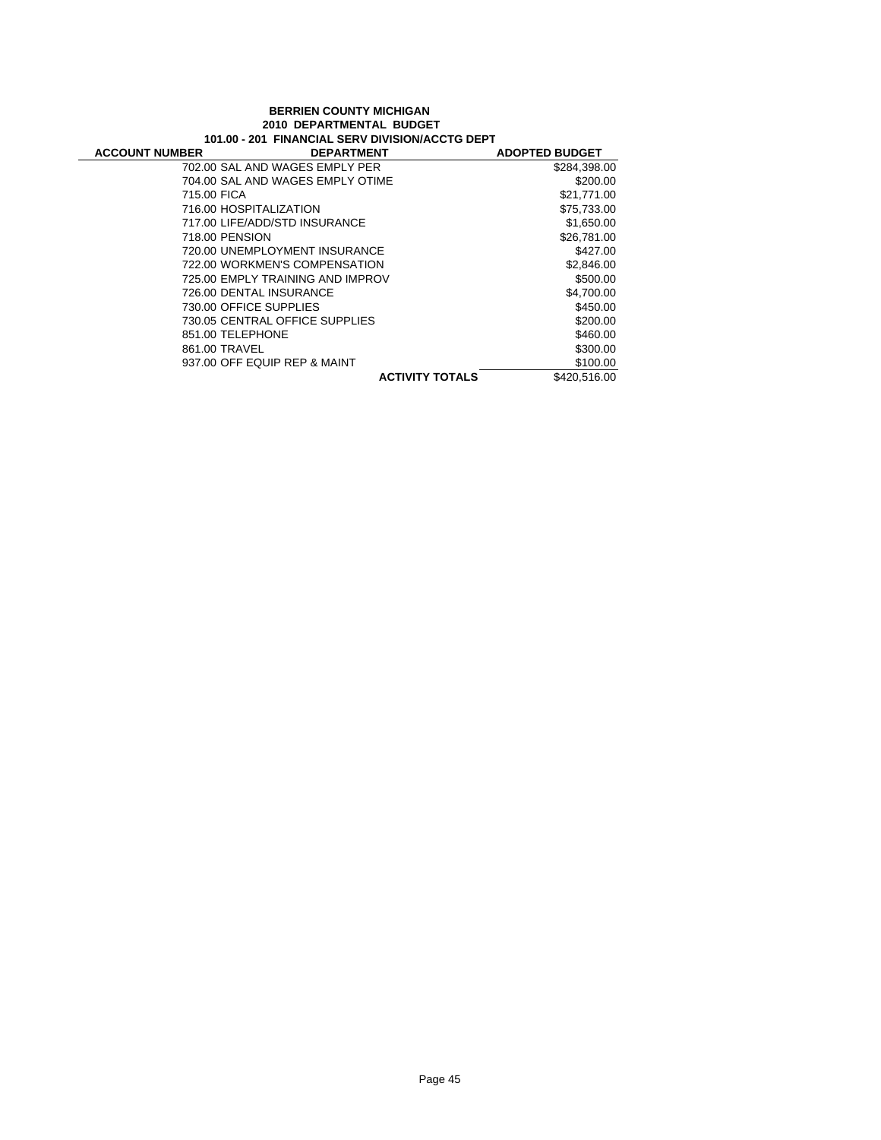### **BERRIEN COUNTY MICHIGAN 2010 DEPARTMENTAL BUDGET 101.00 - 201 FINANCIAL SERV DIVISION/ACCTG DEPT**

| <b>ACCOUNT NUMBER</b>  | <b>DEPARTMENT</b>                | <b>ADOPTED BUDGET</b> |
|------------------------|----------------------------------|-----------------------|
|                        | 702.00 SAL AND WAGES EMPLY PER   | \$284,398.00          |
|                        | 704.00 SAL AND WAGES EMPLY OTIME | \$200.00              |
| 715.00 FICA            |                                  | \$21,771.00           |
| 716.00 HOSPITALIZATION |                                  | \$75,733.00           |
|                        | 717.00 LIFE/ADD/STD INSURANCE    | \$1,650.00            |
| 718.00 PENSION         |                                  | \$26,781.00           |
|                        | 720.00 UNEMPLOYMENT INSURANCE    | \$427.00              |
|                        | 722.00 WORKMEN'S COMPENSATION    | \$2,846.00            |
|                        | 725.00 EMPLY TRAINING AND IMPROV | \$500.00              |
|                        | 726.00 DENTAL INSURANCE          | \$4,700.00            |
| 730.00 OFFICE SUPPLIES |                                  | \$450.00              |
|                        | 730.05 CENTRAL OFFICE SUPPLIES   | \$200.00              |
| 851.00 TELEPHONE       |                                  | \$460.00              |
| 861.00 TRAVEL          |                                  | \$300.00              |
|                        | 937.00 OFF EQUIP REP & MAINT     | \$100.00              |
|                        | <b>ACTIVITY TOTALS</b>           | \$420,516.00          |
|                        |                                  |                       |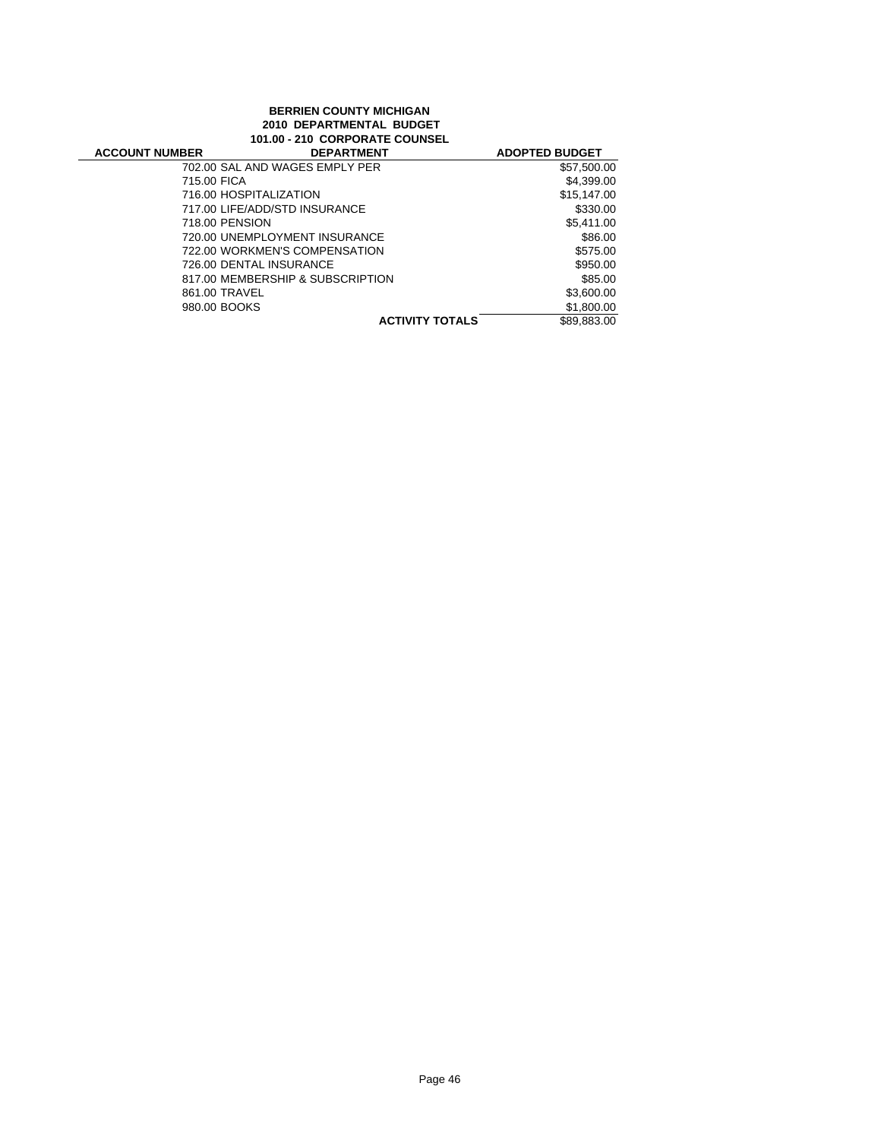### **BERRIEN COUNTY MICHIGAN 2010 DEPARTMENTAL BUDGET 101.00 - 210 CORPORATE COUNSEL**

| <b>ACCOUNT NUMBER</b> | <b>DEPARTMENT</b>                | <b>ADOPTED BUDGET</b> |
|-----------------------|----------------------------------|-----------------------|
|                       | 702.00 SAL AND WAGES EMPLY PER   | \$57,500.00           |
| 715.00 FICA           |                                  | \$4,399.00            |
|                       | 716.00 HOSPITALIZATION           | \$15,147.00           |
|                       | 717.00 LIFE/ADD/STD INSURANCE    | \$330.00              |
| 718.00 PENSION        |                                  | \$5,411.00            |
|                       | 720.00 UNEMPLOYMENT INSURANCE    | \$86.00               |
|                       | 722.00 WORKMEN'S COMPENSATION    | \$575.00              |
|                       | 726.00 DENTAL INSURANCE          | \$950.00              |
|                       | 817.00 MEMBERSHIP & SUBSCRIPTION | \$85.00               |
| 861.00 TRAVEL         |                                  | \$3,600.00            |
| 980.00 BOOKS          |                                  | \$1,800.00            |
|                       | <b>ACTIVITY TOTALS</b>           | \$89.883.00           |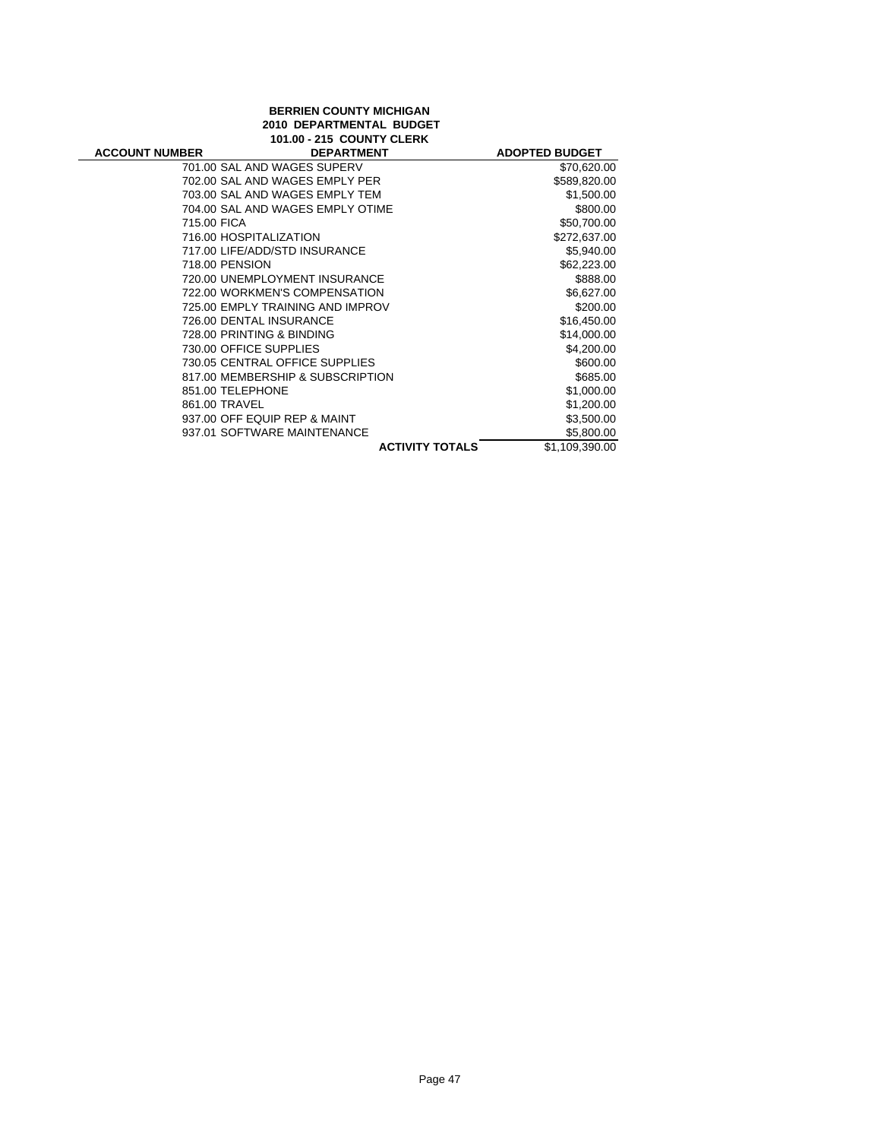# **BERRIEN COUNTY MICHIGAN 2010 DEPARTMENTAL BUDGET 101.00 - 215 COUNTY CLERK**

| <b>ACCOUNT NUMBER</b> | <b>DEPARTMENT</b>                | <b>ADOPTED BUDGET</b> |
|-----------------------|----------------------------------|-----------------------|
|                       | 701.00 SAL AND WAGES SUPERV      | \$70,620.00           |
|                       | 702.00 SAL AND WAGES EMPLY PER   | \$589,820.00          |
|                       | 703.00 SAL AND WAGES EMPLY TEM   | \$1,500.00            |
|                       | 704.00 SAL AND WAGES EMPLY OTIME | \$800.00              |
| 715.00 FICA           |                                  | \$50,700.00           |
|                       | 716.00 HOSPITALIZATION           | \$272,637.00          |
|                       | 717.00 LIFE/ADD/STD INSURANCE    | \$5,940.00            |
|                       | 718.00 PENSION                   | \$62,223.00           |
|                       | 720.00 UNEMPLOYMENT INSURANCE    | \$888.00              |
|                       | 722.00 WORKMEN'S COMPENSATION    | \$6,627.00            |
|                       | 725.00 EMPLY TRAINING AND IMPROV | \$200.00              |
|                       | 726.00 DENTAL INSURANCE          | \$16,450.00           |
|                       | 728.00 PRINTING & BINDING        | \$14,000.00           |
|                       | 730.00 OFFICE SUPPLIES           | \$4,200.00            |
|                       | 730.05 CENTRAL OFFICE SUPPLIES   | \$600.00              |
|                       | 817.00 MEMBERSHIP & SUBSCRIPTION | \$685.00              |
|                       | 851.00 TELEPHONE                 | \$1,000.00            |
|                       | 861.00 TRAVEL                    | \$1,200.00            |
|                       | 937.00 OFF EQUIP REP & MAINT     | \$3,500.00            |
|                       | 937.01 SOFTWARE MAINTENANCE      | \$5,800.00            |
|                       | <b>ACTIVITY TOTALS</b>           | \$1,109,390.00        |
|                       |                                  |                       |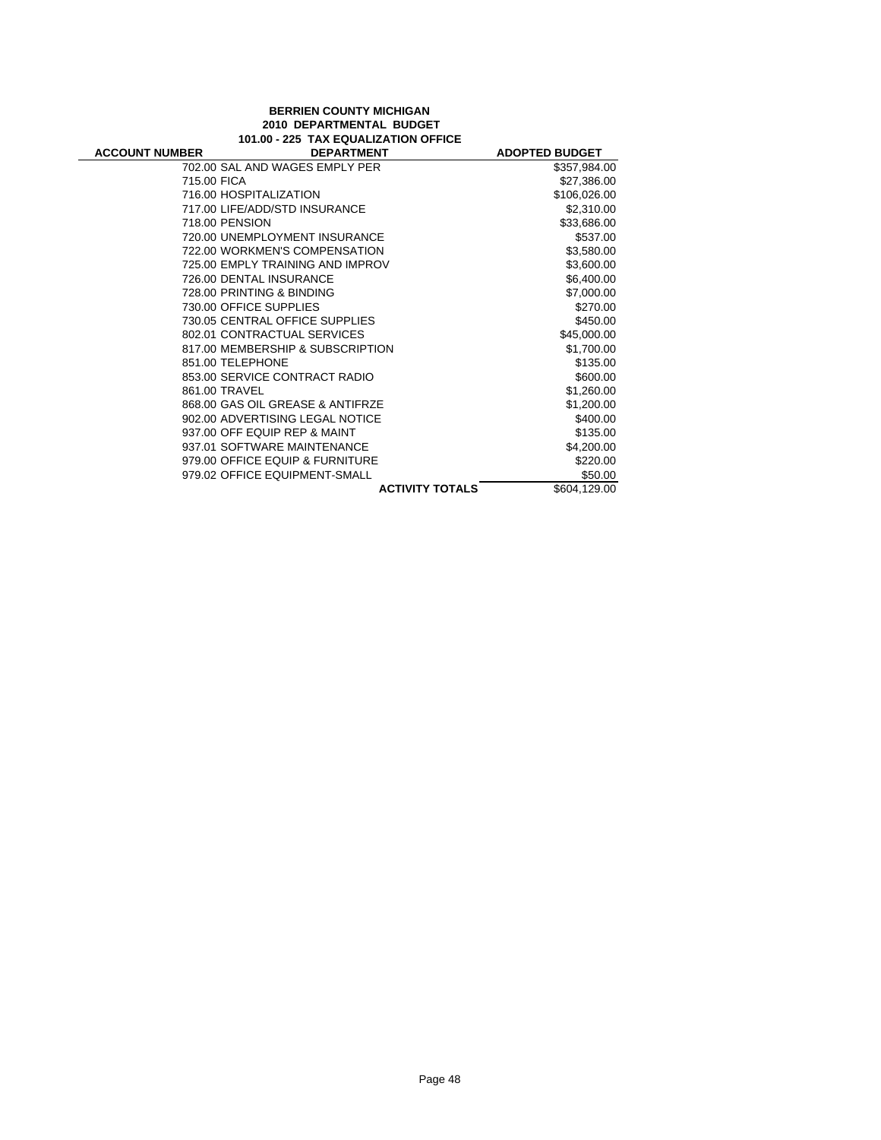### **BERRIEN COUNTY MICHIGAN 2010 DEPARTMENTAL BUDGET 101.00 - 225 TAX EQUALIZATION OFFICE**

 $\overline{\phantom{0}}$ 

| <b>ACCOUNT NUMBER</b> | <b>DEPARTMENT</b>                |                        | <b>ADOPTED BUDGET</b> |
|-----------------------|----------------------------------|------------------------|-----------------------|
|                       | 702.00 SAL AND WAGES EMPLY PER   |                        | \$357,984.00          |
| 715.00 FICA           |                                  |                        | \$27,386.00           |
|                       | 716.00 HOSPITALIZATION           |                        | \$106,026.00          |
|                       | 717.00 LIFE/ADD/STD INSURANCE    |                        | \$2,310.00            |
|                       | 718.00 PENSION                   |                        | \$33,686.00           |
|                       | 720.00 UNEMPLOYMENT INSURANCE    |                        | \$537.00              |
|                       | 722.00 WORKMEN'S COMPENSATION    |                        | \$3,580.00            |
|                       | 725.00 EMPLY TRAINING AND IMPROV |                        | \$3,600.00            |
|                       | 726.00 DENTAL INSURANCE          |                        | \$6,400.00            |
|                       | 728.00 PRINTING & BINDING        |                        | \$7,000.00            |
|                       | 730.00 OFFICE SUPPLIES           |                        | \$270.00              |
|                       | 730.05 CENTRAL OFFICE SUPPLIES   |                        | \$450.00              |
|                       | 802.01 CONTRACTUAL SERVICES      |                        | \$45,000.00           |
|                       | 817.00 MEMBERSHIP & SUBSCRIPTION |                        | \$1,700.00            |
|                       | 851.00 TELEPHONE                 |                        | \$135.00              |
|                       | 853.00 SERVICE CONTRACT RADIO    |                        | \$600.00              |
|                       | 861.00 TRAVEL                    |                        | \$1,260.00            |
|                       | 868.00 GAS OIL GREASE & ANTIFRZE |                        | \$1,200.00            |
|                       | 902.00 ADVERTISING LEGAL NOTICE  |                        | \$400.00              |
|                       | 937.00 OFF EQUIP REP & MAINT     |                        | \$135.00              |
|                       | 937.01 SOFTWARE MAINTENANCE      |                        | \$4,200.00            |
|                       | 979.00 OFFICE EQUIP & FURNITURE  |                        | \$220.00              |
|                       | 979.02 OFFICE EQUIPMENT-SMALL    |                        | \$50.00               |
|                       |                                  | <b>ACTIVITY TOTALS</b> | \$604,129.00          |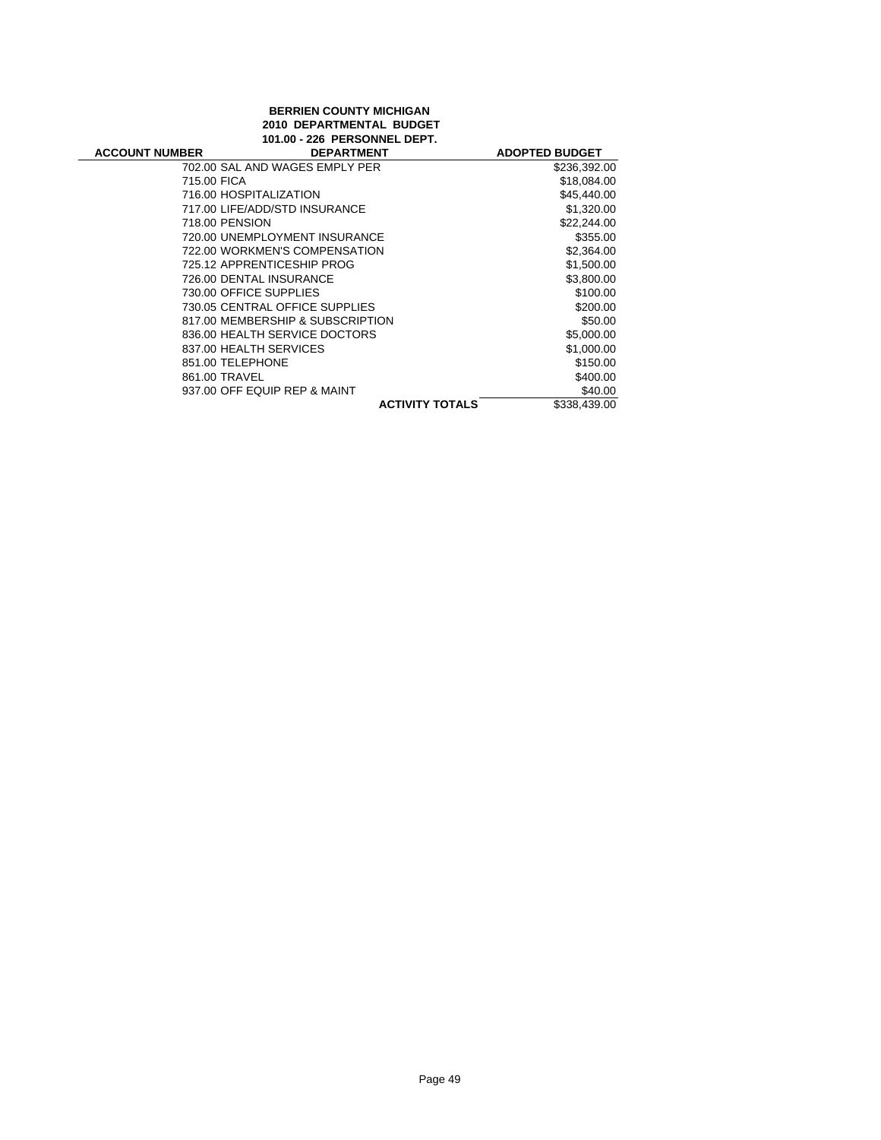# **BERRIEN COUNTY MICHIGAN 2010 DEPARTMENTAL BUDGET 101.00 - 226 PERSONNEL DEPT.**

| <b>ACCOUNT NUMBER</b> | <b>DEPARTMENT</b>                |                        | <b>ADOPTED BUDGET</b> |
|-----------------------|----------------------------------|------------------------|-----------------------|
|                       | 702.00 SAL AND WAGES EMPLY PER   |                        | \$236,392.00          |
| 715.00 FICA           |                                  |                        | \$18,084.00           |
|                       | 716.00 HOSPITALIZATION           |                        | \$45,440.00           |
|                       | 717.00 LIFE/ADD/STD INSURANCE    |                        | \$1,320.00            |
| 718.00 PENSION        |                                  |                        | \$22,244.00           |
|                       | 720.00 UNEMPLOYMENT INSURANCE    |                        | \$355.00              |
|                       | 722.00 WORKMEN'S COMPENSATION    |                        | \$2,364.00            |
|                       | 725.12 APPRENTICESHIP PROG       |                        | \$1,500.00            |
|                       | 726.00 DENTAL INSURANCE          |                        | \$3,800.00            |
|                       | 730.00 OFFICE SUPPLIES           |                        | \$100.00              |
|                       | 730.05 CENTRAL OFFICE SUPPLIES   |                        | \$200.00              |
|                       | 817.00 MEMBERSHIP & SUBSCRIPTION |                        | \$50.00               |
|                       | 836.00 HEALTH SERVICE DOCTORS    |                        | \$5,000.00            |
|                       | 837.00 HEALTH SERVICES           |                        | \$1,000.00            |
| 851.00 TELEPHONE      |                                  |                        | \$150.00              |
| 861.00 TRAVEL         |                                  |                        | \$400.00              |
|                       | 937.00 OFF EQUIP REP & MAINT     |                        | \$40.00               |
|                       |                                  | <b>ACTIVITY TOTALS</b> | \$338,439.00          |
|                       |                                  |                        |                       |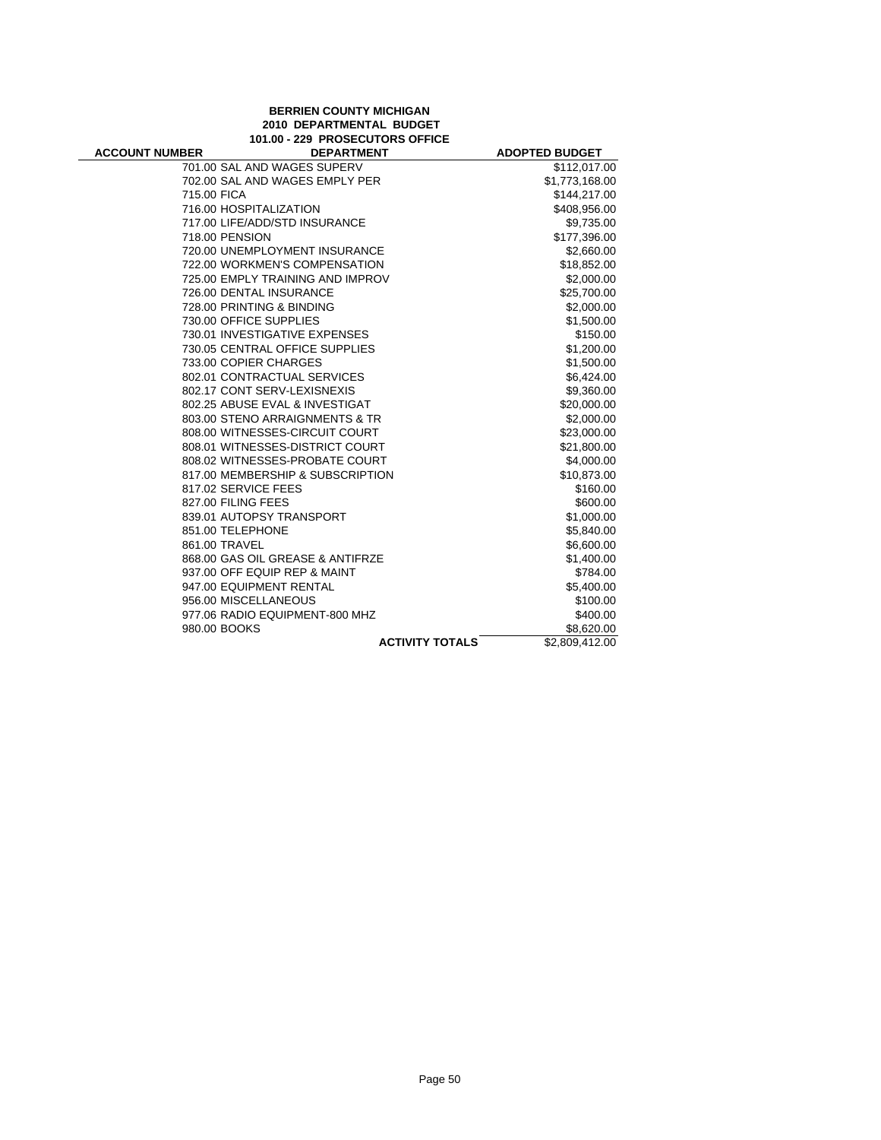## **BERRIEN COUNTY MICHIGAN 2010 DEPARTMENTAL BUDGET 101.00 - 229 PROSECUTORS OFFICE**

| <b>ACCOUNT NUMBER</b> | <b>DEPARTMENT</b>                | <b>ADOPTED BUDGET</b> |
|-----------------------|----------------------------------|-----------------------|
|                       | 701.00 SAL AND WAGES SUPERV      | \$112,017.00          |
|                       | 702.00 SAL AND WAGES EMPLY PER   | \$1,773,168.00        |
| 715.00 FICA           |                                  | \$144,217.00          |
|                       | 716.00 HOSPITALIZATION           | \$408,956.00          |
|                       | 717.00 LIFE/ADD/STD INSURANCE    | \$9,735.00            |
| 718.00 PENSION        |                                  | \$177,396.00          |
|                       | 720.00 UNEMPLOYMENT INSURANCE    | \$2,660.00            |
|                       | 722.00 WORKMEN'S COMPENSATION    | \$18,852.00           |
|                       | 725.00 EMPLY TRAINING AND IMPROV | \$2,000.00            |
|                       | 726.00 DENTAL INSURANCE          | \$25,700.00           |
|                       | 728.00 PRINTING & BINDING        | \$2,000.00            |
|                       | 730.00 OFFICE SUPPLIES           | \$1,500.00            |
|                       | 730.01 INVESTIGATIVE EXPENSES    | \$150.00              |
|                       | 730.05 CENTRAL OFFICE SUPPLIES   | \$1,200.00            |
|                       | 733.00 COPIER CHARGES            | \$1,500.00            |
|                       | 802.01 CONTRACTUAL SERVICES      | \$6,424.00            |
|                       | 802.17 CONT SERV-LEXISNEXIS      | \$9,360.00            |
|                       | 802.25 ABUSE EVAL & INVESTIGAT   | \$20,000.00           |
|                       | 803.00 STENO ARRAIGNMENTS & TR   | \$2,000.00            |
|                       | 808.00 WITNESSES-CIRCUIT COURT   | \$23,000.00           |
|                       | 808.01 WITNESSES-DISTRICT COURT  | \$21,800.00           |
|                       | 808.02 WITNESSES-PROBATE COURT   | \$4,000.00            |
|                       | 817.00 MEMBERSHIP & SUBSCRIPTION | \$10,873.00           |
| 817.02 SERVICE FEES   |                                  | \$160.00              |
| 827.00 FILING FEES    |                                  | \$600.00              |
|                       | 839.01 AUTOPSY TRANSPORT         | \$1,000.00            |
| 851.00 TELEPHONE      |                                  | \$5,840.00            |
| 861.00 TRAVEL         |                                  | \$6,600.00            |
|                       | 868.00 GAS OIL GREASE & ANTIFRZE | \$1,400.00            |
|                       | 937.00 OFF EQUIP REP & MAINT     | \$784.00              |
|                       | 947.00 EQUIPMENT RENTAL          | \$5,400.00            |
|                       | 956.00 MISCELLANEOUS             | \$100.00              |
|                       | 977.06 RADIO EQUIPMENT-800 MHZ   | \$400.00              |
| 980.00 BOOKS          |                                  | \$8,620.00            |
|                       | <b>ACTIVITY TOTALS</b>           | \$2,809,412.00        |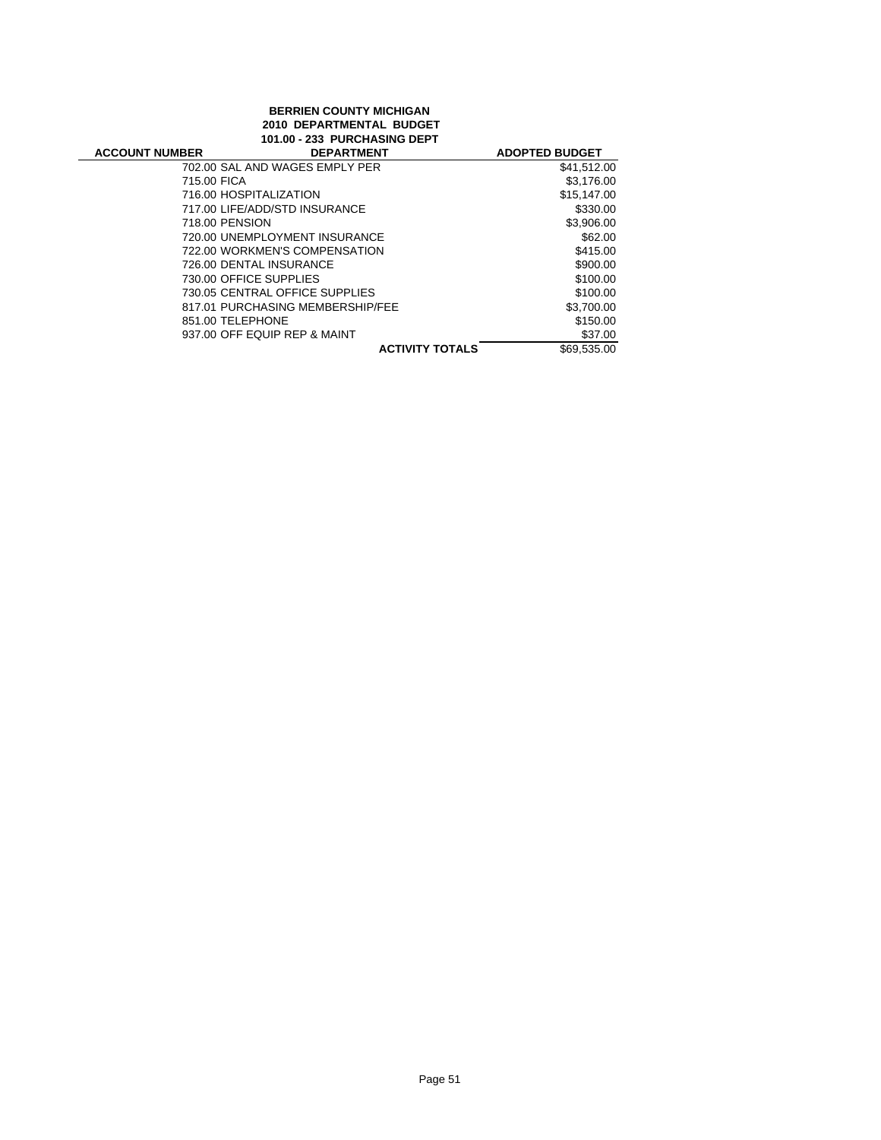## **BERRIEN COUNTY MICHIGAN 2010 DEPARTMENTAL BUDGET 101.00 - 233 PURCHASING DEPT**

| <b>ACCOUNT NUMBER</b> | <b>DEPARTMENT</b>                | <b>ADOPTED BUDGET</b> |
|-----------------------|----------------------------------|-----------------------|
|                       | 702.00 SAL AND WAGES EMPLY PER   | \$41,512.00           |
| 715.00 FICA           |                                  | \$3,176.00            |
|                       | 716.00 HOSPITALIZATION           | \$15.147.00           |
|                       | 717.00 LIFE/ADD/STD INSURANCE    | \$330.00              |
| 718.00 PENSION        |                                  | \$3,906.00            |
|                       | 720.00 UNEMPLOYMENT INSURANCE    | \$62.00               |
|                       | 722.00 WORKMEN'S COMPENSATION    | \$415.00              |
|                       | 726.00 DENTAL INSURANCE          | \$900.00              |
|                       | 730.00 OFFICE SUPPLIES           | \$100.00              |
|                       | 730.05 CENTRAL OFFICE SUPPLIES   | \$100.00              |
|                       | 817.01 PURCHASING MEMBERSHIP/FEE | \$3.700.00            |
| 851.00 TELEPHONE      |                                  | \$150.00              |
|                       | 937.00 OFF EQUIP REP & MAINT     | \$37.00               |
|                       | <b>ACTIVITY TOTALS</b>           | \$69,535.00           |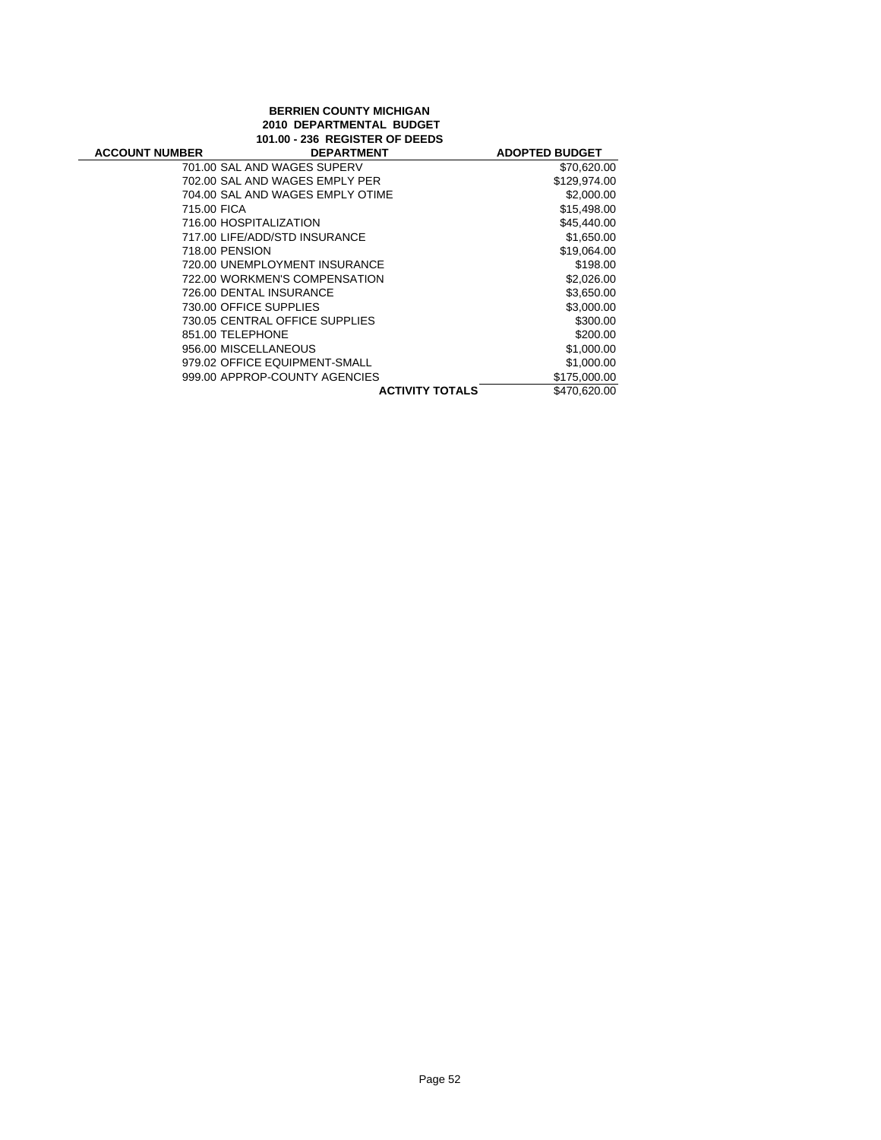## **BERRIEN COUNTY MICHIGAN 2010 DEPARTMENTAL BUDGET 101.00 - 236 REGISTER OF DEEDS**

| <b>ACCOUNT NUMBER</b> | <b>DEPARTMENT</b>                | <b>ADOPTED BUDGET</b> |
|-----------------------|----------------------------------|-----------------------|
|                       | 701.00 SAL AND WAGES SUPERV      | \$70,620.00           |
|                       | 702.00 SAL AND WAGES EMPLY PER   | \$129,974.00          |
|                       | 704.00 SAL AND WAGES EMPLY OTIME | \$2,000.00            |
| 715.00 FICA           |                                  | \$15,498.00           |
|                       | 716.00 HOSPITALIZATION           | \$45,440.00           |
|                       | 717.00 LIFE/ADD/STD INSURANCE    | \$1,650.00            |
| 718.00 PENSION        |                                  | \$19,064.00           |
|                       | 720.00 UNEMPLOYMENT INSURANCE    | \$198.00              |
|                       | 722.00 WORKMEN'S COMPENSATION    | \$2,026.00            |
|                       | 726.00 DENTAL INSURANCE          | \$3,650.00            |
|                       | 730.00 OFFICE SUPPLIES           | \$3,000.00            |
|                       | 730.05 CENTRAL OFFICE SUPPLIES   | \$300.00              |
| 851.00 TELEPHONE      |                                  | \$200.00              |
| 956.00 MISCELLANEOUS  |                                  | \$1,000.00            |
|                       | 979.02 OFFICE EQUIPMENT-SMALL    | \$1,000.00            |
|                       | 999.00 APPROP-COUNTY AGENCIES    | \$175,000.00          |
|                       | <b>ACTIVITY TOTALS</b>           | \$470,620.00          |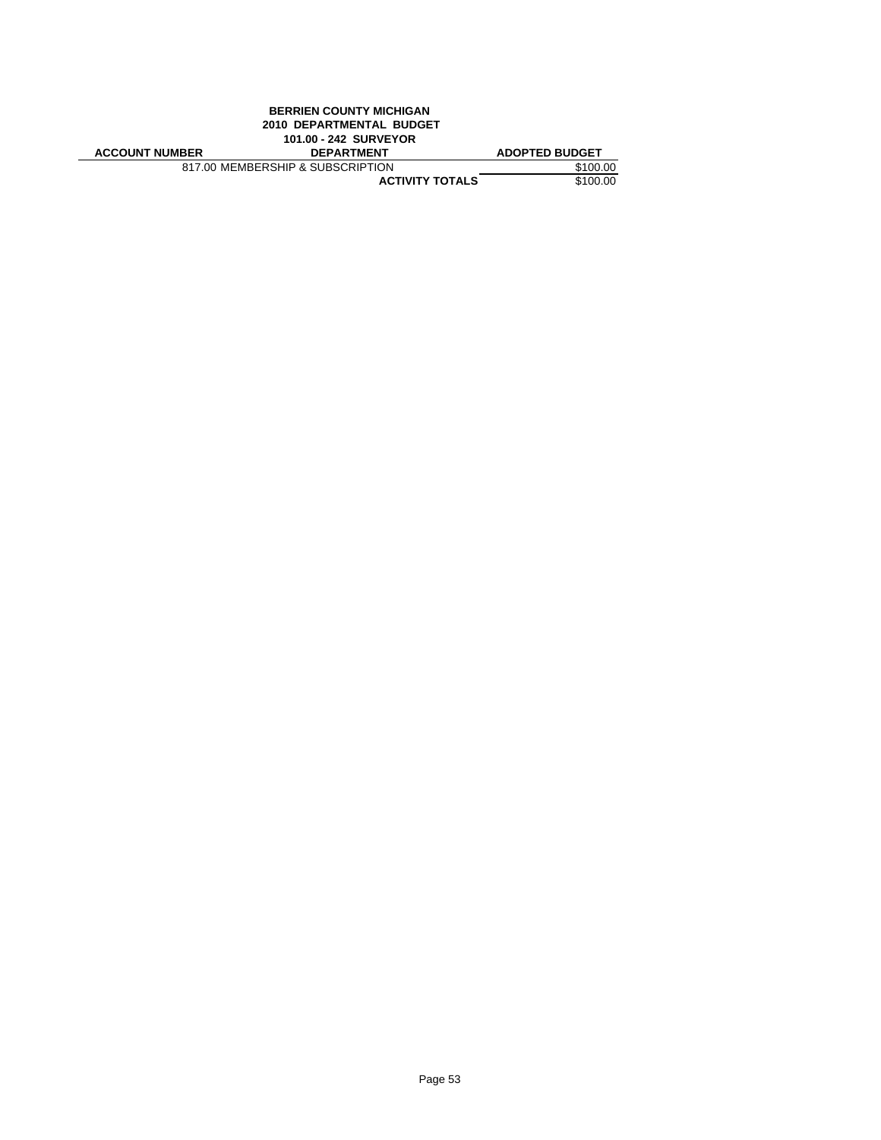|                          | <b>BERRIEN COUNTY MICHIGAN</b>   |                       |  |
|--------------------------|----------------------------------|-----------------------|--|
| 2010 DEPARTMENTAL BUDGET |                                  |                       |  |
| 101.00 - 242 SURVEYOR    |                                  |                       |  |
| <b>ACCOUNT NUMBER</b>    | <b>DEPARTMENT</b>                | <b>ADOPTED BUDGET</b> |  |
|                          | 817.00 MEMBERSHIP & SUBSCRIPTION | \$100.00              |  |
|                          | <b>ACTIVITY TOTALS</b>           | \$100.00              |  |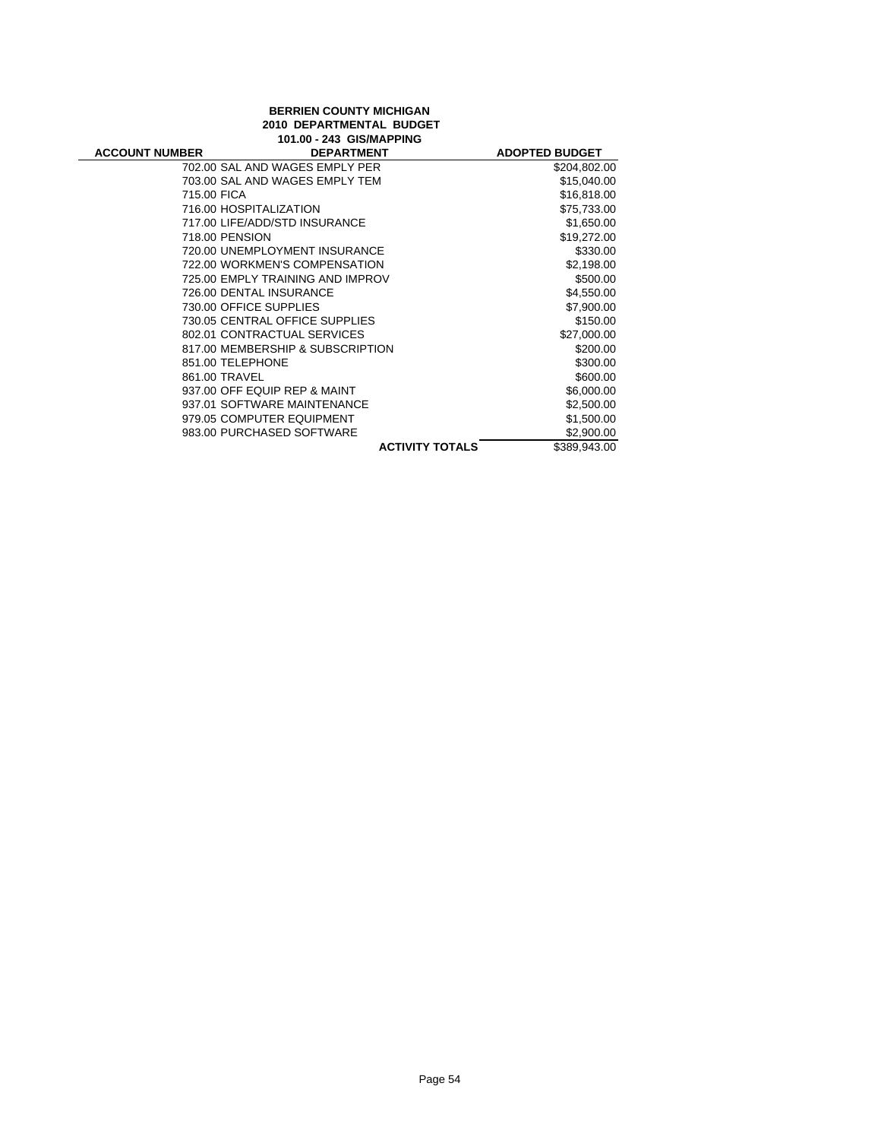# **BERRIEN COUNTY MICHIGAN 2010 DEPARTMENTAL BUDGET**

| 101.00 - 243 GIS/MAPPING |                                  |                        |                       |
|--------------------------|----------------------------------|------------------------|-----------------------|
| <b>ACCOUNT NUMBER</b>    | <b>DEPARTMENT</b>                |                        | <b>ADOPTED BUDGET</b> |
|                          | 702.00 SAL AND WAGES EMPLY PER   |                        | \$204,802.00          |
|                          | 703.00 SAL AND WAGES EMPLY TEM   |                        | \$15,040.00           |
| 715.00 FICA              |                                  |                        | \$16,818.00           |
|                          | 716.00 HOSPITALIZATION           |                        | \$75,733.00           |
|                          | 717.00 LIFE/ADD/STD INSURANCE    |                        | \$1,650.00            |
|                          | 718.00 PENSION                   |                        | \$19,272.00           |
|                          | 720.00 UNEMPLOYMENT INSURANCE    |                        | \$330.00              |
|                          | 722.00 WORKMEN'S COMPENSATION    |                        | \$2,198.00            |
|                          | 725.00 EMPLY TRAINING AND IMPROV |                        | \$500.00              |
|                          | 726.00 DENTAL INSURANCE          |                        | \$4,550.00            |
|                          | 730.00 OFFICE SUPPLIES           |                        | \$7,900.00            |
|                          | 730.05 CENTRAL OFFICE SUPPLIES   |                        | \$150.00              |
|                          | 802.01 CONTRACTUAL SERVICES      |                        | \$27,000.00           |
|                          | 817.00 MEMBERSHIP & SUBSCRIPTION |                        | \$200.00              |
|                          | 851.00 TELEPHONE                 |                        | \$300.00              |
|                          | 861.00 TRAVEL                    |                        | \$600.00              |
|                          | 937.00 OFF EQUIP REP & MAINT     |                        | \$6,000.00            |
|                          | 937.01 SOFTWARE MAINTENANCE      |                        | \$2,500.00            |
|                          | 979.05 COMPUTER EQUIPMENT        |                        | \$1,500.00            |
|                          | 983.00 PURCHASED SOFTWARE        |                        | \$2,900.00            |
|                          |                                  | <b>ACTIVITY TOTALS</b> | \$389,943.00          |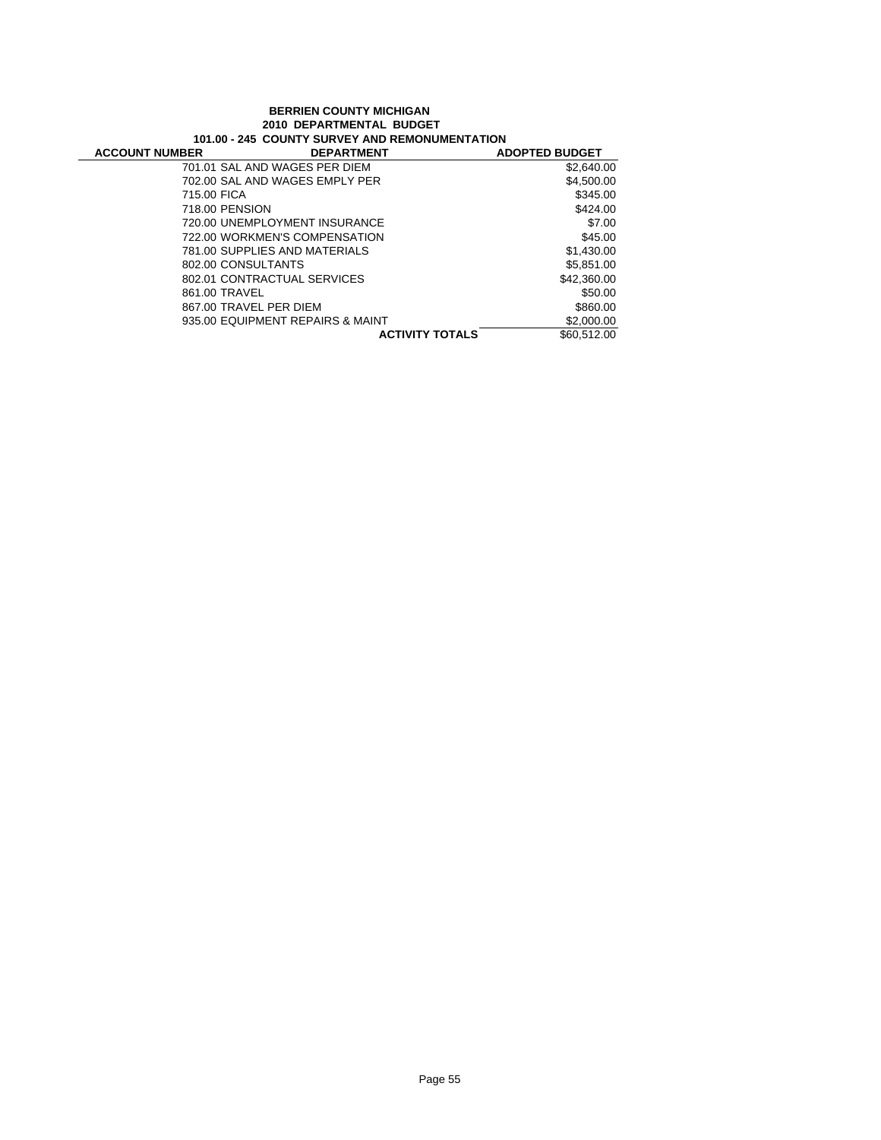#### **BERRIEN COUNTY MICHIGAN 2010 DEPARTMENTAL BUDGET 101.00 - 245 COUNTY SURVEY AND REMONUMENTATION**

| וטווחוויים וויטוויים וויט וויט וויט של היים וויט של היום של היים ו |                                  |                       |
|--------------------------------------------------------------------|----------------------------------|-----------------------|
| <b>ACCOUNT NUMBER</b>                                              | <b>DEPARTMENT</b>                | <b>ADOPTED BUDGET</b> |
|                                                                    | 701.01 SAL AND WAGES PER DIEM    | \$2,640.00            |
|                                                                    | 702.00 SAL AND WAGES EMPLY PER   | \$4,500.00            |
| 715.00 FICA                                                        |                                  | \$345.00              |
| 718.00 PENSION                                                     |                                  | \$424.00              |
|                                                                    | 720.00 UNEMPLOYMENT INSURANCE    | \$7.00                |
|                                                                    | 722.00 WORKMEN'S COMPENSATION    | \$45.00               |
|                                                                    | 781.00 SUPPLIES AND MATERIALS    | \$1,430,00            |
| 802.00 CONSULTANTS                                                 |                                  | \$5,851.00            |
|                                                                    | 802.01 CONTRACTUAL SERVICES      | \$42,360,00           |
| 861.00 TRAVEL                                                      |                                  | \$50.00               |
|                                                                    | 867.00 TRAVEL PER DIEM           | \$860.00              |
|                                                                    | 935.00 EQUIPMENT REPAIRS & MAINT | \$2,000.00            |
|                                                                    | <b>ACTIVITY TOTALS</b>           | \$60,512,00           |
|                                                                    |                                  |                       |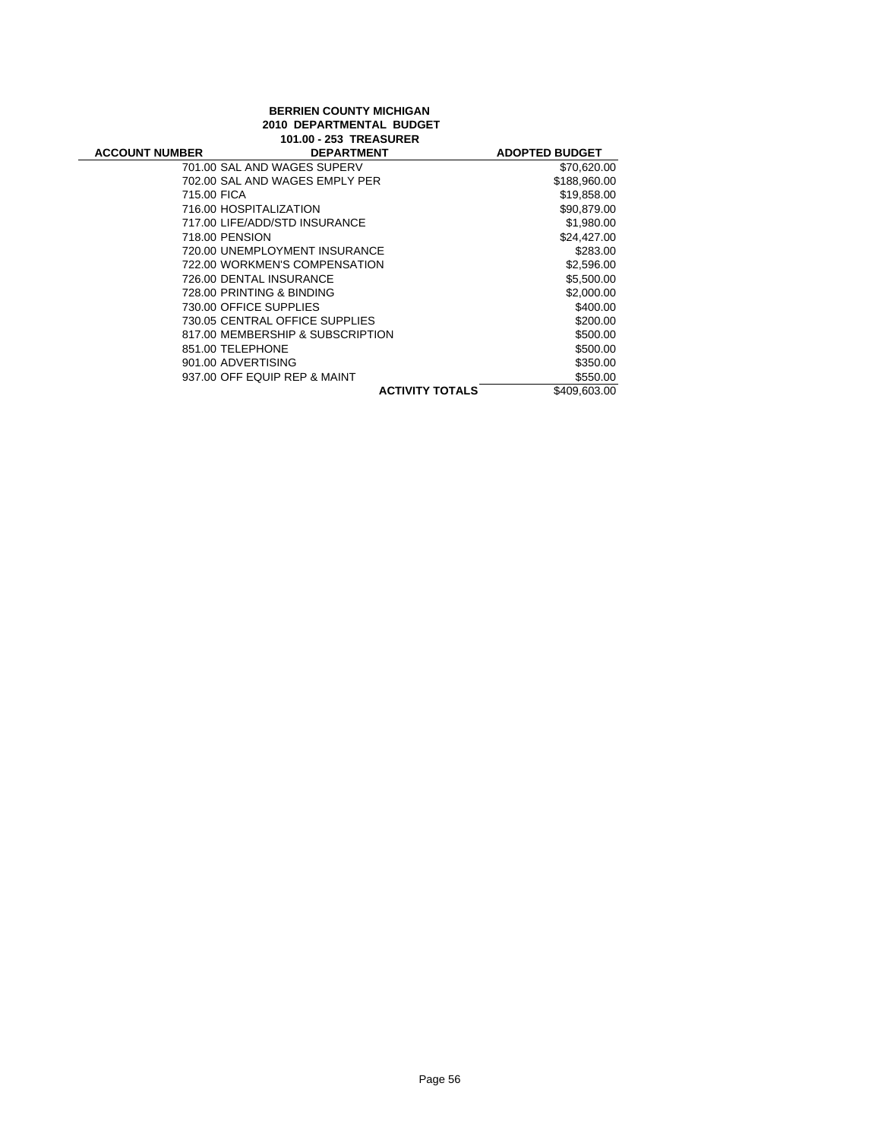# **BERRIEN COUNTY MICHIGAN 2010 DEPARTMENTAL BUDGET 101.00 - 253 TREASURER**

| <b>ACCOUNT NUMBER</b> | <b>DEPARTMENT</b>                | <b>ADOPTED BUDGET</b> |
|-----------------------|----------------------------------|-----------------------|
|                       | 701.00 SAL AND WAGES SUPERV      | \$70,620.00           |
|                       | 702.00 SAL AND WAGES EMPLY PER   | \$188,960.00          |
| 715.00 FICA           |                                  | \$19,858.00           |
|                       | 716.00 HOSPITALIZATION           | \$90.879.00           |
|                       | 717.00 LIFE/ADD/STD INSURANCE    | \$1,980.00            |
| 718.00 PENSION        |                                  | \$24,427.00           |
|                       | 720.00 UNEMPLOYMENT INSURANCE    | \$283.00              |
|                       | 722.00 WORKMEN'S COMPENSATION    | \$2,596.00            |
|                       | 726.00 DENTAL INSURANCE          | \$5,500.00            |
|                       | 728.00 PRINTING & BINDING        | \$2,000.00            |
|                       | 730.00 OFFICE SUPPLIES           | \$400.00              |
|                       | 730.05 CENTRAL OFFICE SUPPLIES   | \$200.00              |
|                       | 817.00 MEMBERSHIP & SUBSCRIPTION | \$500.00              |
|                       | 851.00 TELEPHONE                 | \$500.00              |
|                       | 901.00 ADVERTISING               | \$350.00              |
|                       | 937.00 OFF EQUIP REP & MAINT     | \$550.00              |
|                       | <b>ACTIVITY TOTALS</b>           | \$409.603.00          |
|                       |                                  |                       |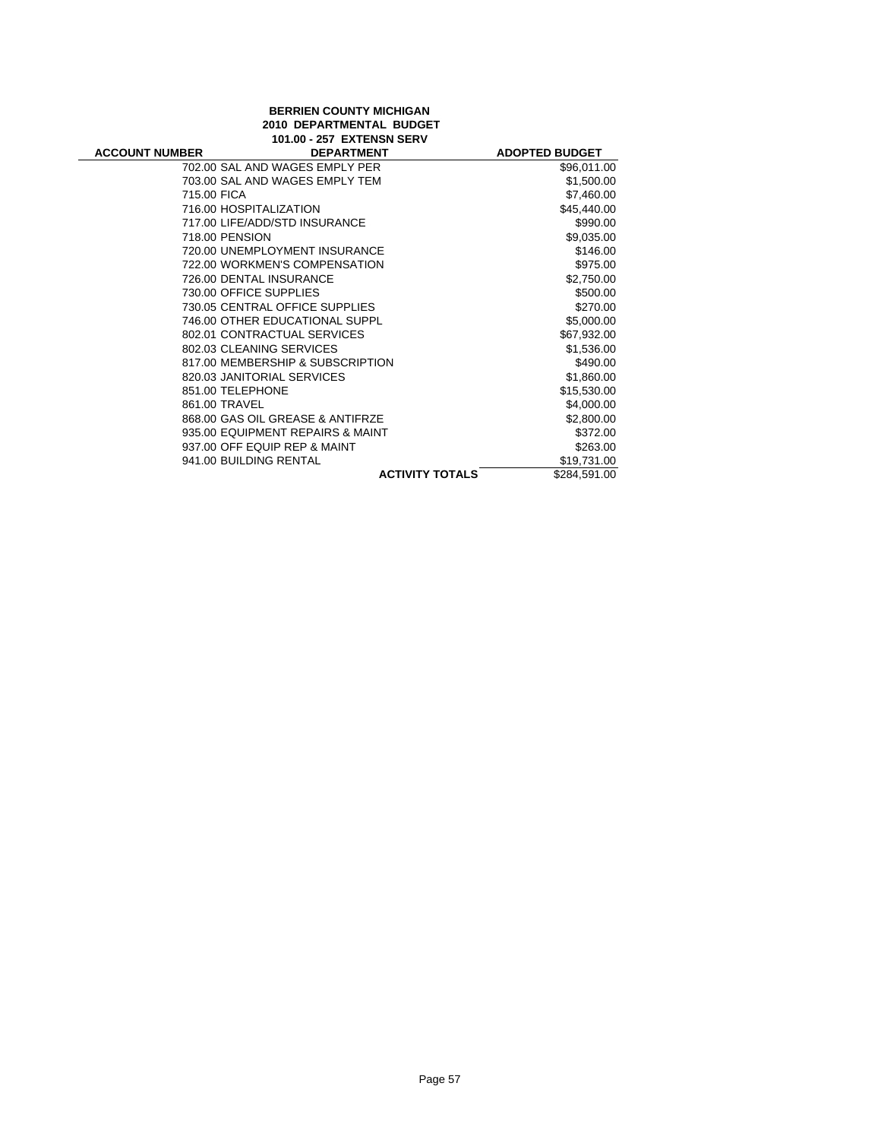# **BERRIEN COUNTY MICHIGAN 2010 DEPARTMENTAL BUDGET**

| 101.00 - 257 EXTENSN SERV |                                  |                        |                       |
|---------------------------|----------------------------------|------------------------|-----------------------|
| <b>ACCOUNT NUMBER</b>     | <b>DEPARTMENT</b>                |                        | <b>ADOPTED BUDGET</b> |
|                           | 702.00 SAL AND WAGES EMPLY PER   |                        | \$96,011.00           |
|                           | 703.00 SAL AND WAGES EMPLY TEM   |                        | \$1,500.00            |
| 715.00 FICA               |                                  |                        | \$7,460.00            |
|                           | 716.00 HOSPITALIZATION           |                        | \$45,440.00           |
|                           | 717.00 LIFE/ADD/STD INSURANCE    |                        | \$990.00              |
|                           | 718.00 PENSION                   |                        | \$9,035.00            |
|                           | 720.00 UNEMPLOYMENT INSURANCE    |                        | \$146.00              |
|                           | 722.00 WORKMEN'S COMPENSATION    |                        | \$975.00              |
|                           | 726.00 DENTAL INSURANCE          |                        | \$2,750.00            |
|                           | 730.00 OFFICE SUPPLIES           |                        | \$500.00              |
|                           | 730.05 CENTRAL OFFICE SUPPLIES   |                        | \$270.00              |
|                           | 746.00 OTHER EDUCATIONAL SUPPL   |                        | \$5,000.00            |
|                           | 802.01 CONTRACTUAL SERVICES      |                        | \$67,932.00           |
|                           | 802.03 CLEANING SERVICES         |                        | \$1,536.00            |
|                           | 817.00 MEMBERSHIP & SUBSCRIPTION |                        | \$490.00              |
|                           | 820.03 JANITORIAL SERVICES       |                        | \$1,860.00            |
|                           | 851.00 TELEPHONE                 |                        | \$15,530.00           |
|                           | 861.00 TRAVEL                    |                        | \$4,000.00            |
|                           | 868.00 GAS OIL GREASE & ANTIFRZE |                        | \$2,800.00            |
|                           | 935.00 EQUIPMENT REPAIRS & MAINT |                        | \$372.00              |
|                           | 937.00 OFF EQUIP REP & MAINT     |                        | \$263.00              |
|                           | 941.00 BUILDING RENTAL           |                        | \$19,731.00           |
|                           |                                  | <b>ACTIVITY TOTALS</b> | \$284,591.00          |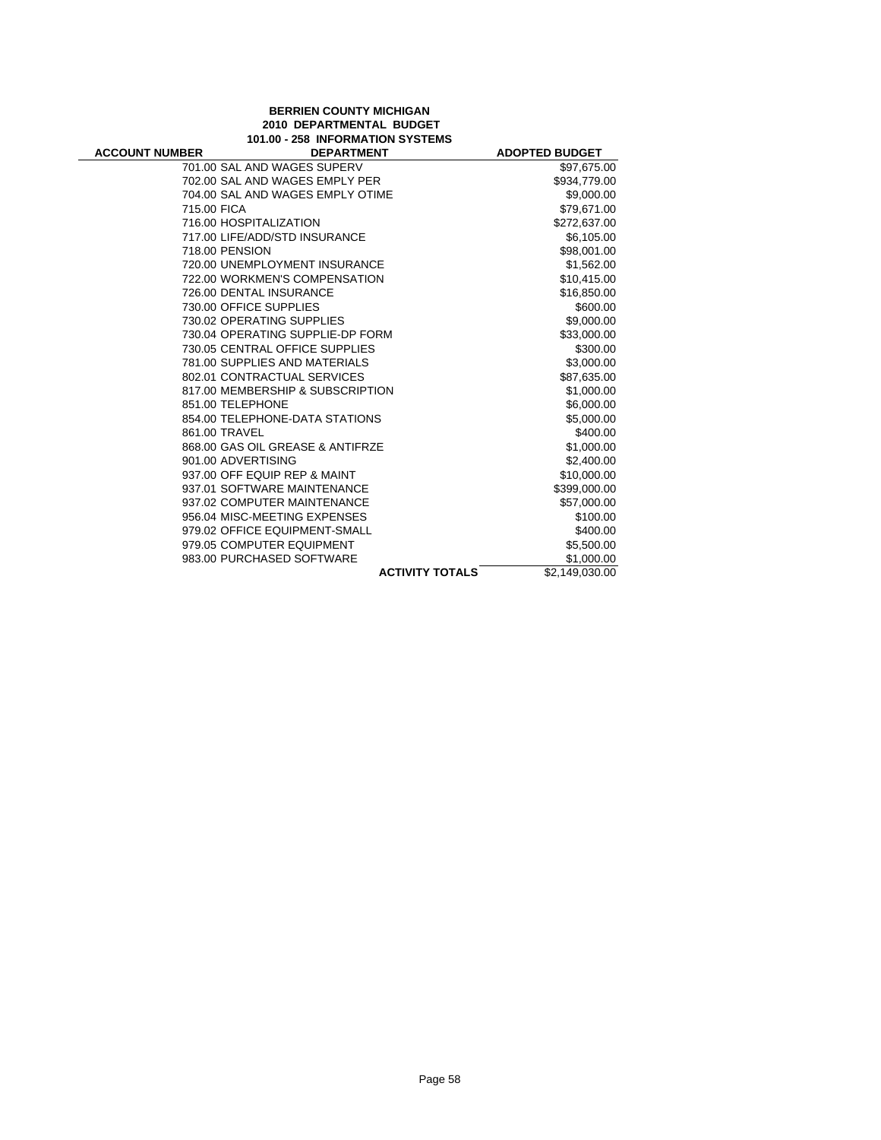## **BERRIEN COUNTY MICHIGAN 2010 DEPARTMENTAL BUDGET 101.00 - 258 INFORMATION SYSTEMS**

| <b>ACCOUNT NUMBER</b> | <b>DEPARTMENT</b>                | <b>ADOPTED BUDGET</b> |
|-----------------------|----------------------------------|-----------------------|
|                       | 701.00 SAL AND WAGES SUPERV      | \$97,675.00           |
|                       | 702.00 SAL AND WAGES EMPLY PER   | \$934,779.00          |
|                       | 704.00 SAL AND WAGES EMPLY OTIME | \$9,000.00            |
| 715.00 FICA           |                                  | \$79,671.00           |
|                       | 716.00 HOSPITALIZATION           | \$272,637.00          |
|                       | 717.00 LIFE/ADD/STD INSURANCE    | \$6,105.00            |
|                       | 718.00 PENSION                   | \$98,001.00           |
|                       | 720.00 UNEMPLOYMENT INSURANCE    | \$1,562.00            |
|                       | 722.00 WORKMEN'S COMPENSATION    | \$10,415.00           |
|                       | 726.00 DENTAL INSURANCE          | \$16,850.00           |
|                       | 730.00 OFFICE SUPPLIES           | \$600.00              |
|                       | 730.02 OPERATING SUPPLIES        | \$9,000.00            |
|                       | 730.04 OPERATING SUPPLIE-DP FORM | \$33,000.00           |
|                       | 730.05 CENTRAL OFFICE SUPPLIES   | \$300.00              |
|                       | 781.00 SUPPLIES AND MATERIALS    | \$3,000.00            |
|                       | 802.01 CONTRACTUAL SERVICES      | \$87,635.00           |
|                       | 817.00 MEMBERSHIP & SUBSCRIPTION | \$1,000.00            |
|                       | 851.00 TELEPHONE                 | \$6,000.00            |
|                       | 854.00 TELEPHONE-DATA STATIONS   | \$5,000.00            |
|                       | 861.00 TRAVEL                    | \$400.00              |
|                       | 868.00 GAS OIL GREASE & ANTIFRZE | \$1,000.00            |
|                       | 901.00 ADVERTISING               | \$2,400.00            |
|                       | 937.00 OFF EQUIP REP & MAINT     | \$10,000.00           |
|                       | 937.01 SOFTWARE MAINTENANCE      | \$399,000.00          |
|                       | 937.02 COMPUTER MAINTENANCE      | \$57,000.00           |
|                       | 956.04 MISC-MEETING EXPENSES     | \$100.00              |
|                       | 979.02 OFFICE EQUIPMENT-SMALL    | \$400.00              |
|                       | 979.05 COMPUTER EQUIPMENT        | \$5,500.00            |
|                       | 983.00 PURCHASED SOFTWARE        | \$1,000.00            |
|                       | <b>ACTIVITY TOTALS</b>           | \$2,149,030.00        |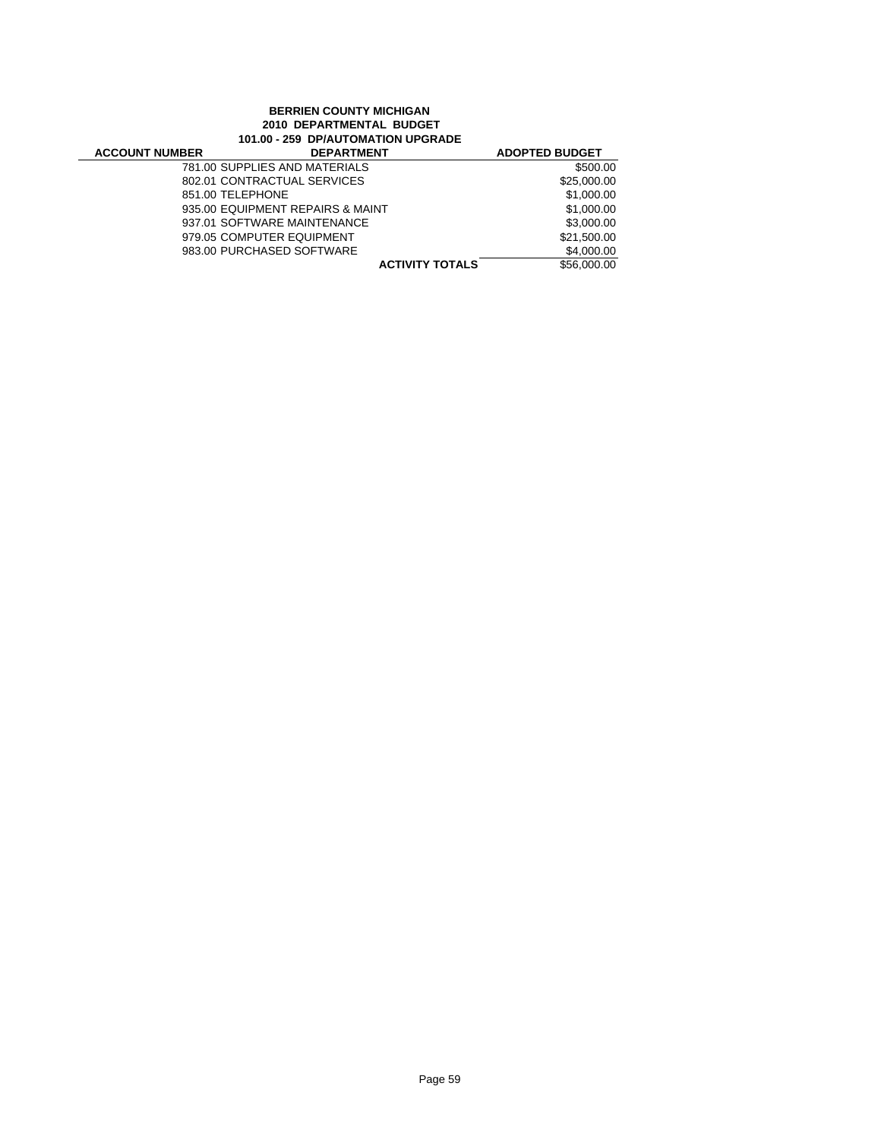## **BERRIEN COUNTY MICHIGAN 2010 DEPARTMENTAL BUDGET 101.00 - 259 DP/AUTOMATION UPGRADE**

| <b>ACCOUNT NUMBER</b> | <b>DEPARTMENT</b>                | <b>ADOPTED BUDGET</b> |
|-----------------------|----------------------------------|-----------------------|
|                       | 781.00 SUPPLIES AND MATERIALS    | \$500.00              |
|                       | 802.01 CONTRACTUAL SERVICES      | \$25,000.00           |
| 851.00 TELEPHONE      |                                  | \$1,000.00            |
|                       | 935.00 EQUIPMENT REPAIRS & MAINT | \$1,000.00            |
|                       | 937.01 SOFTWARE MAINTENANCE      | \$3,000.00            |
|                       | 979.05 COMPUTER EQUIPMENT        | \$21,500.00           |
|                       | 983.00 PURCHASED SOFTWARE        | \$4,000.00            |
|                       | <b>ACTIVITY TOTALS</b>           | \$56,000.00           |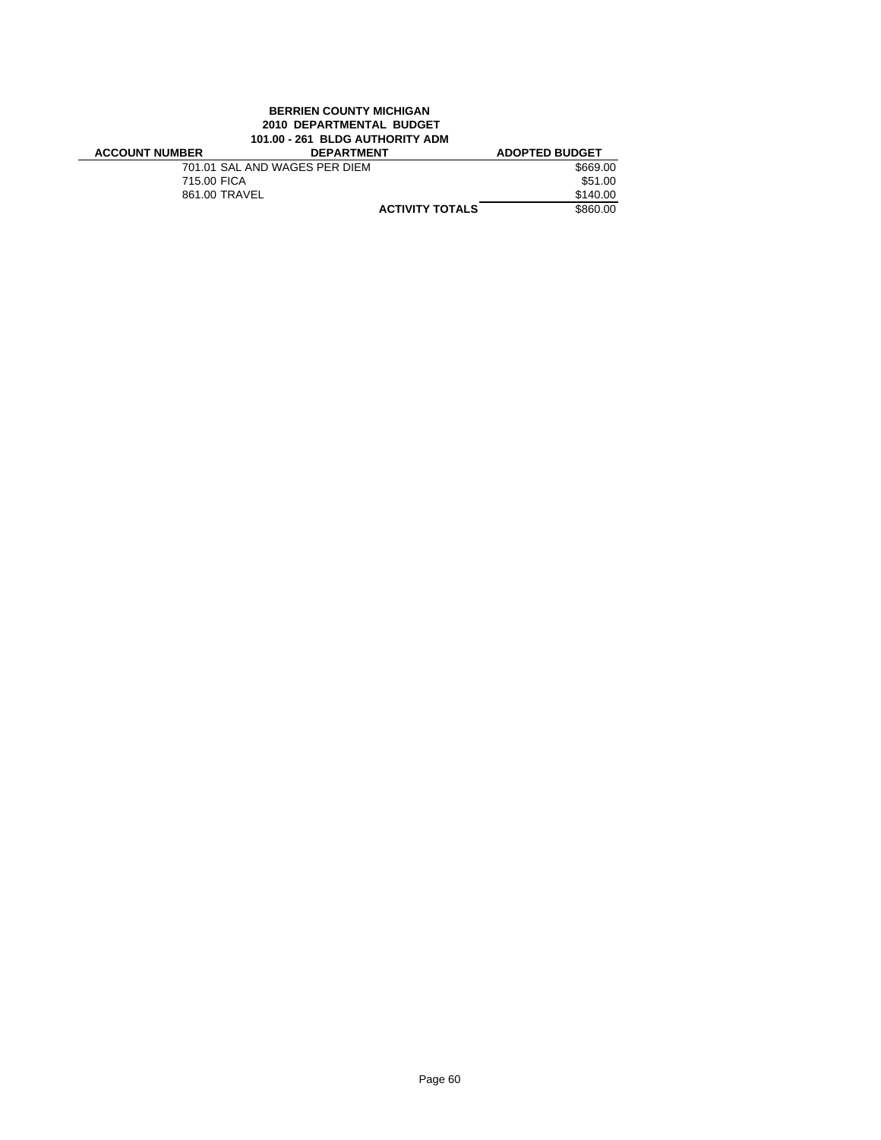# **BERRIEN COUNTY MICHIGAN 2010 DEPARTMENTAL BUDGET 101.00 - 261 BLDG AUTHORITY ADM**

| <b>ACCOUNT NUMBER</b> | <b>DEPARTMENT</b>             | <b>ADOPTED BUDGET</b> |
|-----------------------|-------------------------------|-----------------------|
|                       | 701.01 SAL AND WAGES PER DIEM | \$669.00              |
| 715.00 FICA           |                               | \$51.00               |
| 861.00 TRAVEL         |                               | \$140.00              |
|                       | <b>ACTIVITY TOTALS</b>        | \$860.00              |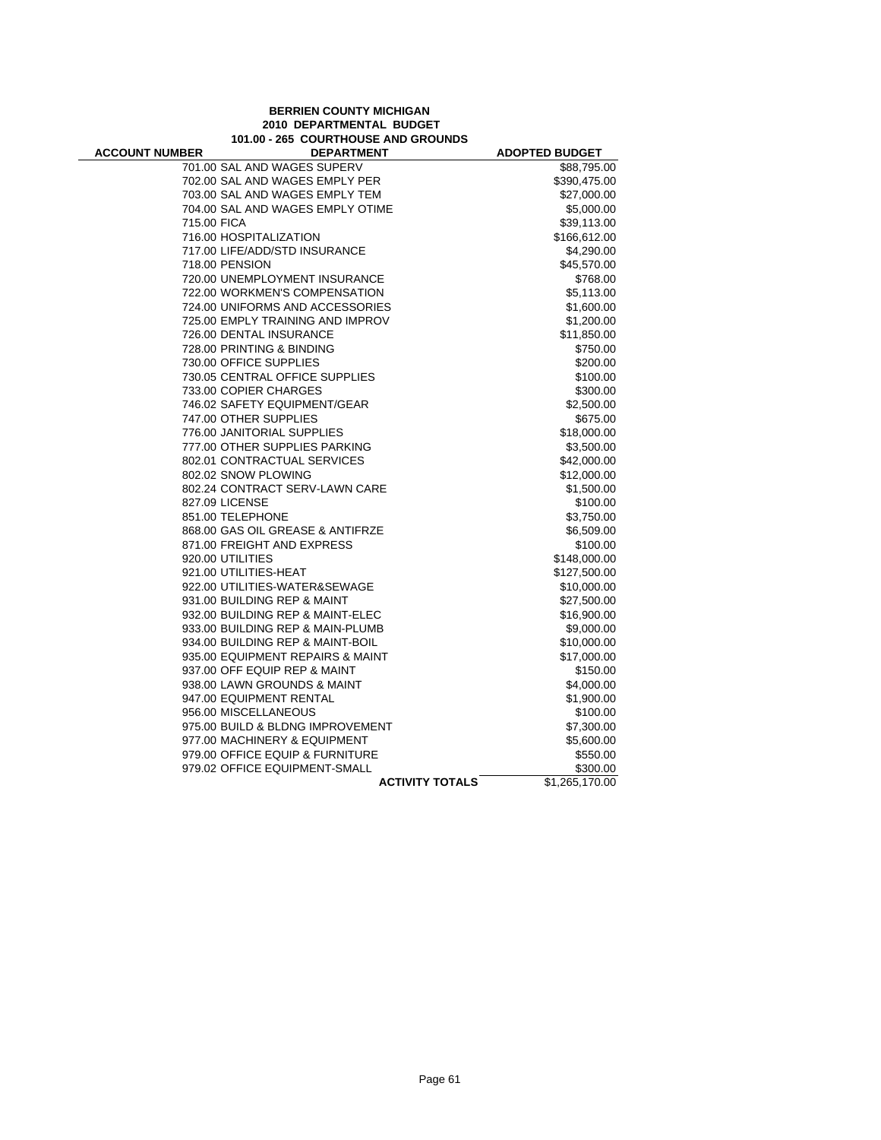## **BERRIEN COUNTY MICHIGAN 2010 DEPARTMENTAL BUDGET 101.00 - 265 COURTHOUSE AND GROUNDS**

| 701.00 SAL AND WAGES SUPERV<br>\$88,795.00<br>702.00 SAL AND WAGES EMPLY PER<br>\$390,475.00<br>703.00 SAL AND WAGES EMPLY TEM<br>\$27,000.00<br>704.00 SAL AND WAGES EMPLY OTIME<br>\$5,000.00<br>715.00 FICA<br>\$39,113.00<br>716.00 HOSPITALIZATION<br>\$166,612.00<br>717.00 LIFE/ADD/STD INSURANCE<br>\$4,290.00<br>718.00 PENSION<br>\$45,570.00<br>720.00 UNEMPLOYMENT INSURANCE<br>\$768.00<br>722.00 WORKMEN'S COMPENSATION<br>\$5,113.00<br>724.00 UNIFORMS AND ACCESSORIES<br>\$1,600.00<br>725.00 EMPLY TRAINING AND IMPROV<br>\$1,200.00<br>726.00 DENTAL INSURANCE<br>\$11,850.00<br>728.00 PRINTING & BINDING<br>\$750.00<br>730.00 OFFICE SUPPLIES<br>\$200.00<br>730.05 CENTRAL OFFICE SUPPLIES<br>\$100.00<br>733.00 COPIER CHARGES<br>\$300.00<br>746.02 SAFETY EQUIPMENT/GEAR<br>\$2,500.00<br>747.00 OTHER SUPPLIES<br>\$675.00<br>776.00 JANITORIAL SUPPLIES<br>\$18,000.00<br>777.00 OTHER SUPPLIES PARKING<br>\$3,500.00<br>802.01 CONTRACTUAL SERVICES<br>\$42,000.00<br>802.02 SNOW PLOWING<br>\$12,000.00<br>802.24 CONTRACT SERV-LAWN CARE<br>\$1,500.00<br>827.09 LICENSE<br>\$100.00<br>851.00 TELEPHONE<br>\$3,750.00<br>868.00 GAS OIL GREASE & ANTIFRZE<br>\$6,509.00<br>871.00 FREIGHT AND EXPRESS<br>\$100.00<br>920.00 UTILITIES<br>\$148,000.00<br>921.00 UTILITIES-HEAT<br>\$127,500.00<br>922.00 UTILITIES-WATER&SEWAGE<br>\$10,000.00<br>931.00 BUILDING REP & MAINT<br>\$27,500.00<br>932.00 BUILDING REP & MAINT-ELEC<br>\$16,900.00<br>933.00 BUILDING REP & MAIN-PLUMB<br>\$9,000.00<br>934.00 BUILDING REP & MAINT-BOIL<br>\$10,000.00<br>935.00 EQUIPMENT REPAIRS & MAINT<br>\$17,000.00<br>937.00 OFF EQUIP REP & MAINT<br>\$150.00<br>938.00 LAWN GROUNDS & MAINT<br>\$4,000.00<br>947.00 EQUIPMENT RENTAL<br>\$1,900.00<br>956.00 MISCELLANEOUS<br>\$100.00<br>975.00 BUILD & BLDNG IMPROVEMENT<br>\$7,300.00<br>977.00 MACHINERY & EQUIPMENT<br>\$5,600.00<br>979.00 OFFICE EQUIP & FURNITURE<br>\$550.00<br>979.02 OFFICE EQUIPMENT-SMALL<br>\$300.00<br><b>ACTIVITY TOTALS</b><br>\$1,265,170.00 | <b>ACCOUNT NUMBER</b> | <b>DEPARTMENT</b> | <b>ADOPTED BUDGET</b> |
|-------------------------------------------------------------------------------------------------------------------------------------------------------------------------------------------------------------------------------------------------------------------------------------------------------------------------------------------------------------------------------------------------------------------------------------------------------------------------------------------------------------------------------------------------------------------------------------------------------------------------------------------------------------------------------------------------------------------------------------------------------------------------------------------------------------------------------------------------------------------------------------------------------------------------------------------------------------------------------------------------------------------------------------------------------------------------------------------------------------------------------------------------------------------------------------------------------------------------------------------------------------------------------------------------------------------------------------------------------------------------------------------------------------------------------------------------------------------------------------------------------------------------------------------------------------------------------------------------------------------------------------------------------------------------------------------------------------------------------------------------------------------------------------------------------------------------------------------------------------------------------------------------------------------------------------------------------------------------------------------------------------------------------------------------------|-----------------------|-------------------|-----------------------|
|                                                                                                                                                                                                                                                                                                                                                                                                                                                                                                                                                                                                                                                                                                                                                                                                                                                                                                                                                                                                                                                                                                                                                                                                                                                                                                                                                                                                                                                                                                                                                                                                                                                                                                                                                                                                                                                                                                                                                                                                                                                       |                       |                   |                       |
|                                                                                                                                                                                                                                                                                                                                                                                                                                                                                                                                                                                                                                                                                                                                                                                                                                                                                                                                                                                                                                                                                                                                                                                                                                                                                                                                                                                                                                                                                                                                                                                                                                                                                                                                                                                                                                                                                                                                                                                                                                                       |                       |                   |                       |
|                                                                                                                                                                                                                                                                                                                                                                                                                                                                                                                                                                                                                                                                                                                                                                                                                                                                                                                                                                                                                                                                                                                                                                                                                                                                                                                                                                                                                                                                                                                                                                                                                                                                                                                                                                                                                                                                                                                                                                                                                                                       |                       |                   |                       |
|                                                                                                                                                                                                                                                                                                                                                                                                                                                                                                                                                                                                                                                                                                                                                                                                                                                                                                                                                                                                                                                                                                                                                                                                                                                                                                                                                                                                                                                                                                                                                                                                                                                                                                                                                                                                                                                                                                                                                                                                                                                       |                       |                   |                       |
|                                                                                                                                                                                                                                                                                                                                                                                                                                                                                                                                                                                                                                                                                                                                                                                                                                                                                                                                                                                                                                                                                                                                                                                                                                                                                                                                                                                                                                                                                                                                                                                                                                                                                                                                                                                                                                                                                                                                                                                                                                                       |                       |                   |                       |
|                                                                                                                                                                                                                                                                                                                                                                                                                                                                                                                                                                                                                                                                                                                                                                                                                                                                                                                                                                                                                                                                                                                                                                                                                                                                                                                                                                                                                                                                                                                                                                                                                                                                                                                                                                                                                                                                                                                                                                                                                                                       |                       |                   |                       |
|                                                                                                                                                                                                                                                                                                                                                                                                                                                                                                                                                                                                                                                                                                                                                                                                                                                                                                                                                                                                                                                                                                                                                                                                                                                                                                                                                                                                                                                                                                                                                                                                                                                                                                                                                                                                                                                                                                                                                                                                                                                       |                       |                   |                       |
|                                                                                                                                                                                                                                                                                                                                                                                                                                                                                                                                                                                                                                                                                                                                                                                                                                                                                                                                                                                                                                                                                                                                                                                                                                                                                                                                                                                                                                                                                                                                                                                                                                                                                                                                                                                                                                                                                                                                                                                                                                                       |                       |                   |                       |
|                                                                                                                                                                                                                                                                                                                                                                                                                                                                                                                                                                                                                                                                                                                                                                                                                                                                                                                                                                                                                                                                                                                                                                                                                                                                                                                                                                                                                                                                                                                                                                                                                                                                                                                                                                                                                                                                                                                                                                                                                                                       |                       |                   |                       |
|                                                                                                                                                                                                                                                                                                                                                                                                                                                                                                                                                                                                                                                                                                                                                                                                                                                                                                                                                                                                                                                                                                                                                                                                                                                                                                                                                                                                                                                                                                                                                                                                                                                                                                                                                                                                                                                                                                                                                                                                                                                       |                       |                   |                       |
|                                                                                                                                                                                                                                                                                                                                                                                                                                                                                                                                                                                                                                                                                                                                                                                                                                                                                                                                                                                                                                                                                                                                                                                                                                                                                                                                                                                                                                                                                                                                                                                                                                                                                                                                                                                                                                                                                                                                                                                                                                                       |                       |                   |                       |
|                                                                                                                                                                                                                                                                                                                                                                                                                                                                                                                                                                                                                                                                                                                                                                                                                                                                                                                                                                                                                                                                                                                                                                                                                                                                                                                                                                                                                                                                                                                                                                                                                                                                                                                                                                                                                                                                                                                                                                                                                                                       |                       |                   |                       |
|                                                                                                                                                                                                                                                                                                                                                                                                                                                                                                                                                                                                                                                                                                                                                                                                                                                                                                                                                                                                                                                                                                                                                                                                                                                                                                                                                                                                                                                                                                                                                                                                                                                                                                                                                                                                                                                                                                                                                                                                                                                       |                       |                   |                       |
|                                                                                                                                                                                                                                                                                                                                                                                                                                                                                                                                                                                                                                                                                                                                                                                                                                                                                                                                                                                                                                                                                                                                                                                                                                                                                                                                                                                                                                                                                                                                                                                                                                                                                                                                                                                                                                                                                                                                                                                                                                                       |                       |                   |                       |
|                                                                                                                                                                                                                                                                                                                                                                                                                                                                                                                                                                                                                                                                                                                                                                                                                                                                                                                                                                                                                                                                                                                                                                                                                                                                                                                                                                                                                                                                                                                                                                                                                                                                                                                                                                                                                                                                                                                                                                                                                                                       |                       |                   |                       |
|                                                                                                                                                                                                                                                                                                                                                                                                                                                                                                                                                                                                                                                                                                                                                                                                                                                                                                                                                                                                                                                                                                                                                                                                                                                                                                                                                                                                                                                                                                                                                                                                                                                                                                                                                                                                                                                                                                                                                                                                                                                       |                       |                   |                       |
|                                                                                                                                                                                                                                                                                                                                                                                                                                                                                                                                                                                                                                                                                                                                                                                                                                                                                                                                                                                                                                                                                                                                                                                                                                                                                                                                                                                                                                                                                                                                                                                                                                                                                                                                                                                                                                                                                                                                                                                                                                                       |                       |                   |                       |
|                                                                                                                                                                                                                                                                                                                                                                                                                                                                                                                                                                                                                                                                                                                                                                                                                                                                                                                                                                                                                                                                                                                                                                                                                                                                                                                                                                                                                                                                                                                                                                                                                                                                                                                                                                                                                                                                                                                                                                                                                                                       |                       |                   |                       |
|                                                                                                                                                                                                                                                                                                                                                                                                                                                                                                                                                                                                                                                                                                                                                                                                                                                                                                                                                                                                                                                                                                                                                                                                                                                                                                                                                                                                                                                                                                                                                                                                                                                                                                                                                                                                                                                                                                                                                                                                                                                       |                       |                   |                       |
|                                                                                                                                                                                                                                                                                                                                                                                                                                                                                                                                                                                                                                                                                                                                                                                                                                                                                                                                                                                                                                                                                                                                                                                                                                                                                                                                                                                                                                                                                                                                                                                                                                                                                                                                                                                                                                                                                                                                                                                                                                                       |                       |                   |                       |
|                                                                                                                                                                                                                                                                                                                                                                                                                                                                                                                                                                                                                                                                                                                                                                                                                                                                                                                                                                                                                                                                                                                                                                                                                                                                                                                                                                                                                                                                                                                                                                                                                                                                                                                                                                                                                                                                                                                                                                                                                                                       |                       |                   |                       |
|                                                                                                                                                                                                                                                                                                                                                                                                                                                                                                                                                                                                                                                                                                                                                                                                                                                                                                                                                                                                                                                                                                                                                                                                                                                                                                                                                                                                                                                                                                                                                                                                                                                                                                                                                                                                                                                                                                                                                                                                                                                       |                       |                   |                       |
|                                                                                                                                                                                                                                                                                                                                                                                                                                                                                                                                                                                                                                                                                                                                                                                                                                                                                                                                                                                                                                                                                                                                                                                                                                                                                                                                                                                                                                                                                                                                                                                                                                                                                                                                                                                                                                                                                                                                                                                                                                                       |                       |                   |                       |
|                                                                                                                                                                                                                                                                                                                                                                                                                                                                                                                                                                                                                                                                                                                                                                                                                                                                                                                                                                                                                                                                                                                                                                                                                                                                                                                                                                                                                                                                                                                                                                                                                                                                                                                                                                                                                                                                                                                                                                                                                                                       |                       |                   |                       |
|                                                                                                                                                                                                                                                                                                                                                                                                                                                                                                                                                                                                                                                                                                                                                                                                                                                                                                                                                                                                                                                                                                                                                                                                                                                                                                                                                                                                                                                                                                                                                                                                                                                                                                                                                                                                                                                                                                                                                                                                                                                       |                       |                   |                       |
|                                                                                                                                                                                                                                                                                                                                                                                                                                                                                                                                                                                                                                                                                                                                                                                                                                                                                                                                                                                                                                                                                                                                                                                                                                                                                                                                                                                                                                                                                                                                                                                                                                                                                                                                                                                                                                                                                                                                                                                                                                                       |                       |                   |                       |
|                                                                                                                                                                                                                                                                                                                                                                                                                                                                                                                                                                                                                                                                                                                                                                                                                                                                                                                                                                                                                                                                                                                                                                                                                                                                                                                                                                                                                                                                                                                                                                                                                                                                                                                                                                                                                                                                                                                                                                                                                                                       |                       |                   |                       |
|                                                                                                                                                                                                                                                                                                                                                                                                                                                                                                                                                                                                                                                                                                                                                                                                                                                                                                                                                                                                                                                                                                                                                                                                                                                                                                                                                                                                                                                                                                                                                                                                                                                                                                                                                                                                                                                                                                                                                                                                                                                       |                       |                   |                       |
|                                                                                                                                                                                                                                                                                                                                                                                                                                                                                                                                                                                                                                                                                                                                                                                                                                                                                                                                                                                                                                                                                                                                                                                                                                                                                                                                                                                                                                                                                                                                                                                                                                                                                                                                                                                                                                                                                                                                                                                                                                                       |                       |                   |                       |
|                                                                                                                                                                                                                                                                                                                                                                                                                                                                                                                                                                                                                                                                                                                                                                                                                                                                                                                                                                                                                                                                                                                                                                                                                                                                                                                                                                                                                                                                                                                                                                                                                                                                                                                                                                                                                                                                                                                                                                                                                                                       |                       |                   |                       |
|                                                                                                                                                                                                                                                                                                                                                                                                                                                                                                                                                                                                                                                                                                                                                                                                                                                                                                                                                                                                                                                                                                                                                                                                                                                                                                                                                                                                                                                                                                                                                                                                                                                                                                                                                                                                                                                                                                                                                                                                                                                       |                       |                   |                       |
|                                                                                                                                                                                                                                                                                                                                                                                                                                                                                                                                                                                                                                                                                                                                                                                                                                                                                                                                                                                                                                                                                                                                                                                                                                                                                                                                                                                                                                                                                                                                                                                                                                                                                                                                                                                                                                                                                                                                                                                                                                                       |                       |                   |                       |
|                                                                                                                                                                                                                                                                                                                                                                                                                                                                                                                                                                                                                                                                                                                                                                                                                                                                                                                                                                                                                                                                                                                                                                                                                                                                                                                                                                                                                                                                                                                                                                                                                                                                                                                                                                                                                                                                                                                                                                                                                                                       |                       |                   |                       |
|                                                                                                                                                                                                                                                                                                                                                                                                                                                                                                                                                                                                                                                                                                                                                                                                                                                                                                                                                                                                                                                                                                                                                                                                                                                                                                                                                                                                                                                                                                                                                                                                                                                                                                                                                                                                                                                                                                                                                                                                                                                       |                       |                   |                       |
|                                                                                                                                                                                                                                                                                                                                                                                                                                                                                                                                                                                                                                                                                                                                                                                                                                                                                                                                                                                                                                                                                                                                                                                                                                                                                                                                                                                                                                                                                                                                                                                                                                                                                                                                                                                                                                                                                                                                                                                                                                                       |                       |                   |                       |
|                                                                                                                                                                                                                                                                                                                                                                                                                                                                                                                                                                                                                                                                                                                                                                                                                                                                                                                                                                                                                                                                                                                                                                                                                                                                                                                                                                                                                                                                                                                                                                                                                                                                                                                                                                                                                                                                                                                                                                                                                                                       |                       |                   |                       |
|                                                                                                                                                                                                                                                                                                                                                                                                                                                                                                                                                                                                                                                                                                                                                                                                                                                                                                                                                                                                                                                                                                                                                                                                                                                                                                                                                                                                                                                                                                                                                                                                                                                                                                                                                                                                                                                                                                                                                                                                                                                       |                       |                   |                       |
|                                                                                                                                                                                                                                                                                                                                                                                                                                                                                                                                                                                                                                                                                                                                                                                                                                                                                                                                                                                                                                                                                                                                                                                                                                                                                                                                                                                                                                                                                                                                                                                                                                                                                                                                                                                                                                                                                                                                                                                                                                                       |                       |                   |                       |
|                                                                                                                                                                                                                                                                                                                                                                                                                                                                                                                                                                                                                                                                                                                                                                                                                                                                                                                                                                                                                                                                                                                                                                                                                                                                                                                                                                                                                                                                                                                                                                                                                                                                                                                                                                                                                                                                                                                                                                                                                                                       |                       |                   |                       |
|                                                                                                                                                                                                                                                                                                                                                                                                                                                                                                                                                                                                                                                                                                                                                                                                                                                                                                                                                                                                                                                                                                                                                                                                                                                                                                                                                                                                                                                                                                                                                                                                                                                                                                                                                                                                                                                                                                                                                                                                                                                       |                       |                   |                       |
|                                                                                                                                                                                                                                                                                                                                                                                                                                                                                                                                                                                                                                                                                                                                                                                                                                                                                                                                                                                                                                                                                                                                                                                                                                                                                                                                                                                                                                                                                                                                                                                                                                                                                                                                                                                                                                                                                                                                                                                                                                                       |                       |                   |                       |
|                                                                                                                                                                                                                                                                                                                                                                                                                                                                                                                                                                                                                                                                                                                                                                                                                                                                                                                                                                                                                                                                                                                                                                                                                                                                                                                                                                                                                                                                                                                                                                                                                                                                                                                                                                                                                                                                                                                                                                                                                                                       |                       |                   |                       |
|                                                                                                                                                                                                                                                                                                                                                                                                                                                                                                                                                                                                                                                                                                                                                                                                                                                                                                                                                                                                                                                                                                                                                                                                                                                                                                                                                                                                                                                                                                                                                                                                                                                                                                                                                                                                                                                                                                                                                                                                                                                       |                       |                   |                       |
|                                                                                                                                                                                                                                                                                                                                                                                                                                                                                                                                                                                                                                                                                                                                                                                                                                                                                                                                                                                                                                                                                                                                                                                                                                                                                                                                                                                                                                                                                                                                                                                                                                                                                                                                                                                                                                                                                                                                                                                                                                                       |                       |                   |                       |
|                                                                                                                                                                                                                                                                                                                                                                                                                                                                                                                                                                                                                                                                                                                                                                                                                                                                                                                                                                                                                                                                                                                                                                                                                                                                                                                                                                                                                                                                                                                                                                                                                                                                                                                                                                                                                                                                                                                                                                                                                                                       |                       |                   |                       |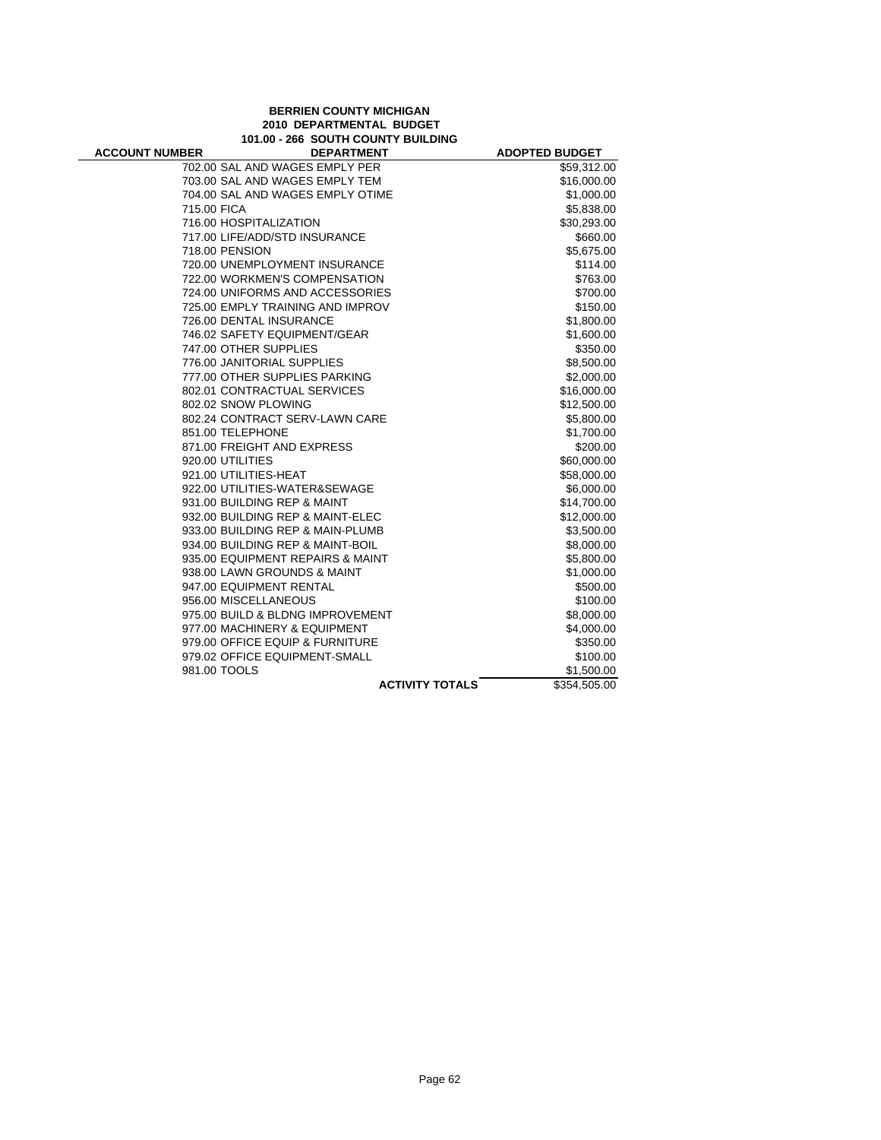## **BERRIEN COUNTY MICHIGAN 2010 DEPARTMENTAL BUDGET 101.00 - 266 SOUTH COUNTY BUILDING**

÷

| <b>ACCOUNT NUMBER</b> | <b>DEPARTMENT</b>                |                        | <b>ADOPTED BUDGET</b> |
|-----------------------|----------------------------------|------------------------|-----------------------|
|                       | 702.00 SAL AND WAGES EMPLY PER   |                        | \$59,312.00           |
|                       | 703.00 SAL AND WAGES EMPLY TEM   |                        | \$16,000.00           |
|                       | 704.00 SAL AND WAGES EMPLY OTIME |                        | \$1,000.00            |
| 715.00 FICA           |                                  |                        | \$5,838.00            |
|                       | 716.00 HOSPITALIZATION           |                        | \$30,293.00           |
|                       | 717.00 LIFE/ADD/STD INSURANCE    |                        | \$660.00              |
|                       | 718.00 PENSION                   |                        | \$5,675.00            |
|                       | 720.00 UNEMPLOYMENT INSURANCE    |                        | \$114.00              |
|                       | 722.00 WORKMEN'S COMPENSATION    |                        | \$763.00              |
|                       | 724.00 UNIFORMS AND ACCESSORIES  |                        | \$700.00              |
|                       | 725.00 EMPLY TRAINING AND IMPROV |                        | \$150.00              |
|                       | 726.00 DENTAL INSURANCE          |                        | \$1,800.00            |
|                       | 746.02 SAFETY EQUIPMENT/GEAR     |                        | \$1,600.00            |
|                       | 747.00 OTHER SUPPLIES            |                        | \$350.00              |
|                       | 776.00 JANITORIAL SUPPLIES       |                        | \$8,500.00            |
|                       | 777.00 OTHER SUPPLIES PARKING    |                        | \$2,000.00            |
|                       | 802.01 CONTRACTUAL SERVICES      |                        | \$16,000.00           |
|                       | 802.02 SNOW PLOWING              |                        | \$12,500.00           |
|                       | 802.24 CONTRACT SERV-LAWN CARE   |                        | \$5,800.00            |
|                       | 851.00 TELEPHONE                 |                        | \$1,700.00            |
|                       | 871.00 FREIGHT AND EXPRESS       |                        | \$200.00              |
|                       | 920.00 UTILITIES                 |                        | \$60,000.00           |
|                       | 921.00 UTILITIES-HEAT            |                        | \$58,000.00           |
|                       | 922.00 UTILITIES-WATER&SEWAGE    |                        | \$6,000.00            |
|                       | 931.00 BUILDING REP & MAINT      |                        | \$14,700.00           |
|                       | 932.00 BUILDING REP & MAINT-ELEC |                        | \$12,000.00           |
|                       | 933.00 BUILDING REP & MAIN-PLUMB |                        | \$3,500.00            |
|                       | 934.00 BUILDING REP & MAINT-BOIL |                        | \$8,000.00            |
|                       | 935.00 EQUIPMENT REPAIRS & MAINT |                        | \$5,800.00            |
|                       | 938.00 LAWN GROUNDS & MAINT      |                        | \$1,000.00            |
|                       | 947.00 EQUIPMENT RENTAL          |                        | \$500.00              |
|                       | 956.00 MISCELLANEOUS             |                        | \$100.00              |
|                       | 975.00 BUILD & BLDNG IMPROVEMENT |                        | \$8,000.00            |
|                       | 977.00 MACHINERY & EQUIPMENT     |                        | \$4,000.00            |
|                       | 979.00 OFFICE EQUIP & FURNITURE  |                        | \$350.00              |
|                       | 979.02 OFFICE EQUIPMENT-SMALL    |                        | \$100.00              |
| 981.00 TOOLS          |                                  |                        | \$1,500.00            |
|                       |                                  | <b>ACTIVITY TOTALS</b> | \$354,505.00          |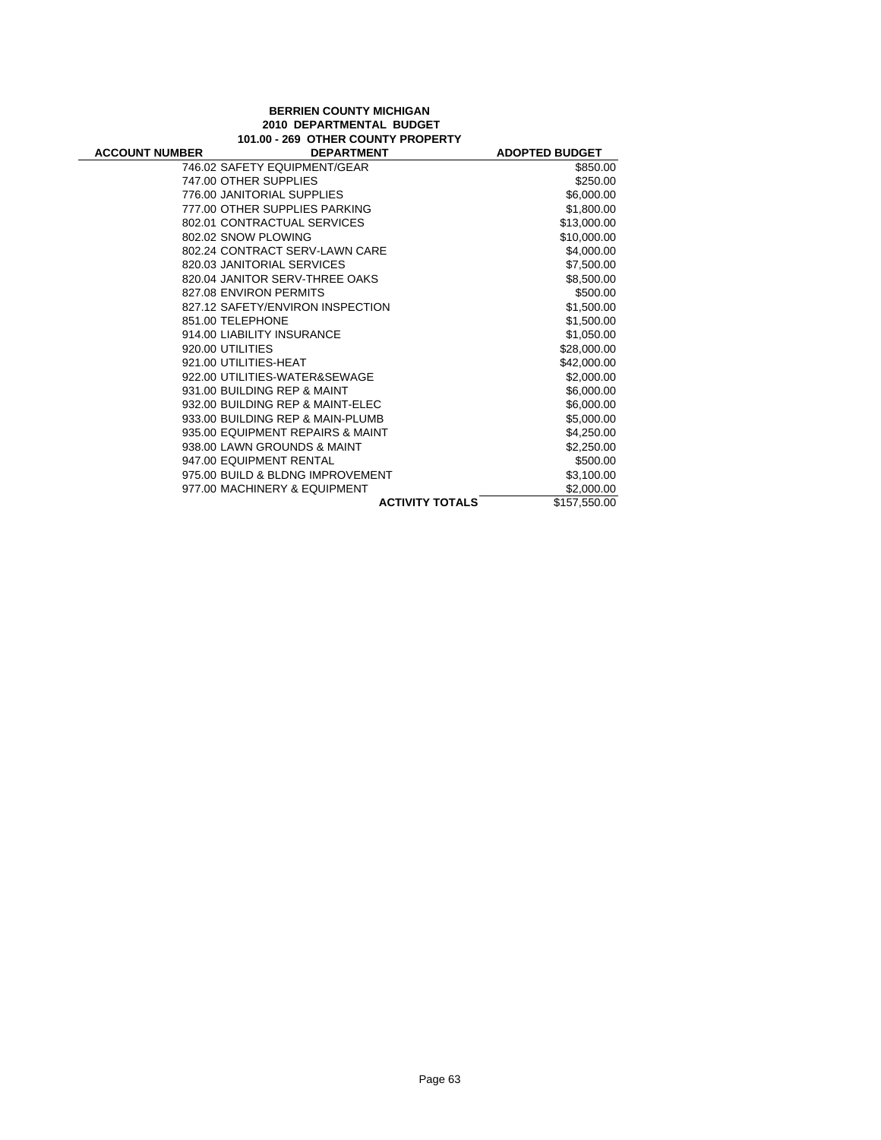## **BERRIEN COUNTY MICHIGAN 2010 DEPARTMENTAL BUDGET 101.00 - 269 OTHER COUNTY PROPERTY**

| <b>ACCOUNT NUMBER</b> | <b>DEPARTMENT</b>                | <b>ADOPTED BUDGET</b>  |              |
|-----------------------|----------------------------------|------------------------|--------------|
|                       | 746.02 SAFETY EQUIPMENT/GEAR     |                        | \$850.00     |
|                       | 747.00 OTHER SUPPLIES            |                        | \$250.00     |
|                       | 776.00 JANITORIAL SUPPLIES       |                        | \$6,000.00   |
|                       | 777.00 OTHER SUPPLIES PARKING    |                        | \$1,800.00   |
|                       | 802.01 CONTRACTUAL SERVICES      |                        | \$13,000.00  |
|                       | 802.02 SNOW PLOWING              |                        | \$10,000.00  |
|                       | 802.24 CONTRACT SERV-LAWN CARE   |                        | \$4,000.00   |
|                       | 820.03 JANITORIAL SERVICES       |                        | \$7,500.00   |
|                       | 820.04 JANITOR SERV-THREE OAKS   |                        | \$8,500.00   |
|                       | 827.08 ENVIRON PERMITS           |                        | \$500.00     |
|                       | 827.12 SAFETY/ENVIRON INSPECTION |                        | \$1,500.00   |
|                       | 851.00 TELEPHONE                 |                        | \$1,500.00   |
|                       | 914.00 LIABILITY INSURANCE       |                        | \$1,050.00   |
|                       | 920.00 UTILITIES                 |                        | \$28,000.00  |
|                       | 921.00 UTILITIES-HEAT            |                        | \$42,000.00  |
|                       | 922.00 UTILITIES-WATER&SEWAGE    |                        | \$2,000.00   |
|                       | 931.00 BUILDING REP & MAINT      |                        | \$6,000.00   |
|                       | 932.00 BUILDING REP & MAINT-ELEC |                        | \$6,000.00   |
|                       | 933.00 BUILDING REP & MAIN-PLUMB |                        | \$5,000.00   |
|                       | 935.00 EQUIPMENT REPAIRS & MAINT |                        | \$4,250.00   |
|                       | 938.00 LAWN GROUNDS & MAINT      |                        | \$2,250.00   |
|                       | 947.00 EQUIPMENT RENTAL          |                        | \$500.00     |
|                       | 975.00 BUILD & BLDNG IMPROVEMENT |                        | \$3,100.00   |
|                       | 977.00 MACHINERY & EQUIPMENT     |                        | \$2,000.00   |
|                       |                                  | <b>ACTIVITY TOTALS</b> | \$157,550.00 |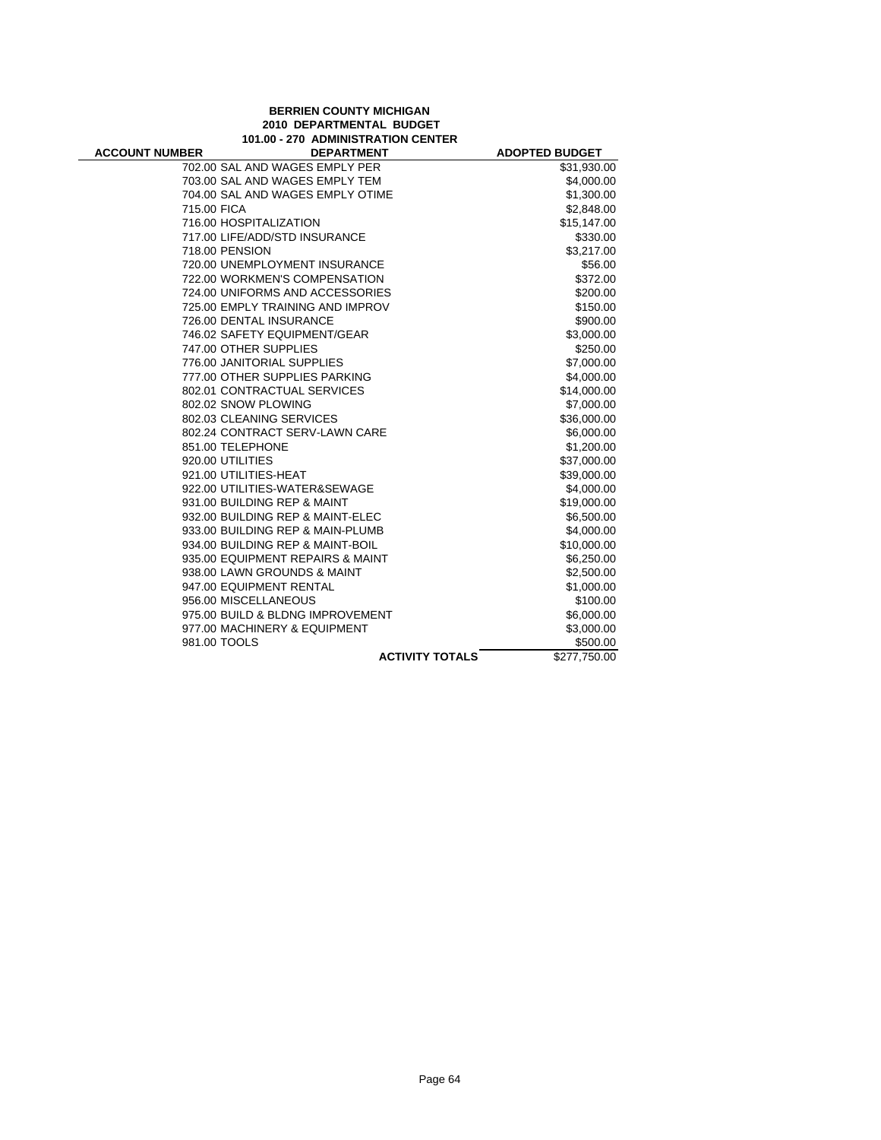## **BERRIEN COUNTY MICHIGAN 2010 DEPARTMENTAL BUDGET 101.00 - 270 ADMINISTRATION CENTER**

| <b>ACCOUNT NUMBER</b> | <b>DEPARTMENT</b>                | <b>ADOPTED BUDGET</b> |
|-----------------------|----------------------------------|-----------------------|
|                       | 702.00 SAL AND WAGES EMPLY PER   | \$31,930.00           |
|                       | 703.00 SAL AND WAGES EMPLY TEM   | \$4,000.00            |
|                       | 704.00 SAL AND WAGES EMPLY OTIME | \$1,300.00            |
| 715.00 FICA           |                                  | \$2,848.00            |
|                       | 716.00 HOSPITALIZATION           | \$15,147.00           |
|                       | 717.00 LIFE/ADD/STD INSURANCE    | \$330.00              |
| 718.00 PENSION        |                                  | \$3,217.00            |
|                       | 720.00 UNEMPLOYMENT INSURANCE    | \$56.00               |
|                       | 722.00 WORKMEN'S COMPENSATION    | \$372.00              |
|                       | 724.00 UNIFORMS AND ACCESSORIES  | \$200.00              |
|                       | 725.00 EMPLY TRAINING AND IMPROV | \$150.00              |
|                       | 726.00 DENTAL INSURANCE          | \$900.00              |
|                       | 746.02 SAFETY EQUIPMENT/GEAR     | \$3,000.00            |
|                       | 747.00 OTHER SUPPLIES            | \$250.00              |
|                       | 776.00 JANITORIAL SUPPLIES       | \$7,000.00            |
|                       | 777.00 OTHER SUPPLIES PARKING    | \$4,000.00            |
|                       | 802.01 CONTRACTUAL SERVICES      | \$14,000.00           |
|                       | 802.02 SNOW PLOWING              | \$7,000.00            |
|                       | 802.03 CLEANING SERVICES         | \$36,000.00           |
|                       | 802.24 CONTRACT SERV-LAWN CARE   | \$6,000.00            |
|                       | 851.00 TELEPHONE                 | \$1,200.00            |
| 920.00 UTILITIES      |                                  | \$37,000.00           |
|                       | 921.00 UTILITIES-HEAT            | \$39,000.00           |
|                       | 922.00 UTILITIES-WATER&SEWAGE    | \$4,000.00            |
|                       | 931.00 BUILDING REP & MAINT      | \$19,000.00           |
|                       | 932.00 BUILDING REP & MAINT-ELEC | \$6,500.00            |
|                       | 933.00 BUILDING REP & MAIN-PLUMB | \$4,000.00            |
|                       | 934.00 BUILDING REP & MAINT-BOIL | \$10,000.00           |
|                       | 935.00 EQUIPMENT REPAIRS & MAINT | \$6,250.00            |
|                       | 938.00 LAWN GROUNDS & MAINT      | \$2,500.00            |
|                       | 947.00 EQUIPMENT RENTAL          | \$1,000.00            |
|                       | 956.00 MISCELLANEOUS             | \$100.00              |
|                       | 975.00 BUILD & BLDNG IMPROVEMENT | \$6,000.00            |
|                       | 977.00 MACHINERY & EQUIPMENT     | \$3,000.00            |
| 981.00 TOOLS          |                                  | \$500.00              |
|                       | <b>ACTIVITY TOTALS</b>           | \$277,750.00          |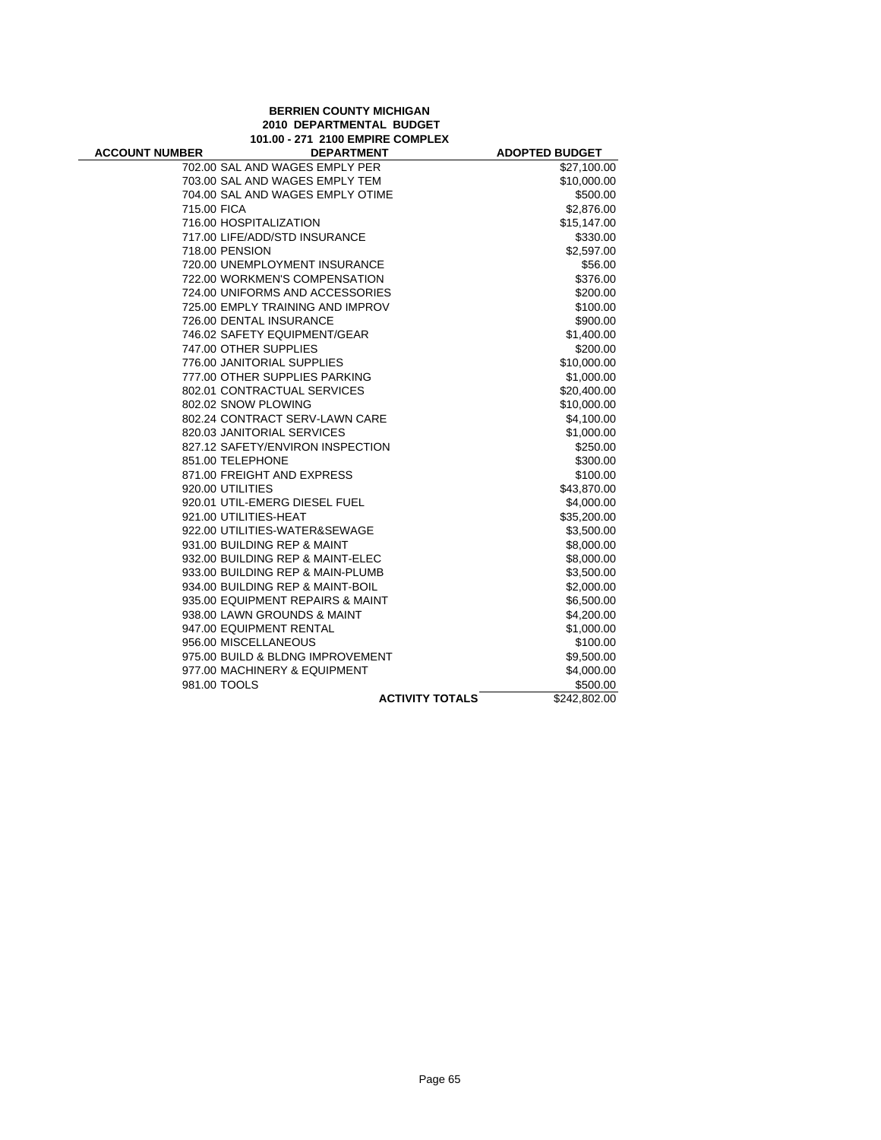## **BERRIEN COUNTY MICHIGAN 2010 DEPARTMENTAL BUDGET 101.00 - 271 2100 EMPIRE COMPLEX**

÷

| <b>ACCOUNT NUMBER</b> | <b>DEPARTMENT</b>                | <b>ADOPTED BUDGET</b> |
|-----------------------|----------------------------------|-----------------------|
|                       | 702.00 SAL AND WAGES EMPLY PER   | \$27,100.00           |
|                       | 703.00 SAL AND WAGES EMPLY TEM   | \$10,000.00           |
|                       | 704.00 SAL AND WAGES EMPLY OTIME | \$500.00              |
| 715.00 FICA           |                                  | \$2,876.00            |
|                       | 716.00 HOSPITALIZATION           | \$15,147.00           |
|                       | 717.00 LIFE/ADD/STD INSURANCE    | \$330.00              |
|                       | 718.00 PENSION                   | \$2,597.00            |
|                       | 720.00 UNEMPLOYMENT INSURANCE    | \$56.00               |
|                       | 722.00 WORKMEN'S COMPENSATION    | \$376.00              |
|                       | 724.00 UNIFORMS AND ACCESSORIES  | \$200.00              |
|                       | 725.00 EMPLY TRAINING AND IMPROV | \$100.00              |
|                       | 726.00 DENTAL INSURANCE          | \$900.00              |
|                       | 746.02 SAFETY EQUIPMENT/GEAR     | \$1,400.00            |
|                       | 747.00 OTHER SUPPLIES            | \$200.00              |
|                       | 776.00 JANITORIAL SUPPLIES       | \$10,000.00           |
|                       | 777.00 OTHER SUPPLIES PARKING    | \$1,000.00            |
|                       | 802.01 CONTRACTUAL SERVICES      | \$20,400.00           |
|                       | 802.02 SNOW PLOWING              | \$10,000.00           |
|                       | 802.24 CONTRACT SERV-LAWN CARE   | \$4,100.00            |
|                       | 820.03 JANITORIAL SERVICES       | \$1,000.00            |
|                       | 827.12 SAFETY/ENVIRON INSPECTION | \$250.00              |
|                       | 851.00 TELEPHONE                 | \$300.00              |
|                       | 871.00 FREIGHT AND EXPRESS       | \$100.00              |
|                       | 920.00 UTILITIES                 | \$43,870.00           |
|                       | 920.01 UTIL-EMERG DIESEL FUEL    | \$4,000.00            |
|                       | 921.00 UTILITIES-HEAT            | \$35,200.00           |
|                       | 922.00 UTILITIES-WATER&SEWAGE    | \$3,500.00            |
|                       | 931.00 BUILDING REP & MAINT      | \$8,000.00            |
|                       | 932.00 BUILDING REP & MAINT-ELEC | \$8,000.00            |
|                       | 933.00 BUILDING REP & MAIN-PLUMB | \$3,500.00            |
|                       | 934.00 BUILDING REP & MAINT-BOIL | \$2,000.00            |
|                       | 935.00 EQUIPMENT REPAIRS & MAINT | \$6,500.00            |
|                       | 938.00 LAWN GROUNDS & MAINT      | \$4,200.00            |
|                       | 947.00 EQUIPMENT RENTAL          | \$1,000.00            |
|                       | 956.00 MISCELLANEOUS             | \$100.00              |
|                       | 975.00 BUILD & BLDNG IMPROVEMENT | \$9,500.00            |
|                       | 977.00 MACHINERY & EQUIPMENT     | \$4,000.00            |
|                       | 981.00 TOOLS                     | \$500.00              |
|                       | <b>ACTIVITY TOTALS</b>           | \$242,802.00          |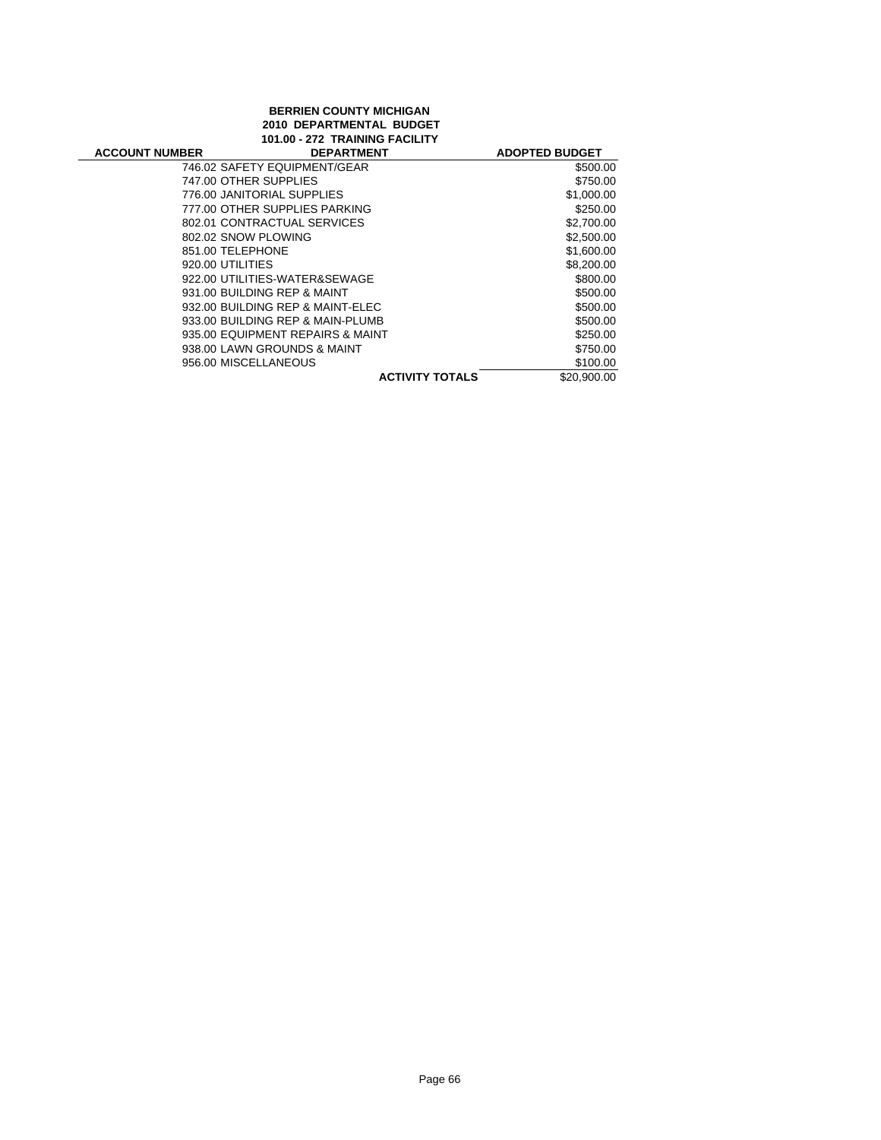# **BERRIEN COUNTY MICHIGAN 2010 DEPARTMENTAL BUDGET 101.00 - 272 TRAINING FACILITY**

| <b>ACCOUNT NUMBER</b> | <b>DEPARTMENT</b>                | <b>ADOPTED BUDGET</b> |
|-----------------------|----------------------------------|-----------------------|
|                       | 746.02 SAFETY EQUIPMENT/GEAR     | \$500.00              |
|                       | 747.00 OTHER SUPPLIES            | \$750.00              |
|                       | 776.00 JANITORIAL SUPPLIES       | \$1,000.00            |
|                       | 777.00 OTHER SUPPLIES PARKING    | \$250.00              |
|                       | 802.01 CONTRACTUAL SERVICES      | \$2,700.00            |
|                       | 802.02 SNOW PLOWING              | \$2,500.00            |
| 851.00 TELEPHONE      |                                  | \$1,600.00            |
| 920.00 UTILITIES      |                                  | \$8,200.00            |
|                       | 922.00 UTILITIES-WATER&SEWAGE    | \$800.00              |
|                       | 931.00 BUILDING REP & MAINT      | \$500.00              |
|                       | 932.00 BUILDING REP & MAINT-ELEC | \$500.00              |
|                       | 933.00 BUILDING REP & MAIN-PLUMB | \$500.00              |
|                       | 935.00 EQUIPMENT REPAIRS & MAINT | \$250.00              |
|                       | 938.00 LAWN GROUNDS & MAINT      | \$750.00              |
|                       | 956.00 MISCELLANEOUS             | \$100.00              |
|                       | <b>ACTIVITY TOTALS</b>           | \$20,900.00           |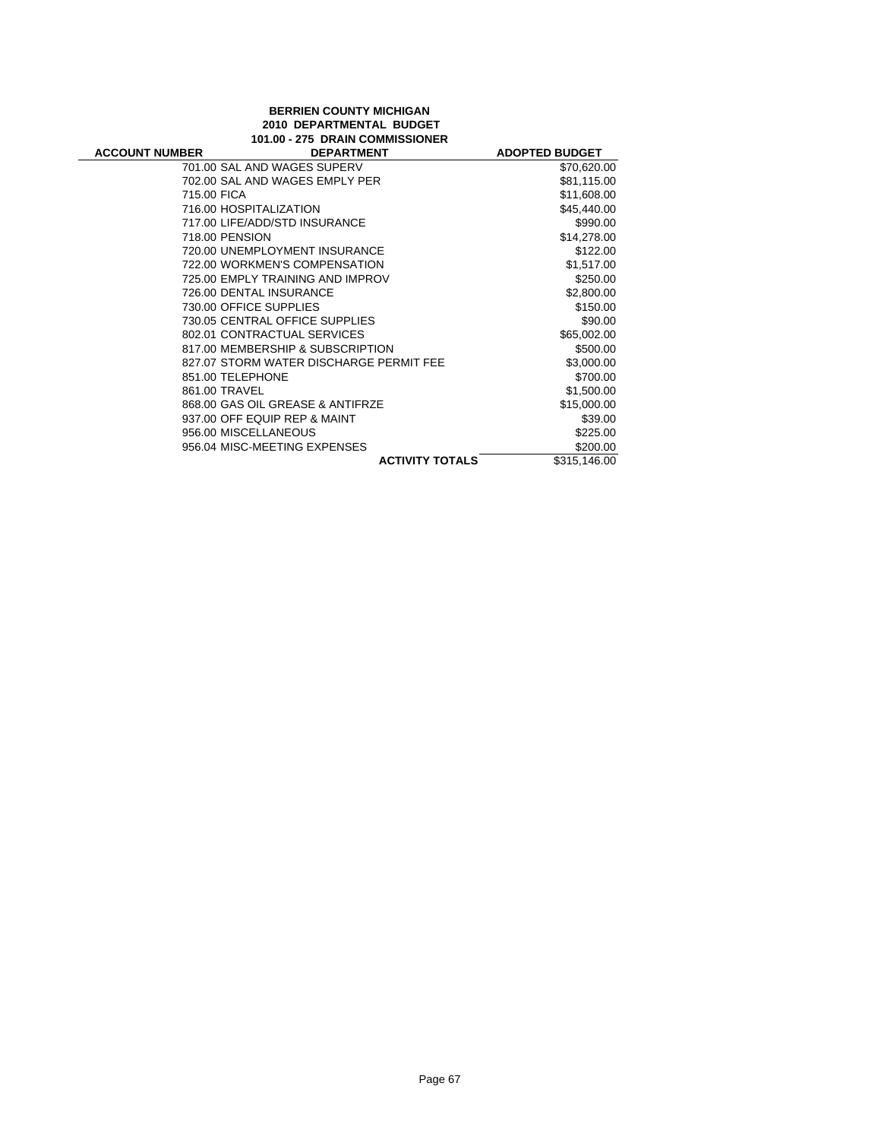## **BERRIEN COUNTY MICHIGAN 2010 DEPARTMENTAL BUDGET 101.00 - 275 DRAIN COMMISSIONER**

÷

| <b>ACCOUNT NUMBER</b> | <b>DEPARTMENT</b>                       | <b>ADOPTED BUDGET</b> |
|-----------------------|-----------------------------------------|-----------------------|
|                       | 701.00 SAL AND WAGES SUPERV             | \$70,620.00           |
|                       | 702.00 SAL AND WAGES EMPLY PER          | \$81,115.00           |
| 715.00 FICA           |                                         | \$11,608.00           |
|                       | 716.00 HOSPITALIZATION                  | \$45,440.00           |
|                       | 717.00 LIFE/ADD/STD INSURANCE           | \$990.00              |
|                       | 718.00 PENSION                          | \$14,278.00           |
|                       | 720.00 UNEMPLOYMENT INSURANCE           | \$122.00              |
|                       | 722.00 WORKMEN'S COMPENSATION           | \$1,517.00            |
|                       | 725.00 EMPLY TRAINING AND IMPROV        | \$250.00              |
|                       | 726.00 DENTAL INSURANCE                 | \$2,800.00            |
|                       | 730.00 OFFICE SUPPLIES                  | \$150.00              |
|                       | 730.05 CENTRAL OFFICE SUPPLIES          | \$90.00               |
|                       | 802.01 CONTRACTUAL SERVICES             | \$65,002.00           |
|                       | 817.00 MEMBERSHIP & SUBSCRIPTION        | \$500.00              |
|                       | 827.07 STORM WATER DISCHARGE PERMIT FEE | \$3,000.00            |
|                       | 851.00 TELEPHONE                        | \$700.00              |
|                       | 861.00 TRAVEL                           | \$1,500.00            |
|                       | 868.00 GAS OIL GREASE & ANTIFRZE        | \$15,000.00           |
|                       | 937.00 OFF EQUIP REP & MAINT            | \$39.00               |
|                       | 956.00 MISCELLANEOUS                    | \$225.00              |
|                       | 956.04 MISC-MEETING EXPENSES            | \$200.00              |
|                       | <b>ACTIVITY TOTALS</b>                  | \$315,146.00          |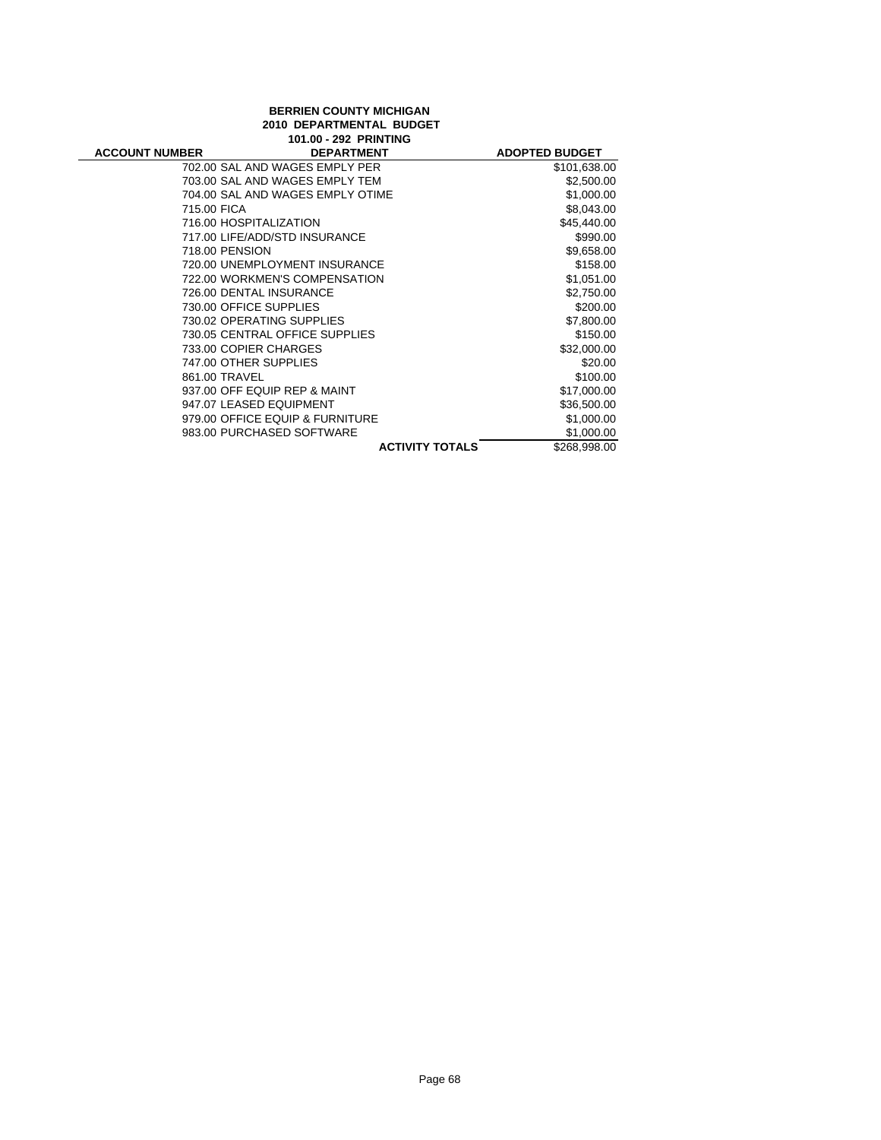| <b>BERRIEN COUNTY MICHIGAN</b> |                                  |                        |                       |
|--------------------------------|----------------------------------|------------------------|-----------------------|
| 2010 DEPARTMENTAL BUDGET       |                                  |                        |                       |
|                                | 101.00 - 292 PRINTING            |                        |                       |
| <b>ACCOUNT NUMBER</b>          | <b>DEPARTMENT</b>                |                        | <b>ADOPTED BUDGET</b> |
|                                | 702.00 SAL AND WAGES EMPLY PER   |                        | \$101,638.00          |
|                                | 703.00 SAL AND WAGES EMPLY TEM   |                        | \$2,500.00            |
|                                | 704.00 SAL AND WAGES EMPLY OTIME |                        | \$1,000.00            |
| 715.00 FICA                    |                                  |                        | \$8,043.00            |
|                                | 716.00 HOSPITALIZATION           |                        | \$45,440.00           |
|                                | 717.00 LIFE/ADD/STD INSURANCE    |                        | \$990.00              |
| 718.00 PENSION                 |                                  |                        | \$9,658.00            |
|                                | 720.00 UNEMPLOYMENT INSURANCE    |                        | \$158.00              |
|                                | 722.00 WORKMEN'S COMPENSATION    |                        | \$1,051.00            |
|                                | 726.00 DENTAL INSURANCE          |                        | \$2,750.00            |
|                                | 730.00 OFFICE SUPPLIES           |                        | \$200.00              |
|                                | 730.02 OPERATING SUPPLIES        |                        | \$7,800.00            |
|                                | 730.05 CENTRAL OFFICE SUPPLIES   |                        | \$150.00              |
|                                | 733.00 COPIER CHARGES            |                        | \$32,000.00           |
|                                | 747.00 OTHER SUPPLIES            |                        | \$20.00               |
| 861.00 TRAVEL                  |                                  |                        | \$100.00              |
|                                | 937.00 OFF EQUIP REP & MAINT     |                        | \$17,000.00           |
|                                | 947.07 LEASED EQUIPMENT          |                        | \$36,500.00           |
|                                | 979.00 OFFICE EQUIP & FURNITURE  |                        | \$1,000.00            |
|                                | 983.00 PURCHASED SOFTWARE        |                        | \$1,000.00            |
|                                |                                  | <b>ACTIVITY TOTALS</b> | \$268,998.00          |

÷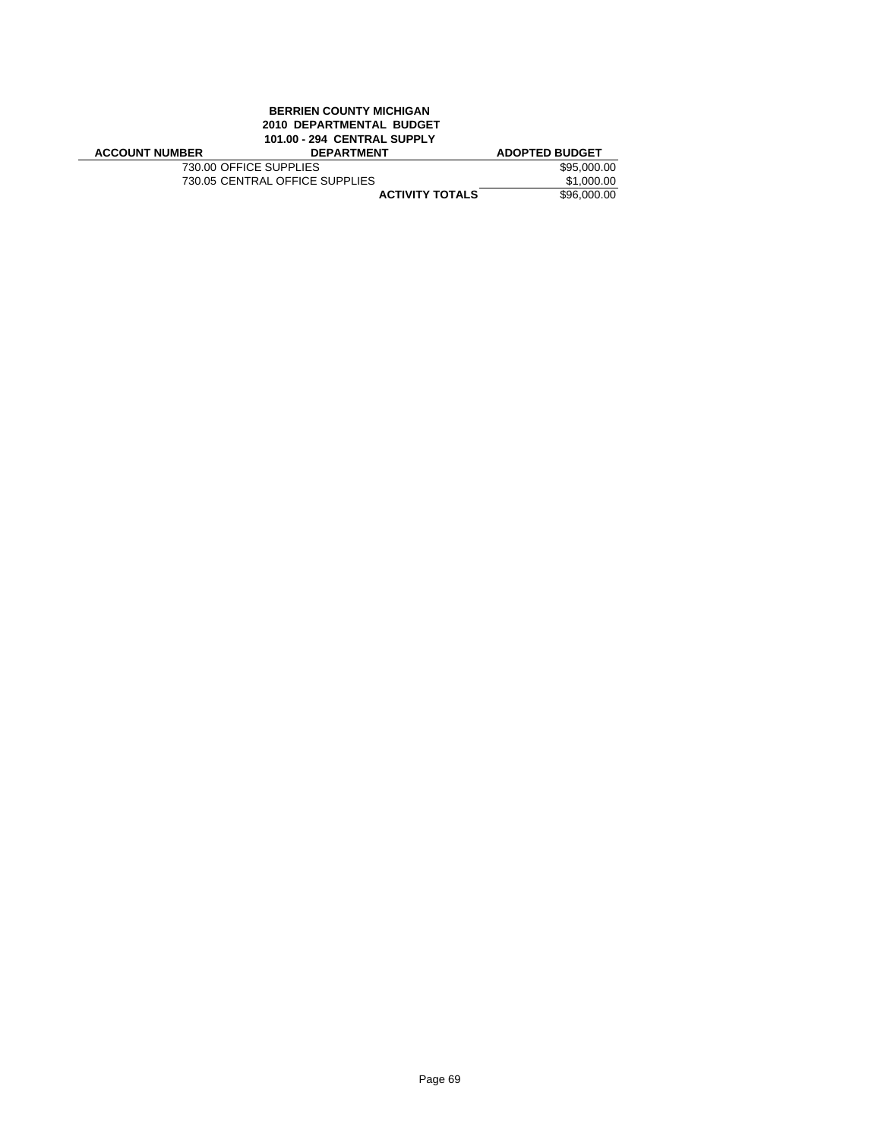# **BERRIEN COUNTY MICHIGAN 2010 DEPARTMENTAL BUDGET 101.00 - 294 CENTRAL SUPPLY**

| <b>ACCOUNT NUMBER</b>  | <b>DEPARTMENT</b>              | <b>ADOPTED BUDGET</b> |
|------------------------|--------------------------------|-----------------------|
| 730.00 OFFICE SUPPLIES |                                | \$95,000.00           |
|                        | 730.05 CENTRAL OFFICE SUPPLIES | \$1,000.00            |
|                        | <b>ACTIVITY TOTALS</b>         | \$96,000.00           |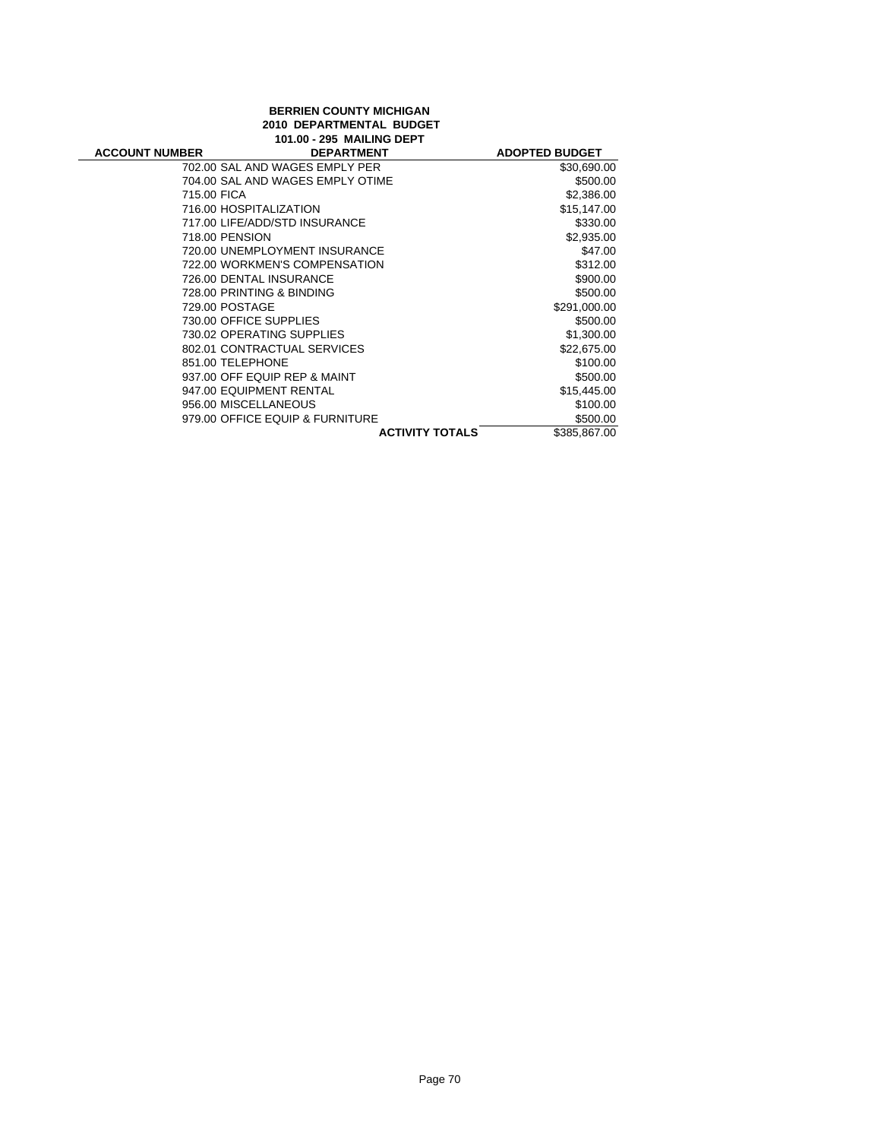# **BERRIEN COUNTY MICHIGAN 2010 DEPARTMENTAL BUDGET 101.00 - 295 MAILING DEPT**

| IVI.OV - 293 MAILING DEFI |                                  |                       |  |
|---------------------------|----------------------------------|-----------------------|--|
| <b>ACCOUNT NUMBER</b>     | <b>DEPARTMENT</b>                | <b>ADOPTED BUDGET</b> |  |
|                           | 702.00 SAL AND WAGES EMPLY PER   | \$30,690.00           |  |
|                           | 704.00 SAL AND WAGES EMPLY OTIME | \$500.00              |  |
|                           | 715.00 FICA                      | \$2,386.00            |  |
|                           | 716.00 HOSPITALIZATION           | \$15,147.00           |  |
|                           | 717.00 LIFE/ADD/STD INSURANCE    | \$330.00              |  |
|                           | 718.00 PENSION                   | \$2,935.00            |  |
|                           | 720.00 UNEMPLOYMENT INSURANCE    | \$47.00               |  |
|                           | 722.00 WORKMEN'S COMPENSATION    | \$312.00              |  |
|                           | 726.00 DENTAL INSURANCE          | \$900.00              |  |
|                           | 728.00 PRINTING & BINDING        | \$500.00              |  |
|                           | 729.00 POSTAGE                   | \$291,000.00          |  |
|                           | 730.00 OFFICE SUPPLIES           | \$500.00              |  |
|                           | 730.02 OPERATING SUPPLIES        | \$1,300.00            |  |
|                           | 802.01 CONTRACTUAL SERVICES      | \$22,675.00           |  |
|                           | 851.00 TELEPHONE                 | \$100.00              |  |
|                           | 937.00 OFF EQUIP REP & MAINT     | \$500.00              |  |
|                           | 947.00 EQUIPMENT RENTAL          | \$15,445.00           |  |
|                           | 956.00 MISCELLANEOUS             | \$100.00              |  |
|                           | 979.00 OFFICE EQUIP & FURNITURE  | \$500.00              |  |
|                           | <b>ACTIVITY TOTALS</b>           | \$385,867.00          |  |
|                           |                                  |                       |  |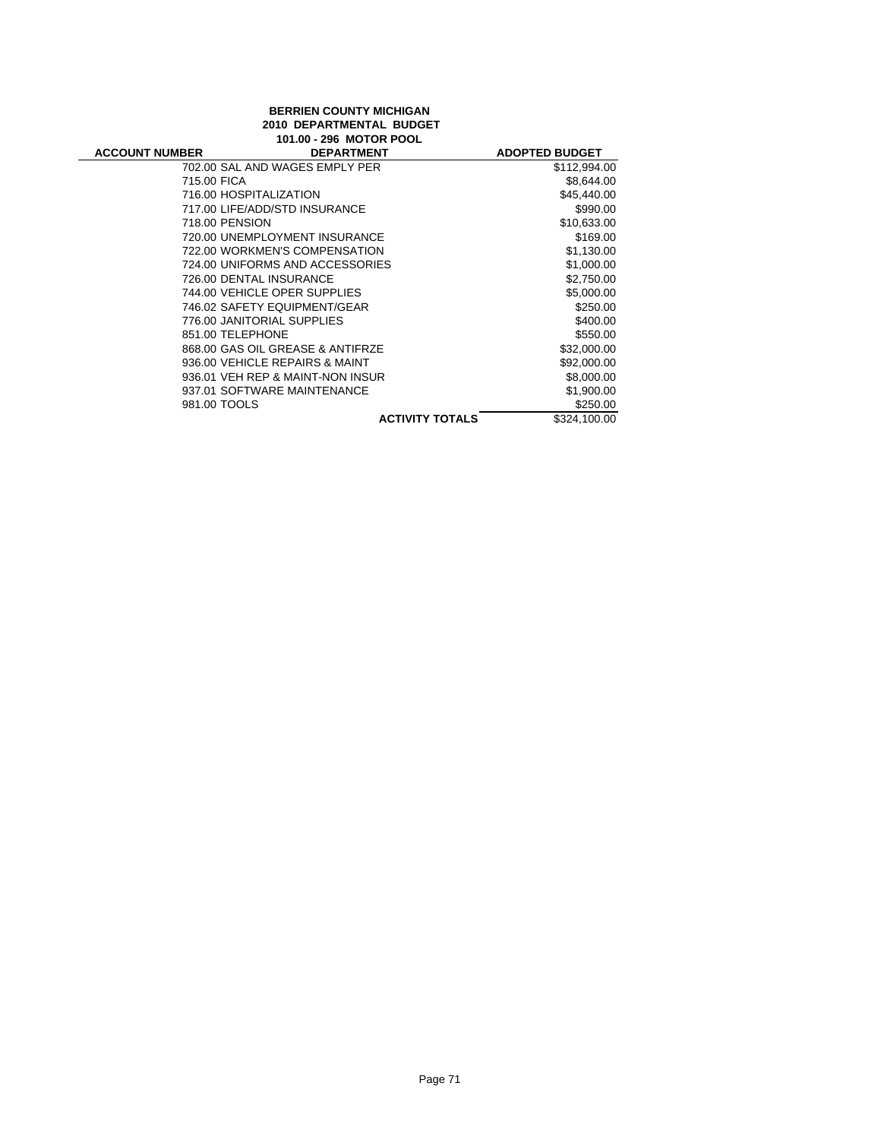# **BERRIEN COUNTY MICHIGAN 2010 DEPARTMENTAL BUDGET 101.00 - 296 MOTOR POOL**

| <b>ACCOUNT NUMBER</b> | <b>DEPARTMENT</b>                |                        | <b>ADOPTED BUDGET</b> |
|-----------------------|----------------------------------|------------------------|-----------------------|
|                       | 702.00 SAL AND WAGES EMPLY PER   |                        | \$112,994.00          |
|                       | 715.00 FICA                      |                        | \$8,644.00            |
|                       | 716.00 HOSPITALIZATION           |                        | \$45,440.00           |
|                       | 717.00 LIFE/ADD/STD INSURANCE    |                        | \$990.00              |
|                       | 718.00 PENSION                   |                        | \$10,633.00           |
|                       | 720.00 UNEMPLOYMENT INSURANCE    |                        | \$169.00              |
|                       | 722.00 WORKMEN'S COMPENSATION    |                        | \$1,130.00            |
|                       | 724.00 UNIFORMS AND ACCESSORIES  |                        | \$1,000.00            |
|                       | 726.00 DENTAL INSURANCE          |                        | \$2,750.00            |
|                       | 744.00 VEHICLE OPER SUPPLIES     |                        | \$5,000.00            |
|                       | 746.02 SAFETY EQUIPMENT/GEAR     |                        | \$250.00              |
|                       | 776.00 JANITORIAL SUPPLIES       |                        | \$400.00              |
|                       | 851.00 TELEPHONE                 |                        | \$550.00              |
|                       | 868.00 GAS OIL GREASE & ANTIFRZE |                        | \$32,000.00           |
|                       | 936.00 VEHICLE REPAIRS & MAINT   |                        | \$92,000.00           |
|                       | 936.01 VEH REP & MAINT-NON INSUR |                        | \$8,000.00            |
|                       | 937.01 SOFTWARE MAINTENANCE      |                        | \$1,900.00            |
|                       | 981.00 TOOLS                     |                        | \$250.00              |
|                       |                                  | <b>ACTIVITY TOTALS</b> | \$324,100.00          |
|                       |                                  |                        |                       |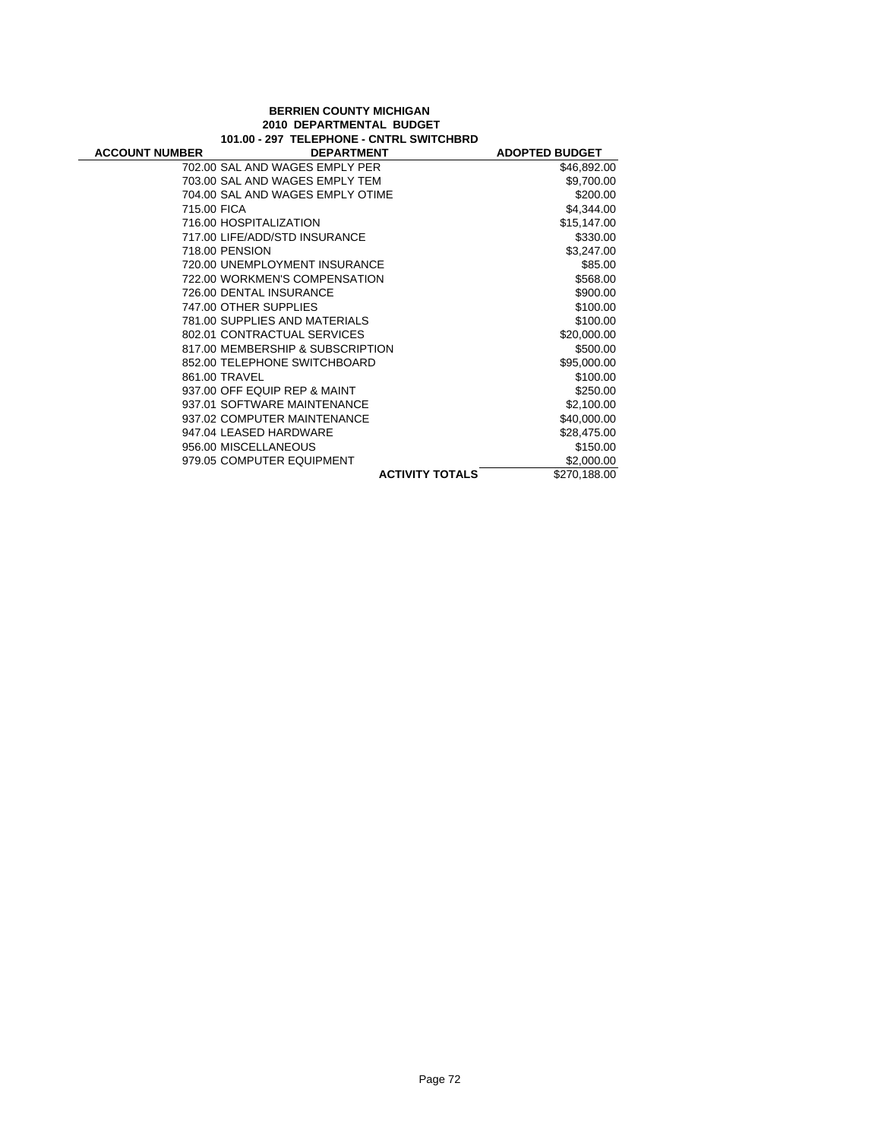## **BERRIEN COUNTY MICHIGAN 2010 DEPARTMENTAL BUDGET 101.00 - 297 TELEPHONE - CNTRL SWITCHBRD**

| <b>ACCOUNT NUMBER</b> | <b>DEPARTMENT</b>                | <b>ADOPTED BUDGET</b> |
|-----------------------|----------------------------------|-----------------------|
|                       | 702.00 SAL AND WAGES EMPLY PER   | \$46,892.00           |
|                       | 703.00 SAL AND WAGES EMPLY TEM   | \$9,700.00            |
|                       | 704.00 SAL AND WAGES EMPLY OTIME | \$200.00              |
| 715.00 FICA           |                                  | \$4,344.00            |
|                       | 716.00 HOSPITALIZATION           | \$15,147.00           |
|                       | 717.00 LIFE/ADD/STD INSURANCE    | \$330.00              |
|                       | 718.00 PENSION                   | \$3,247.00            |
|                       | 720.00 UNEMPLOYMENT INSURANCE    | \$85.00               |
|                       | 722.00 WORKMEN'S COMPENSATION    | \$568.00              |
|                       | 726.00 DENTAL INSURANCE          | \$900.00              |
|                       | 747.00 OTHER SUPPLIES            | \$100.00              |
|                       | 781.00 SUPPLIES AND MATERIALS    | \$100.00              |
|                       | 802.01 CONTRACTUAL SERVICES      | \$20,000.00           |
|                       | 817.00 MEMBERSHIP & SUBSCRIPTION | \$500.00              |
|                       | 852.00 TELEPHONE SWITCHBOARD     | \$95,000.00           |
|                       | 861.00 TRAVEL                    | \$100.00              |
|                       | 937.00 OFF EQUIP REP & MAINT     | \$250.00              |
|                       | 937.01 SOFTWARE MAINTENANCE      | \$2,100.00            |
|                       | 937.02 COMPUTER MAINTENANCE      | \$40,000.00           |
|                       | 947.04 LEASED HARDWARE           | \$28,475.00           |
|                       | 956.00 MISCELLANEOUS             | \$150.00              |
|                       | 979.05 COMPUTER EQUIPMENT        | \$2,000.00            |
|                       | <b>ACTIVITY TOTALS</b>           | \$270,188.00          |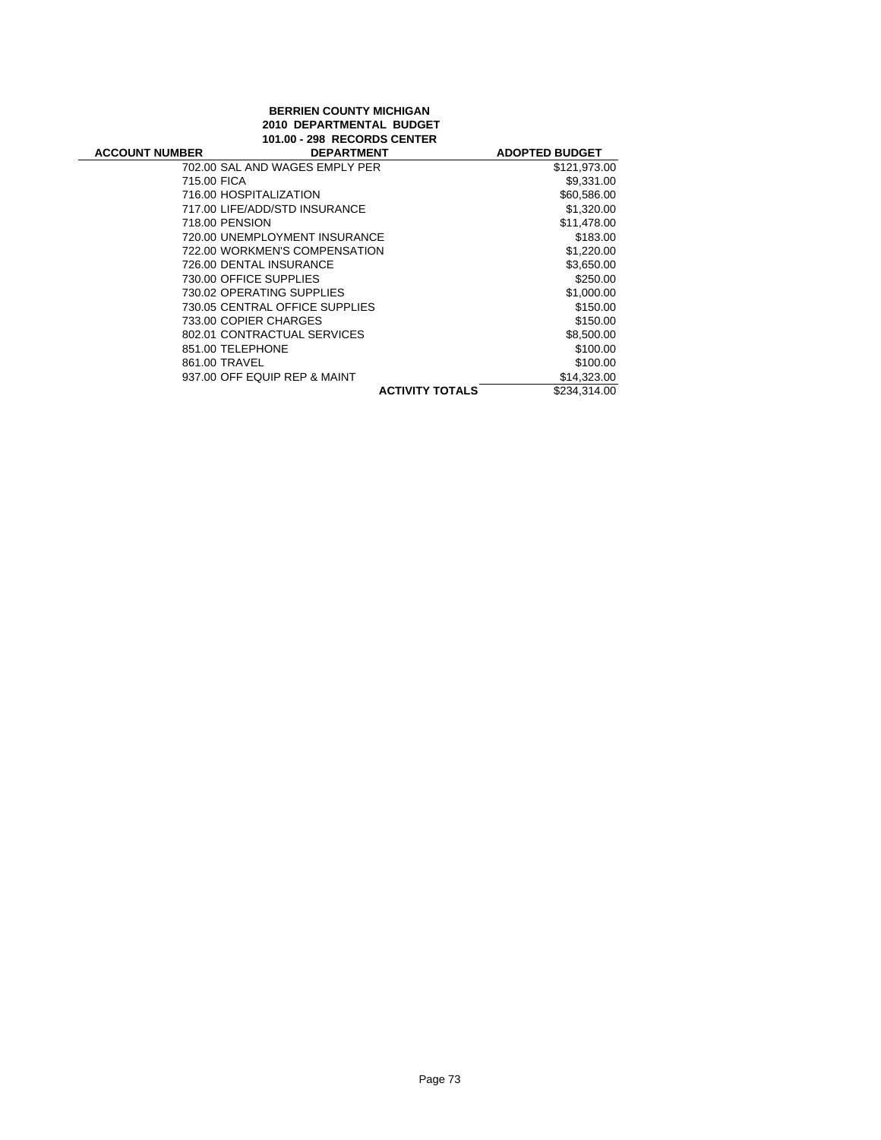### **BERRIEN COUNTY MICHIGAN 2010 DEPARTMENTAL BUDGET 101.00 - 298 RECORDS CENTER**

| <b>ACCOUNT NUMBER</b> | <b>DEPARTMENT</b>              | <b>ADOPTED BUDGET</b> |
|-----------------------|--------------------------------|-----------------------|
|                       | 702.00 SAL AND WAGES EMPLY PER | \$121,973.00          |
| 715.00 FICA           |                                | \$9,331.00            |
|                       | 716.00 HOSPITALIZATION         | \$60,586.00           |
|                       | 717.00 LIFE/ADD/STD INSURANCE  | \$1,320.00            |
| 718.00 PENSION        |                                | \$11,478.00           |
|                       | 720.00 UNEMPLOYMENT INSURANCE  | \$183.00              |
|                       | 722.00 WORKMEN'S COMPENSATION  | \$1,220.00            |
|                       | 726.00 DENTAL INSURANCE        | \$3,650.00            |
|                       | 730.00 OFFICE SUPPLIES         | \$250.00              |
|                       | 730.02 OPERATING SUPPLIES      | \$1,000.00            |
|                       | 730.05 CENTRAL OFFICE SUPPLIES | \$150.00              |
|                       | 733.00 COPIER CHARGES          | \$150.00              |
|                       | 802.01 CONTRACTUAL SERVICES    | \$8,500.00            |
| 851.00 TELEPHONE      |                                | \$100.00              |
| 861.00 TRAVEL         |                                | \$100.00              |
|                       | 937.00 OFF EQUIP REP & MAINT   | \$14,323.00           |
|                       | <b>ACTIVITY TOTALS</b>         | \$234.314.00          |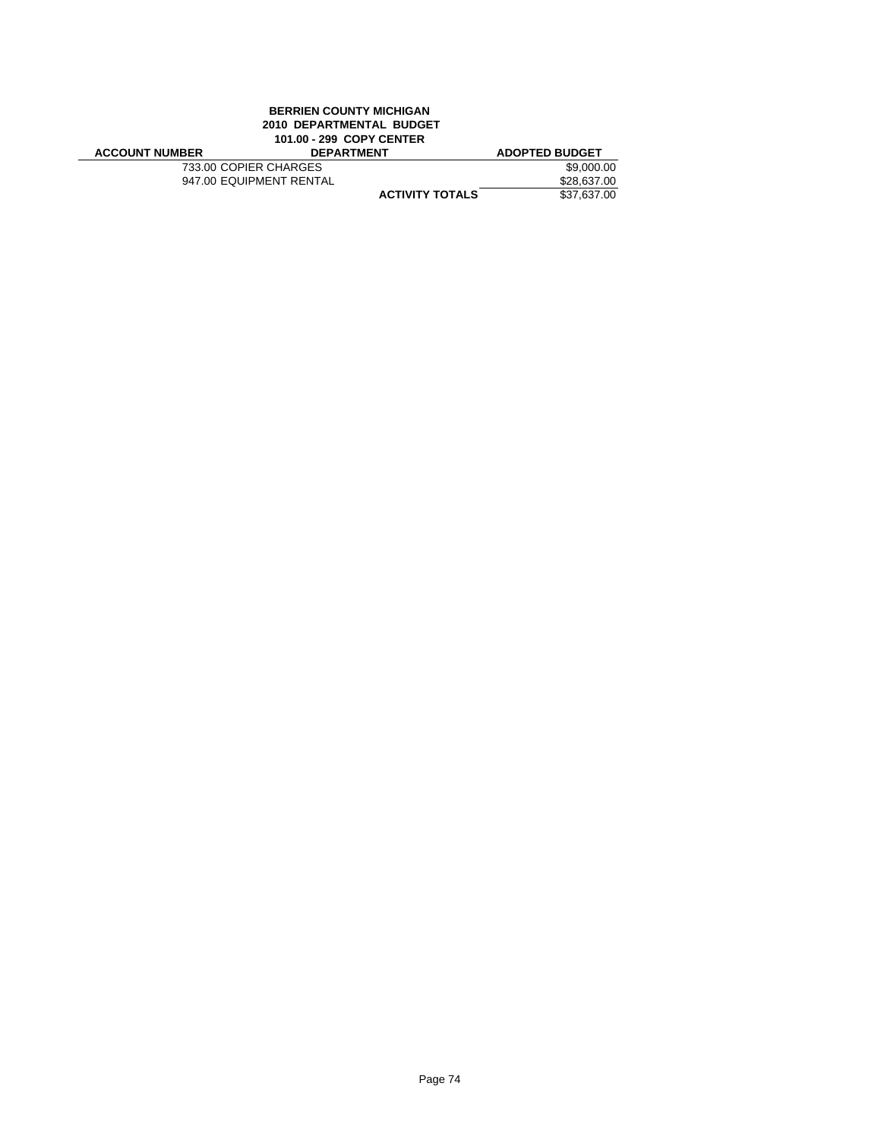# **BERRIEN COUNTY MICHIGAN 2010 DEPARTMENTAL BUDGET 101.00 - 299 COPY CENTER**

| <b>ACCOUNT NUMBER</b> | <b>DEPARTMENT</b>       | <b>ADOPTED BUDGET</b> |
|-----------------------|-------------------------|-----------------------|
| 733.00 COPIER CHARGES |                         | \$9,000.00            |
|                       | 947.00 EQUIPMENT RENTAL | \$28,637.00           |
|                       | <b>ACTIVITY TOTALS</b>  | \$37,637.00           |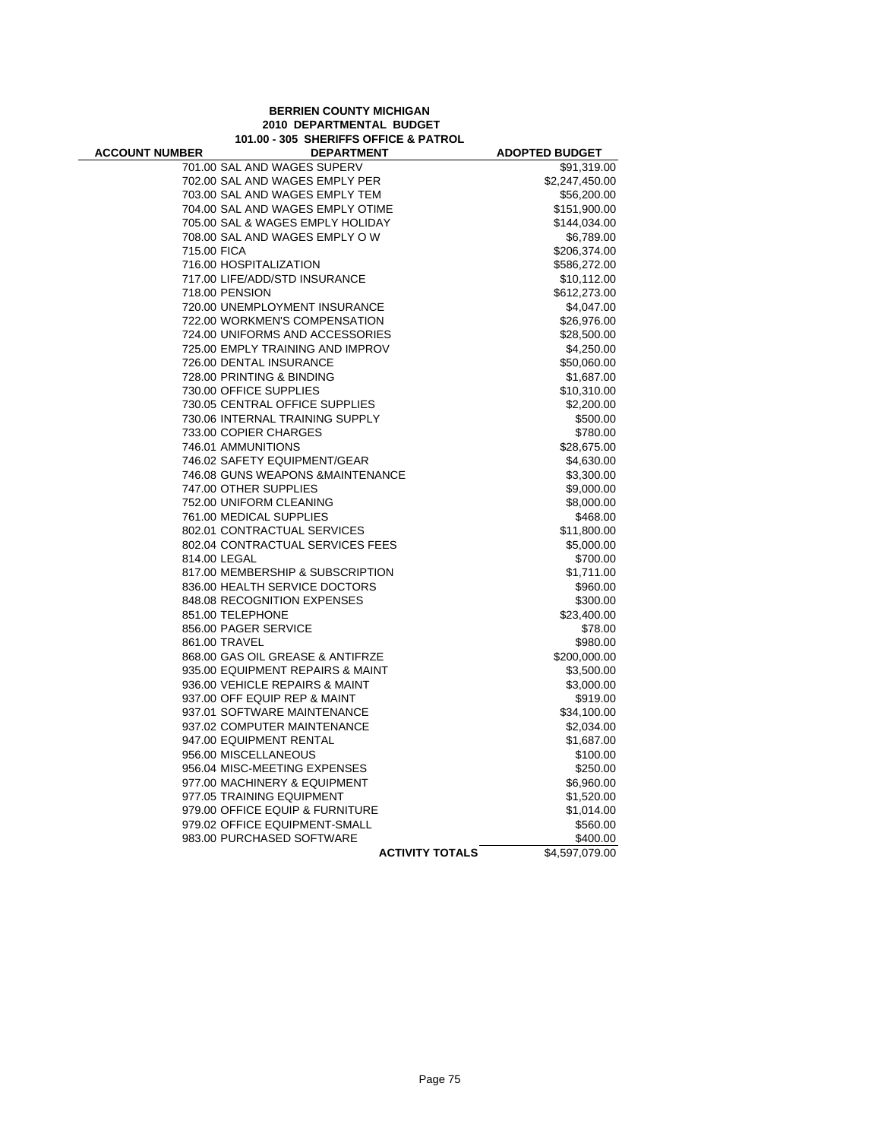#### **BERRIEN COUNTY MICHIGAN 2010 DEPARTMENTAL BUDGET 101.00 - 305 SHERIFFS OFFICE & PATROL**

÷

| <b>ACCOUNT NUMBER</b> | <b>DEPARTMENT</b>                 | <b>ADOPTED BUDGET</b> |
|-----------------------|-----------------------------------|-----------------------|
|                       | 701.00 SAL AND WAGES SUPERV       | \$91,319.00           |
|                       | 702.00 SAL AND WAGES EMPLY PER    | \$2,247,450.00        |
|                       | 703.00 SAL AND WAGES EMPLY TEM    | \$56,200.00           |
|                       | 704.00 SAL AND WAGES EMPLY OTIME  | \$151,900.00          |
|                       | 705.00 SAL & WAGES EMPLY HOLIDAY  | \$144,034.00          |
|                       | 708.00 SAL AND WAGES EMPLY OW     | \$6,789.00            |
| 715.00 FICA           |                                   | \$206,374.00          |
|                       | 716.00 HOSPITALIZATION            | \$586,272.00          |
|                       | 717.00 LIFE/ADD/STD INSURANCE     | \$10,112.00           |
|                       | 718.00 PENSION                    | \$612,273.00          |
|                       | 720.00 UNEMPLOYMENT INSURANCE     | \$4,047.00            |
|                       | 722.00 WORKMEN'S COMPENSATION     | \$26,976.00           |
|                       | 724.00 UNIFORMS AND ACCESSORIES   | \$28,500.00           |
|                       | 725.00 EMPLY TRAINING AND IMPROV  | \$4,250.00            |
|                       | 726.00 DENTAL INSURANCE           | \$50,060.00           |
|                       | 728.00 PRINTING & BINDING         | \$1,687.00            |
|                       | 730.00 OFFICE SUPPLIES            | \$10,310.00           |
|                       | 730.05 CENTRAL OFFICE SUPPLIES    | \$2,200.00            |
|                       | 730.06 INTERNAL TRAINING SUPPLY   | \$500.00              |
|                       | 733.00 COPIER CHARGES             | \$780.00              |
|                       | 746.01 AMMUNITIONS                | \$28,675.00           |
|                       | 746.02 SAFETY EQUIPMENT/GEAR      | \$4,630.00            |
|                       | 746.08 GUNS WEAPONS & MAINTENANCE | \$3,300.00            |
|                       | 747.00 OTHER SUPPLIES             | \$9,000.00            |
|                       | 752.00 UNIFORM CLEANING           | \$8,000.00            |
|                       | 761.00 MEDICAL SUPPLIES           | \$468.00              |
|                       | 802.01 CONTRACTUAL SERVICES       |                       |
|                       | 802.04 CONTRACTUAL SERVICES FEES  | \$11,800.00           |
|                       |                                   | \$5,000.00            |
|                       | 814.00 LEGAL                      | \$700.00              |
|                       | 817.00 MEMBERSHIP & SUBSCRIPTION  | \$1,711.00            |
|                       | 836.00 HEALTH SERVICE DOCTORS     | \$960.00              |
|                       | 848.08 RECOGNITION EXPENSES       | \$300.00              |
|                       | 851.00 TELEPHONE                  | \$23,400.00           |
|                       | 856.00 PAGER SERVICE              | \$78.00               |
|                       | 861.00 TRAVEL                     | \$980.00              |
|                       | 868.00 GAS OIL GREASE & ANTIFRZE  | \$200,000.00          |
|                       | 935.00 EQUIPMENT REPAIRS & MAINT  | \$3,500.00            |
|                       | 936.00 VEHICLE REPAIRS & MAINT    | \$3,000.00            |
|                       | 937.00 OFF EQUIP REP & MAINT      | \$919.00              |
|                       | 937.01 SOFTWARE MAINTENANCE       | \$34,100.00           |
|                       | 937.02 COMPUTER MAINTENANCE       | \$2,034.00            |
|                       | 947.00 EQUIPMENT RENTAL           | \$1,687.00            |
|                       | 956.00 MISCELLANEOUS              | \$100.00              |
|                       | 956.04 MISC-MEETING EXPENSES      | \$250.00              |
|                       | 977.00 MACHINERY & EQUIPMENT      | \$6,960.00            |
|                       | 977.05 TRAINING EQUIPMENT         | \$1,520.00            |
|                       | 979.00 OFFICE EQUIP & FURNITURE   | \$1,014.00            |
|                       | 979.02 OFFICE EQUIPMENT-SMALL     | \$560.00              |
|                       | 983.00 PURCHASED SOFTWARE         | \$400.00              |
|                       | <b>ACTIVITY TOTALS</b>            | \$4,597,079.00        |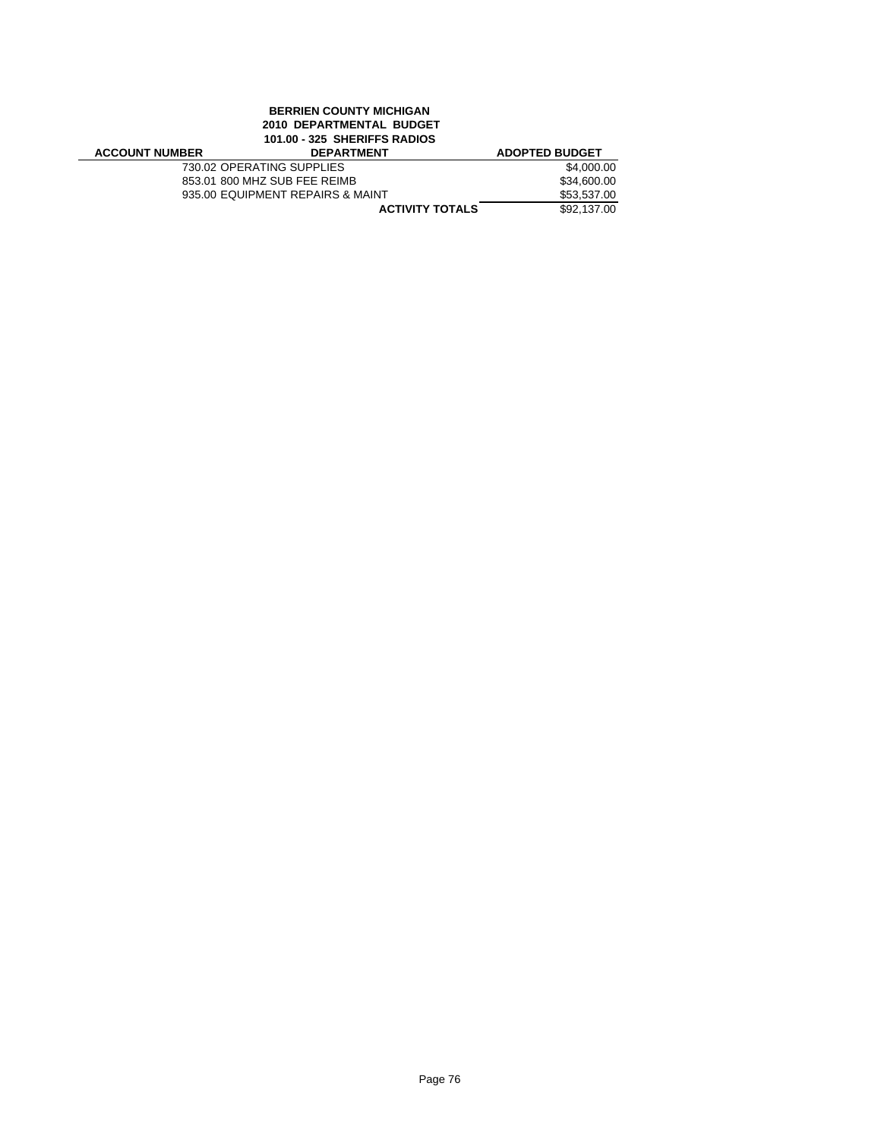# **BERRIEN COUNTY MICHIGAN 2010 DEPARTMENTAL BUDGET 101.00 - 325 SHERIFFS RADIOS**

| <b>ACCOUNT NUMBER</b> | <b>DEPARTMENT</b>                | <b>ADOPTED BUDGET</b> |
|-----------------------|----------------------------------|-----------------------|
|                       | 730.02 OPERATING SUPPLIES        | \$4,000.00            |
|                       | 853.01 800 MHZ SUB FEE REIMB     | \$34,600.00           |
|                       | 935.00 EQUIPMENT REPAIRS & MAINT | \$53,537.00           |
|                       | <b>ACTIVITY TOTALS</b>           | \$92,137,00           |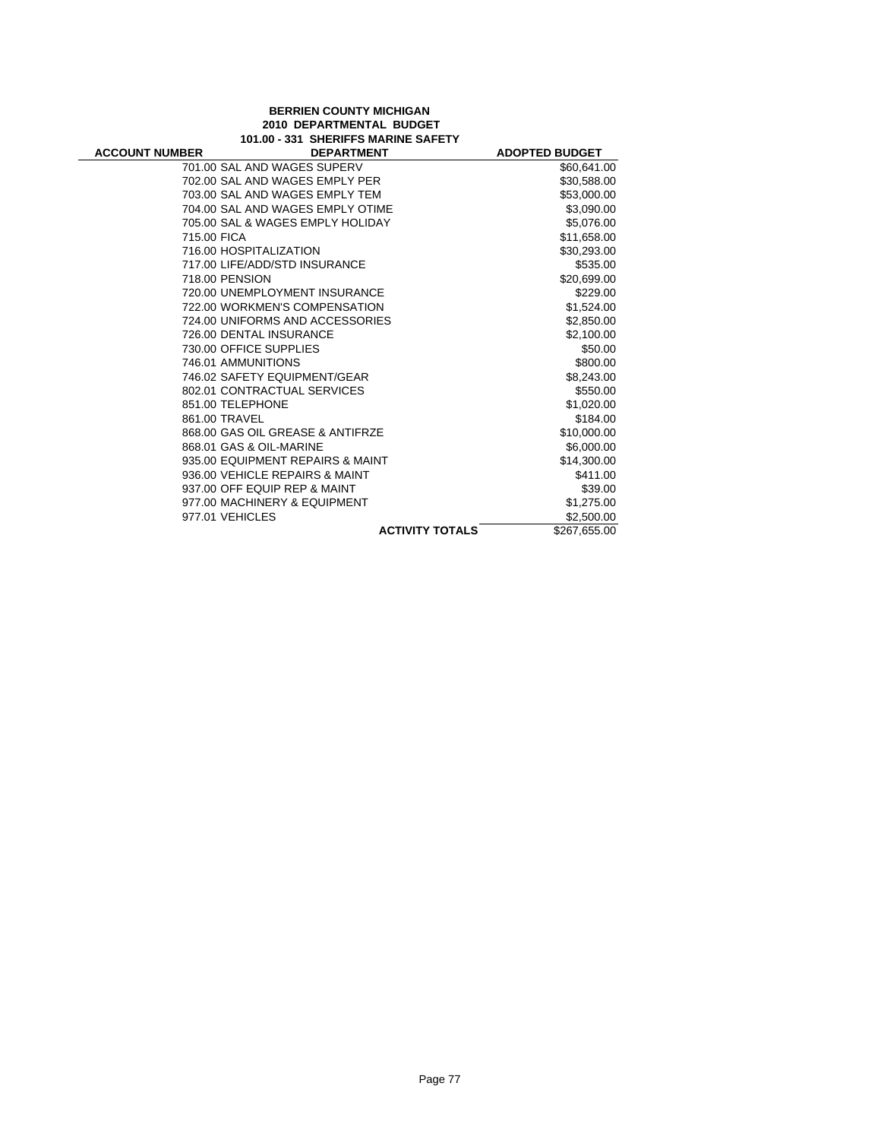### **BERRIEN COUNTY MICHIGAN 2010 DEPARTMENTAL BUDGET 101.00 - 331 SHERIFFS MARINE SAFETY**

| <b>ACCOUNT NUMBER</b> | <b>DEPARTMENT</b>                | <b>ADOPTED BUDGET</b> |
|-----------------------|----------------------------------|-----------------------|
|                       | 701.00 SAL AND WAGES SUPERV      | \$60,641.00           |
|                       | 702.00 SAL AND WAGES EMPLY PER   | \$30,588.00           |
|                       | 703.00 SAL AND WAGES EMPLY TEM   | \$53,000.00           |
|                       | 704.00 SAL AND WAGES EMPLY OTIME | \$3,090.00            |
|                       | 705.00 SAL & WAGES EMPLY HOLIDAY | \$5,076.00            |
| 715.00 FICA           |                                  | \$11,658.00           |
|                       | 716.00 HOSPITALIZATION           | \$30,293.00           |
|                       | 717.00 LIFE/ADD/STD INSURANCE    | \$535.00              |
| 718.00 PENSION        |                                  | \$20,699.00           |
|                       | 720.00 UNEMPLOYMENT INSURANCE    | \$229.00              |
|                       | 722.00 WORKMEN'S COMPENSATION    | \$1,524.00            |
|                       | 724.00 UNIFORMS AND ACCESSORIES  | \$2,850.00            |
|                       | 726.00 DENTAL INSURANCE          | \$2,100.00            |
|                       | 730.00 OFFICE SUPPLIES           | \$50.00               |
| 746.01 AMMUNITIONS    |                                  | \$800.00              |
|                       | 746.02 SAFETY EQUIPMENT/GEAR     | \$8,243.00            |
|                       | 802.01 CONTRACTUAL SERVICES      | \$550.00              |
| 851.00 TELEPHONE      |                                  | \$1,020.00            |
| 861.00 TRAVEL         |                                  | \$184.00              |
|                       | 868.00 GAS OIL GREASE & ANTIFRZE | \$10,000.00           |
|                       | 868.01 GAS & OIL-MARINE          | \$6,000.00            |
|                       | 935.00 EQUIPMENT REPAIRS & MAINT | \$14,300.00           |
|                       | 936.00 VEHICLE REPAIRS & MAINT   | \$411.00              |
|                       | 937.00 OFF EQUIP REP & MAINT     | \$39.00               |
|                       | 977.00 MACHINERY & EQUIPMENT     | \$1,275.00            |
| 977.01 VEHICLES       |                                  | \$2,500.00            |
|                       | <b>ACTIVITY TOTALS</b>           | \$267,655.00          |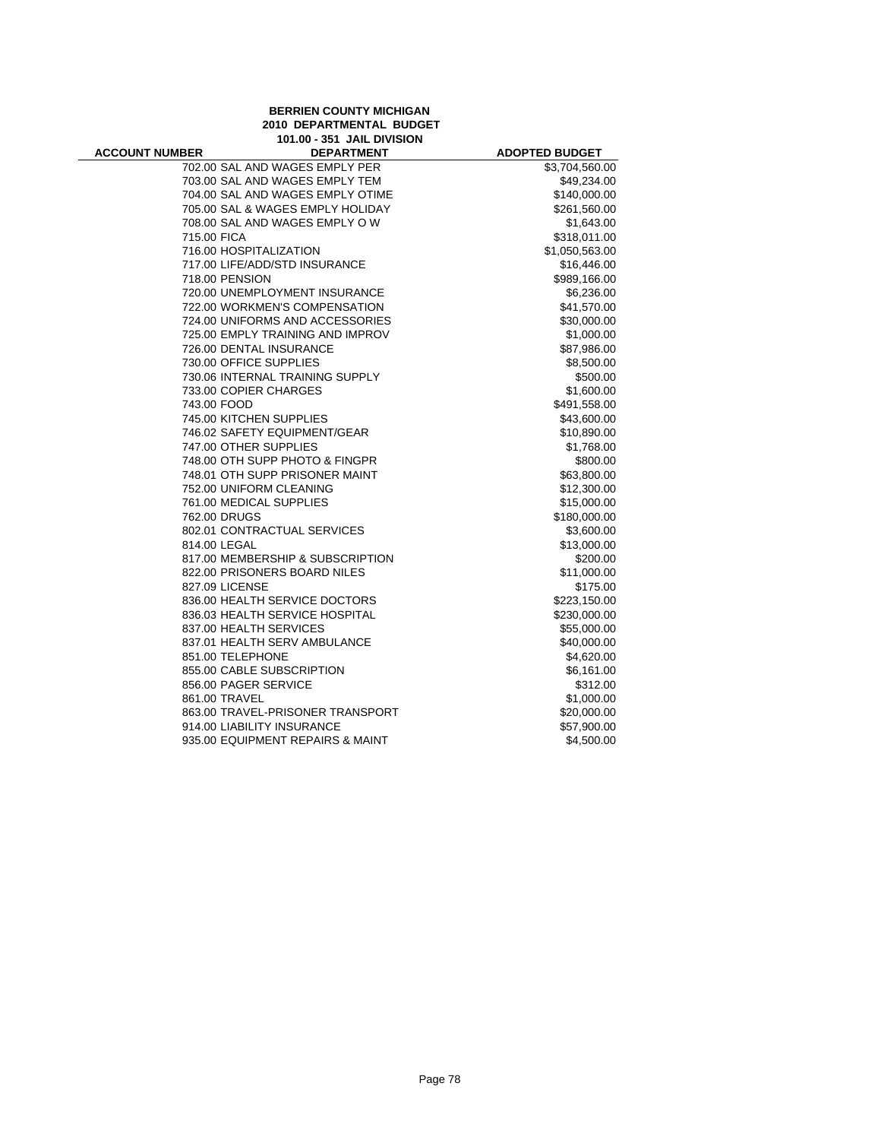**BERRIEN COUNTY MICHIGAN 2010 DEPARTMENTAL BUDGET 101.00 - 351 JAIL DIVISION**

| <b>ACCOUNT NUMBER</b> | <b>DEPARTMENT</b>                | <b>ADOPTED BUDGET</b> |
|-----------------------|----------------------------------|-----------------------|
|                       | 702.00 SAL AND WAGES EMPLY PER   | \$3,704,560.00        |
|                       | 703.00 SAL AND WAGES EMPLY TEM   | \$49,234.00           |
|                       | 704.00 SAL AND WAGES EMPLY OTIME | \$140,000.00          |
|                       | 705.00 SAL & WAGES EMPLY HOLIDAY | \$261,560.00          |
|                       | 708.00 SAL AND WAGES EMPLY OW    | \$1,643.00            |
| 715.00 FICA           |                                  | \$318,011.00          |
|                       | 716.00 HOSPITALIZATION           | \$1,050,563.00        |
|                       | 717.00 LIFE/ADD/STD INSURANCE    | \$16,446.00           |
| 718.00 PENSION        |                                  | \$989,166.00          |
|                       | 720.00 UNEMPLOYMENT INSURANCE    | \$6,236.00            |
|                       | 722.00 WORKMEN'S COMPENSATION    | \$41,570.00           |
|                       | 724.00 UNIFORMS AND ACCESSORIES  | \$30,000.00           |
|                       | 725.00 EMPLY TRAINING AND IMPROV | \$1,000.00            |
|                       | 726.00 DENTAL INSURANCE          | \$87,986.00           |
|                       | 730.00 OFFICE SUPPLIES           | \$8,500.00            |
|                       | 730.06 INTERNAL TRAINING SUPPLY  | \$500.00              |
|                       | 733.00 COPIER CHARGES            | \$1,600.00            |
| 743.00 FOOD           |                                  | \$491,558.00          |
|                       | 745.00 KITCHEN SUPPLIES          | \$43,600.00           |
|                       | 746.02 SAFETY EQUIPMENT/GEAR     | \$10,890.00           |
|                       | 747.00 OTHER SUPPLIES            | \$1,768.00            |
|                       | 748.00 OTH SUPP PHOTO & FINGPR   | \$800.00              |
|                       | 748.01 OTH SUPP PRISONER MAINT   | \$63,800.00           |
|                       | 752.00 UNIFORM CLEANING          | \$12,300.00           |
|                       | 761.00 MEDICAL SUPPLIES          | \$15,000.00           |
| 762.00 DRUGS          |                                  | \$180,000.00          |
|                       | 802.01 CONTRACTUAL SERVICES      | \$3,600.00            |
| 814.00 LEGAL          |                                  | \$13,000.00           |
|                       | 817.00 MEMBERSHIP & SUBSCRIPTION | \$200.00              |
|                       | 822.00 PRISONERS BOARD NILES     | \$11,000.00           |
| 827.09 LICENSE        |                                  | \$175.00              |
|                       | 836.00 HEALTH SERVICE DOCTORS    | \$223,150.00          |
|                       | 836.03 HEALTH SERVICE HOSPITAL   | \$230,000.00          |
|                       | 837.00 HEALTH SERVICES           | \$55,000.00           |
|                       | 837.01 HEALTH SERV AMBULANCE     | \$40,000.00           |
| 851.00 TELEPHONE      |                                  | \$4,620.00            |
|                       | 855.00 CABLE SUBSCRIPTION        | \$6,161.00            |
|                       | 856.00 PAGER SERVICE             | \$312.00              |
| 861.00 TRAVEL         |                                  | \$1,000.00            |
|                       | 863.00 TRAVEL-PRISONER TRANSPORT | \$20,000.00           |
|                       | 914.00 LIABILITY INSURANCE       | \$57,900.00           |
|                       | 935.00 EQUIPMENT REPAIRS & MAINT | \$4,500.00            |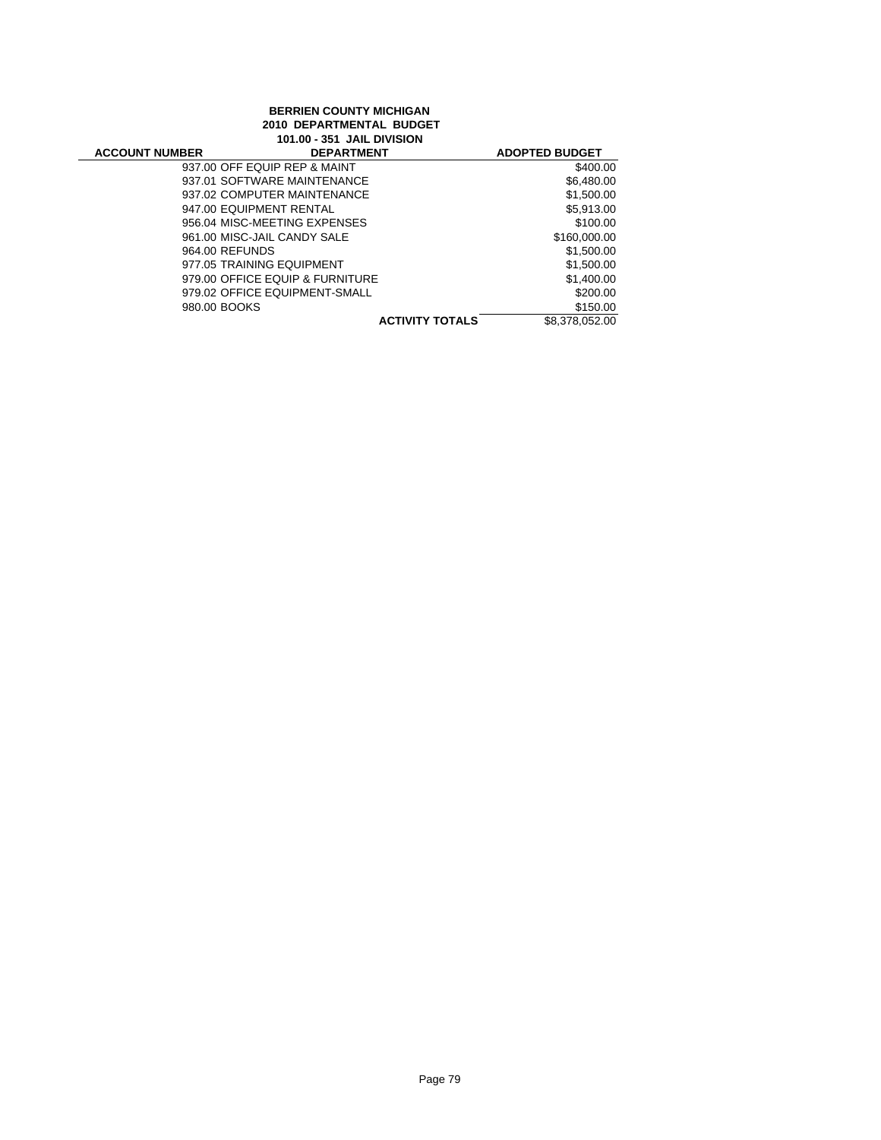### **BERRIEN COUNTY MICHIGAN 2010 DEPARTMENTAL BUDGET 101.00 - 351 JAIL DIVISION**

| <b>ACCOUNT NUMBER</b> | <b>DEPARTMENT</b>               | <b>ADOPTED BUDGET</b>                    |
|-----------------------|---------------------------------|------------------------------------------|
|                       | 937.00 OFF EQUIP REP & MAINT    | \$400.00                                 |
|                       | 937.01 SOFTWARE MAINTENANCE     | \$6,480.00                               |
|                       | 937.02 COMPUTER MAINTENANCE     | \$1,500.00                               |
|                       | 947.00 EQUIPMENT RENTAL         | \$5.913.00                               |
|                       | 956.04 MISC-MEETING EXPENSES    | \$100.00                                 |
|                       | 961.00 MISC-JAIL CANDY SALE     | \$160,000.00                             |
| 964.00 REFUNDS        |                                 | \$1,500.00                               |
|                       | 977.05 TRAINING EQUIPMENT       | \$1,500.00                               |
|                       | 979.00 OFFICE EQUIP & FURNITURE | \$1,400.00                               |
|                       | 979.02 OFFICE EQUIPMENT-SMALL   | \$200.00                                 |
| 980.00 BOOKS          |                                 | \$150.00                                 |
|                       |                                 | <b>ACTIVITY TOTALS</b><br>\$8,378,052,00 |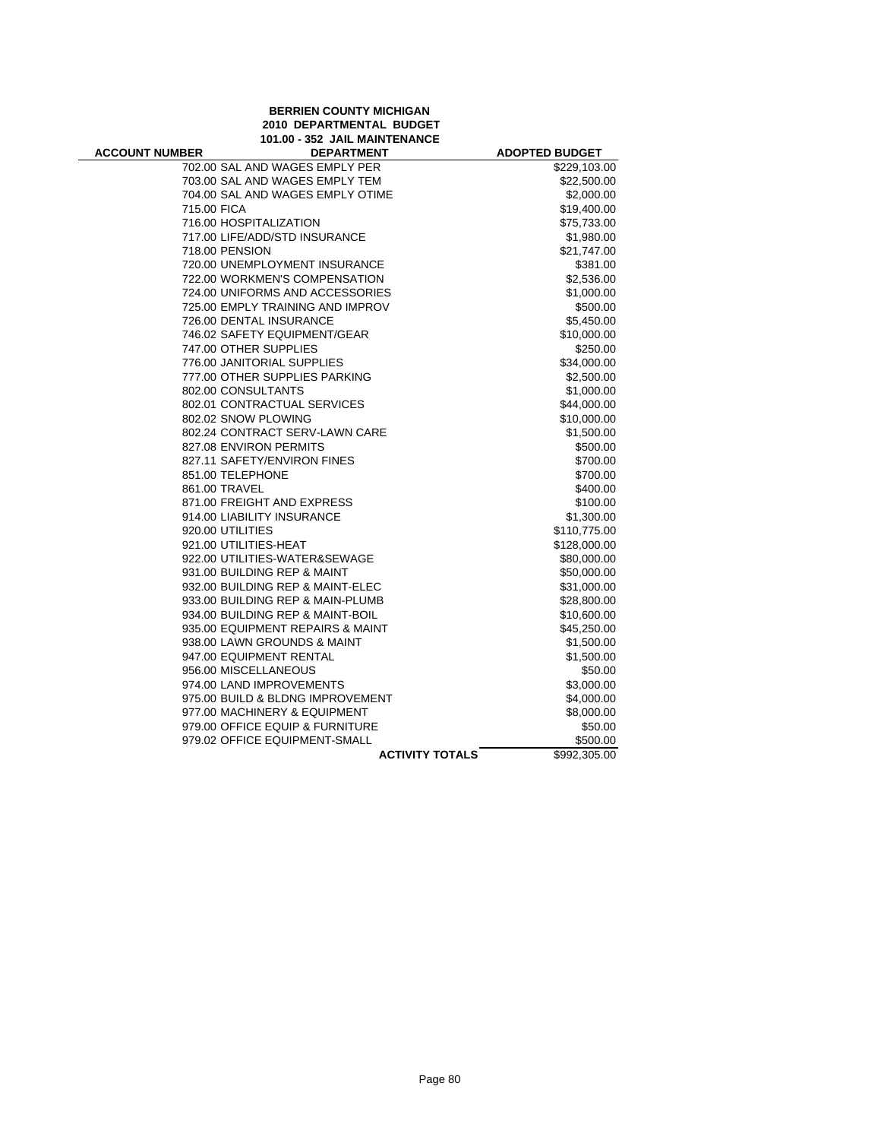**BERRIEN COUNTY MICHIGAN 2010 DEPARTMENTAL BUDGET 101.00 - 352 JAIL MAINTENANCE**

| <b>ACCOUNT NUMBER</b> | <b>DEPARTMENT</b>                | <b>ADOPTED BUDGET</b> |
|-----------------------|----------------------------------|-----------------------|
|                       | 702.00 SAL AND WAGES EMPLY PER   | \$229,103.00          |
|                       | 703.00 SAL AND WAGES EMPLY TEM   | \$22,500.00           |
|                       | 704.00 SAL AND WAGES EMPLY OTIME | \$2,000.00            |
| 715.00 FICA           |                                  | \$19,400.00           |
|                       | 716.00 HOSPITALIZATION           | \$75,733.00           |
|                       | 717.00 LIFE/ADD/STD INSURANCE    | \$1,980.00            |
|                       | 718.00 PENSION                   | \$21,747.00           |
|                       | 720.00 UNEMPLOYMENT INSURANCE    | \$381.00              |
|                       | 722.00 WORKMEN'S COMPENSATION    | \$2,536.00            |
|                       | 724.00 UNIFORMS AND ACCESSORIES  | \$1,000.00            |
|                       | 725.00 EMPLY TRAINING AND IMPROV | \$500.00              |
|                       | 726.00 DENTAL INSURANCE          | \$5,450.00            |
|                       | 746.02 SAFETY EQUIPMENT/GEAR     | \$10,000.00           |
|                       | 747.00 OTHER SUPPLIES            | \$250.00              |
|                       | 776.00 JANITORIAL SUPPLIES       | \$34,000.00           |
|                       | 777.00 OTHER SUPPLIES PARKING    | \$2,500.00            |
|                       | 802.00 CONSULTANTS               | \$1,000.00            |
|                       | 802.01 CONTRACTUAL SERVICES      | \$44,000.00           |
|                       | 802.02 SNOW PLOWING              | \$10,000.00           |
|                       | 802.24 CONTRACT SERV-LAWN CARE   | \$1,500.00            |
|                       | 827.08 ENVIRON PERMITS           | \$500.00              |
|                       | 827.11 SAFETY/ENVIRON FINES      | \$700.00              |
|                       | 851.00 TELEPHONE                 | \$700.00              |
|                       | 861.00 TRAVEL                    | \$400.00              |
|                       | 871.00 FREIGHT AND EXPRESS       | \$100.00              |
|                       | 914.00 LIABILITY INSURANCE       | \$1,300.00            |
|                       | 920.00 UTILITIES                 | \$110,775.00          |
|                       | 921.00 UTILITIES-HEAT            | \$128,000.00          |
|                       | 922.00 UTILITIES-WATER&SEWAGE    | \$80,000.00           |
|                       | 931.00 BUILDING REP & MAINT      | \$50,000.00           |
|                       | 932.00 BUILDING REP & MAINT-ELEC | \$31,000.00           |
|                       | 933.00 BUILDING REP & MAIN-PLUMB | \$28,800.00           |
|                       | 934.00 BUILDING REP & MAINT-BOIL | \$10,600.00           |
|                       | 935.00 EQUIPMENT REPAIRS & MAINT | \$45,250.00           |
|                       | 938.00 LAWN GROUNDS & MAINT      | \$1,500.00            |
|                       | 947.00 EQUIPMENT RENTAL          | \$1,500.00            |
|                       | 956.00 MISCELLANEOUS             | \$50.00               |
|                       | 974.00 LAND IMPROVEMENTS         | \$3,000.00            |
|                       | 975.00 BUILD & BLDNG IMPROVEMENT | \$4,000.00            |
|                       | 977.00 MACHINERY & EQUIPMENT     | \$8,000.00            |
|                       | 979.00 OFFICE EQUIP & FURNITURE  | \$50.00               |
|                       | 979.02 OFFICE EQUIPMENT-SMALL    | \$500.00              |
|                       | <b>ACTIVITY TOTALS</b>           | \$992,305.00          |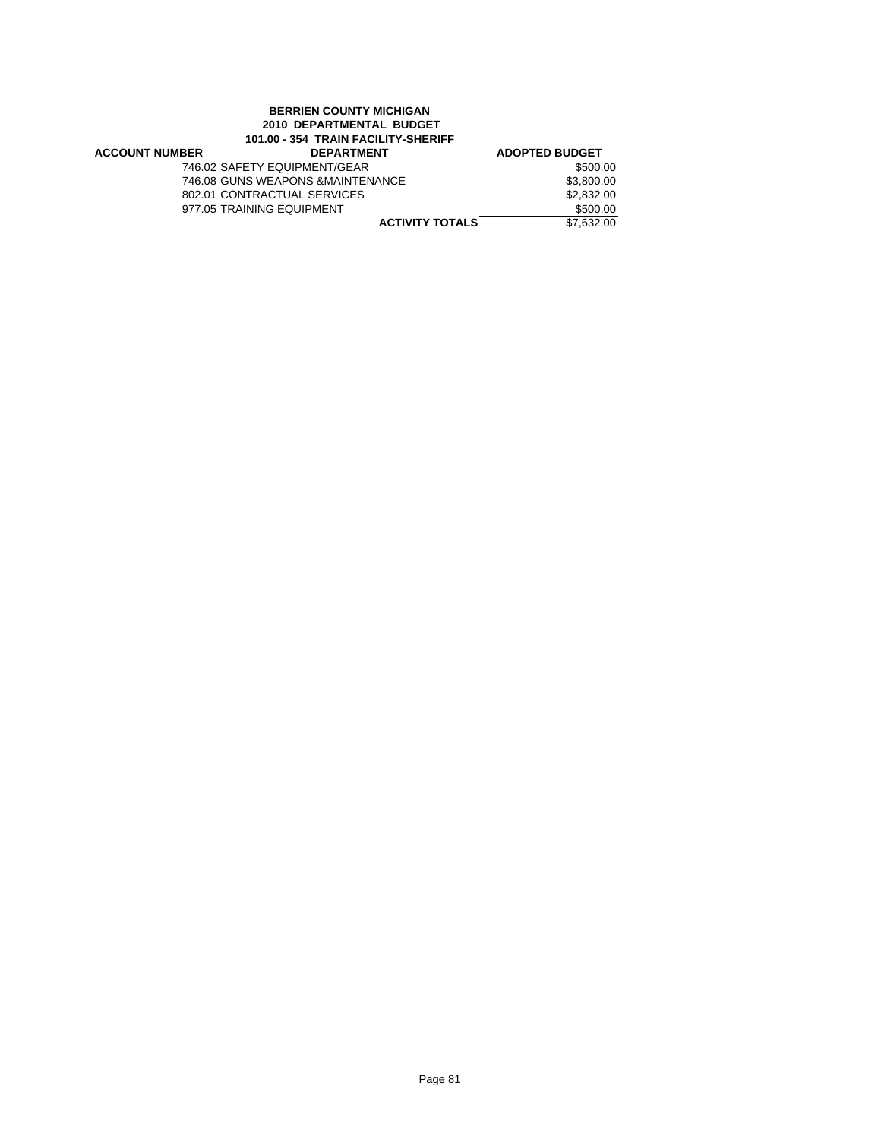# **BERRIEN COUNTY MICHIGAN 2010 DEPARTMENTAL BUDGET 101.00 - 354 TRAIN FACILITY-SHERIFF**

| <b>ACCOUNT NUMBER</b> | <b>DEPARTMENT</b>                 | <b>ADOPTED BUDGET</b> |
|-----------------------|-----------------------------------|-----------------------|
|                       | 746.02 SAFETY EQUIPMENT/GEAR      | \$500.00              |
|                       | 746.08 GUNS WEAPONS & MAINTENANCE | \$3,800.00            |
|                       | 802.01 CONTRACTUAL SERVICES       | \$2,832.00            |
|                       | 977.05 TRAINING EQUIPMENT         | \$500.00              |
|                       | <b>ACTIVITY TOTALS</b>            | \$7.632.00            |
|                       |                                   |                       |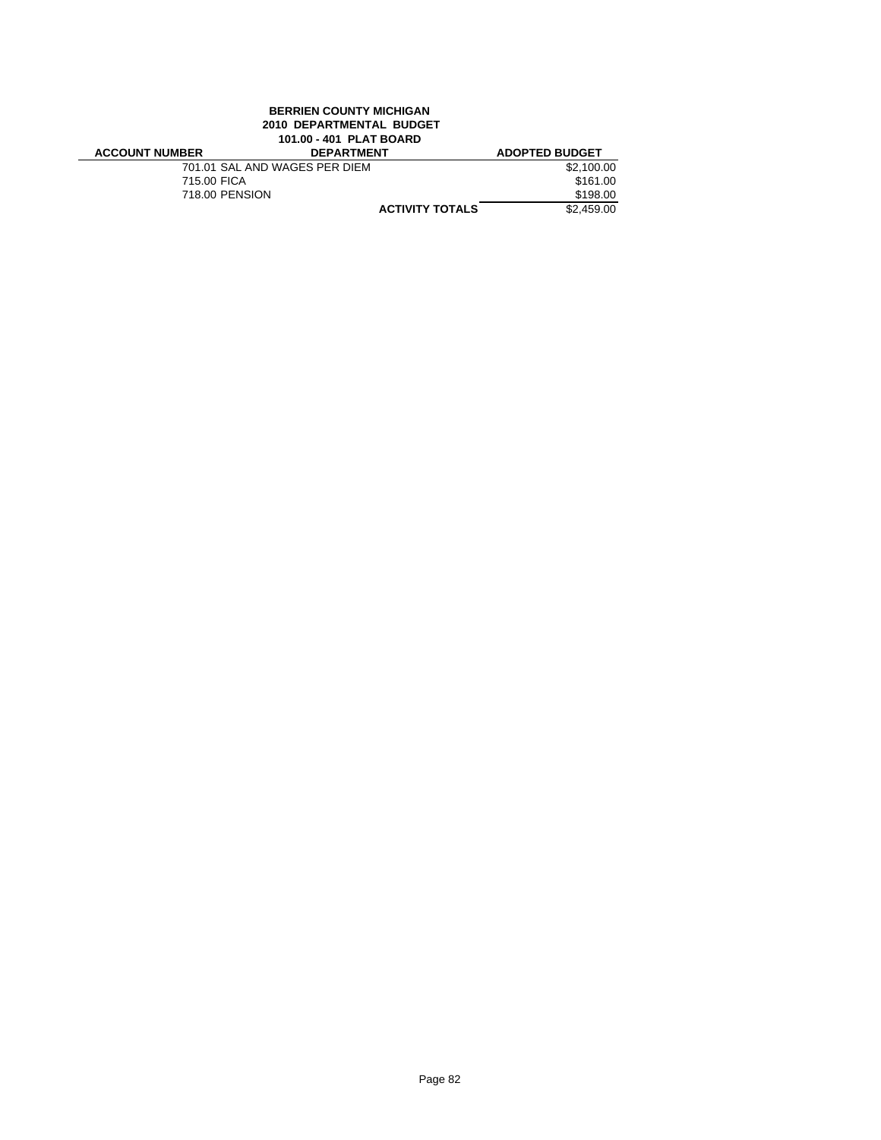## **BERRIEN COUNTY MICHIGAN 2010 DEPARTMENTAL BUDGET 101.00 - 401 PLAT BOARD**

| <b>ACCOUNT NUMBER</b> | <b>DEPARTMENT</b>             |                        | <b>ADOPTED BUDGET</b> |
|-----------------------|-------------------------------|------------------------|-----------------------|
|                       | 701.01 SAL AND WAGES PER DIEM |                        | \$2.100.00            |
| 715.00 FICA           |                               |                        | \$161.00              |
|                       | 718.00 PENSION                |                        | \$198.00              |
|                       |                               | <b>ACTIVITY TOTALS</b> | \$2.459.00            |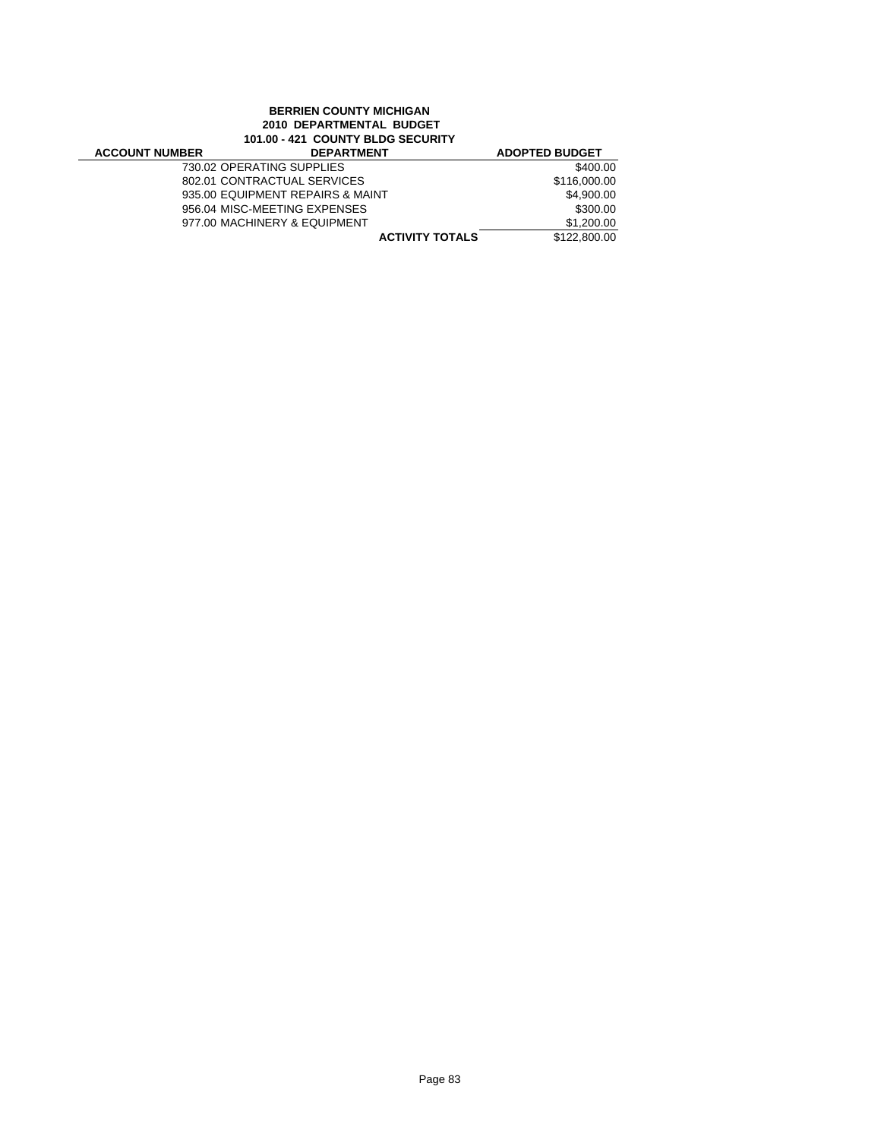## **BERRIEN COUNTY MICHIGAN 2010 DEPARTMENTAL BUDGET 101.00 - 421 COUNTY BLDG SECURITY**

| <b>ACCOUNT NUMBER</b> | <b>DEPARTMENT</b>                | <b>ADOPTED BUDGET</b> |
|-----------------------|----------------------------------|-----------------------|
|                       | 730.02 OPERATING SUPPLIES        | \$400.00              |
|                       | 802.01 CONTRACTUAL SERVICES      | \$116,000,00          |
|                       | 935.00 EQUIPMENT REPAIRS & MAINT | \$4.900.00            |
|                       | 956.04 MISC-MEETING EXPENSES     | \$300.00              |
|                       | 977.00 MACHINERY & EQUIPMENT     | \$1,200.00            |
|                       | <b>ACTIVITY TOTALS</b>           | \$122,800.00          |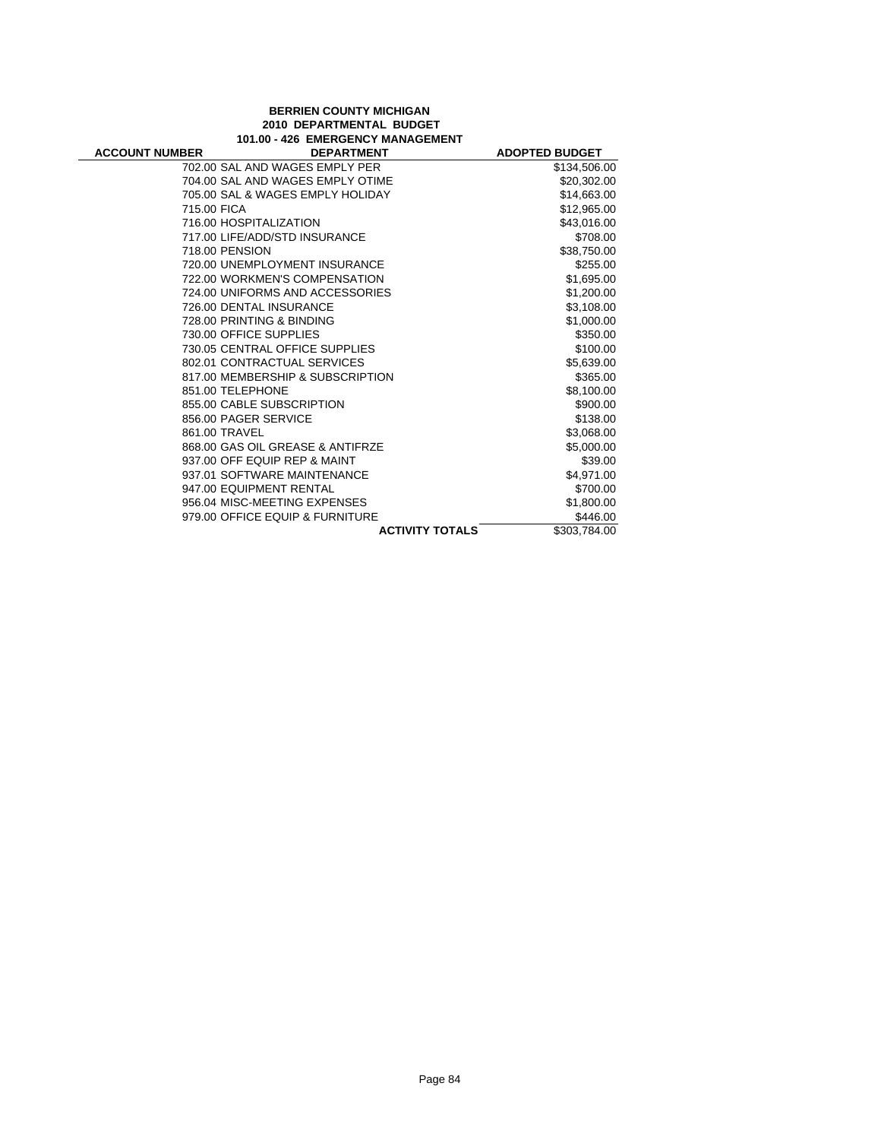### **BERRIEN COUNTY MICHIGAN 2010 DEPARTMENTAL BUDGET 101.00 - 426 EMERGENCY MANAGEMENT**

÷

| <b>ACCOUNT NUMBER</b> | <b>DEPARTMENT</b>                | <b>ADOPTED BUDGET</b> |
|-----------------------|----------------------------------|-----------------------|
|                       | 702.00 SAL AND WAGES EMPLY PER   | \$134,506.00          |
|                       | 704.00 SAL AND WAGES EMPLY OTIME | \$20,302.00           |
|                       | 705.00 SAL & WAGES EMPLY HOLIDAY | \$14,663.00           |
| 715.00 FICA           |                                  | \$12,965.00           |
|                       | 716.00 HOSPITALIZATION           | \$43,016.00           |
|                       | 717.00 LIFE/ADD/STD INSURANCE    | \$708.00              |
|                       | 718.00 PENSION                   | \$38,750.00           |
|                       | 720.00 UNEMPLOYMENT INSURANCE    | \$255.00              |
|                       | 722.00 WORKMEN'S COMPENSATION    | \$1,695.00            |
|                       | 724.00 UNIFORMS AND ACCESSORIES  | \$1,200.00            |
|                       | 726.00 DENTAL INSURANCE          | \$3,108.00            |
|                       | 728.00 PRINTING & BINDING        | \$1,000.00            |
|                       | 730.00 OFFICE SUPPLIES           | \$350.00              |
|                       | 730.05 CENTRAL OFFICE SUPPLIES   | \$100.00              |
|                       | 802.01 CONTRACTUAL SERVICES      | \$5,639.00            |
|                       | 817.00 MEMBERSHIP & SUBSCRIPTION | \$365.00              |
|                       | 851.00 TELEPHONE                 | \$8,100.00            |
|                       | 855.00 CABLE SUBSCRIPTION        | \$900.00              |
|                       | 856.00 PAGER SERVICE             | \$138.00              |
|                       | 861.00 TRAVEL                    | \$3,068.00            |
|                       | 868.00 GAS OIL GREASE & ANTIFRZE | \$5,000.00            |
|                       | 937.00 OFF EQUIP REP & MAINT     | \$39.00               |
|                       | 937.01 SOFTWARE MAINTENANCE      | \$4,971.00            |
|                       | 947.00 EQUIPMENT RENTAL          | \$700.00              |
|                       | 956.04 MISC-MEETING EXPENSES     | \$1,800.00            |
|                       | 979.00 OFFICE EQUIP & FURNITURE  | \$446.00              |
|                       | <b>ACTIVITY TOTALS</b>           | \$303,784.00          |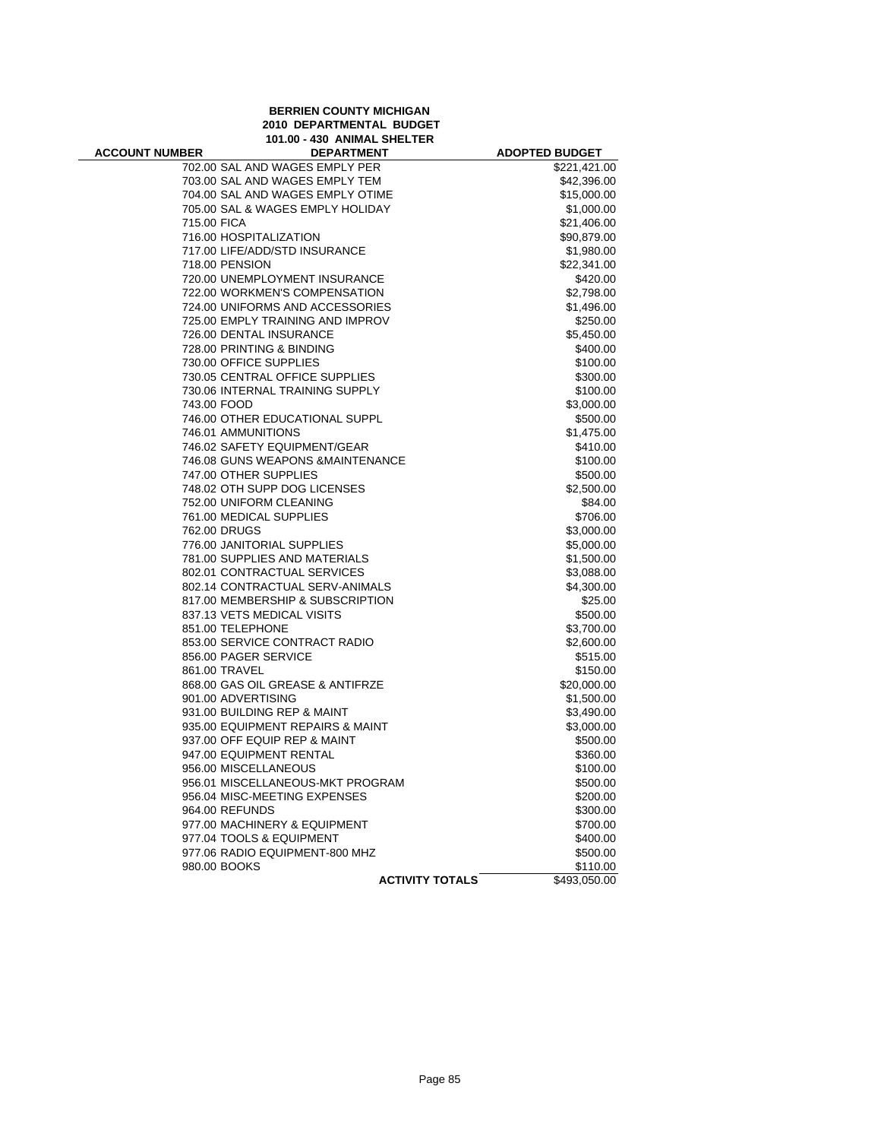**BERRIEN COUNTY MICHIGAN 2010 DEPARTMENTAL BUDGET 101.00 - 430 ANIMAL SHELTER**

| <b>ACCOUNT NUMBER</b> | <b>DEPARTMENT</b>                 | <b>ADOPTED BUDGET</b> |
|-----------------------|-----------------------------------|-----------------------|
|                       | 702.00 SAL AND WAGES EMPLY PER    | \$221,421.00          |
|                       | 703.00 SAL AND WAGES EMPLY TEM    | \$42,396.00           |
|                       | 704.00 SAL AND WAGES EMPLY OTIME  | \$15,000.00           |
|                       | 705.00 SAL & WAGES EMPLY HOLIDAY  | \$1,000.00            |
| 715.00 FICA           |                                   | \$21,406.00           |
|                       | 716.00 HOSPITALIZATION            | \$90,879.00           |
|                       | 717.00 LIFE/ADD/STD INSURANCE     | \$1,980.00            |
| 718.00 PENSION        |                                   | \$22,341.00           |
|                       | 720.00 UNEMPLOYMENT INSURANCE     | \$420.00              |
|                       | 722.00 WORKMEN'S COMPENSATION     | \$2,798.00            |
|                       | 724.00 UNIFORMS AND ACCESSORIES   | \$1,496.00            |
|                       | 725.00 EMPLY TRAINING AND IMPROV  | \$250.00              |
|                       | 726.00 DENTAL INSURANCE           | \$5,450.00            |
|                       | 728.00 PRINTING & BINDING         | \$400.00              |
|                       | 730.00 OFFICE SUPPLIES            | \$100.00              |
|                       | 730.05 CENTRAL OFFICE SUPPLIES    | \$300.00              |
|                       | 730.06 INTERNAL TRAINING SUPPLY   | \$100.00              |
| 743.00 FOOD           |                                   | \$3,000.00            |
|                       | 746.00 OTHER EDUCATIONAL SUPPL    | \$500.00              |
|                       | 746.01 AMMUNITIONS                | \$1,475.00            |
|                       | 746.02 SAFETY EQUIPMENT/GEAR      | \$410.00              |
|                       | 746.08 GUNS WEAPONS & MAINTENANCE | \$100.00              |
|                       | 747.00 OTHER SUPPLIES             | \$500.00              |
|                       | 748.02 OTH SUPP DOG LICENSES      | \$2,500.00            |
|                       | 752.00 UNIFORM CLEANING           | \$84.00               |
|                       | 761.00 MEDICAL SUPPLIES           | \$706.00              |
| 762.00 DRUGS          |                                   | \$3,000.00            |
|                       | 776.00 JANITORIAL SUPPLIES        | \$5,000.00            |
|                       | 781.00 SUPPLIES AND MATERIALS     | \$1,500.00            |
|                       | 802.01 CONTRACTUAL SERVICES       | \$3,088.00            |
|                       | 802.14 CONTRACTUAL SERV-ANIMALS   | \$4,300.00            |
|                       | 817.00 MEMBERSHIP & SUBSCRIPTION  | \$25.00               |
|                       | 837.13 VETS MEDICAL VISITS        | \$500.00              |
| 851.00 TELEPHONE      |                                   | \$3,700.00            |
|                       | 853.00 SERVICE CONTRACT RADIO     | \$2,600.00            |
|                       | 856.00 PAGER SERVICE              |                       |
|                       |                                   | \$515.00              |
| 861.00 TRAVEL         |                                   | \$150.00              |
|                       | 868.00 GAS OIL GREASE & ANTIFRZE  | \$20,000.00           |
| 901.00 ADVERTISING    |                                   | \$1,500.00            |
|                       | 931.00 BUILDING REP & MAINT       | \$3,490.00            |
|                       | 935.00 EQUIPMENT REPAIRS & MAINT  | \$3,000.00            |
|                       | 937.00 OFF EQUIP REP & MAINT      | \$500.00              |
|                       | 947.00 EQUIPMENT RENTAL           | \$360.00              |
|                       | 956.00 MISCELLANEOUS              | \$100.00              |
|                       | 956.01 MISCELLANEOUS-MKT PROGRAM  | \$500.00              |
|                       | 956.04 MISC-MEETING EXPENSES      | \$200.00              |
| 964.00 REFUNDS        |                                   | \$300.00              |
|                       | 977.00 MACHINERY & EQUIPMENT      | \$700.00              |
|                       | 977.04 TOOLS & EQUIPMENT          | \$400.00              |
|                       | 977.06 RADIO EQUIPMENT-800 MHZ    | \$500.00              |
| 980.00 BOOKS          |                                   | \$110.00              |
|                       | <b>ACTIVITY TOTALS</b>            | \$493,050.00          |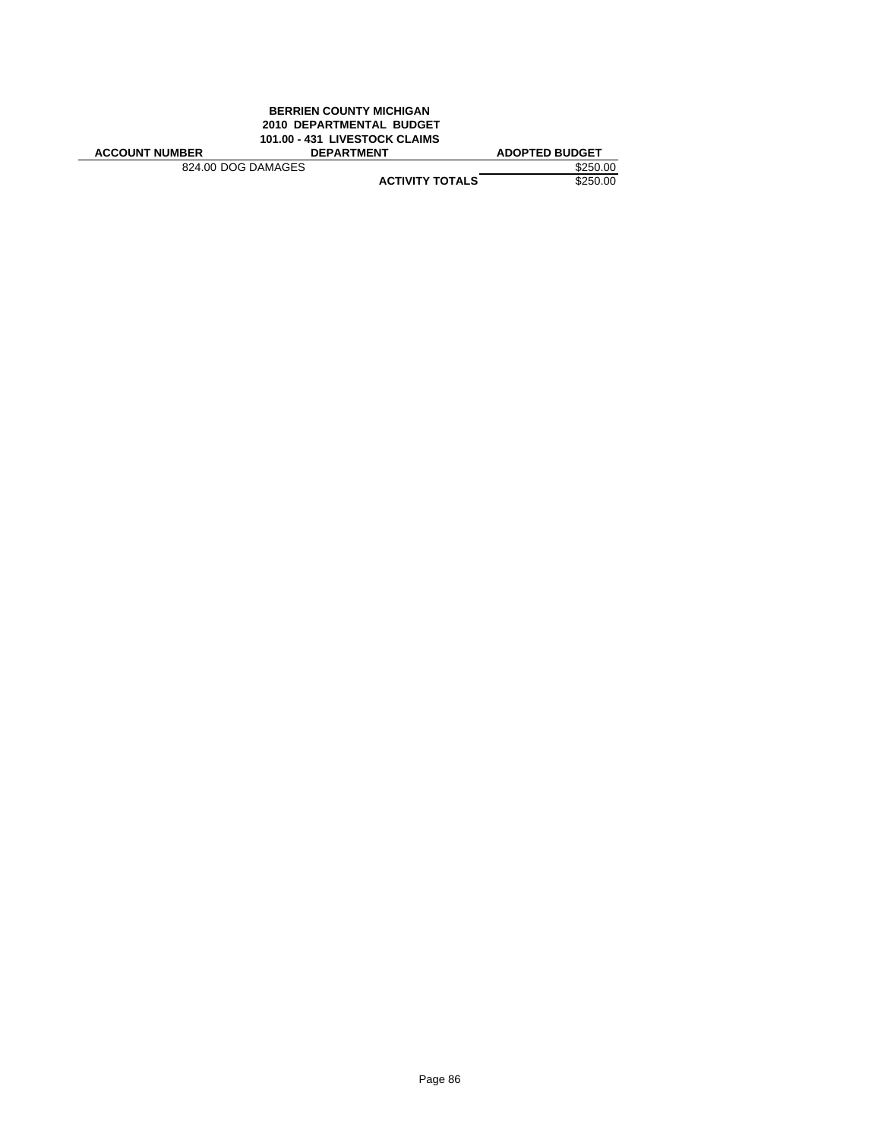|                       | <b>BERRIEN COUNTY MICHIGAN</b><br>2010 DEPARTMENTAL BUDGET<br>101.00 - 431 LIVESTOCK CLAIMS |                       |
|-----------------------|---------------------------------------------------------------------------------------------|-----------------------|
| <b>ACCOUNT NUMBER</b> | <b>DEPARTMENT</b>                                                                           | <b>ADOPTED BUDGET</b> |
| 824.00 DOG DAMAGES    |                                                                                             | \$250.00              |
|                       | <b>ACTIVITY TOTALS</b>                                                                      | \$250.00              |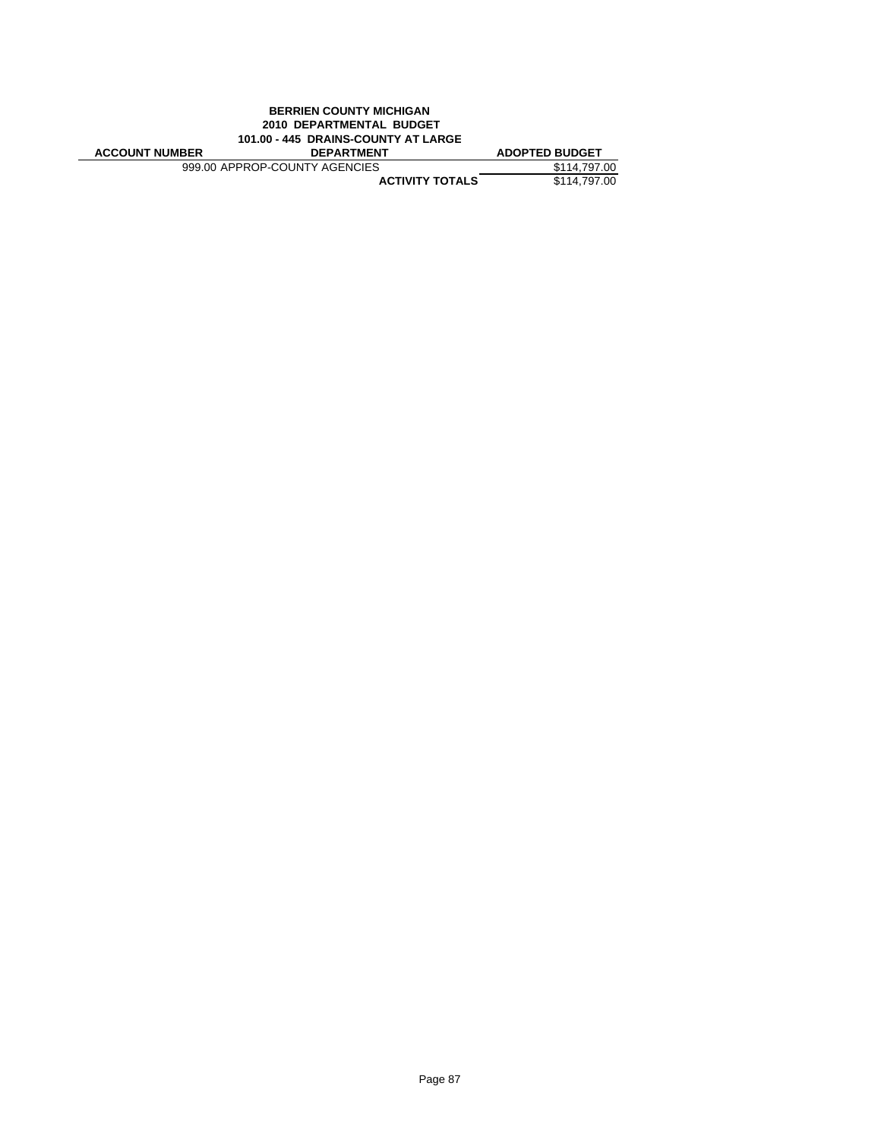|                       | <b>BERRIEN COUNTY MICHIGAN</b>      |                       |
|-----------------------|-------------------------------------|-----------------------|
|                       | 2010 DEPARTMENTAL BUDGET            |                       |
|                       | 101.00 - 445 DRAINS-COUNTY AT LARGE |                       |
|                       |                                     |                       |
| <b>ACCOUNT NUMBER</b> | <b>DEPARTMENT</b>                   | <b>ADOPTED BUDGET</b> |
|                       | 999.00 APPROP-COUNTY AGENCIES       | \$114,797.00          |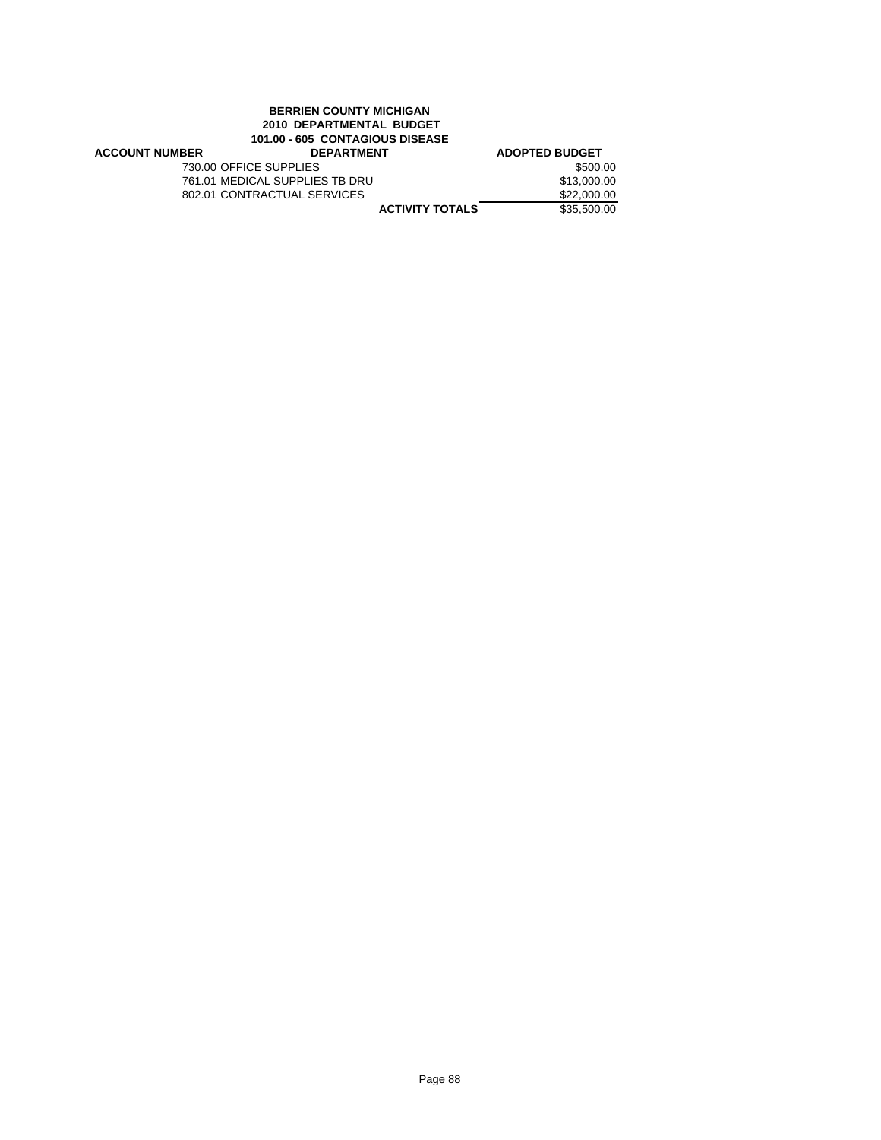## **BERRIEN COUNTY MICHIGAN 2010 DEPARTMENTAL BUDGET 101.00 - 605 CONTAGIOUS DISEASE**

| <b>ACCOUNT NUMBER</b> | <b>DEPARTMENT</b>              | <b>ADOPTED BUDGET</b> |
|-----------------------|--------------------------------|-----------------------|
|                       | 730.00 OFFICE SUPPLIES         | \$500.00              |
|                       | 761.01 MEDICAL SUPPLIES TB DRU | \$13,000.00           |
|                       | 802.01 CONTRACTUAL SERVICES    | \$22,000.00           |
|                       | <b>ACTIVITY TOTALS</b>         | \$35,500.00           |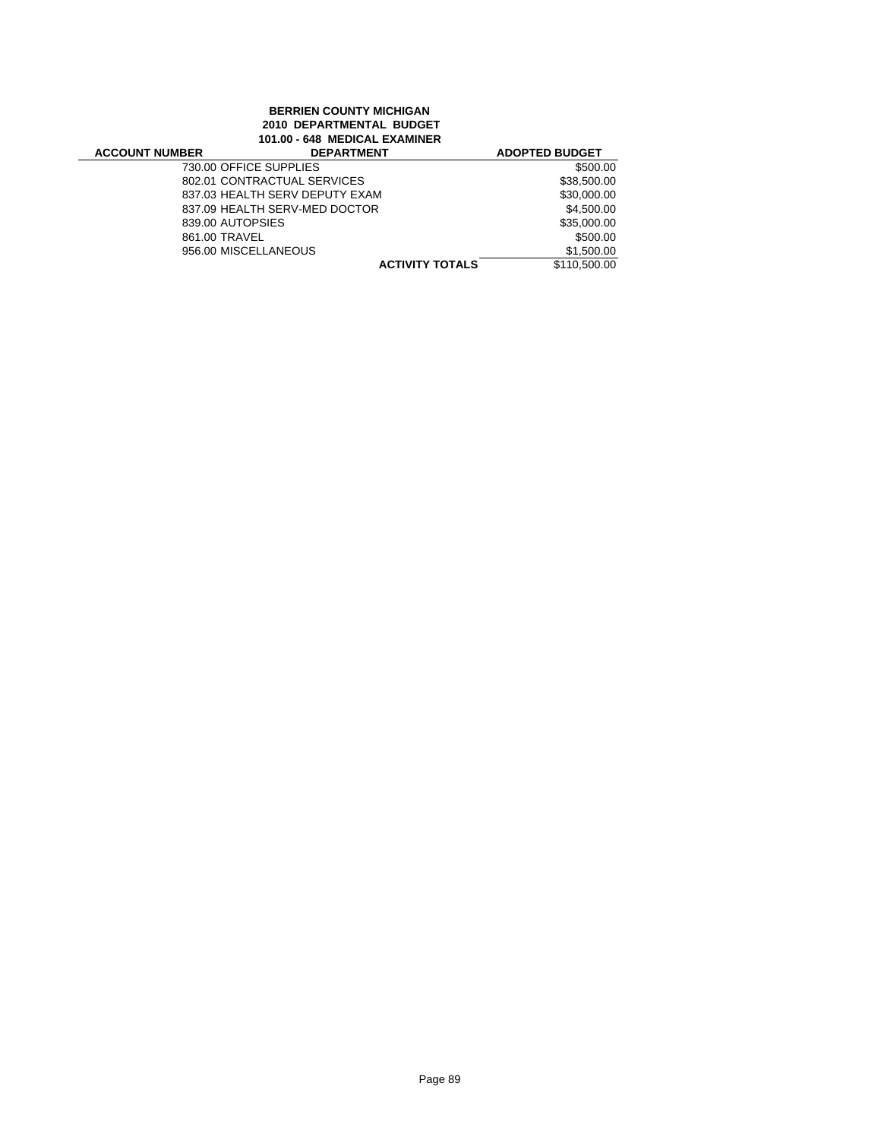# **BERRIEN COUNTY MICHIGAN 2010 DEPARTMENTAL BUDGET 101.00 - 648 MEDICAL EXAMINER**

| <b>ACCOUNT NUMBER</b>  | <b>DEPARTMENT</b>              | <b>ADOPTED BUDGET</b> |
|------------------------|--------------------------------|-----------------------|
| 730.00 OFFICE SUPPLIES |                                | \$500.00              |
|                        | 802.01 CONTRACTUAL SERVICES    | \$38,500.00           |
|                        | 837.03 HEALTH SERV DEPUTY EXAM | \$30,000.00           |
|                        | 837.09 HEALTH SERV-MED DOCTOR  | \$4,500.00            |
| 839.00 AUTOPSIES       |                                | \$35,000.00           |
| 861.00 TRAVEL          |                                | \$500.00              |
| 956.00 MISCELLANEOUS   |                                | \$1,500.00            |
|                        | <b>ACTIVITY TOTALS</b>         | \$110,500.00          |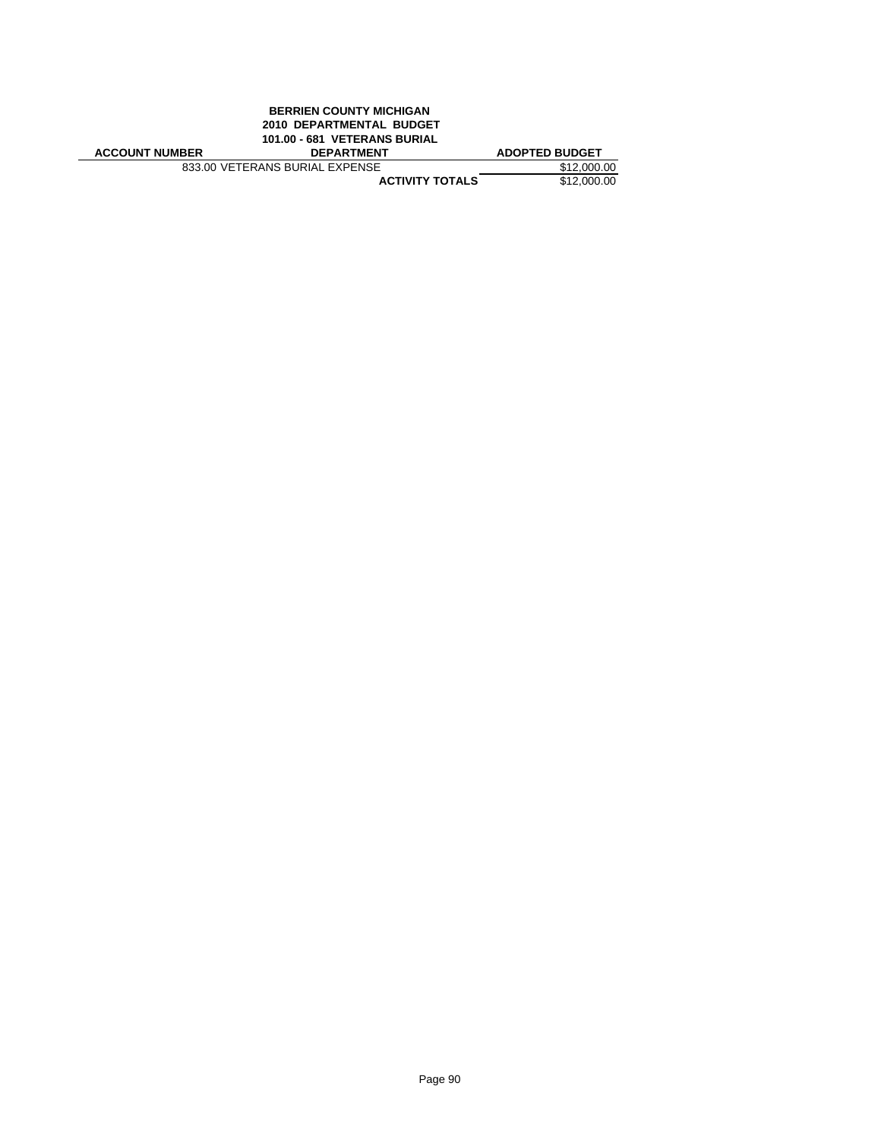|                       | <b>BERRIEN COUNTY MICHIGAN</b> |                       |
|-----------------------|--------------------------------|-----------------------|
|                       | 2010 DEPARTMENTAL BUDGET       |                       |
|                       | 101.00 - 681 VETERANS BURIAL   |                       |
| <b>ACCOUNT NUMBER</b> | <b>DEPARTMENT</b>              | <b>ADOPTED BUDGET</b> |
|                       | 833.00 VETERANS BURIAL EXPENSE | \$12,000.00           |
|                       | <b>ACTIVITY TOTALS</b>         | \$12,000.00           |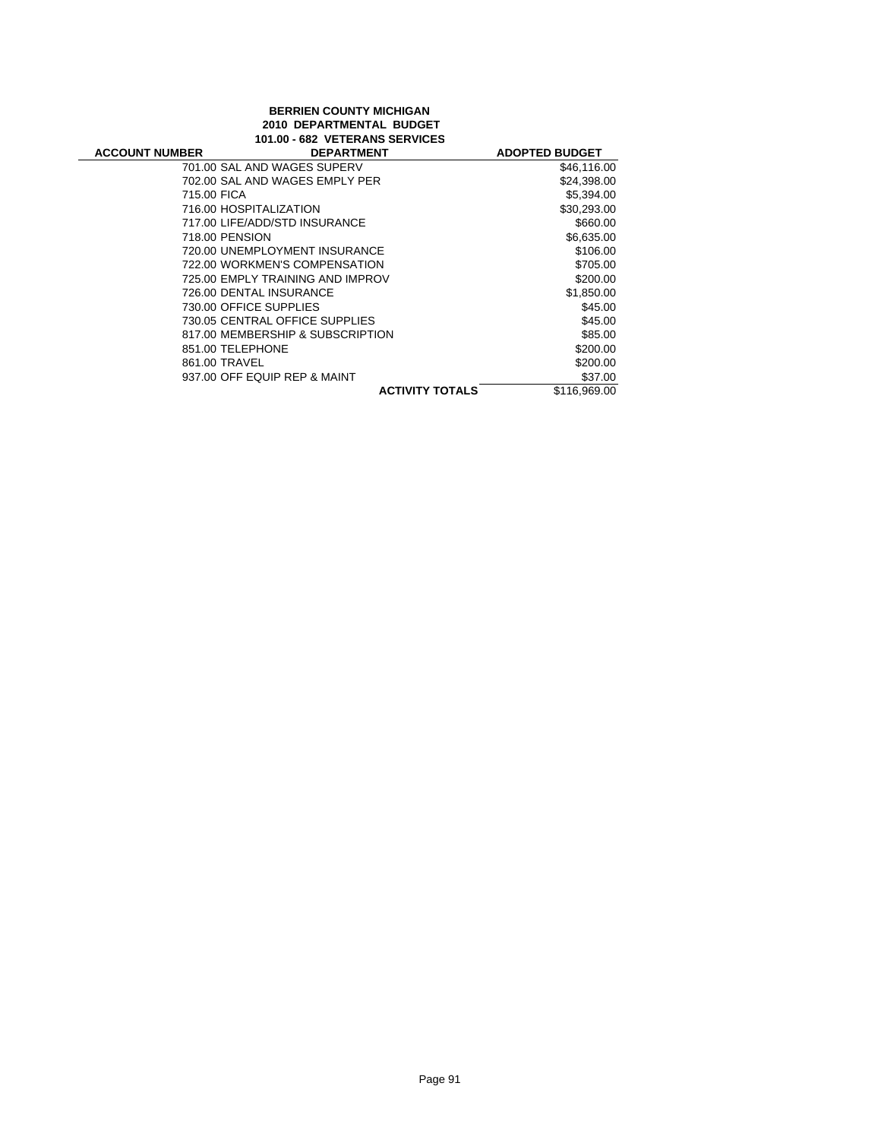### **BERRIEN COUNTY MICHIGAN 2010 DEPARTMENTAL BUDGET 101.00 - 682 VETERANS SERVICES**

| <b>ACCOUNT NUMBER</b> | <b>DEPARTMENT</b>                | <b>ADOPTED BUDGET</b> |
|-----------------------|----------------------------------|-----------------------|
|                       | 701.00 SAL AND WAGES SUPERV      | \$46,116.00           |
|                       | 702.00 SAL AND WAGES EMPLY PER   | \$24,398.00           |
| 715.00 FICA           |                                  | \$5,394.00            |
|                       | 716.00 HOSPITALIZATION           | \$30,293.00           |
|                       | 717.00 LIFE/ADD/STD INSURANCE    | \$660.00              |
| 718.00 PENSION        |                                  | \$6,635.00            |
|                       | 720.00 UNEMPLOYMENT INSURANCE    | \$106.00              |
|                       | 722.00 WORKMEN'S COMPENSATION    | \$705.00              |
|                       | 725.00 EMPLY TRAINING AND IMPROV | \$200.00              |
|                       | 726.00 DENTAL INSURANCE          | \$1,850.00            |
|                       | 730.00 OFFICE SUPPLIES           | \$45.00               |
|                       | 730.05 CENTRAL OFFICE SUPPLIES   | \$45.00               |
|                       | 817.00 MEMBERSHIP & SUBSCRIPTION | \$85.00               |
| 851.00 TELEPHONE      |                                  | \$200.00              |
| 861.00 TRAVEL         |                                  | \$200.00              |
|                       | 937.00 OFF EQUIP REP & MAINT     | \$37.00               |
|                       | <b>ACTIVITY TOTALS</b>           | \$116,969.00          |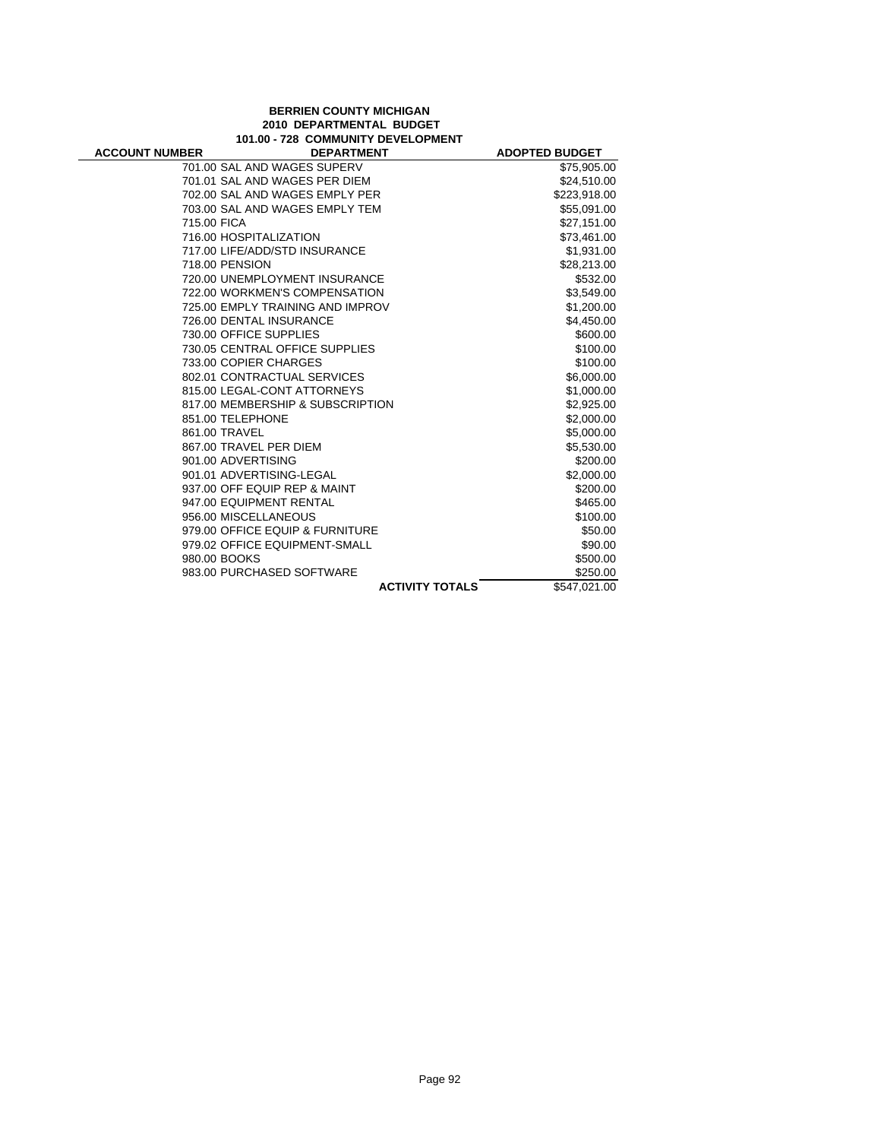#### **BERRIEN COUNTY MICHIGAN 2010 DEPARTMENTAL BUDGET 101.00 - 728 COMMUNITY DEVELOPMENT**

÷

| <b>ACCOUNT NUMBER</b> | <b>DEPARTMENT</b>                | <b>ADOPTED BUDGET</b> |
|-----------------------|----------------------------------|-----------------------|
|                       | 701.00 SAL AND WAGES SUPERV      | \$75,905.00           |
|                       | 701.01 SAL AND WAGES PER DIEM    | \$24,510.00           |
|                       | 702.00 SAL AND WAGES EMPLY PER   | \$223,918.00          |
|                       | 703.00 SAL AND WAGES EMPLY TEM   | \$55,091.00           |
| 715.00 FICA           |                                  | \$27,151.00           |
|                       | 716.00 HOSPITALIZATION           | \$73,461.00           |
|                       | 717.00 LIFE/ADD/STD INSURANCE    | \$1,931.00            |
|                       | 718.00 PENSION                   | \$28,213.00           |
|                       | 720.00 UNEMPLOYMENT INSURANCE    | \$532.00              |
|                       | 722.00 WORKMEN'S COMPENSATION    | \$3,549.00            |
|                       | 725.00 EMPLY TRAINING AND IMPROV | \$1,200.00            |
|                       | 726.00 DENTAL INSURANCE          | \$4,450.00            |
|                       | 730.00 OFFICE SUPPLIES           | \$600.00              |
|                       | 730.05 CENTRAL OFFICE SUPPLIES   | \$100.00              |
|                       | 733.00 COPIER CHARGES            | \$100.00              |
|                       | 802.01 CONTRACTUAL SERVICES      | \$6,000.00            |
|                       | 815.00 LEGAL-CONT ATTORNEYS      | \$1,000.00            |
|                       | 817.00 MEMBERSHIP & SUBSCRIPTION | \$2,925.00            |
|                       | 851.00 TELEPHONE                 | \$2,000.00            |
|                       | 861.00 TRAVEL                    | \$5,000.00            |
|                       | 867.00 TRAVEL PER DIEM           | \$5,530.00            |
|                       | 901.00 ADVERTISING               | \$200.00              |
|                       | 901.01 ADVERTISING-LEGAL         | \$2,000.00            |
|                       | 937.00 OFF EQUIP REP & MAINT     | \$200.00              |
|                       | 947.00 EQUIPMENT RENTAL          | \$465.00              |
|                       | 956.00 MISCELLANEOUS             | \$100.00              |
|                       | 979.00 OFFICE EQUIP & FURNITURE  | \$50.00               |
|                       | 979.02 OFFICE EQUIPMENT-SMALL    | \$90.00               |
|                       | 980.00 BOOKS                     | \$500.00              |
|                       | 983.00 PURCHASED SOFTWARE        | \$250.00              |
|                       | <b>ACTIVITY TOTALS</b>           | \$547,021.00          |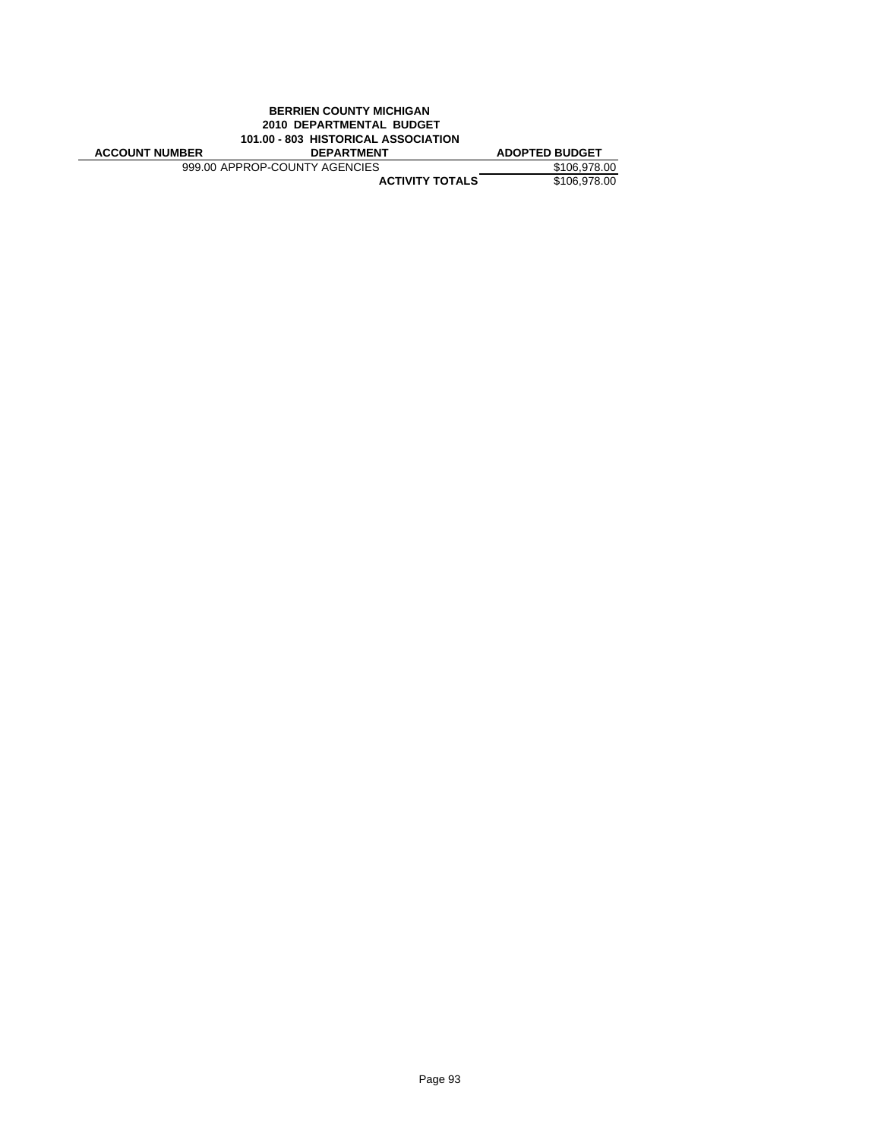|                                     | <b>BERRIEN COUNTY MICHIGAN</b> |                       |
|-------------------------------------|--------------------------------|-----------------------|
| 2010 DEPARTMENTAL BUDGET            |                                |                       |
| 101.00 - 803 HISTORICAL ASSOCIATION |                                |                       |
|                                     |                                |                       |
| <b>ACCOUNT NUMBER</b>               | <b>DEPARTMENT</b>              | <b>ADOPTED BUDGET</b> |
|                                     | 999.00 APPROP-COUNTY AGENCIES  | \$106.978.00          |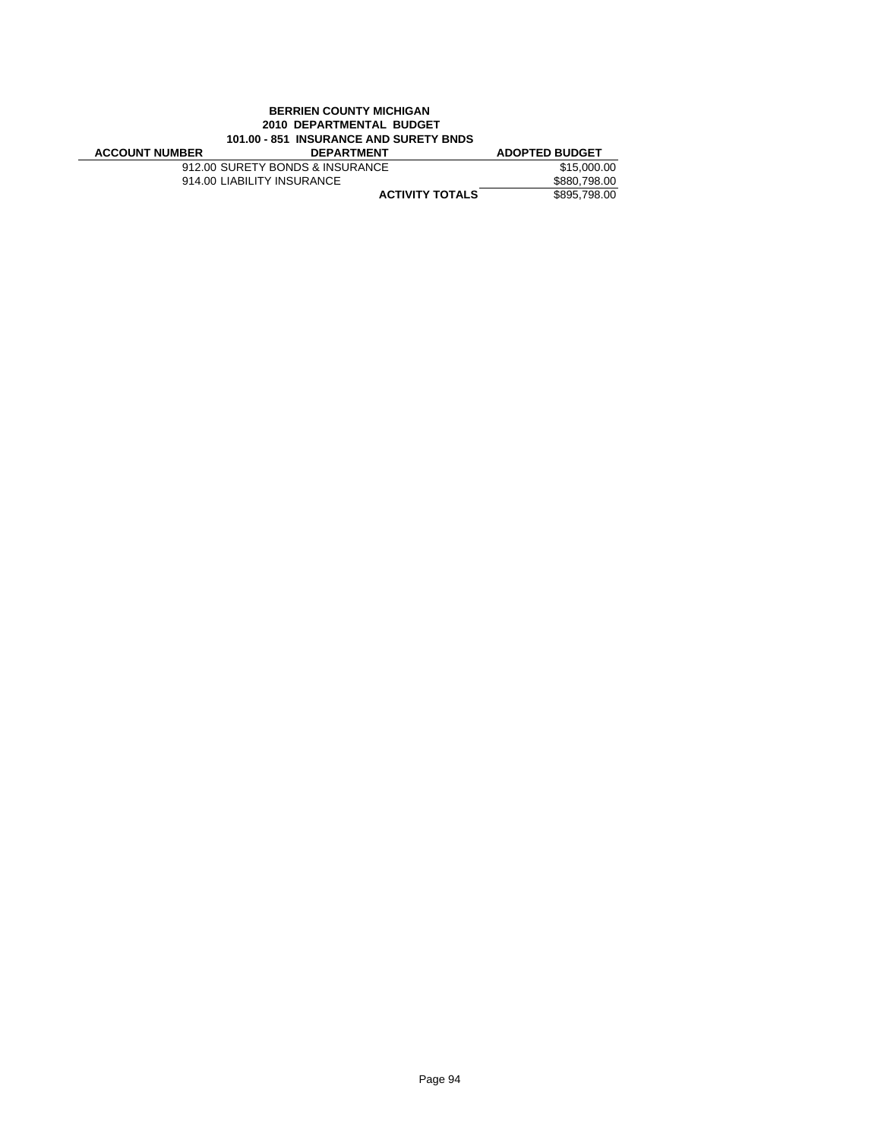|                       | <b>BERRIEN COUNTY MICHIGAN</b>         |                       |
|-----------------------|----------------------------------------|-----------------------|
|                       | 2010 DEPARTMENTAL BUDGET               |                       |
|                       | 101.00 - 851 INSURANCE AND SURETY BNDS |                       |
| <b>ACCOUNT NUMBER</b> | <b>DEPARTMENT</b>                      | <b>ADOPTED BUDGET</b> |
|                       | 912.00 SURETY BONDS & INSURANCE        | \$15,000.00           |
|                       | 914.00 LIABILITY INSURANCE             | \$880,798,00          |
|                       | <b>ACTIVITY TOTALS</b>                 | \$895,798,00          |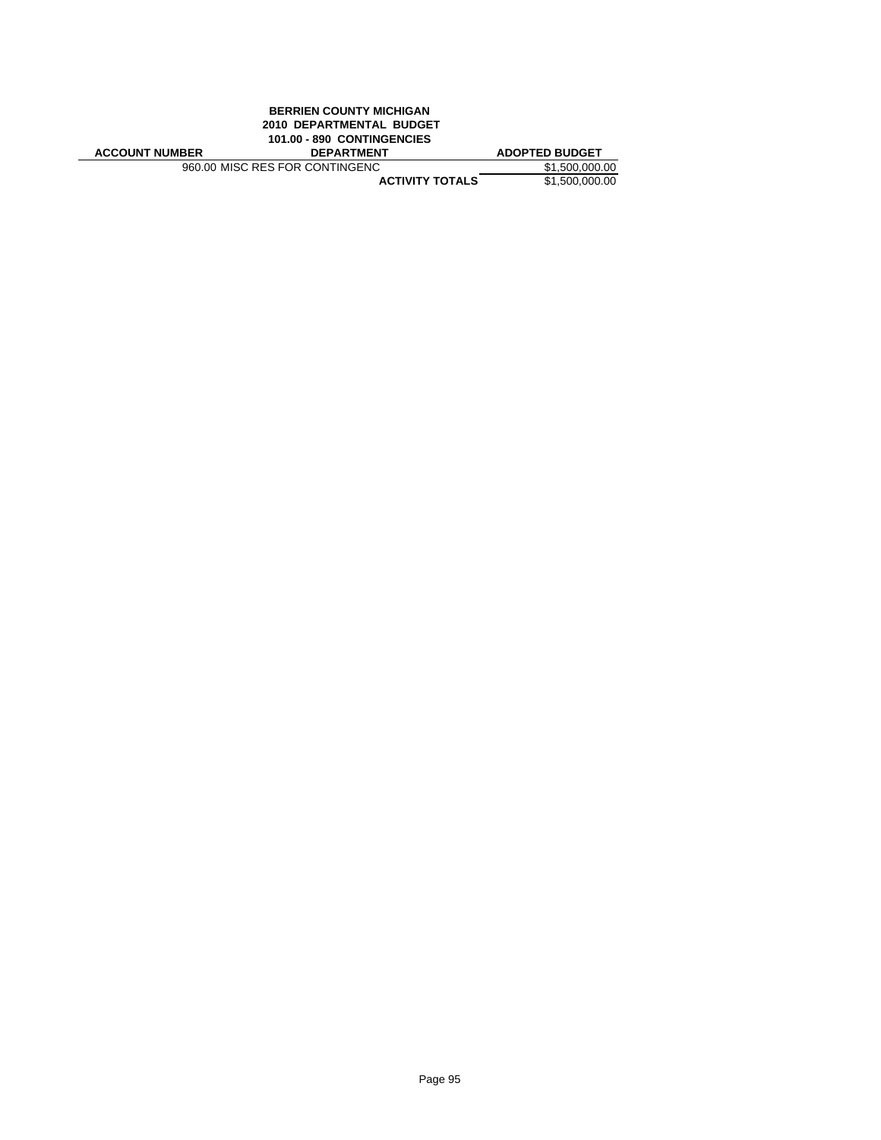|                       | <b>BERRIEN COUNTY MICHIGAN</b> |                       |
|-----------------------|--------------------------------|-----------------------|
|                       | 2010 DEPARTMENTAL BUDGET       |                       |
|                       | 101.00 - 890 CONTINGENCIES     |                       |
|                       |                                |                       |
| <b>ACCOUNT NUMBER</b> | <b>DEPARTMENT</b>              | <b>ADOPTED BUDGET</b> |
|                       | 960.00 MISC RES FOR CONTINGENC | \$1,500,000,00        |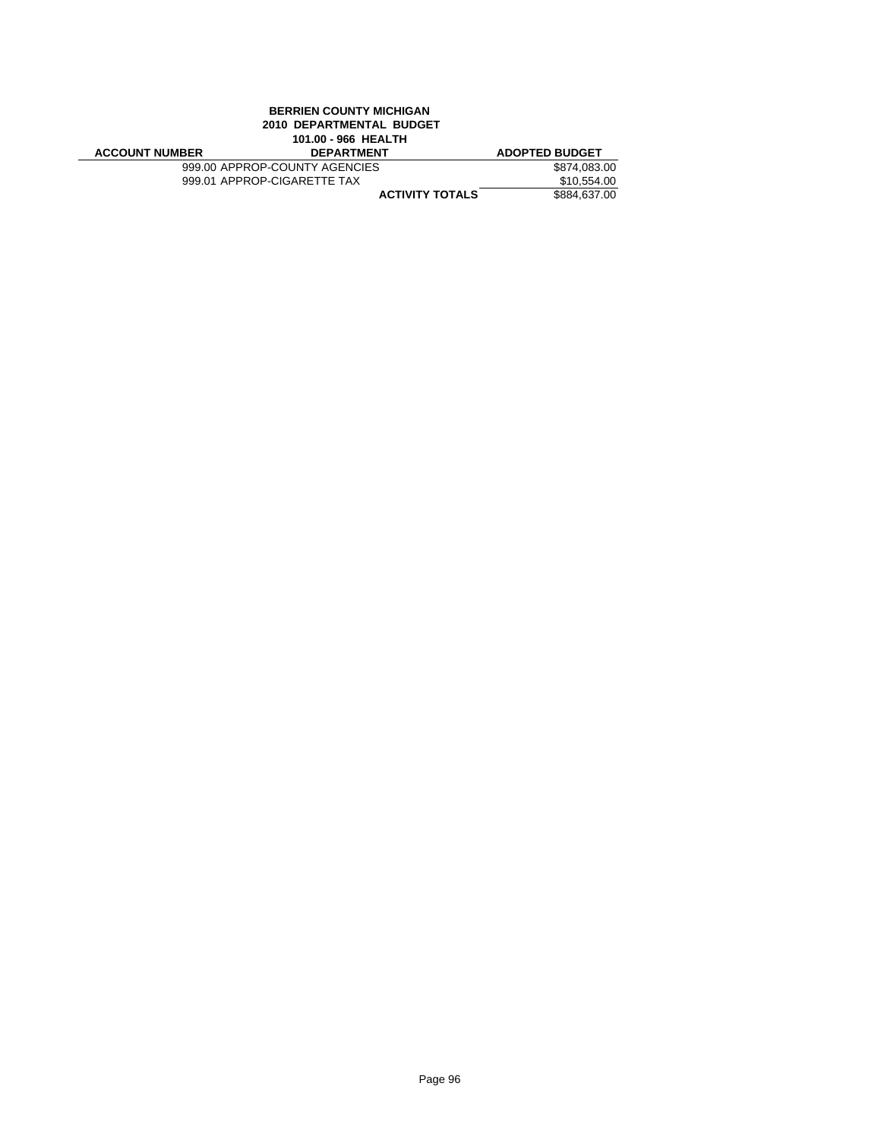|                       | <b>BERRIEN COUNTY MICHIGAN</b><br>2010 DEPARTMENTAL BUDGET<br>101.00 - 966 HEALTH |                       |
|-----------------------|-----------------------------------------------------------------------------------|-----------------------|
| <b>ACCOUNT NUMBER</b> | <b>DEPARTMENT</b>                                                                 | <b>ADOPTED BUDGET</b> |
|                       | 999.00 APPROP-COUNTY AGENCIES                                                     | \$874,083.00          |
|                       | 999.01 APPROP-CIGARETTE TAX                                                       | \$10,554.00           |
|                       | <b>ACTIVITY TOTALS</b>                                                            | \$884.637.00          |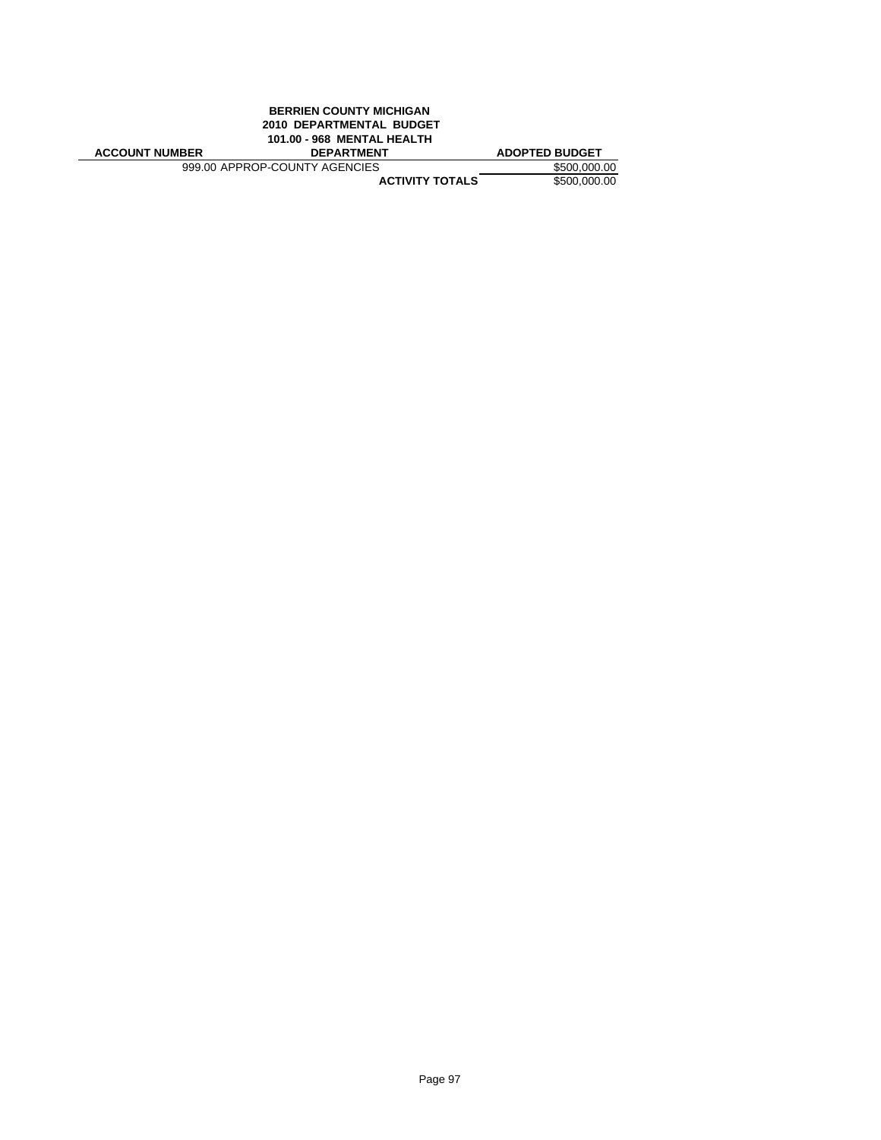| <b>BERRIEN COUNTY MICHIGAN</b> |                               |
|--------------------------------|-------------------------------|
| 2010 DEPARTMENTAL BUDGET       |                               |
| 101.00 - 968 MENTAL HEALTH     |                               |
| <b>DEPARTMENT</b>              | <b>ADOPTED BUDGET</b>         |
|                                | \$500,000.00                  |
| <b>ACTIVITY TOTALS</b>         | \$500,000,00                  |
|                                | 999.00 APPROP-COUNTY AGENCIES |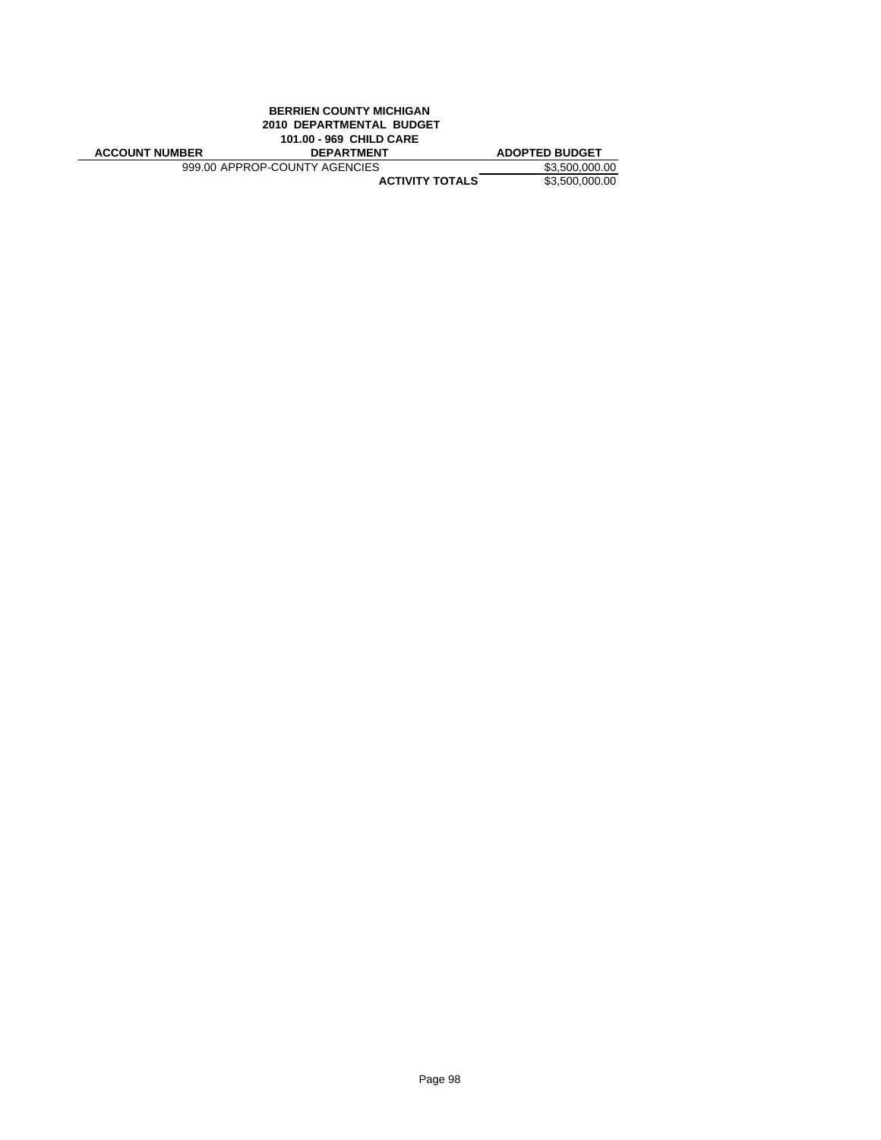|                       | <b>BERRIEN COUNTY MICHIGAN</b> |                       |
|-----------------------|--------------------------------|-----------------------|
|                       | 2010 DEPARTMENTAL BUDGET       |                       |
|                       | 101.00 - 969 CHILD CARE        |                       |
|                       |                                |                       |
| <b>ACCOUNT NUMBER</b> | <b>DEPARTMENT</b>              | <b>ADOPTED BUDGET</b> |
|                       | 999.00 APPROP-COUNTY AGENCIES  | \$3.500,000,00        |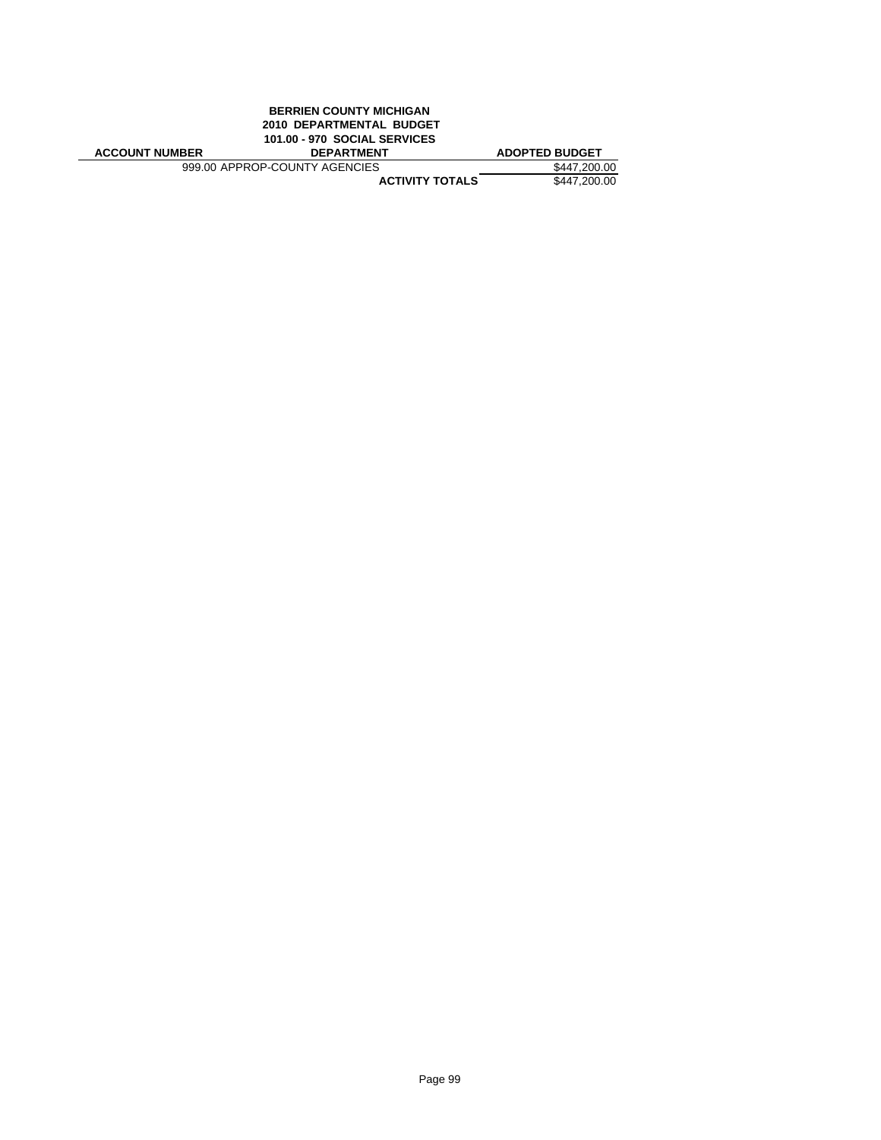|                       | <b>BERRIEN COUNTY MICHIGAN</b><br>2010 DEPARTMENTAL BUDGET |                       |
|-----------------------|------------------------------------------------------------|-----------------------|
|                       | <b>101.00 - 970 SOCIAL SERVICES</b>                        |                       |
| <b>ACCOUNT NUMBER</b> | <b>DEPARTMENT</b>                                          | <b>ADOPTED BUDGET</b> |
|                       | 999.00 APPROP-COUNTY AGENCIES                              | \$447,200,00          |
|                       | <b>ACTIVITY TOTALS</b>                                     | \$447,200,00          |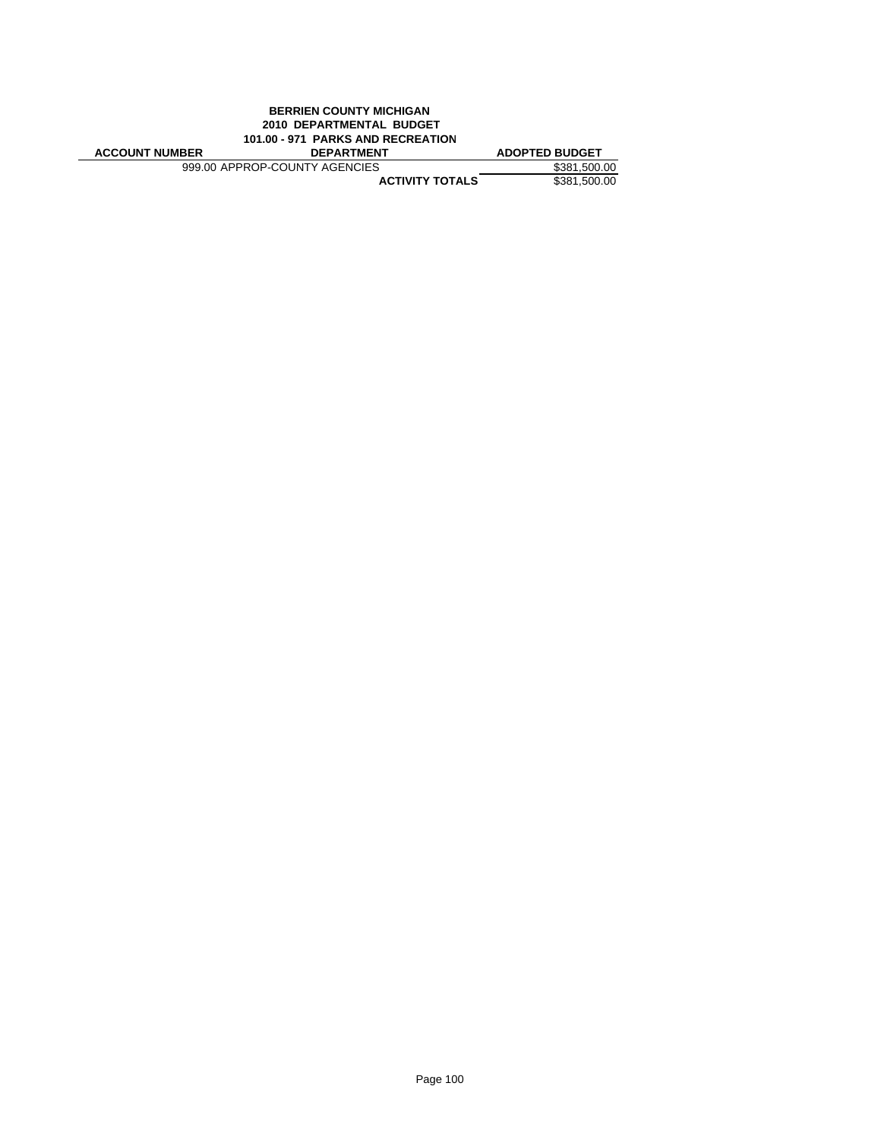|                       | <b>BERRIEN COUNTY MICHIGAN</b><br>2010 DEPARTMENTAL BUDGET |                       |
|-----------------------|------------------------------------------------------------|-----------------------|
|                       | 101.00 - 971 PARKS AND RECREATION                          |                       |
|                       |                                                            |                       |
| <b>ACCOUNT NUMBER</b> | <b>DEPARTMENT</b>                                          | <b>ADOPTED BUDGET</b> |
|                       | 999.00 APPROP-COUNTY AGENCIES                              | \$381,500.00          |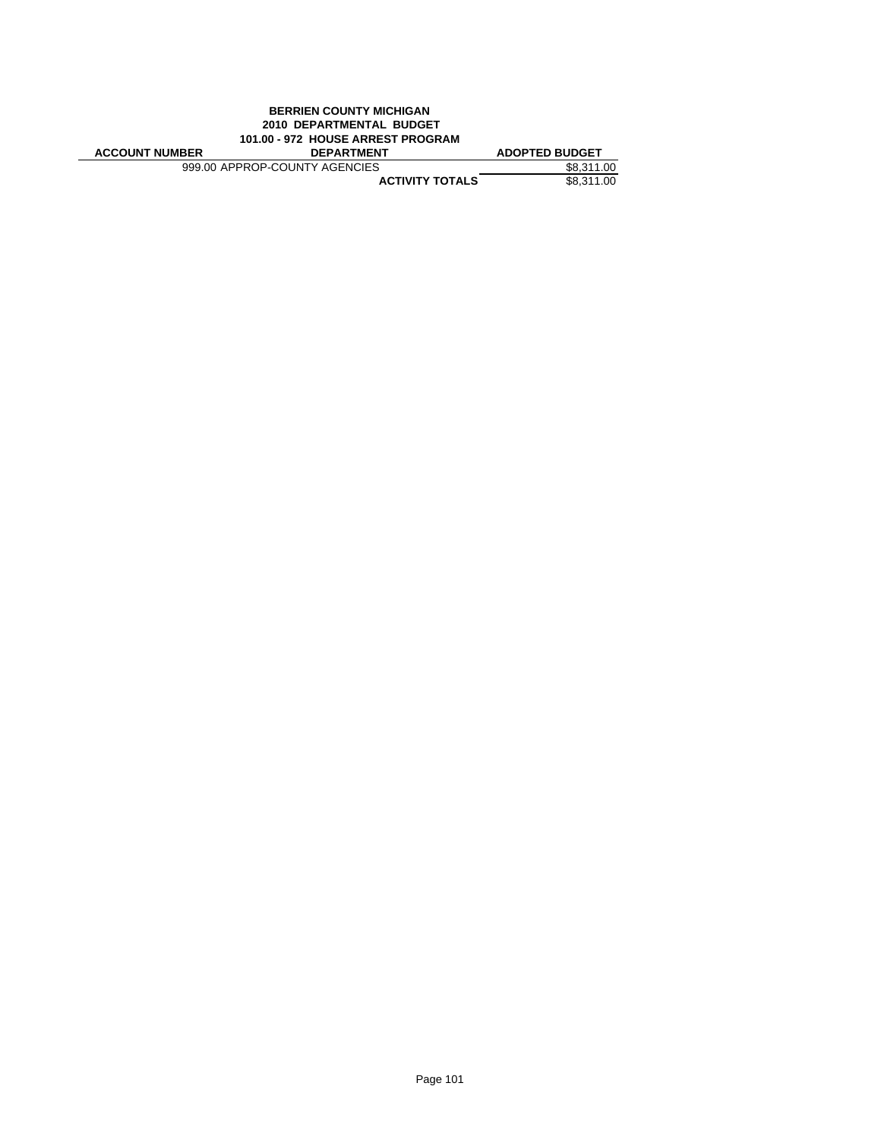|                                   | <b>BERRIEN COUNTY MICHIGAN</b> |                       |
|-----------------------------------|--------------------------------|-----------------------|
|                                   |                                |                       |
| 101.00 - 972 HOUSE ARREST PROGRAM |                                |                       |
| <b>ACCOUNT NUMBER</b>             | <b>DEPARTMENT</b>              | <b>ADOPTED BUDGET</b> |
|                                   |                                |                       |
|                                   | 999.00 APPROP-COUNTY AGENCIES  | \$8.311.00            |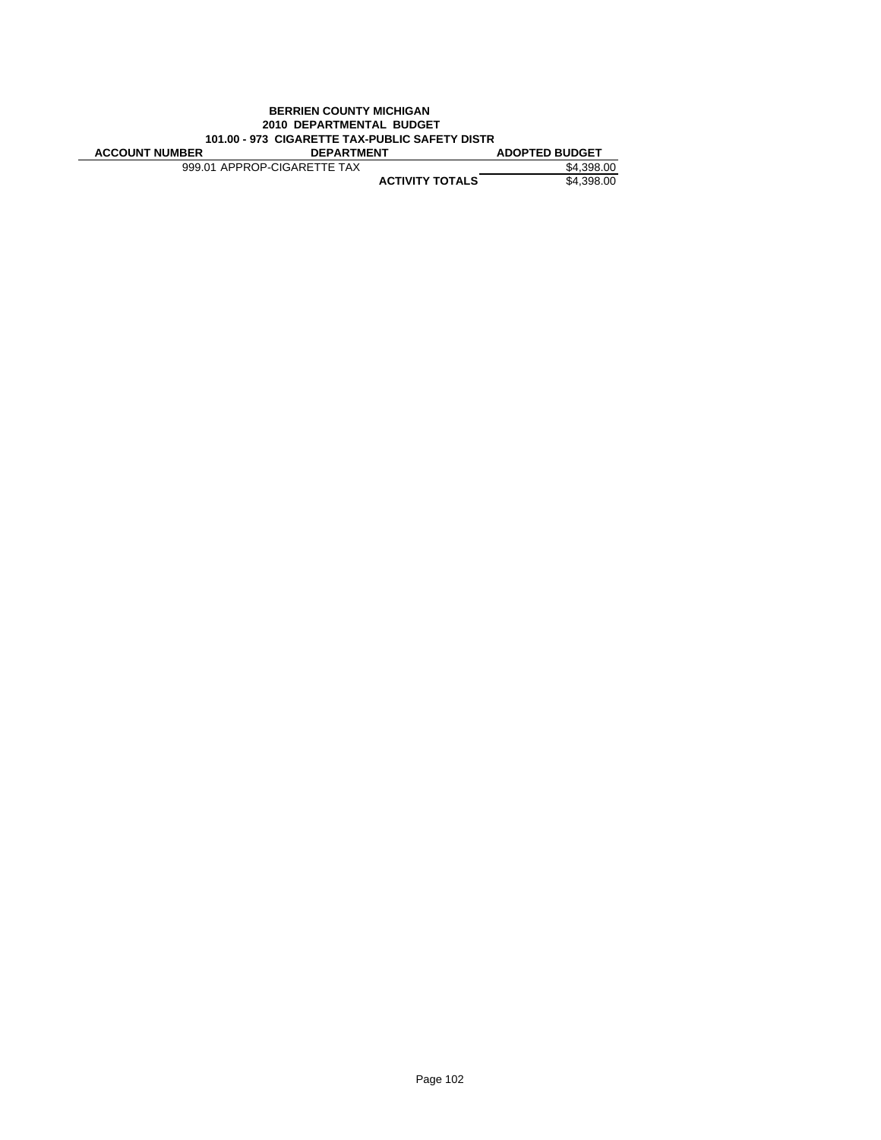|                                                | 2010 DEPARTMENTAL BUDGET    |                       |
|------------------------------------------------|-----------------------------|-----------------------|
| 101.00 - 973 CIGARETTE TAX-PUBLIC SAFETY DISTR |                             |                       |
|                                                |                             |                       |
| <b>ACCOUNT NUMBER</b>                          | <b>DEPARTMENT</b>           | <b>ADOPTED BUDGET</b> |
|                                                | 999.01 APPROP-CIGARETTE TAX | \$4.398.00            |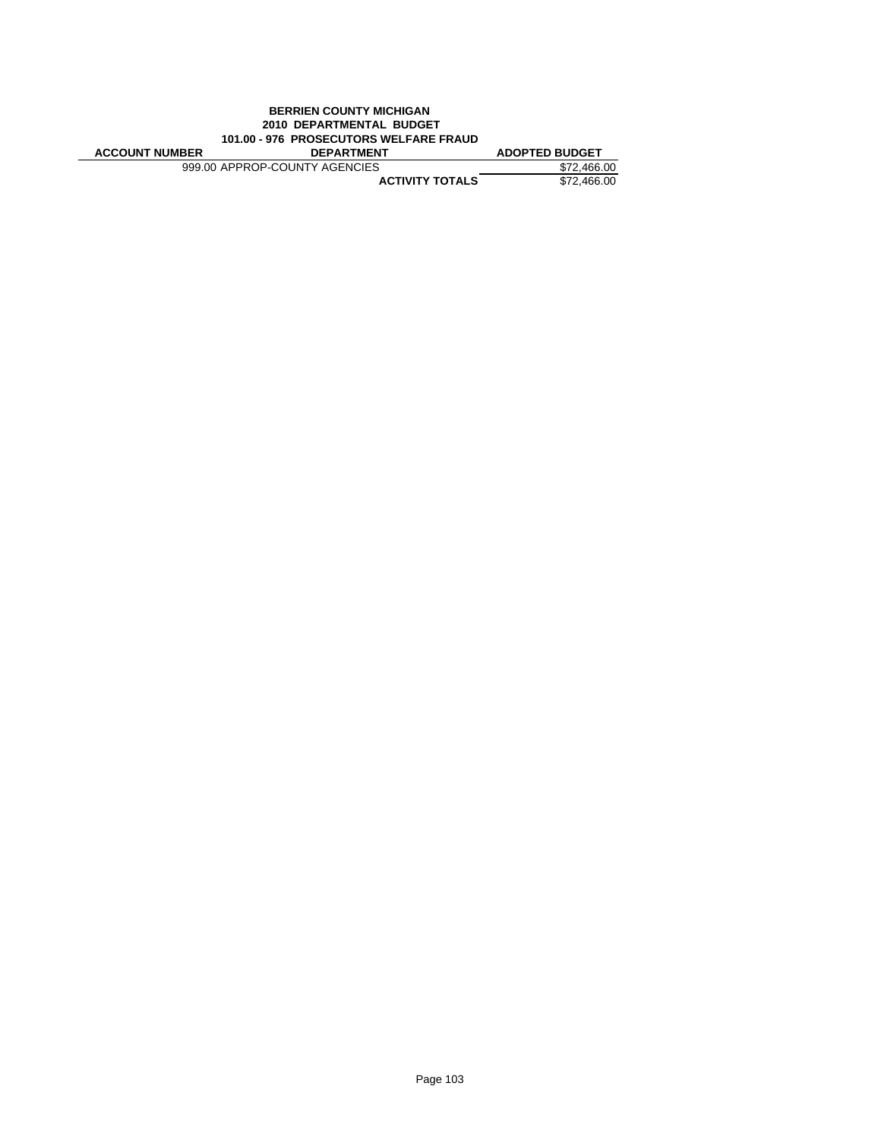|                       | <b>BERRIEN COUNTY MICHIGAN</b>         |                       |
|-----------------------|----------------------------------------|-----------------------|
|                       | 2010 DEPARTMENTAL BUDGET               |                       |
|                       | 101.00 - 976 PROSECUTORS WELFARE FRAUD |                       |
|                       |                                        |                       |
| <b>ACCOUNT NUMBER</b> | <b>DEPARTMENT</b>                      | <b>ADOPTED BUDGET</b> |
|                       | 999.00 APPROP-COUNTY AGENCIES          | \$72.466.00           |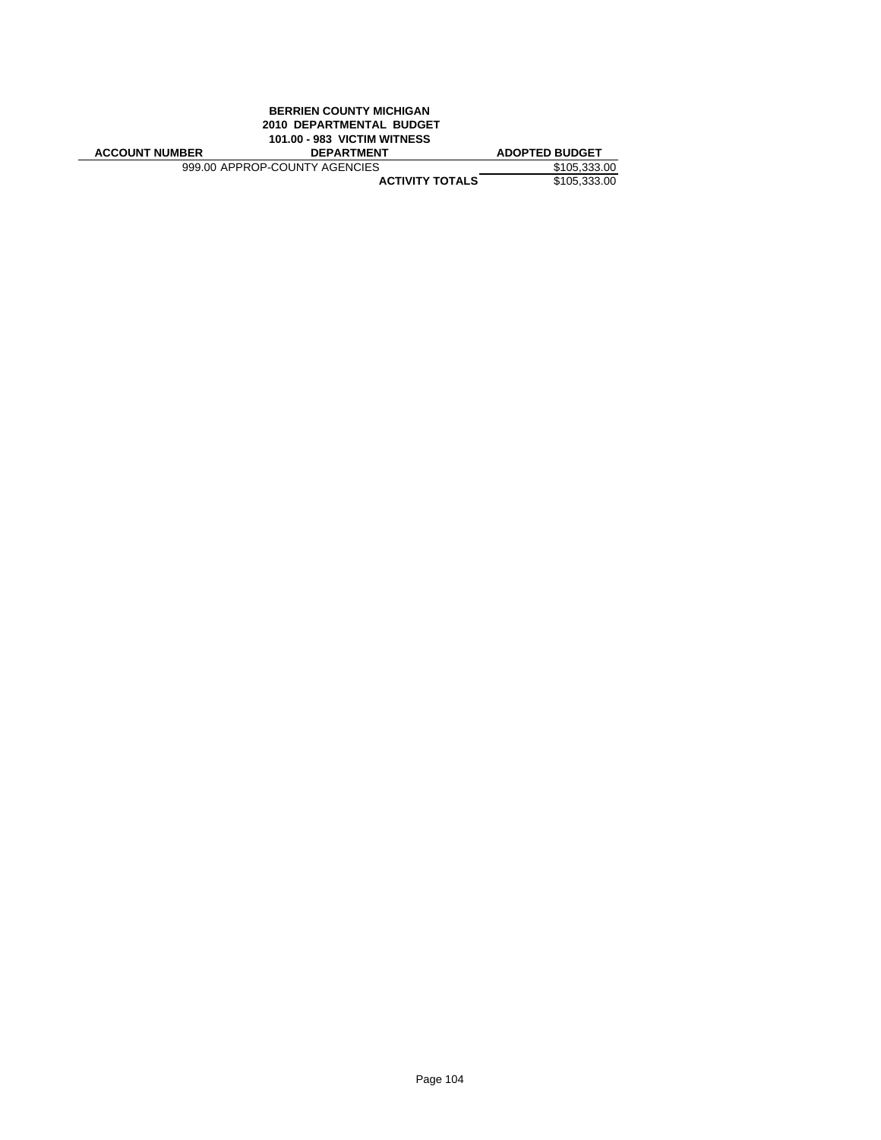|                       | <b>BERRIEN COUNTY MICHIGAN</b>     |                       |
|-----------------------|------------------------------------|-----------------------|
|                       | 2010 DEPARTMENTAL BUDGET           |                       |
|                       | <b>101.00 - 983 VICTIM WITNESS</b> |                       |
|                       |                                    |                       |
| <b>ACCOUNT NUMBER</b> | <b>DEPARTMENT</b>                  | <b>ADOPTED BUDGET</b> |
|                       | 999.00 APPROP-COUNTY AGENCIES      | \$105,333.00          |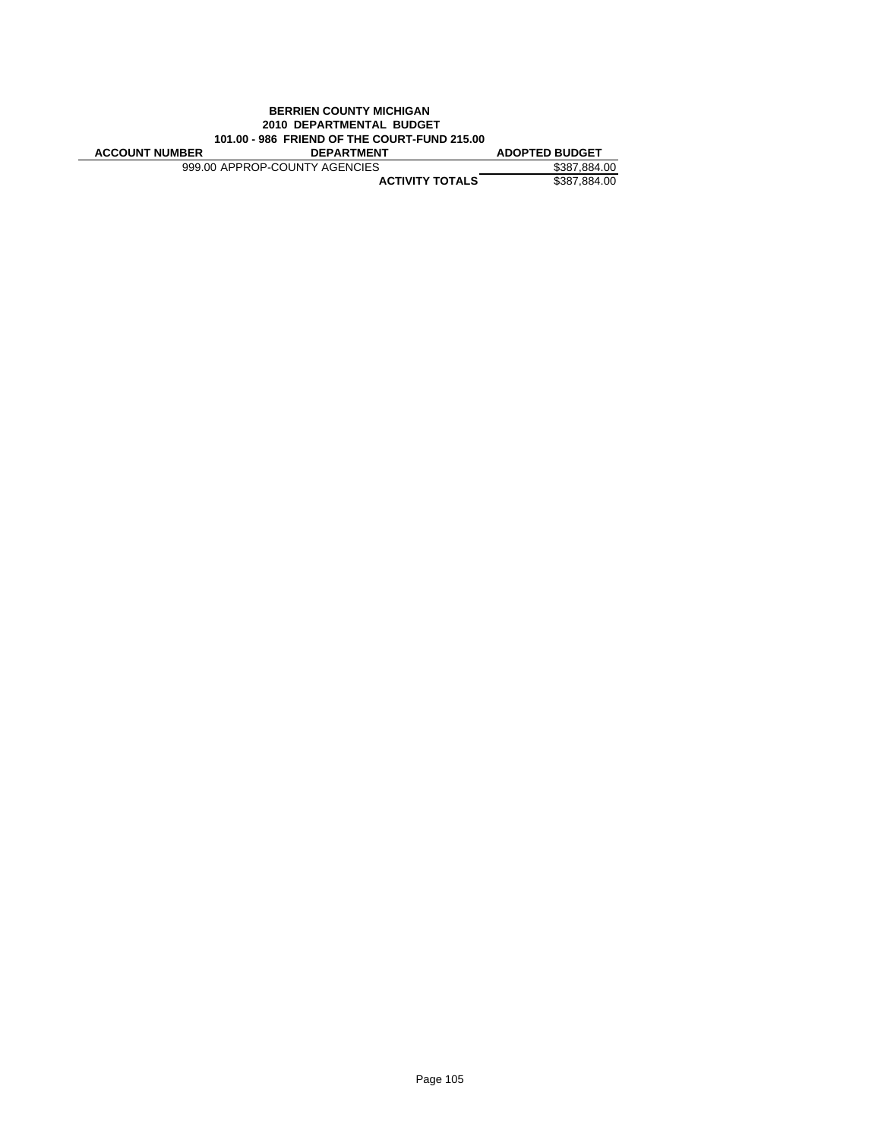|                       | <b>BERRIEN COUNTY MICHIGAN</b>               |                       |
|-----------------------|----------------------------------------------|-----------------------|
|                       | 2010 DEPARTMENTAL BUDGET                     |                       |
|                       | 101.00 - 986 FRIEND OF THE COURT-FUND 215.00 |                       |
|                       |                                              |                       |
| <b>ACCOUNT NUMBER</b> | <b>DEPARTMENT</b>                            | <b>ADOPTED BUDGET</b> |
|                       | 999.00 APPROP-COUNTY AGENCIES                | \$387.884.00          |